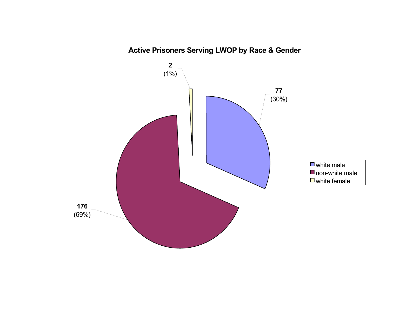

**Active Prisoners Serving LWOP by Race & Gender**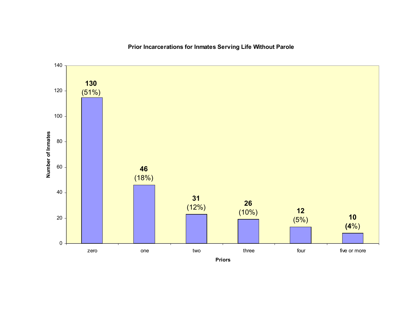

**Prior Incarcerations for Inmates Serving Life Without Parole**

**Priors**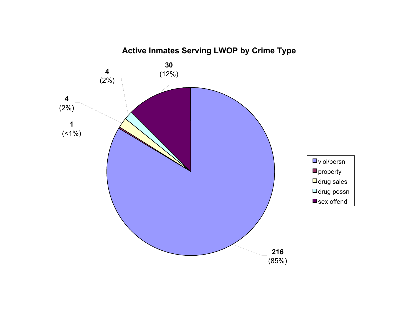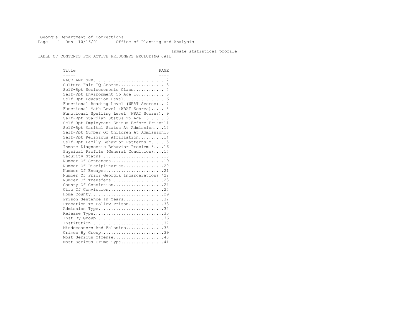Georgia Department of Corrections Page 1 Run 10/16/01 Office of Planning and Analysis

### Inmate statistical profile

TABLE OF CONTENTS FOR ACTIVE PRISONERS EXCLUDING JAIL

Title PAGE ----- ---- RACE AND SEX............................ 2 Culture Fair IQ Scores.................. 3 Self-Rpt Socioeconomic Class............ 4 Self-Rpt Environment To Age 16.......... 5 Self-Rpt Education Level................ 6 Functional Reading Level (WRAT Scores).. 7 Functional Math Level (WRAT Scores)..... 8 Functional Spelling Level (WRAT Scores). 9 Self-Rpt Guardian Status To Age 16......10 Self-Rpt Employment Status Before Prison11 Self-Rpt Marital Status At Admission....12 Self-Rpt Number Of Children At Admission13 Self-Rpt Religious Affiliation..........14 Self-Rpt Family Behavior Patterns \*.....15 Inmate Diagnostic Behavior Problem \*....16 Physical Profile (General Condition)....17 Security Status...........................18 Number Of Sentences.....................19 Number Of Disciplinaries................20 Number Of Escapes........................21 Number Of Prior Georgia Incarcerations \*22 Number Of Transfers.....................23 County Of Conviction....................24 Circ Of Conviction........................27 Home County.............................29 Prison Sentence In Years.................32 Probation To Follow Prison..............33 Admission Type............................34 Release Type..............................35 Inst By Group..............................36 Institution.............................37 Misdemeanors And Felonies...............38 Crimes By Group............................39 Most Serious Offense....................40 Most Serious Crime Type.................41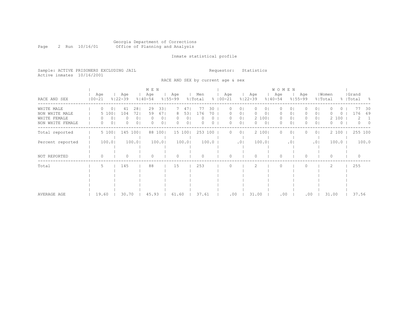Inmate statistical profile

Sample: ACTIVE PRISONERS EXCLUDING JAIL Requestor: Statistics Active inmates 10/16/2001

# RACE AND SEX by current age & sex

|                                  |                   |                          | M E N                                                        |                                                                                  |                        |                                  |                                     | <b>WOMEN</b>                                      |                                                     |                           |
|----------------------------------|-------------------|--------------------------|--------------------------------------------------------------|----------------------------------------------------------------------------------|------------------------|----------------------------------|-------------------------------------|---------------------------------------------------|-----------------------------------------------------|---------------------------|
| RACE AND SEX                     | Age<br>$100 - 21$ | Age<br>$8122 - 39$       | Age<br>$8140 - 54$                                           | Age<br>$8155 - 99$                                                               | Men<br>% Total         | Age<br>$8   00 - 21$             | Age<br>$8122 - 39$                  | Age<br>$8140 - 54$<br>$8155 - 99$                 | Women<br>Age<br>% Total                             | Grand<br>%   Total<br>- 옹 |
| WHITE MALE<br>NON WHITE MALE     | 0<br>5 100        | 281<br>41<br>104         | 29<br>331<br>721<br>59<br>671                                | 471<br>531<br>8                                                                  | -77<br>30<br>176<br>70 | 01<br>0 <sub>1</sub>             | 0 I<br>01                           | 0<br>01<br>01<br>0                                | 01<br>0 <sub>1</sub><br>()                          | 30<br>176<br>69           |
| WHITE FEMALE<br>NON WHITE FEMALE | 0<br>0            | 0<br>0 <sub>1</sub><br>0 | 0 <sub>1</sub><br><sup>o</sup><br>0 <sup>1</sup><br>$\Omega$ | 0 <sub>1</sub><br>0 <sup>1</sup><br>0 <sub>1</sub><br>0 <sup>1</sup><br>$\Omega$ | 0<br>0<br>$\bigcap$    | 0 <sub>1</sub><br>0 <sub>1</sub> | 2 100<br>0 <sup>1</sup><br>$\Omega$ | 0 <sub>1</sub><br>$\Omega$<br>$\circ$<br>$\Omega$ | 2 100<br>0 <sub>1</sub><br>0<br>0 <sup>1</sup><br>0 | 2<br>$\Omega$<br>- 0      |
| Total reported                   | 5 100             | 145 100                  | 88 100                                                       | 15 100                                                                           | 253 100                | 0 <sup>1</sup>                   | 2 100                               | $\bigcap$<br>01                                   | 2 100<br>0 <sub>1</sub>                             | 255 100                   |
| Percent reported                 | 100.0             | 100.0                    | 100.0                                                        | 100.0                                                                            | 100.0                  | .0 <sub>1</sub>                  | 100.01                              | .01                                               | $100.0$  <br>.01                                    | 100.0                     |
| NOT REPORTED                     | 0                 |                          | $\Omega$                                                     | $\Omega$                                                                         |                        |                                  |                                     |                                                   | $\Omega$                                            |                           |
| Total                            | 5                 | 145                      | 88                                                           | 15                                                                               | 253                    |                                  |                                     |                                                   | 2                                                   | 255                       |
| AVERAGE AGE                      | 19.60             | 30.70                    | 45.93                                                        | 61.60                                                                            | 37.61                  | .00                              | 31.00                               | $.00 \ \,$                                        | 31.00<br>.00.                                       | 37.56                     |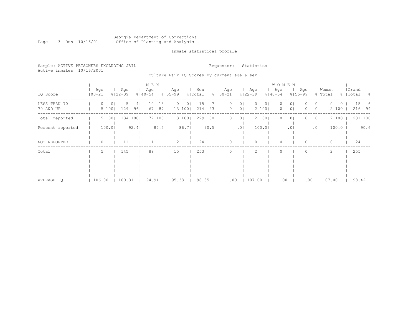### Georgia Department of Corrections Page 3 Run 10/16/01 Office of Planning and Analysis

# Inmate statistical profile

|  | Sample: ACTIVE PRISONERS EXCLUDING JAIL |  |                                             |  |  | Requestor: Statistics |  |  |
|--|-----------------------------------------|--|---------------------------------------------|--|--|-----------------------|--|--|
|  | Active inmates 10/16/2001               |  |                                             |  |  |                       |  |  |
|  |                                         |  | Culture Fair IO Scores by current age & sex |  |  |                       |  |  |

|                           |                   |                    |             | M E N                  |                    |                 |                             |                                                            | <b>WOMEN</b>                              |                                   |                  |                           |
|---------------------------|-------------------|--------------------|-------------|------------------------|--------------------|-----------------|-----------------------------|------------------------------------------------------------|-------------------------------------------|-----------------------------------|------------------|---------------------------|
| IQ Score                  | Age<br>$100 - 21$ | Age<br>$8122 - 39$ | $8140 - 54$ | Age                    | Age<br>$8155 - 99$ | Men<br>% Total  | Age<br>$8   00 - 21$        | Age<br>$8122 - 39$                                         | Age<br>$8140 - 54$                        | Age<br>$8155 - 99$                | Women<br>% Total | Grand<br>%   Total<br>- 왕 |
| LESS THAN 70<br>70 AND UP | $\cup$<br>5 100   | 0 I<br>۰.<br>129   | 4<br>961    | 131<br>10<br>871<br>67 | 01<br>O<br>13 100  | 15<br>93<br>214 | $\left( \right)$<br>$\circ$ | $\circ$<br>0 <sub>1</sub><br>01<br>2 100<br>0 <sub>1</sub> | $\circ$<br>0<br>0 <sub>1</sub><br>$\circ$ | 0 I<br>0 <sup>1</sup><br>$\Omega$ | O<br>2 100       | 15<br>6<br>216<br>94      |
| Total reported            | 5 100             | 134 100            |             | 77 100                 | 13 100             | 229 100         | $\circ$                     | 2 100<br>0 <sub>1</sub>                                    | $\circ$<br>$\circ$                        | 0 <sub>1</sub><br>0               | 2 100            | 231 100                   |
| Percent reported          | 100.01            |                    | 92.4        | 87.5                   | 86.71              | 90.5            |                             | 100.01<br>.01                                              | .01                                       | .01                               | 100.0            | 90.6                      |
| NOT REPORTED              | 0                 | 11                 |             | 11                     | $\overline{2}$     | 24              | $\Omega$                    | $\circ$                                                    | 0                                         |                                   | 0                | 24                        |
| Total                     | 5.                | 145                |             | 88                     | 15                 | 253             | $\Omega$                    | 2                                                          | $\mathbf{0}$                              | $\Omega$                          | 2                | 255                       |
| AVERAGE IO                | 106.00            | 100.31             |             | 94.94                  | 95.38              | 98.35           | .00                         | 107.00                                                     | .00                                       | .00                               | 107.00           | 98.42                     |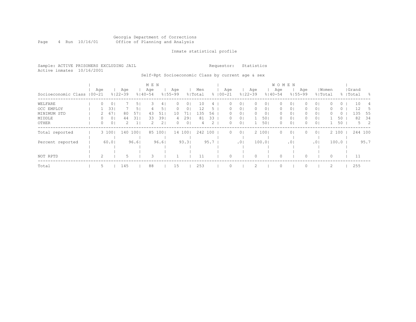### Georgia Department of Corrections Page 4 Run 10/16/01 Office of Planning and Analysis

# Inmate statistical profile

|                           | Sample: ACTIVE PRISONERS EXCLUDING JAIL | Requestor: Statistics |
|---------------------------|-----------------------------------------|-----------------------|
| Active inmates 10/16/2001 |                                         |                       |

# Self-Rpt Socioeconomic Class by current age & sex

|                             |     |       |                    |                | M E N              |                |                    |                |                |      |                    |                 |                    |                | W O M E N          |                |                    |                |       |       |                    |             |
|-----------------------------|-----|-------|--------------------|----------------|--------------------|----------------|--------------------|----------------|----------------|------|--------------------|-----------------|--------------------|----------------|--------------------|----------------|--------------------|----------------|-------|-------|--------------------|-------------|
| Socioeconomic Class   00-21 | Age |       | Age<br>$8122 - 39$ |                | Age<br>$8140 - 54$ |                | Age<br>$8155 - 99$ |                | Men<br>% Total |      | Age<br>$8100 - 21$ |                 | Age<br>$8122 - 39$ |                | Age<br>$8140 - 54$ |                | Age<br>$8155 - 99$ | % Total        | Women |       | Grand<br>%   Total | - 양         |
| WELFARE                     | 0   | 0     |                    | 51             | 3                  | 41             | $\Omega$           | 01             | 10             |      |                    | 0 <sup>1</sup>  |                    | 01             | 0                  | 01             |                    | 0 <sub>1</sub> |       | 0     | 10                 | 4           |
| OCC EMPLOY                  |     | 33    |                    | 5 <sup>1</sup> | 4                  | 51             | 0                  | 0              | 12             |      |                    | 0 <sub>1</sub>  | 0                  | 0 <sub>1</sub> | 0                  | 0 <sub>1</sub> | 0                  | 0 <sub>1</sub> |       | 0     | 12                 |             |
| MINIMUM STD                 |     | 67    | 80                 | 57             | 43                 | 51             | 10                 | 71.            | 135            | 56   |                    | 0 <sub>1</sub>  |                    | 0 <sub>1</sub> | 0                  | 0 <sub>1</sub> | $\Omega$           | 0 <sub>1</sub> |       | 0     | 135                | 55          |
| MIDDLE                      | 0   | 0     | 44                 | 31             | 33                 | 391            | 4                  | 291            | 81             | 33   | 0.                 | 0 <sub>1</sub>  |                    | 501            | 0                  | 0 <sup>1</sup> | 0                  | 0 <sub>1</sub> |       | 50    | 82                 | - 34        |
| OTHER                       | 0   | 0     | 2                  | 1              | 2                  | 2 <sub>1</sub> | 0                  | 0 <sup>1</sup> | 4              | 2    | 0.                 | 0 <sup>1</sup>  |                    | 501            | 0                  | 0 <sub>1</sub> | $\Omega$           | 0 <sup>1</sup> |       | 50    |                    | $5 \quad 2$ |
| Total reported              |     | 3 100 | 140                | 1001           |                    | 85 100         |                    | 14 100         | 242 100        |      | $\Omega$           | 0 <sup>1</sup>  |                    | 2 1001         | $\Omega$           | 0 <sup>1</sup> | $\Omega$           | 0 <sup>1</sup> |       | 2 100 | 244 100            |             |
|                             |     |       |                    |                |                    |                |                    |                |                |      |                    |                 |                    |                |                    |                |                    |                |       |       |                    |             |
| Percent reported            |     | 60.01 |                    | 96.61          |                    | 96.61          |                    | 93.3           |                | 95.7 |                    | .0 <sub>1</sub> |                    | 100.01         |                    | .01            |                    | .01            |       | 100.0 |                    | 95.7        |
|                             |     |       |                    |                |                    |                |                    |                |                |      |                    |                 |                    |                |                    |                |                    |                |       |       |                    |             |
|                             |     |       |                    |                |                    |                |                    |                |                |      |                    |                 |                    |                |                    |                |                    |                |       |       |                    |             |
| NOT RPTD                    |     |       |                    |                | 3                  |                |                    |                | 11             |      |                    |                 |                    |                | $\Omega$           |                |                    |                | 0     |       | 11                 |             |
| Total                       | 5.  |       | 145                |                | 88                 |                | 15                 |                | 253            |      |                    |                 |                    |                | $\circ$            |                |                    |                |       |       | 255                |             |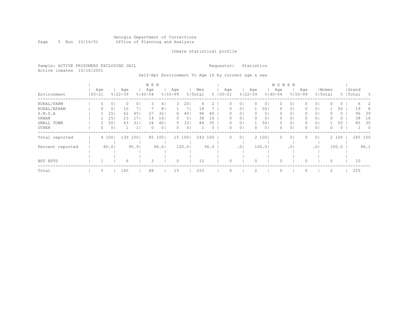### Georgia Department of Corrections Page 5 Run 10/16/01 Office of Planning and Analysis

# Inmate statistical profile

Sample: ACTIVE PRISONERS EXCLUDING JAIL **Requestor:** Statistics Active inmates 10/16/2001

Self-Rpt Environment To Age 16 by current age & sex

|                  |            |     |       |                    |         | M E N              |                |                    |                 |                |      |             |                  |                 |                    |                | <b>WOMEN</b>       |                 |                    |                |       |         |                    |                |
|------------------|------------|-----|-------|--------------------|---------|--------------------|----------------|--------------------|-----------------|----------------|------|-------------|------------------|-----------------|--------------------|----------------|--------------------|-----------------|--------------------|----------------|-------|---------|--------------------|----------------|
| Environment      | $100 - 21$ | Age |       | Age<br>$8122 - 39$ |         | Age<br>$8140 - 54$ |                | Age<br>$8155 - 99$ |                 | Men<br>% Total |      | $8100 - 21$ | Age              |                 | Age<br>$8122 - 39$ |                | Age<br>$8140 - 54$ |                 | Age<br>$8155 - 99$ | % Total        | Women |         | Grand<br>%   Total | - 8            |
| RURAL/FARM       |            | 0   | 0     | 0                  | $\circ$ | 3                  | 4              | 3                  | 201             | 6              |      |             |                  | 0 <sub>1</sub>  |                    | 01             | 0                  | 01              |                    | 0 <sub>1</sub> |       | $\circ$ | 6                  | 2              |
| RURAL/NFARM      |            | 0   | 0     | 10                 |         |                    | 8 <sub>1</sub> |                    |                 | 18             |      |             | O.               | 0 <sup>1</sup>  |                    | 501            | $\circ$            | 0 <sub>1</sub>  | 0                  | 0 <sub>1</sub> |       | 50      | 19                 | 8              |
| S.M.S.A          |            |     | 25    | 62                 | 45      | 27                 | 32             | 6                  | 40 <sub>1</sub> | 96             | 40   |             | 0.               | 0 <sub>1</sub>  | 0                  | 0 <sub>1</sub> | 0                  | 0 <sub>1</sub>  | 0                  | 0 <sub>1</sub> | 0     | $\circ$ | 96                 | 39             |
| URBAN            |            |     | 25    | 23                 | 17      | 14                 | 16             | 0                  | 0 <sub>1</sub>  | 38             | 16   |             | $\left( \right)$ | 0 <sub>1</sub>  | 0                  | 0 <sub>1</sub> | 0                  | 01              | 0                  | 0 <sub>1</sub> |       | $\circ$ | 38                 | 16             |
| SMALL TOWN       |            |     | 50    | 43                 | 31      | 34                 | 40             | 5.                 | 331             | 84             | 35   |             |                  | 0 <sub>1</sub>  |                    | 501            | 0                  | 0 <sub>1</sub>  | 0                  | 0 <sub>1</sub> |       | 50      | 85                 | 35             |
| OTHER            |            | 0   | 0     |                    |         | 0                  | 0 <sub>1</sub> | 0                  | 0 <sub>1</sub>  |                | 0    |             | 0                | 0 <sub>1</sub>  |                    | 0 <sub>1</sub> | 0                  | $\circ$         |                    | 0 <sup>1</sup> | 0     | $\circ$ |                    | $\overline{0}$ |
| Total reported   |            |     | 4 100 | 139                | 1001    |                    | 85 1001        |                    | 15 100          | 243            | 100  |             | 0                | 0 <sup>1</sup>  |                    | 2 100          | 0                  | $\circ$         | 0                  | 0 <sup>1</sup> |       | 2 100   | 245 100            |                |
| Percent reported |            |     | 80.01 |                    | 95.91   |                    | 96.61          |                    | 100.0           |                | 96.0 |             |                  | .0 <sub>1</sub> |                    | 100.0          |                    | .0 <sub>1</sub> |                    | .01            |       | 100.0   |                    | 96.1           |
|                  |            |     |       |                    |         |                    |                |                    |                 |                |      |             |                  |                 |                    |                |                    |                 |                    |                |       |         |                    |                |
| NOT RPTD         |            |     |       | 6                  |         | 3                  |                | $\Omega$           |                 | 10             |      |             |                  |                 |                    |                |                    |                 |                    |                | 0     |         | 10                 |                |
| Total            |            | 5.  |       | 145                |         | 88                 |                | 15                 |                 | 253            |      |             |                  |                 |                    |                |                    |                 |                    |                | 2     |         | 255                |                |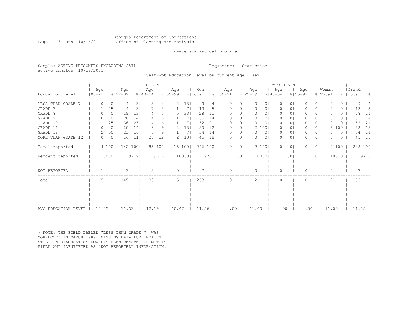#### Georgia Department of Corrections Page 6 Run 10/16/01 Office of Planning and Analysis

# Inmate statistical profile

Sample: ACTIVE PRISONERS EXCLUDING JAIL **Requestor:** Statistics Active inmates 10/16/2001

Self-Rpt Education Level by current age & sex

|                        |                   |                |                    | M E N   |                    |                |                    |        |                |      |                      |                |                    | WOMEN          |                    |                 |                    |                |                  |                  |                    |      |
|------------------------|-------------------|----------------|--------------------|---------|--------------------|----------------|--------------------|--------|----------------|------|----------------------|----------------|--------------------|----------------|--------------------|-----------------|--------------------|----------------|------------------|------------------|--------------------|------|
| Education Level        | Age<br>$100 - 21$ |                | Age<br>$8122 - 39$ |         | Age<br>$8140 - 54$ |                | Age<br>$8155 - 99$ |        | Men<br>% Total |      | Age<br>$8   00 - 21$ |                | Aqe<br>$8122 - 39$ |                | Age<br>$8140 - 54$ |                 | Aqe<br>$8155 - 99$ |                | Women<br>% Total |                  | Grand<br>%   Total | - 옹  |
| LESS THAN GRADE        | 0                 | $\circ$        | 4                  | 31      | З                  | 41             | 2                  | 131    | 9              | 4    | 0                    | 0 <sub>1</sub> | $\Omega$           | 01             | $\Omega$           | 01              |                    | 0 <sub>1</sub> |                  | $\left( \right)$ |                    |      |
| GRADE 7                |                   | 25             |                    | 3       |                    | 8              |                    |        | 13             |      |                      | 01             |                    |                |                    | 0.              |                    | 01             |                  | 0                | 13                 | 5    |
| GRADE 8                | $^{(1)}$          | 0 <sub>1</sub> | 19                 | 13      |                    | 5 <sub>1</sub> |                    | 331    | 28             | 11   |                      | 0 <sub>1</sub> | $\Box$             | 0 <sub>1</sub> | O.                 | 0 <sub>1</sub>  |                    | 0 <sup>1</sup> |                  | 0                | 28                 | -11  |
| GRADE 9                |                   | 0 <sup>1</sup> | 20                 | 14      | 14                 | 161            |                    | 71     | 35             | 14   |                      | 01             |                    | 0 <sub>1</sub> | $\left( \right)$   | 01              |                    | 0 <sub>1</sub> |                  | 0                | 35                 | 14   |
| GRADE 10               |                   | 251            | 36                 | 251     | 14                 | 161            |                    | 71     | 52             | 21   |                      | 0 <sub>1</sub> |                    | 0 <sub>1</sub> | $\Omega$           | 01              |                    | 0 <sub>1</sub> |                  | 0                | 52                 | 21   |
| GRADE 11               | 0                 | 0 <sup>1</sup> | 20                 | 14      | 8                  | 9 <sub>1</sub> | $\mathcal{L}$      | 13     | 30             | 12   |                      | 0 <sub>1</sub> | $\mathcal{L}$      | 100            | $\Omega$           | 01              |                    | 0 <sub>1</sub> | 2.               | 100              | 32                 | 13   |
| GRADE 12               |                   | 50             | 23                 | 161     |                    | 9 <sub>1</sub> |                    | 71     | 34             | 14   |                      | 0 <sub>1</sub> |                    | 0 <sup>1</sup> | 0                  | 01              |                    | 0 <sub>1</sub> |                  | 0                | 34                 | 14   |
| MORE THAN GRADE<br>-12 | 0                 | $\circ$        | 16                 | 11      | 27                 | 321            | 2.                 | 13     | 45             | 18   |                      | 0 <sub>1</sub> | ∩                  | 0 <sub>1</sub> | $\bigcap$          | $\Omega$        |                    | 0 <sub>1</sub> |                  | $\Omega$         | 45                 | 18   |
| Total reported         |                   | 4 100          |                    | 142 100 |                    | 85 100         |                    | 15 100 | 246 100        |      | $^{(1)}$             | 0 <sub>1</sub> |                    | 2 100          | 0                  | $\circ$         |                    | 0 <sub>1</sub> |                  | 2 100            | 248 100            |      |
| Percent reported       |                   | $80.0$         |                    | 97.9    |                    | 96.6           |                    | 100.0  |                | 97.2 |                      | .01            |                    | 100.0          |                    | .0 <sub>1</sub> |                    | .01            |                  | 100.0            |                    | 97.3 |
| NOT REPORTED           |                   |                |                    |         | 3                  |                | 0                  |        |                |      |                      |                | n                  |                | $\Omega$           |                 |                    |                | 0                |                  |                    |      |
| Total                  | 5.                |                | 145                |         | 88                 |                | 15                 |        | 253            |      |                      |                |                    |                | $\bigcap$          |                 |                    |                | 2                |                  | 255                |      |
|                        |                   |                |                    |         |                    |                |                    |        |                |      |                      |                |                    |                |                    |                 |                    |                |                  |                  |                    |      |
|                        |                   |                |                    |         |                    |                |                    |        |                |      |                      |                |                    |                |                    |                 |                    |                |                  |                  |                    |      |
|                        |                   |                |                    |         |                    |                |                    |        |                |      |                      |                |                    |                |                    |                 |                    |                |                  |                  |                    |      |
| AVG EDUCATION LEVEL    | 10.25             |                | 11.33              |         | 12.19              |                | 10.47              |        | 11.56          |      | .00                  |                | 11.00              |                | .00                |                 |                    | .00            | 11.00            |                  | 11.55              |      |

\* NOTE: THE FIELD LABLED "LESS THAN GRADE 7" WAS CORRECTED IN MARCH 1989: MISSING DATA FOR INMATES STILL IN DIAGNOSTICS NOW HAS BEEN REMOVED FROM THIS FIELD AND IDENTIFIED AS "NOT REPORTED" INFORMATION.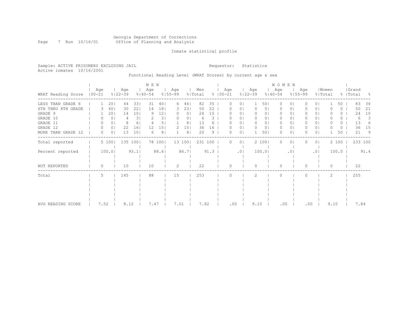### Georgia Department of Corrections Page 7 Run 10/16/01 Office of Planning and Analysis

# Inmate statistical profile

Sample: ACTIVE PRISONERS EXCLUDING JAIL **Requestor:** Statistics Active inmates 10/16/2001

Functional Reading Level (WRAT Scores) by current age & sex

|                    |                   |                |                    |                 | M E N              |      |                    |                |                |      |                      |                |                    |                | WOMEN              |                 |                    |                |                  |       |                    |         |      |
|--------------------|-------------------|----------------|--------------------|-----------------|--------------------|------|--------------------|----------------|----------------|------|----------------------|----------------|--------------------|----------------|--------------------|-----------------|--------------------|----------------|------------------|-------|--------------------|---------|------|
| WRAT Reading Score | Age<br>$100 - 21$ |                | Age<br>$8122 - 39$ |                 | Age<br>$8140 - 54$ |      | Age<br>$8155 - 99$ |                | Men<br>% Total |      | Age<br>$8   00 - 21$ |                | Age<br>$8122 - 39$ |                | Age<br>$8140 - 54$ |                 | Age<br>$8155 - 99$ |                | Women<br>% Total |       | Grand<br>%   Total |         | - 옹  |
| LESS THAN GRADE 6  |                   | 201            | 44                 | 331             | 31                 | 401  | 6                  | 46             | 82             | 35   |                      | $\circ$        |                    | 501            | 0                  | $\circ$         |                    | 0 <sub>1</sub> |                  | 50    |                    | 83      | 36   |
| 6TH THRU 8TH GRADE | 3.                | 60             | 30                 | 22              | 14                 | 181  | 3                  | 231            | 50             | 22   |                      | 0 <sub>1</sub> | $\Omega$           | 0 <sub>1</sub> | 0                  | 01              |                    | 0 <sub>1</sub> |                  | 0     |                    | 50      | 21   |
| GRADE 9            |                   | 201            | 14                 | 101             | 9                  | 121  | 0                  | 0 <sub>1</sub> | 24             | 10   |                      | 0 <sub>1</sub> |                    | 0 <sub>1</sub> | 0                  | 01              |                    | 0 <sub>1</sub> |                  | 0     |                    | 24      | 10   |
| GRADE 10           | 0                 | $\circ$        |                    | 31              |                    | 31   | $\Omega$           | 0              | 6              | 3    |                      | $\circ$        | $\Omega$           | 0 <sub>1</sub> | $\Omega$           | 01              | 0                  | 0 <sub>1</sub> |                  | 0     |                    | 6       | 3    |
| GRADE 11           | 0                 | 01             | 8                  | 6               |                    | 5.   |                    | 8              | 13             | 6    |                      | 01             | 0                  | 0              | 0                  | 01              | 0                  | 01             |                  | 0     |                    | 13      | 6    |
| GRADE 12           | $\Omega$          | 0 <sub>1</sub> | 22                 | 161             | 12                 | 151  | $\mathcal{L}$      | 151            | 36             | 16   |                      | 0              | 0                  | 0 <sub>1</sub> | 0                  | $\circ$         | 0                  | 0 <sub>1</sub> |                  | 0     |                    | 36      | 15   |
| MORE THAN GRADE 12 | 0                 | 0 <sub>1</sub> | 13                 | 10 <sub>1</sub> | 6                  | 8    |                    | 8 <sup>1</sup> | 20             | 9    | 0                    | 0              |                    | 501            | 0                  | 0               | O                  | 0 <sub>1</sub> |                  | 50    |                    | 21      | 9    |
| Total reported     |                   | 5 100          |                    | 135 100         | 78                 | 1001 |                    | 13 100         | 231 100        |      | 0                    | 0 <sup>1</sup> |                    | 2 100          | $\Omega$           | $\circ$         |                    | 0 <sup>1</sup> |                  | 2 100 |                    | 233 100 |      |
| Percent reported   |                   | 100.0          |                    | 93.1            |                    | 88.6 |                    | 86.7           |                | 91.3 |                      | .01            |                    | 100.0          |                    | .0 <sub>1</sub> |                    | .01            |                  | 100.0 |                    |         | 91.4 |
| NOT REPORTED       | 0                 |                | 10                 |                 | 10                 |      | 2                  |                | 22             |      | $\cap$               |                | $\Omega$           |                | $\Omega$           |                 | U                  |                | $\Omega$         |       |                    | 22      |      |
| Total              | 5                 |                | 145                |                 | 88                 |      | 15                 |                | 253            |      |                      |                | $\mathcal{L}$      |                | $\Omega$           |                 |                    |                | $\overline{c}$   |       |                    | 255     |      |
|                    |                   |                |                    |                 |                    |      |                    |                |                |      |                      |                |                    |                |                    |                 |                    |                |                  |       |                    |         |      |
|                    |                   |                |                    |                 |                    |      |                    |                |                |      |                      |                |                    |                |                    |                 |                    |                |                  |       |                    |         |      |
|                    |                   |                |                    |                 |                    |      |                    |                |                |      |                      |                |                    |                |                    |                 |                    |                |                  |       |                    |         |      |
|                    |                   |                |                    |                 |                    |      |                    |                |                |      |                      |                |                    |                |                    |                 |                    |                |                  |       |                    |         |      |
| AVG READING SCORE  | 7.52              |                | 8.12               |                 | 7.47               |      | 7.01               |                | 7.82           |      | .00                  |                | 9.10               |                | .00                |                 | .00                |                | 9.10             |       |                    | 7.84    |      |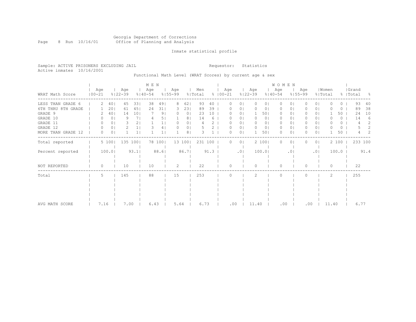### Georgia Department of Corrections Page 8 Run 10/16/01 Office of Planning and Analysis

# Inmate statistical profile

Sample: ACTIVE PRISONERS EXCLUDING JAIL **Requestor:** Statistics Active inmates 10/16/2001

# Functional Math Level (WRAT Scores) by current age & sex

| WRAT Math Score                                                                                              | Age<br>$100 - 21$                     |                                                                | Age<br>$8122 - 39$        |                                                                                           | M E N<br>Age<br>$8140 - 54$ |                              | Age<br>$8155 - 99$                          |                                                              | Men<br>% Total       |                                  | Age<br>$8$   00-21 |                                                                                                       | Age<br>$8122 - 39$                         |                                                                                           | W O M E N<br>Age<br>$8140 - 54$        |                                                      | Age<br>$8155 - 99$ |                                                                                                                | Women<br>% Total |                                         | Grand<br>%   Total        | - 8                                |
|--------------------------------------------------------------------------------------------------------------|---------------------------------------|----------------------------------------------------------------|---------------------------|-------------------------------------------------------------------------------------------|-----------------------------|------------------------------|---------------------------------------------|--------------------------------------------------------------|----------------------|----------------------------------|--------------------|-------------------------------------------------------------------------------------------------------|--------------------------------------------|-------------------------------------------------------------------------------------------|----------------------------------------|------------------------------------------------------|--------------------|----------------------------------------------------------------------------------------------------------------|------------------|-----------------------------------------|---------------------------|------------------------------------|
| LESS THAN GRADE 6<br>6TH THRU 8TH GRADE<br>GRADE 9<br>GRADE 10<br>GRADE 11<br>GRADE 12<br>MORE THAN GRADE 12 | 2<br>$\Omega$<br>$\Omega$<br>$\Omega$ | 40 <sub>1</sub><br>201<br>401<br>0<br>0<br>0 <sub>1</sub><br>0 | 45<br>61<br>14<br>9<br>2. | 331<br>451<br>101<br>7 <sub>1</sub><br>2 <sub>1</sub><br>1 <sub>1</sub><br>1 <sub>1</sub> | 38<br>24                    | 491<br>311<br>91<br>5  <br>4 | 8<br>3<br>$\left( \right)$<br>0<br>$\Omega$ | 62<br>231<br>0 <sup>1</sup><br>8<br>0<br>0 <sub>1</sub><br>8 | 93<br>89<br>23<br>14 | 40<br>39<br>10 <sub>o</sub><br>6 | O                  | $\circ$<br>$\circ$<br>0 <sub>1</sub><br>0 <sub>1</sub><br>0 <sub>1</sub><br>0 <sub>1</sub><br>$\circ$ | $\Omega$<br>$\Omega$<br>0<br>0<br>$\Omega$ | 0 <sub>1</sub><br>0  <br>501<br>0 <sub>1</sub><br>0 <sub>1</sub><br>0 <sub>1</sub><br>501 | $\Omega$<br>0<br>0<br>0<br>0<br>0<br>0 | $\circ$<br>$\circ$<br>01<br>01<br>01<br>$\circ$<br>0 | 0<br>0<br>O        | 0 <sub>1</sub><br>0 <sub>1</sub><br>01<br>0 <sub>1</sub><br>0 <sub>1</sub><br>0 <sub>1</sub><br>0 <sub>1</sub> | $\Omega$<br>O    | 0<br>$\circ$<br>50<br>0<br>0<br>0<br>50 | 93<br>89<br>24<br>14<br>4 | 40<br>38<br>10<br>6<br>2<br>2<br>2 |
| Total reported                                                                                               |                                       | 5 100                                                          |                           | 135 100                                                                                   | 78                          | 100                          |                                             | 13 100                                                       | 231 100              |                                  | 0                  | 01                                                                                                    |                                            | 2 100                                                                                     | $\circ$                                | $\circ$                                              |                    | 0 <sub>1</sub>                                                                                                 |                  | 2 100                                   | 233 100                   |                                    |
| Percent reported<br>NOT REPORTED                                                                             | 0                                     | 100.01                                                         | 10                        | 93.1                                                                                      | 10                          | 88.6                         | 2                                           | 86.71                                                        | 22                   | 91.3                             | U                  | .01                                                                                                   | $\bigcap$                                  | 100.0                                                                                     | $\Omega$                               | .0 <sub>1</sub>                                      | O                  | .01                                                                                                            | $\Omega$         | 100.0                                   | 22                        | 91.4                               |
| Total                                                                                                        | 5                                     |                                                                | 145                       |                                                                                           | 88                          |                              | 15                                          |                                                              | 253                  |                                  |                    |                                                                                                       | 2                                          |                                                                                           | $\Omega$                               |                                                      | U                  |                                                                                                                | 2                |                                         | 255                       |                                    |
| AVG MATH SCORE                                                                                               | 7.16                                  |                                                                | 7.00                      |                                                                                           | 6.43                        |                              | 5.64                                        |                                                              | 6.73                 |                                  | .00                |                                                                                                       | 11.40                                      |                                                                                           | .00                                    |                                                      | .00                |                                                                                                                | 11.40            |                                         | 6.77                      |                                    |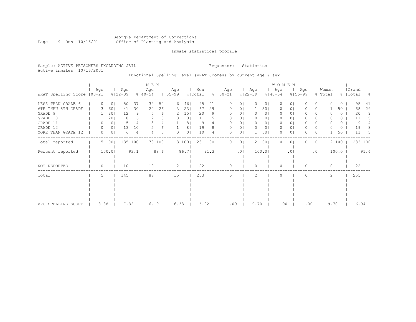### Georgia Department of Corrections Page 9 Run 10/16/01 Office of Planning and Analysis

# Inmate statistical profile

Sample: ACTIVE PRISONERS EXCLUDING JAIL **Requestor:** Statistics Active inmates 10/16/2001

# Functional Spelling Level (WRAT Scores) by current age & sex

|                             |          |                |                    |                | M E N              |      |                    |                 |                |      |                      |                |                    |                | WOMEN              |                 |                    |                |                  |          |                    |      |
|-----------------------------|----------|----------------|--------------------|----------------|--------------------|------|--------------------|-----------------|----------------|------|----------------------|----------------|--------------------|----------------|--------------------|-----------------|--------------------|----------------|------------------|----------|--------------------|------|
| WRAT Spelling Score   00-21 | Age      |                | Age<br>$8122 - 39$ |                | Age<br>$8140 - 54$ |      | Age<br>$8155 - 99$ |                 | Men<br>% Total |      | Age<br>$8   00 - 21$ |                | Age<br>$8122 - 39$ |                | Age<br>$8140 - 54$ |                 | Age<br>$8155 - 99$ |                | Women<br>% Total |          | Grand<br>%   Total | - 옹  |
| LESS THAN GRADE 6           | $\Omega$ | 0 <sub>1</sub> | 50                 | 371            | 39                 | 501  | 6                  | 46              | 95             | 41   |                      | $\circ$        | 0                  | 0 <sub>1</sub> | 0                  | $\Omega$        |                    | 0 <sub>1</sub> | O                | $\Omega$ | 95                 | 41   |
| 6TH THRU 8TH GRADE          | 3.       | 60             | 41                 | 301            | 20                 | 261  | 3                  | 231             | 67             | 29   |                      | 01             |                    | 501            | 0                  | 0               |                    | 0 <sub>1</sub> |                  | 50       | 68                 | 29   |
| GRADE 9                     |          | 20             | 12                 | 9 <sub>1</sub> | .5                 | 61   | 2                  | 15 <sub>1</sub> | 20             | 9    |                      | 0 <sub>1</sub> | 0                  | 0 <sub>1</sub> | 0                  | 01              |                    | 0 <sub>1</sub> |                  | 0        | 20                 | 9    |
| GRADE 10                    |          | 201            | 8                  | 61             |                    | 31   | $\Omega$           | 0 <sup>1</sup>  | 11             |      |                      | 0 <sub>1</sub> | $\Omega$           | 0 <sub>1</sub> | 0                  | 01              | 0                  | 0 <sub>1</sub> | O                | 0        | 11                 |      |
| GRADE 11                    |          | $\circ$        | 5                  | 41             |                    | 4    |                    | 8               | 9              |      |                      | 01             | 0                  | 0              | 0                  | 0               | 0                  | 01             |                  | 0        | 9                  |      |
| GRADE 12                    | 0        | 0 <sub>1</sub> | 13                 | 101            |                    | 6    |                    | 8               | 19             |      |                      | 0              | 0                  | 0 <sub>1</sub> | 0                  | $\circ$         | 0                  | 0 <sub>1</sub> |                  | 0        | 19                 | 8    |
| MORE THAN GRADE 12          | 0        | 0              | 6                  | 4 <sub>1</sub> |                    | 5.   | $\Omega$           | 0               | 10             | 4    | O                    | 0              |                    | 501            | 0                  | 0               | O                  | 0 <sub>1</sub> |                  | 50       | 11                 | 5    |
| Total reported              |          | 5 100          |                    | 135 100        | 78                 | 1001 |                    | 13 100          | 231 100        |      | 0                    | 0 <sub>1</sub> |                    | 2 100          | $\Omega$           | $\circ$         |                    | 0 <sup>1</sup> |                  | 2 100    | 233 100            |      |
| Percent reported            |          | 100.0          |                    | 93.1           |                    | 88.6 |                    | 86.7            |                | 91.3 |                      | .01            |                    | 100.0          |                    | .0 <sub>1</sub> |                    | .01            |                  | 100.0    |                    | 91.4 |
| NOT REPORTED                | 0        |                | 10                 |                | 10                 |      | 2                  |                 | 22             |      | $\cap$               |                | $\Omega$           |                | $\Omega$           |                 | U                  |                | $\Omega$         |          | 22                 |      |
| Total                       | 5        |                | 145                |                | 88                 |      | 15                 |                 | 253            |      |                      |                | $\mathcal{L}$      |                | $\Omega$           |                 |                    |                | $\overline{c}$   |          | 255                |      |
|                             |          |                |                    |                |                    |      |                    |                 |                |      |                      |                |                    |                |                    |                 |                    |                |                  |          |                    |      |
|                             |          |                |                    |                |                    |      |                    |                 |                |      |                      |                |                    |                |                    |                 |                    |                |                  |          |                    |      |
|                             |          |                |                    |                |                    |      |                    |                 |                |      |                      |                |                    |                |                    |                 |                    |                |                  |          |                    |      |
|                             |          |                |                    |                |                    |      |                    |                 |                |      |                      |                |                    |                |                    |                 |                    |                |                  |          |                    |      |
| AVG SPELLING SCORE          | 8.88     |                | 7.32               |                | 6.19               |      | 6.33               |                 | 6.92           |      | .00                  |                | 9.70               |                | .00                |                 |                    | .00            | 9.70             |          | 6.94               |      |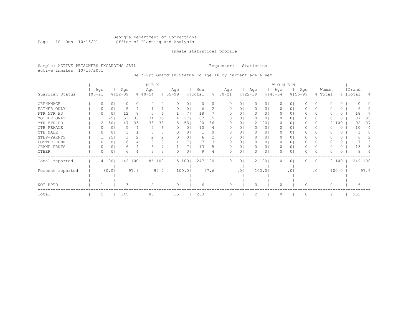#### Georgia Department of Corrections Page 10 Run 10/16/01 Office of Planning and Analysis

# Inmate statistical profile

Sample: ACTIVE PRISONERS EXCLUDING JAIL **Requestor:** Statistics Active inmates 10/16/2001

Self-Rpt Guardian Status To Age 16 by current age & sex

|                  |                   |        |                    |                | M E N              |      |                    |        |                |      |               |        |                |                    |       | WOMEN              |           |                    |                |                |       |           |         |      |
|------------------|-------------------|--------|--------------------|----------------|--------------------|------|--------------------|--------|----------------|------|---------------|--------|----------------|--------------------|-------|--------------------|-----------|--------------------|----------------|----------------|-------|-----------|---------|------|
| Guardian Status  | Age<br>$100 - 21$ |        | Age<br>$8122 - 39$ |                | Age<br>$8140 - 54$ |      | Age<br>$8155 - 99$ |        | Men<br>% Total |      | $8   00 - 21$ | Age    |                | Age<br>$8122 - 39$ |       | Age<br>$8140 - 54$ |           | Age<br>$8155 - 99$ | % Total        | Women          |       | %   Total | Grand   | - 옹  |
| ORPHANAGE        | Ω                 | 0      |                    | 0 <sub>1</sub> |                    | 01   |                    | 0      |                |      |               |        | 01             |                    | 01    | $\Omega$           | 0         |                    | 0 <sub>1</sub> |                | 0     |           |         |      |
| FATHER ONLY      |                   | 0      |                    | 4              |                    |      |                    | 0      |                |      |               |        | 0              | $\Omega$           | 01    | 0                  | 0         |                    | 0 <sub>1</sub> |                | 0     |           |         |      |
| FTR MTR HD       |                   | 0      | 12                 | 8              |                    | 6    |                    |        | 18             |      |               |        | $\Omega$       | $\Omega$           | 01    | $\Omega$           | 0         |                    | 0 <sub>1</sub> |                | 0     |           | 18      |      |
| MOTHER ONLY      |                   | 25     | 51                 | 361            | 31                 | 36   | 4                  | 27     | 87             | 35   |               |        | $\circ$        | 0                  | 01    | 0                  | 0         |                    | 0 <sub>1</sub> |                | 0     |           | 87      | 35   |
| MTR FTR HD       |                   | 50     | 47                 | 331            | 33                 | 38   | 8                  | 53     | 90             | 36   |               |        | $\circ$        |                    | 2 100 | 0                  | 0         |                    | 0 <sub>1</sub> | $\overline{2}$ | 100   |           | 92      | 37   |
| OTH FEMALE       |                   | 0      | 5                  | 4              |                    | 6    | $\left( \right)$   | 0      | 10             | 4    |               |        | $\circ$        | 0                  | 0     | 0                  | 0         |                    | 01             |                | 0     |           | 10      |      |
| OTH MALE         |                   | 0      |                    |                |                    | 01   | $\left( \right)$   | 0      |                |      |               |        | $\circ$        | $\Omega$           | 0     | 0                  | 0         |                    | $\circ$        |                | 0     |           |         |      |
| STEP-PARNTS      |                   | 25     |                    | 2              |                    | 21   |                    | 0      |                |      |               |        | 0              | $\Omega$           | 0     | 0                  | 0         |                    | 01             |                | 0.    |           |         |      |
| FOSTER HOME      |                   | 0      | 6                  | 41             |                    | 0    |                    |        |                |      |               |        | 0              | 0                  | 0     | 0                  | 0         |                    | 0 <sub>1</sub> |                | 0     |           |         |      |
| GRAND PRNTS      | Ω                 | 0      | 6                  | 4              |                    |      |                    |        | 13             |      |               |        | 0              | 0                  | 0     | 0                  | 0         |                    | 0 <sub>1</sub> |                | 0     |           | 13      |      |
| OTHER            | 0                 | 0      | 6                  | 4              | 3                  | 31   |                    | 0      |                | 4    |               |        | $\circ$        |                    | 01    | 0                  | 0         |                    | 0 <sub>1</sub> |                | 0     |           |         |      |
| Total reported   |                   | 4 100  |                    | 142 100        | 86                 | 100  |                    | 15 100 | 247 100        |      |               |        | 0 <sup>1</sup> |                    | 2 100 | $\Omega$           | 0         |                    | 0 <sub>1</sub> |                | 2 100 |           | 249 100 |      |
| Percent reported |                   | $80.0$ |                    | 97.9           |                    | 97.7 |                    | 100.0  |                | 97.6 |               |        | .01            |                    | 100.0 |                    | $\cdot$ 0 |                    | .01            |                | 100.0 |           |         | 97.6 |
|                  |                   |        |                    |                |                    |      |                    |        |                |      |               |        |                |                    |       |                    |           |                    |                |                |       |           |         |      |
| NOT RPTD         |                   |        | 3                  |                |                    |      | $\Omega$           |        | 6              |      |               | $\cap$ |                | $\Omega$           |       | $\Omega$           |           | $\Omega$           |                | $\Omega$       |       |           | 6       |      |
| Total            | 5                 |        | 145                |                | 88                 |      | 15                 |        | 253            |      |               |        |                |                    |       | $\Omega$           |           |                    |                | 2              |       |           | 255     |      |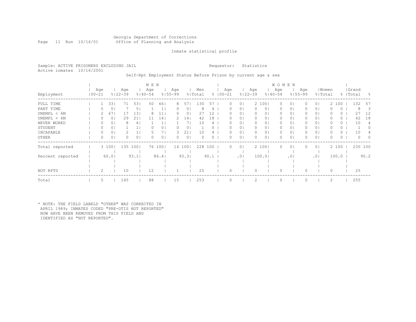# Georgia Department of Corrections Page 11 Run 10/16/01 Office of Planning and Analysis

# Inmate statistical profile

Sample: ACTIVE PRISONERS EXCLUDING JAIL **Requestor:** Statistics Active inmates 10/16/2001

# Self-Rpt Employment Status Before Prison by current age & sex

|                  |                |       |                    |                | M E N              |         |                    |                |                |      |                     |                 |                    |                | <b>WOMEN</b>       |                 |     |                |       |          |                    |          |
|------------------|----------------|-------|--------------------|----------------|--------------------|---------|--------------------|----------------|----------------|------|---------------------|-----------------|--------------------|----------------|--------------------|-----------------|-----|----------------|-------|----------|--------------------|----------|
| Employment       | Age<br>  00-21 |       | Age<br>$8122 - 39$ |                | Age<br>$8140 - 54$ |         | Age<br>$8155 - 99$ |                | Men<br>% Total |      | Age<br>$% 100 - 21$ |                 | Age<br>$8122 - 39$ |                | Age<br>$8140 - 54$ | $8155 - 99$     | Age | % Total        | Women |          | Grand<br>%   Total | - 옹      |
| FULL TIME        |                | 33    | 71                 | 531            | 50                 | 661     | 8                  | 571            | 130            | 57   | 0                   | 0 <sup>1</sup>  |                    | 2 1001         | $\circ$            | 01              |     | 0 <sup>1</sup> |       | 2 100    | 132                | 57       |
| PART TIME        | U              | 0     |                    | 5              |                    |         |                    | 01             | 8              | 4    |                     | 01              |                    | 0 <sup>1</sup> | 0                  | 01              |     | 01             |       | 0        | 8                  | 3        |
| UNEMPL < 6M      |                | 67    |                    | 13             | 8                  | 11      |                    | 0              | 27             | 12   |                     | $\circ$         | $\Omega$           | 01             | $\Omega$           | 0               |     | 0 <sub>1</sub> |       | 0        | 27                 | 12       |
| UNEMPL > 6M      |                | 0     | 29                 | 21             |                    | 14      |                    | 141            | 42             | 18   |                     | $\Omega$        | $\Omega$           | 01             | 0                  | 01              |     | 0 <sub>1</sub> |       | 0        | 42                 | 18       |
| NEVER WORKD      | 0              | 0     |                    | 6 <sup>1</sup> |                    |         |                    |                | 10             | 4    | $^{(1)}$            | $\circ$         | $\Omega$           | 0              | $\Omega$           | 01              |     | 0 <sub>1</sub> |       | 0        | 10                 | 4        |
| STUDENT          | 0              | 0     |                    |                |                    | ΟI      |                    |                |                |      |                     | $\circ$         | 0                  | 01             | 0                  | 01              |     | 0 <sub>1</sub> |       | 0        |                    |          |
| INCAPABLE        | 0              | 0     |                    |                |                    |         |                    | 21             | 10             |      |                     | $\circ$         | $\Omega$           | 01             | 0                  | 0               |     | 0 <sub>1</sub> |       | 0        | 10                 |          |
| OTHER            | 0              | 0     |                    | 0 <sub>1</sub> |                    | 01      |                    | 0 <sub>1</sub> |                | 0.   |                     | $\circ$         | $\Omega$           | 0              | $\Omega$           | 0               |     | 0 <sub>1</sub> |       | $\Omega$ | $\Omega$           | $\Omega$ |
| Total reported   |                | 3 100 | 135                | 1001           |                    | 76 1001 |                    | 14 1001        | 228            | 100  | 0                   | $\circ$         |                    | 2 1001         | $\circ$            | 01              |     | 0 <sup>1</sup> |       | 2 100    | 230 100            |          |
| Percent reported |                | 60.0  |                    | 93.1           |                    | 86.4    |                    | 93.3           |                | 90.1 |                     | .0 <sub>1</sub> |                    | 100.01         |                    | .0 <sub>1</sub> |     | .01            |       | 100.0    |                    | 90.2     |
|                  |                |       |                    |                |                    |         |                    |                |                |      |                     |                 |                    |                |                    |                 |     |                |       |          |                    |          |
| NOT RPTD         | 2              |       | 10                 |                | 12                 |         |                    |                | 25             |      |                     |                 | n                  |                |                    |                 |     |                | 0     |          | 25                 |          |
| Total            | 5              |       | 145                |                | 88                 |         | 15                 |                | 253            |      |                     |                 |                    |                | $\Omega$           |                 |     |                | 2     |          | 255                |          |

\* NOTE: THE FIELD LABELD "OTHER" WAS CORRECTED IN APRIL 1989; INMATES CODED "PRE-OTIS NOT REPORTED" NOW HAVE BEEN REMOVED FROM THIS FIELD AND IDENTIFIED AS "NOT REPORTED".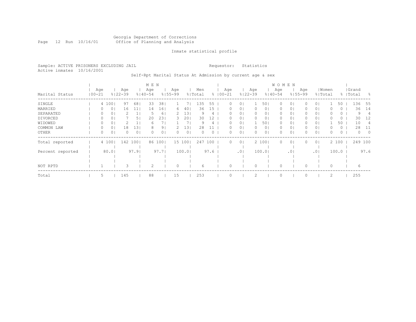### Georgia Department of Corrections Page 12 Run 10/16/01 Office of Planning and Analysis

# Inmate statistical profile

Sample: ACTIVE PRISONERS EXCLUDING JAIL **Requestor:** Statistics Active inmates 10/16/2001

Self-Rpt Marital Status At Admission by current age & sex

|                  |                   |       |                    |                | M E N              |        |                    |        |                |      |                     |                |                    |                | <b>WOMEN</b>       |                |                    |                |       |         |                    |         |
|------------------|-------------------|-------|--------------------|----------------|--------------------|--------|--------------------|--------|----------------|------|---------------------|----------------|--------------------|----------------|--------------------|----------------|--------------------|----------------|-------|---------|--------------------|---------|
| Marital Status   | Age<br>$100 - 21$ |       | Age<br>$8122 - 39$ |                | Age<br>$8140 - 54$ |        | Age<br>$8155 - 99$ |        | Men<br>% Total |      | Age<br>$% 100 - 21$ |                | Age<br>$8122 - 39$ |                | Age<br>$8140 - 54$ |                | Age<br>$8155 - 99$ | % Total        | Women |         | Grand<br>%   Total | - 옹     |
| SINGLE           |                   | 4 100 | 97                 | 681            | 33                 | 38     |                    |        | 135            | 55   | 0                   | 01             |                    | 501            | 0                  | 0 <sub>1</sub> |                    | 0 <sub>1</sub> |       | 50      | 136                | 55      |
| MARRIED          |                   | 01    | 16                 | 11             | 14                 | 16     | 6                  | 40     | 36             | 15   | 0                   | 01             |                    | 01             | 0                  | 01             |                    | 0 <sub>1</sub> |       | 0       | 36                 | 14      |
| SEPARATED        |                   | 0     |                    |                | 5                  | 6      |                    | 13     | 9              | 4    |                     | $\Omega$       | $\Omega$           | 01             | 0                  | 0 <sub>1</sub> |                    | 0 <sub>1</sub> |       | 0       | 9                  | 4       |
| DIVORCED         |                   | 01    |                    | 5 <sub>1</sub> | 20                 | 23     | 3                  | 20     | 30             | 12   | 0                   | $\Omega$       | $\Omega$           | 01             | $\Omega$           | 0 <sub>1</sub> |                    | 0 <sub>1</sub> |       | $\circ$ | 30                 | 12      |
| WIDOWED          | 0                 | 01    |                    | 1 <sub>1</sub> | 6                  |        |                    |        | 9              | 4    | 0                   | 0 <sup>1</sup> |                    | 501            | 0                  | 0 <sub>1</sub> | 0                  | 0 <sub>1</sub> |       | 50      | 10                 | 4       |
| COMMON LAW       | 0                 | 01    | 18                 | 131            | 8                  | 91     |                    | 13     | 28             |      |                     | 0 <sup>1</sup> |                    | 0 <sub>1</sub> | 0                  | 0 <sub>1</sub> |                    | 0 <sub>1</sub> |       | $\circ$ | 28                 | -11     |
| OTHER            | 0                 | 0     |                    | 0 <sub>1</sub> | 0                  | 0      | $\Omega$           | 0      | $\Omega$       | 0    | 0                   | 0 <sub>1</sub> | $\Omega$           | 0 <sub>1</sub> | $\Omega$           | 0              |                    | 0 <sub>1</sub> | 0     | 0       | $\Omega$           | $\circ$ |
| Total reported   |                   | 4 100 | 142                | 1001           |                    | 86 100 |                    | 15 100 | 247            | 100  | 0                   | $\circ$        |                    | 2 100          | U                  | 0 <sub>1</sub> |                    | 0 <sub>1</sub> |       | 2 100   | 249 100            |         |
| Percent reported |                   | 80.01 |                    | 97.91          |                    | 97.7   |                    | 100.0  |                | 97.6 |                     | .01            |                    | 100.01         |                    | .01            |                    | .01            |       | 100.0   |                    | 97.6    |
|                  |                   |       |                    |                |                    |        |                    |        |                |      |                     |                |                    |                |                    |                |                    |                |       |         |                    |         |
|                  |                   |       |                    |                |                    |        |                    |        |                |      |                     |                |                    |                |                    |                |                    |                |       |         |                    |         |
| NOT RPTD         |                   |       |                    |                | 2                  |        | $\Omega$           |        | 6              |      |                     |                |                    |                |                    |                |                    |                |       |         | 6                  |         |
| Total            | 5                 |       | 145                |                | 88                 |        | 15                 |        | 253            |      |                     |                |                    |                |                    |                |                    |                | 2     |         | 255                |         |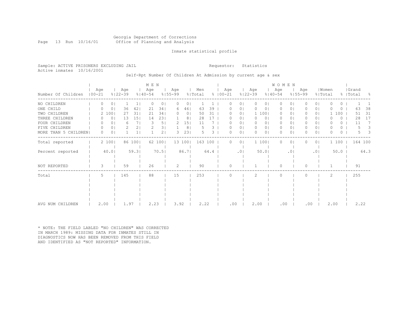# Georgia Department of Corrections Page 13 Run 10/16/01 Office of Planning and Analysis

# Inmate statistical profile

Sample: ACTIVE PRISONERS EXCLUDING JAIL **Requestor:** Statistics Active inmates 10/16/2001

# Self-Rpt Number Of Children At Admission by current age & sex

|                      |                   |          |                      |                 | M E N              |                |                    |                |                |      |                     |         |                    |                | WOMEN              |                 |                    |                |                  |          |                    |         |
|----------------------|-------------------|----------|----------------------|-----------------|--------------------|----------------|--------------------|----------------|----------------|------|---------------------|---------|--------------------|----------------|--------------------|-----------------|--------------------|----------------|------------------|----------|--------------------|---------|
| Number Of Children   | Age<br>$100 - 21$ |          | Age<br>$8122 - 39$   |                 | Age<br>$8140 - 54$ |                | Age<br>$8155 - 99$ |                | Men<br>% Total |      | Age<br>$% 100 - 21$ |         | Age<br>$8122 - 39$ |                | Age<br>$8140 - 54$ |                 | Age<br>$8155 - 99$ |                | Women<br>% Total |          | Grand<br>%   Total | - 8     |
| NO CHILDREN          |                   | $\Omega$ | 0 <sup>1</sup>       |                 | O                  | 0 <sup>1</sup> | $\Omega$           | $\Omega$       |                |      | O                   | 0       | $\mathbf{0}$       | $\circ$        | $\Omega$           | $\Omega$        | 0                  | $\Omega$       | U                | 0        |                    |         |
| ONE CHILD            |                   |          | 0<br>36              | 42              | 21                 | 341            | 6                  | 46             | 63             | 39   |                     | 0       | 0                  | 0              | 0                  | $\circ$         |                    | $\circ$        |                  | 0        | 63                 | 38      |
| TWO CHILDREN         |                   | 2 100    | 27                   | 31              | 21                 | 341            | $\left( \right)$   | 0 <sub>1</sub> | 50             | 31   |                     | 01      |                    | 1 100          | 0                  | 0               |                    | 0 <sup>1</sup> |                  | 100      | 51                 | 31      |
| THREE CHILDREN       |                   |          | 0<br>13              | 15 <sub>1</sub> | 14                 | 231            |                    | 8              | 28             |      | O                   | 0       | 0                  | 0              | $\mathbf{0}$       | 0               | 0                  | 01             |                  | 0        | 28                 | 17      |
| FOUR CHILDREN        |                   |          | 0 <sup>1</sup><br>6  | 7 <sub>1</sub>  | 3                  | 5              | $\mathcal{L}$      | 151            | 11             |      |                     | 0       | $\Omega$           | 0 <sub>1</sub> | $\mathbf{0}$       | $\circ$         | 0                  | 0 <sub>1</sub> | O                | 0        | 11                 | 7       |
| FIVE CHILDREN        |                   | $\Omega$ | 0 <sub>1</sub><br>2. | 2 <sub>1</sub>  |                    | 3 <sub>1</sub> |                    | 8              |                | 3    | 0                   | $\circ$ | $\circ$            | 0 <sub>1</sub> | $\circ$            | $\circ$         | 0                  | 0 <sup>1</sup> | $\Omega$         | $\circ$  |                    | 3       |
| MORE THAN 5 CHILDREN |                   | $\Omega$ | $\Omega$             |                 |                    | 21             |                    | 231            | 5.             | 3    | O                   | $\circ$ | $\Omega$           | 01             | $\Omega$           | 0               | n.                 | $\circ$        | O                | $\Omega$ | 5.                 | 3       |
| Total reported       |                   | 2 100    |                      | 86 100          |                    | 62 100         |                    | 13 100         | 163 100        |      | $\Omega$            | $\circ$ |                    | 1 100          | $\Omega$           | $\circ$         | 0                  | 0 <sub>1</sub> |                  | 1 100    |                    | 164 100 |
| Percent reported     |                   | $40.0$   |                      | 59.3            |                    | 70.5           |                    | 86.7           |                | 64.4 |                     | .01     |                    | 50.0           |                    | .0 <sub>1</sub> |                    | .01            |                  | 50.0     |                    | 64.3    |
| NOT REPORTED         |                   | 3        | 59                   |                 | 26                 |                | 2                  |                | 90             |      | $\Omega$            |         |                    |                | $\Omega$           |                 | 0                  |                |                  |          | 91                 |         |
| Total                |                   | 5        | 145                  |                 | 88                 |                | 15                 |                | 253            |      | $\Omega$            |         | 2                  |                | $\Omega$           |                 | $\Omega$           |                | 2                |          | 255                |         |
|                      |                   |          |                      |                 |                    |                |                    |                |                |      |                     |         |                    |                |                    |                 |                    |                |                  |          |                    |         |
|                      |                   |          |                      |                 |                    |                |                    |                |                |      |                     |         |                    |                |                    |                 |                    |                |                  |          |                    |         |
|                      |                   |          |                      |                 |                    |                |                    |                |                |      |                     |         |                    |                |                    |                 |                    |                |                  |          |                    |         |
|                      |                   |          |                      |                 |                    |                |                    |                |                |      |                     |         |                    |                |                    |                 |                    |                |                  |          |                    |         |
| AVG NUM CHILDREN     |                   | 2.00     | 1.97                 |                 | 2.23               |                | 3.92               |                | 2.22           |      | .00                 |         | 2.00               |                | .00                |                 | .00                |                | 2.00             |          | 2.22               |         |

\* NOTE: THE FIELD LABLED "NO CHILDREN" WAS CORRECTED IN MARCH 1989: MISSING DATA FOR INMATES STILL IN DIAGNOSTICS NOW HAS BEEN REMOVED FROM THIS FIELD AND IDENTIFIED AS "NOT REPORTED" INFORMATION.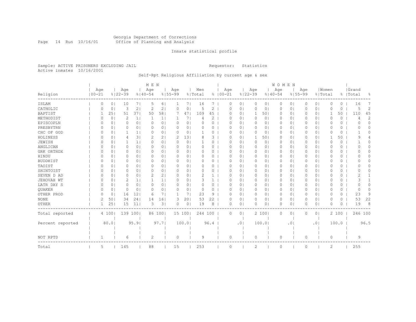#### Georgia Department of Corrections Page 14 Run 10/16/01 Office of Planning and Analysis

# Inmate statistical profile

Sample: ACTIVE PRISONERS EXCLUDING JAIL **Requestor:** Statistics Active inmates 10/16/2001

# Self-Rpt Religious Affiliation by current age & sex

| Religion         | Age<br>$100 - 21$ |       | Age<br>$8122 - 39$ |                | M E N<br>Age<br>$8140 - 54$ |                | Aqe<br>$8155 - 99$ |                | Men<br>% Total |      | $8100 - 21$ | Age      |                 | Age<br>$8122 - 39$ |                | <b>WOMEN</b><br>Age<br>$8140 - 54$ | $8155 - 99$    | Age      |                | Women<br>% Total |          | Grand<br>%   Total | 욲              |
|------------------|-------------------|-------|--------------------|----------------|-----------------------------|----------------|--------------------|----------------|----------------|------|-------------|----------|-----------------|--------------------|----------------|------------------------------------|----------------|----------|----------------|------------------|----------|--------------------|----------------|
| ISLAM            | 0                 | 0     | 10                 | 71             | 5                           | 61             | 1                  | 71             | 16             | 7    |             | 0        | 0 <sup>1</sup>  | 0                  | 0 <sub>1</sub> | 0                                  | 0 <sub>1</sub> | 0        | 0 <sup>1</sup> | 0                | 0        | 16                 | 7              |
| CATHOLIC         | 0                 | 0     | 3                  | 2 <sub>1</sub> | 2                           | 2 <sub>1</sub> | 0                  | 0 <sub>1</sub> | 5              | 2    |             | 0        | 0 <sup>1</sup>  | $\mathbf 0$        | 0 <sup>1</sup> | 0                                  | 0 <sub>1</sub> | 0        | 0 <sub>1</sub> | $\Omega$         | 0        | 5                  | $\overline{2}$ |
| BAPTIST          |                   | 25    | 51                 | 371            | 50                          | 581            |                    | 471            | 109            | 45   |             | 0        | $\Omega$        | 1                  | 501            | 0                                  | 0 <sub>1</sub> |          | 0 <sub>1</sub> | $\mathbf 1$      | 50       | 110                | 45             |
| METHODIST        | 0                 | 0     | 2                  | $1\vert$       | 1                           | 1 <sub>1</sub> | ı.                 | 7 <sub>1</sub> | 4              | 2    |             | 0        | $\circ$         | 0                  | 0 <sup>1</sup> | 0                                  | 01             | O        | 0 <sub>1</sub> | $\Omega$         | $\circ$  | 4                  | 2              |
| EPISCOPLN        | 0                 | 0     | $\Omega$           | 0 <sub>1</sub> | 0                           | 0 <sub>1</sub> | $\Omega$           | 0 <sub>1</sub> | $\Omega$       | 0    |             | 0        | $\Omega$        | $\Omega$           | 0              | $\Omega$                           | $\Omega$ I     | $\Omega$ | 0 <sup>1</sup> | $\Omega$         | $\Omega$ | O                  | $\Omega$       |
| PRESBYTRN        | C                 | 0     | $\Omega$           | 0 <sub>1</sub> | 0                           | 0 <sub>1</sub> | $\Omega$           | 0 <sub>1</sub> | 0              | 0    |             | 0        | 01              | 0                  | 0              | 0                                  | 0              | 0        | 0 <sup>1</sup> | $\Omega$         | 0        | O                  | $\Omega$       |
| CHC OF GOD       | $\Omega$          | 0     |                    | 1 <sub>1</sub> | 0                           | 0 <sub>1</sub> | $\Omega$           | 0 <sub>1</sub> | $\overline{1}$ | 0    |             | 0        | $\circ$         | $\Omega$           | 0              | 0                                  | 0 <sub>1</sub> | $\Omega$ | 0 <sub>1</sub> | $\Omega$         | 0        |                    | $\Omega$       |
| HOLINESS         | $\Omega$          | 0     |                    | 3              | 2                           | 2 <sub>1</sub> | 2                  | 13             | 8              | 3    |             | 0        | $\circ$         |                    | 501            | 0                                  | 01             | 0        | 0 <sup>1</sup> |                  | 50       | 9                  | 4              |
| JEWISH           | 0                 | 0     |                    | 1 <sub>1</sub> | 0                           | 0 <sub>1</sub> | $\Omega$           | 0 <sub>1</sub> | 1              | 0    |             | 0        | $\circ$         | 0                  | 0 <sup>1</sup> | 0                                  | 01             | 0        | 0 <sub>1</sub> | 0                | $\circ$  |                    | 0              |
| ANGLICAN         | $\Omega$          | 0     | $\Omega$           | 0 <sub>1</sub> | 0                           | 0 <sub>1</sub> | $\Omega$           | 0 <sub>1</sub> | 0              | 0    |             | 0        | $\Omega$        | 0                  | 0              | 0                                  | 0              | $\Omega$ | 0 <sub>1</sub> | $\Omega$         | 0        | $\Omega$           | $\Omega$       |
| GRK ORTHDX       | $\Omega$          | 0     | 0                  | 0 <sub>1</sub> | 0                           | 0 <sub>1</sub> | 0                  | 0 <sub>1</sub> | 0              | 0    |             | 0        | $\circ$         | 0                  | 0              | 0                                  | 01             | 0        | 0 <sub>1</sub> | 0                | 0        | O                  | 0              |
| HINDU            | C                 | 0     | 0                  | 0 <sub>1</sub> | $\Omega$                    | 0 <sup>1</sup> | $\Omega$           | 0 <sub>1</sub> | $\circ$        | 0    |             | 0        | $\circ$         | $\circ$            | 0 <sup>1</sup> | $\circ$                            | 0 <sub>1</sub> | 0        | 0 <sub>1</sub> | $\Omega$         | 0        | 0                  | $\Omega$       |
| <b>BUDDHIST</b>  | C                 | 0     | 0                  | 0 <sub>1</sub> | 0                           | 0 <sub>1</sub> | 0                  | 0 <sub>1</sub> | 0              | 0    |             | 0        | $\circ$         | 0                  | 0              | 0                                  | 0              | 0        | 0 <sup>1</sup> | $\Omega$         | 0        | 0                  | 0              |
| TAOIST           | C                 | 0     | O                  | 0 <sub>1</sub> | 0                           | 0 <sub>1</sub> | n                  | 0 <sub>1</sub> | 0              | 0    |             | 0        | $\circ$         | 0                  | 0              | 0                                  | $\circ$        | O        | 0 <sup>1</sup> | $\Omega$         | 0        | O                  | $\Omega$       |
| SHINTOIST        | C                 | 0     | O                  | 0 <sub>1</sub> | 0                           | 0 <sub>1</sub> | O                  | 0 <sub>1</sub> | $\Omega$       | 0    |             | 0        | 0               | $\Omega$           | 0              | 0                                  | $\circ$        | 0        | 0 <sub>1</sub> | $\Omega$         | 0        | O                  | $\Omega$       |
| SEVEN D AD       | C                 | 0     |                    | 0 <sub>1</sub> | 2                           | 2 <sub>1</sub> | O                  | 0 <sub>1</sub> | 2              | 1    |             | 0        | 0               | 0                  | 0              | 0                                  | 0              | O        | 0 <sub>1</sub> | $\Omega$         | 0        | 2                  |                |
| JEHOVAH WT       | C                 | 0     | 2                  | 1 <sub>1</sub> |                             | 1 <sub>1</sub> | O                  | 0 <sub>1</sub> | 3              | 1    |             | 0        | $\circ$         | $\Omega$           | 0              | 0                                  | 0 <sub>1</sub> |          | 0 <sub>1</sub> | $\Omega$         | 0        | 3                  |                |
| LATR DAY S       | Ω                 | 0     | O                  | 0 <sub>1</sub> | 0                           | 0 <sub>1</sub> | $\Omega$           | 0 <sub>1</sub> | $\Omega$       | 0    |             | 0        | $\circ$         | 0                  | 0              | 0                                  | 01             | 0        | 0 <sup>1</sup> | $\Omega$         | 0        | O                  | 0              |
| <b>OUAKER</b>    | 0                 | 0     | $\Omega$           | 0 <sub>1</sub> | 0                           | 0 <sub>1</sub> | $\Omega$           | 0 <sub>1</sub> | 0              | 0    |             | 0        | $\circ$         | 0                  | 0 <sup>1</sup> | 0                                  | 0 <sub>1</sub> | 0        | 0 <sup>1</sup> | $\Omega$         | $\circ$  | $\Omega$           | $\Omega$       |
| OTHER PROD       | 0                 | 0     | 16                 | 121            | 6                           | 71             |                    | 7 <sub>1</sub> | 23             | 9    |             | 0        | $\circ$         | $\circ$            | 0 <sup>1</sup> | $\circ$                            | 0 <sub>1</sub> | 0        | 0 <sub>1</sub> | 0                | 0        | 23                 | 9              |
| <b>NONE</b>      | 2                 | 50    | 34                 | 241            | 14                          | 161            | 3                  | 201            | 53             | 22   |             | 0        | $\circ$         | $\mathbf 0$        | 0 <sup>1</sup> | 0                                  | 0 <sub>1</sub> |          | 0 <sub>1</sub> | 0                | 0        | 53                 | 22             |
| OTHER            |                   | 25    | 15                 | 11             | 3                           | 3 <sup>1</sup> | $\Omega$           | 0 <sub>1</sub> | 19             | 8    |             | $\Omega$ | $\circ$         | $\Omega$           | $\Omega$       | 0                                  | 0 <sub>1</sub> |          | 0 <sub>1</sub> | $\Omega$         | $\Omega$ | 19                 | 8              |
| Total reported   |                   | 4 100 | 139 100            |                |                             | 86 100         |                    | 15 100         | 244 100        |      |             | $\Omega$ | $\circ$         |                    | 2 100          | 0                                  | 0              | $\Omega$ | 0 <sub>1</sub> |                  | 2 100    | 246 100            |                |
| Percent reported |                   | 80.0  |                    | 95.91          |                             | 97.71          |                    | 100.0          |                | 96.4 |             |          | .0 <sub>1</sub> |                    | 100.0          |                                    | $\cdot$ 0      |          | .01            |                  | 100.0    |                    | 96.5           |
| NOT RPTD         | 1                 |       | 6                  |                | 2                           |                | $\circ$            |                | 9              |      |             | 0        |                 | $\circ$            |                | 0                                  |                | $\Omega$ |                | 0                |          | 9                  |                |
| Total            | 5                 |       | 145                |                | 88                          |                | 15                 |                | 253            |      |             | 0        |                 | $\overline{c}$     |                | 0                                  |                |          |                | $\overline{c}$   |          | 255                |                |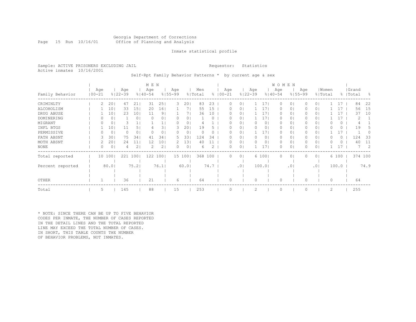# Georgia Department of Corrections Page 15 Run 10/16/01 Office of Planning and Analysis

# Inmate statistical profile

Sample: ACTIVE PRISONERS EXCLUDING JAIL **Requestor:** Statistics Active inmates 10/16/2001

Self-Rpt Family Behavior Patterns \* by current age & sex

|                  |                   |                 |                    |                | M E N              |                 |                    |        |                |      |                    |                |                    |                | W O M E N          |                |                    |                |       |       |                    |         |      |
|------------------|-------------------|-----------------|--------------------|----------------|--------------------|-----------------|--------------------|--------|----------------|------|--------------------|----------------|--------------------|----------------|--------------------|----------------|--------------------|----------------|-------|-------|--------------------|---------|------|
| Family Behavior  | Age<br>$100 - 21$ |                 | Age<br>$8122 - 39$ |                | Age<br>$8140 - 54$ |                 | Age<br>$8155 - 99$ |        | Men<br>% Total |      | Age<br>$8100 - 21$ |                | Age<br>$8122 - 39$ |                | Age<br>$8140 - 54$ |                | Age<br>$8155 - 99$ | % Total        | Women |       | Grand<br>%   Total |         | - 8  |
| CRIMINLTY        | 2.                | 20              | 47                 | 21             | 31                 | 25              | 3                  | 20     | 83             | 23   | 0                  | $\Omega$       |                    | 171            | $\Omega$           | 0 <sub>1</sub> |                    | 0 <sub>1</sub> |       | 17    |                    | 84      | 22   |
| ALCOHOLISM       |                   | 10 <sub>1</sub> | 33                 | 151            | 20                 | 161             |                    |        | 55             | 15   | 0                  | 0 <sup>1</sup> |                    | 171            | 0                  | 0 <sub>1</sub> |                    | 0 <sub>1</sub> |       | 17    |                    | 56      | 15   |
| DRUG ABUSE       |                   | 101             | 23                 | 101            | 11                 | 91              |                    |        | 36             | 10   |                    | 01             |                    | 171            | $\Omega$           | 01             |                    | 0 <sub>1</sub> |       | 17    |                    | 37      | 10   |
| DOMINERING       |                   | 0               |                    | 0 <sub>1</sub> | O                  | 0               | U                  | 0      |                |      | 0                  | 0              |                    | 171            | 0                  | 0 <sub>1</sub> |                    | 0 <sub>1</sub> |       | 17    |                    | 2       |      |
| MIGRANT          |                   | 0               |                    |                |                    |                 |                    | 0      |                |      |                    | 0.             |                    | 0 <sub>1</sub> | 0                  | 01             |                    | 01             |       | 0     |                    |         |      |
| INFL BTGS        |                   | 10              | 11                 | 5 <sub>1</sub> |                    | 31              | 3                  | 20     | 19             |      |                    | 0              |                    | 01             | 0                  | 01             |                    | 0 <sub>1</sub> |       | 0     |                    | 19      |      |
| PERMISSIVE       |                   | 0               |                    | 0 <sub>1</sub> |                    | 0               |                    | 0      | $\Omega$       | 0    |                    | 0              |                    | 171            | $\Omega$           | 01             |                    | 0 <sub>1</sub> |       | 17    |                    |         |      |
| FATH ABSNT       |                   | 30              | 75                 | 341            | 41                 | 34              | 5.                 | 33     | 124            | 34   | $^{(1)}$           | 01             | $\bigcap$          | 01             | 0                  | 01             |                    | 0 <sub>1</sub> |       | 0     |                    | 124     | 33   |
| MOTH ABSNT       |                   | 201             | 24                 | 11             | 12                 | 10 <sub>o</sub> |                    | 13     | 40             |      | 0                  | 0 <sup>1</sup> |                    | 01             | 0                  | 01             |                    | 0 <sub>1</sub> |       | 0     |                    | 40      | 11   |
| NONE             |                   | 0               |                    | 2 <sub>1</sub> | 2                  | 2               |                    | 0      | 6              |      | 0                  | 0              |                    | 171            | 0                  | 0 <sub>1</sub> |                    | 0 <sub>1</sub> |       | 17    |                    |         | 2    |
| Total reported   |                   | 10 100          | 221                | 1001           | 122                | 1001            |                    | 15 100 | 368 100        |      | $\Omega$           | $\circ$        |                    | 6 100          | 0                  | 0 <sub>1</sub> |                    | 0 <sub>1</sub> |       | 6 100 |                    | 374 100 |      |
|                  |                   |                 |                    |                |                    |                 |                    |        |                |      |                    |                |                    |                |                    |                |                    |                |       |       |                    |         |      |
| Percent reported |                   | 80.01           |                    | 75.2           |                    | 76.1            |                    | 60.01  |                | 74.7 |                    | .01            |                    | 100.0          |                    | .01            |                    | .01            |       | 100.0 |                    |         | 74.9 |
|                  |                   |                 |                    |                |                    |                 |                    |        |                |      |                    |                |                    |                |                    |                |                    |                |       |       |                    |         |      |
| OTHER            |                   |                 | 36                 |                | 21                 |                 | 6                  |        | 64             |      | 0                  |                | $\Omega$           |                | 0                  |                |                    |                | 0     |       |                    | 64      |      |
| Total            | 5                 |                 | 145                |                | 88                 |                 | 15                 |        | 253            |      | 0                  |                | 2                  |                | $\circ$            |                |                    |                | 2     |       |                    | 255     |      |

\* NOTE: SINCE THERE CAN BE UP TO FIVE BEHAVIOR CODES PER INMATE, THE NUMBER OF CASES REPORTED IN THE DETAIL LINES AND THE TOTAL REPORTED LINE MAY EXCEED THE TOTAL NUMBER OF CASES. IN SHORT, THIS TABLE COUNTS THE NUMBER OF BEHAVIOR PROBLEMS, NOT INMATES.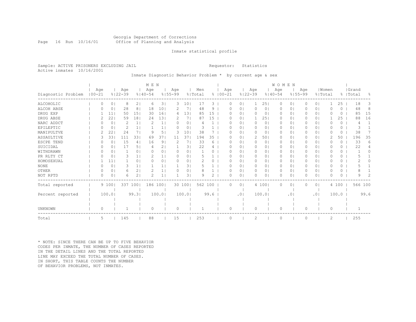# Georgia Department of Corrections Page 16 Run 10/16/01 Office of Planning and Analysis

# Inmate statistical profile

Sample: ACTIVE PRISONERS EXCLUDING JAIL **Requestor:** Statistics Active inmates 10/16/2001

# Inmate Diagnostic Behavior Problem \* by current age & sex

|                    |                   |         |                    |                | M E N              |                |                    |                 |                |          |             |          |                 |                    |                | WOMEN              |           |                    |                |                  |          |                    |      |
|--------------------|-------------------|---------|--------------------|----------------|--------------------|----------------|--------------------|-----------------|----------------|----------|-------------|----------|-----------------|--------------------|----------------|--------------------|-----------|--------------------|----------------|------------------|----------|--------------------|------|
| Diagnostic Problem | Age<br>$100 - 21$ |         | Age<br>$8122 - 39$ |                | Age<br>$8140 - 54$ |                | Age<br>$8155 - 99$ |                 | Men<br>% Total |          | $8100 - 21$ | Age      |                 | Age<br>$8122 - 39$ |                | Age<br>$8140 - 54$ |           | Age<br>$8155 - 99$ |                | Women<br>% Total |          | Grand<br>%   Total | %    |
| ALCOHOLIC          | $\Omega$          | $\circ$ | 8                  | 21             | 6                  | 3 <sup>1</sup> | 3                  | 101             | 17             | 3        |             | 0        | 0 <sub>1</sub>  |                    | 251            | 0                  | 0         | 0                  | 0 <sup>1</sup> | 1                | 25       | 18                 | 3    |
| ALCOH ABSE         |                   | 0       | 28                 | 8              | 18                 | 10             |                    | 7               | 48             | 9        |             |          | $\circ$         | 0                  | $\circ$        | 0                  | 0         |                    | 0 <sub>1</sub> | 0                | 0        | 48                 | 8    |
| DRUG EXP           |                   | 11      | 50                 | 151            | 30                 | 161            | 4                  | 131             | 85             | 15       |             |          | $\circ$         | 0                  | 0              | 0                  | $\circ$   |                    | 0 <sub>1</sub> | 0                | $\Omega$ | 85                 | 15   |
| DRUG ABSE          |                   | 22      | 59                 | 181            | 24                 | 131            | 2                  | 71              | 87             | 15       |             | O        | $\circ$         |                    | 251            | 0                  | $\circ$   | 0                  | 0 <sub>1</sub> |                  | 25       | 88                 | 16   |
| NARC ADDCT         |                   | 0       | 2                  | 1 <sub>1</sub> |                    | 1              | 0                  | 0               |                |          |             |          | $\Omega$        | 0                  | 0 <sub>1</sub> | 0                  | $\circ$   |                    | 0 <sub>1</sub> | O                | 0        | 4                  |      |
| EPILEPTIC          |                   | 0       | 2                  | 1 <sub>1</sub> |                    |                | O                  | 0               | 3              |          |             | O        | $\circ$         | 0                  | 0 <sub>1</sub> | 0                  | 0         | 0                  | 0 <sup>1</sup> | O                | 0        |                    |      |
| MANIPULTVE         |                   | 22      | 24                 | 7 I            | 9                  | 5              | 3                  | 10 <sub>o</sub> | 38             |          |             |          | $\circ$         | 0                  | $\circ$        | 0                  | 0         |                    | 0 <sub>1</sub> | 0                | 0        | 38                 |      |
| ASSAULTIVE         | 3                 | 33      | 111                | 331            | 69                 | 37             | 11                 | 37              | 194            | 35       |             | O        | $\circ$         | 2                  | 501            | 0                  | 0         | 0                  | 0 <sub>1</sub> | 2                | 50       | 196                | 35   |
| ESCPE TEND         |                   | 0       | 15                 | 4 <sub>1</sub> | 16                 | 9              | 2                  | 7               | 33             | 6        |             | O        | $\Omega$        | 0                  | $\circ$        | $\Omega$           | 0         | O                  | 0 <sub>1</sub> | O                | $\Omega$ | 33                 | 6    |
| SUICIDAL           | ∩                 | 0       | 17                 | 5 <sub>1</sub> | 4                  | 2 <sub>1</sub> |                    | 3.              | 22             | 4        |             | O        | $\circ$         | 0                  | 0              | 0                  | 0         | 0                  | 0 <sub>1</sub> | O                | 0        | 22                 |      |
| WITHDRAWN          | $\left($          | 0       |                    | 0 <sup>1</sup> | O                  | 0 <sub>1</sub> | $\Omega$           | 0               |                | $\Omega$ |             | O        | $\circ$         | 0                  | $\circ$        | 0                  | 0         | $\Omega$           | 0 <sub>1</sub> | O                | 0        |                    | n.   |
| PR RLTY CT         | ∩                 | 0       | 3                  | 1 <sup>1</sup> |                    |                | $\Omega$           | 0               |                |          |             | O        | $\Omega$        | 0                  | 0              | $\Omega$           | 0         | 0                  | 0 <sub>1</sub> | O                | 0        |                    |      |
| HOMOSEXUAL         |                   | 11      |                    | 0 <sub>1</sub> | O                  | 0              | 0                  | 0               |                | 0        |             | O        | $\Omega$        | 0                  | 0              | $\Omega$           | 0         |                    | 0 <sub>1</sub> | O                | 0        |                    |      |
| <b>NONE</b>        |                   | 0       | 3                  | 1 <sub>1</sub> |                    |                |                    | 3.              |                |          |             |          | 01              | 0                  | 01             | 0                  | 0         |                    | 0 <sub>1</sub> | O                | 0        |                    |      |
| OTHER              | ∩                 | 0       | 6                  | 2 <sub>1</sub> |                    |                | 0                  | 0               | 8              |          |             | O        | $\circ$         | 0                  | 0 <sub>1</sub> | 0                  | 0         | 0                  | 0 <sub>1</sub> | O                | 0        |                    |      |
| NOT RPTD           | $\Omega$          | 0       | Б.                 | $\overline{2}$ | 2                  |                |                    | 3               | Q              | 2        |             | U        | $\circ$         | n                  | 01             | $\Omega$           | 0         |                    | 0 <sub>1</sub> | O                | 0        | q                  |      |
| Total reported     |                   | 9 100   | 337 100            |                | 186                | 100            |                    | 30 100          | 562 100        |          |             | $\Omega$ | 0 <sup>1</sup>  |                    | 4 100          | $\Omega$           | 0         | $\Omega$           | 0 <sub>1</sub> |                  | 4 100    | 566 100            |      |
|                    |                   |         |                    |                |                    |                |                    |                 |                |          |             |          |                 |                    |                |                    |           |                    |                |                  |          |                    |      |
| Percent reported   |                   | 100.0   |                    | 99.31          |                    | 100.0          |                    | 100.0           |                | 99.6     |             |          | .0 <sub>1</sub> |                    | 100.01         |                    | $\cdot$ 0 |                    | .01            |                  | 100.0    |                    | 99.6 |
|                    |                   |         |                    |                |                    |                |                    |                 |                |          |             |          |                 |                    |                |                    |           |                    |                |                  |          |                    |      |
| UNKNOWN            | $\Omega$          |         |                    |                | $\Omega$           |                | $\circ$            |                 |                |          |             | $\Omega$ |                 | $\Omega$           |                | 0                  |           | 0                  |                | 0                |          |                    |      |
| Total              | 5                 |         | 145                |                | 88                 |                | 15                 |                 | 253            |          |             |          |                 | 2                  |                | $\Omega$           |           |                    |                | 2                |          | 255                |      |

\* NOTE: SINCE THERE CAN BE UP TO FIVE BEHAVIOR CODES PER INMATE, THE NUMBER OF CASES REPORTED IN THE DETAIL LINES AND THE TOTAL REPORTED LINE MAY EXCEED THE TOTAL NUMBER OF CASES. IN SHORT, THIS TABLE COUNTS THE NUMBER OF BEHAVIOR PROBLEMS, NOT INMATES.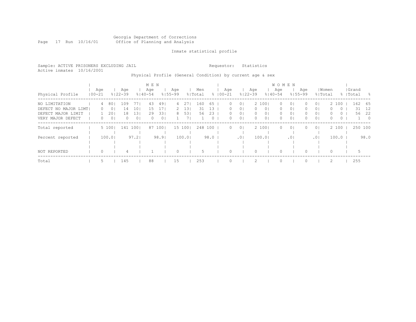### Georgia Department of Corrections Page 17 Run 10/16/01 Office of Planning and Analysis

# Inmate statistical profile

Sample: ACTIVE PRISONERS EXCLUDING JAIL **Requestor:** Statistics Active inmates 10/16/2001

# Physical Profile (General Condition) by current age & sex

|                      |                   |    |         |                    |                  | M E N              |                |                    |         |                |      |                    |                 |                    |                | W O M E N          |                |                    |                |                  |          |                    |                          |
|----------------------|-------------------|----|---------|--------------------|------------------|--------------------|----------------|--------------------|---------|----------------|------|--------------------|-----------------|--------------------|----------------|--------------------|----------------|--------------------|----------------|------------------|----------|--------------------|--------------------------|
| Physical Profile     | Age<br>$100 - 21$ |    |         | Age<br>$8122 - 39$ |                  | Age<br>$8140 - 54$ |                | Aqe<br>$8155 - 99$ |         | Men<br>% Total |      | Aqe<br>$8100 - 21$ |                 | Age<br>$8122 - 39$ |                | Age<br>$8140 - 54$ |                | Age<br>$8155 - 99$ |                | Women<br>% Total |          | Grand<br>%   Total | - 옹                      |
| NO LIMITATION        |                   | 4  | 80      | 109                | 77               | 43                 | 491            | 4                  | 271     | 160            | 65   | 0.                 | 0 <sup>1</sup>  |                    | 2 1001         | $\Omega$           | 0 <sub>1</sub> | ()                 | 0 <sub>1</sub> |                  | 2 100    | 162                | 65                       |
| DEFECT NO MAJOR LIMT |                   | 0  | $\circ$ | 14                 | 10               | 15                 | 171            | 2                  | 131     | 31             | 13   | 0.                 | 0 <sub>1</sub>  | $\Omega$           | 0 <sup>1</sup> | $\Omega$           | 0 <sub>1</sub> | $\Omega$           | 0 <sub>1</sub> | 0                | $\Omega$ | 31                 | 12                       |
| DEFECT MAJOR LIMIT   |                   |    | 20      | 18                 | 131              | 29                 | 331            | 8                  | 531     | 56             | 23   | $\Omega$           | 0 <sup>1</sup>  | 0                  | 0 <sup>1</sup> | $\circ$            | 0 <sub>1</sub> | $\Omega$           | 0 <sup>1</sup> | $\Omega$         | $\circ$  | 56                 | -22                      |
| VERY MAJOR DEFECT    |                   | 0  | 0       | 0.                 | $\overline{0}$ 1 | $\Omega$           | 0 <sub>1</sub> |                    |         |                | 0    | 0.                 | 0 <sup>1</sup>  | 0                  | 0 <sup>1</sup> | 0                  | 0 <sub>1</sub> | 0                  | 0 <sup>1</sup> | 0                | $\circ$  |                    | $\overline{\phantom{0}}$ |
| Total reported       |                   |    | 5 100   |                    | 141 100          |                    | 87 1001        |                    | 15 1001 | 248 100        |      | $\Omega$           | 0 <sup>1</sup>  |                    | 2 1001         | $\Omega$           | 0 <sub>1</sub> |                    | 0 <sub>1</sub> |                  | 2 100    | 250 100            |                          |
|                      |                   |    |         |                    |                  |                    |                |                    |         |                |      |                    |                 |                    |                |                    |                |                    |                |                  |          |                    |                          |
| Percent reported     |                   |    | 100.01  |                    | 97.2             |                    | 98.91          |                    | 100.0   |                | 98.0 |                    | .0 <sub>1</sub> |                    | 100.01         |                    | .01            |                    | .01            |                  | 100.0    |                    | 98.0                     |
|                      |                   |    |         |                    |                  |                    |                |                    |         |                |      |                    |                 |                    |                |                    |                |                    |                |                  |          |                    |                          |
|                      |                   |    |         |                    |                  |                    |                |                    |         |                |      |                    |                 |                    |                |                    |                |                    |                |                  |          |                    |                          |
| NOT REPORTED         |                   | 0  |         | 4                  |                  |                    |                | $\Omega$           |         | 5              |      |                    |                 |                    |                | $\Omega$           |                | $\Omega$           |                | 0                |          | 5                  |                          |
| Total                |                   | 5. |         | 145                |                  | 88                 |                | 15                 |         | 253            |      |                    |                 | 2                  |                | $\Omega$           |                |                    |                | 2                |          | 255                |                          |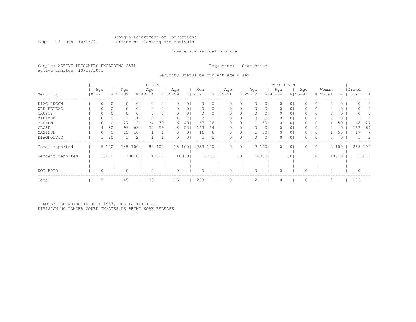#### Georgia Department of Corrections Page 18 Run 10/16/01 Office of Planning and Analysis

# Inmate statistical profile

Sample: ACTIVE PRISONERS EXCLUDING JAIL **Requestor:** Statistics Active inmates 10/16/2001

Security Status by current age & sex

|                  |                   |                |                    |                 | M E N              |         |                    |        |                |       |                     |                |                    |                | <b>WOMEN</b>       |                |                    |                |       |         |                    |          |          |
|------------------|-------------------|----------------|--------------------|-----------------|--------------------|---------|--------------------|--------|----------------|-------|---------------------|----------------|--------------------|----------------|--------------------|----------------|--------------------|----------------|-------|---------|--------------------|----------|----------|
| Security         | Age<br>$100 - 21$ |                | Age<br>$8122 - 39$ |                 | Age<br>$8140 - 54$ |         | Age<br>$8155 - 99$ |        | Men<br>% Total |       | Age<br>$% 100 - 21$ |                | Age<br>$8122 - 39$ |                | Age<br>$8140 - 54$ |                | Age<br>$8155 - 99$ | % Total        | Women |         | Grand<br>%   Total |          | - 옹      |
| DIAG INCOM       | 0                 | 0 <sub>1</sub> |                    | 0 <sub>1</sub>  | 0                  | $\circ$ | 0                  | 0      | 0              | 0     | 0                   | 0 <sub>1</sub> | $\Omega$           | 0 <sub>1</sub> | 0                  | 0 <sub>1</sub> |                    | 0 <sub>1</sub> |       | 0       |                    | $\Omega$ | $\Omega$ |
| WRK RELEAS       |                   | 0              |                    | 0 <sub>1</sub>  |                    | 0       | $\left( \right)$   | 0      |                |       |                     | 0.             |                    | 01             | 0                  | 01             |                    | 0 <sub>1</sub> |       | 0       |                    |          |          |
| TRUSTY           |                   | 0              |                    | 0 <sub>1</sub>  |                    |         |                    | 0      |                |       |                     | 0              |                    | 01             |                    | 01             |                    | 0 <sub>1</sub> |       | 0       |                    |          |          |
| MINIMUM          |                   |                |                    |                 |                    | 0       |                    |        |                |       |                     | 0.             |                    | 01             | 0                  | 01             |                    | 0 <sub>1</sub> |       | 0       |                    |          |          |
| MEDIUM           |                   | 0              | 27                 | 191             | 34                 | 39      | 6                  | 40     | 67             | 26    | 0                   | $\Omega$       |                    | 501            | $\Omega$           | 01             |                    | 0 <sub>1</sub> |       | 50      |                    | 68       | 27       |
| CLOSE            | 4                 | 80             | 99                 | 681             | 52                 | 59      | 8                  | 53     | 163            | 64    |                     | 0              |                    | 01             | 0                  | 01             |                    | 0 <sub>1</sub> |       | $\circ$ |                    | 163      | 64       |
| MAXIMUM          |                   | 0              | 15                 | 10 <sub>1</sub> |                    |         |                    | 0      | 16             | 6     | 0                   | 0 <sup>1</sup> |                    | 501            | 0                  | 01             |                    | 0 <sub>1</sub> |       | 50      |                    | 17       |          |
| DIAGNOSTIC       |                   | 20             |                    | 2 <sub>1</sub>  |                    |         |                    | 0      |                | 2     |                     | 0              |                    | 0 <sub>1</sub> | 0                  | 01             |                    | 0 <sub>1</sub> |       | 0       |                    | 5        | 2        |
| Total reported   |                   | 5 100          |                    | 145 1001        |                    | 88 100  |                    | 15 100 | 253            | 100   | $\Omega$            | 0 <sub>1</sub> |                    | 2 100          | 0                  | 0 <sub>1</sub> |                    | 0 <sub>1</sub> |       | 2 100   |                    | 255 100  |          |
| Percent reported |                   | 100.01         |                    | 100.01          |                    | 100.0   |                    | 100.01 |                | 100.0 |                     | .01            |                    | 100.01         |                    | .01            |                    | .01            |       | 100.0   |                    | 100.0    |          |
|                  |                   |                |                    |                 |                    |         |                    |        |                |       |                     |                |                    |                |                    |                |                    |                |       |         |                    |          |          |
| NOT RPTD         |                   |                |                    |                 | 0                  |         | 0                  |        |                |       |                     |                |                    |                |                    |                |                    |                |       |         |                    | 0        |          |
| Total            | 5                 |                | 145                |                 | 88                 |         | 15                 |        | 253            |       |                     |                |                    |                | $\Omega$           |                |                    |                | 2     |         |                    | 255      |          |

\* NOTE: BEGINNING IN JULY 1987, THE FACILITIES DIVISION NO LONGER CODED INMATES AS BEING WORK RELEASE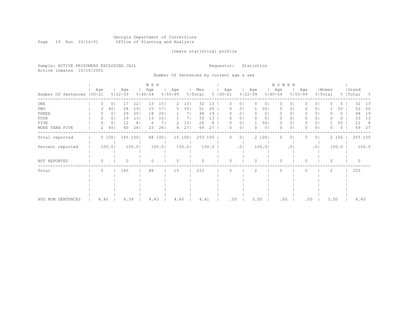### Georgia Department of Corrections Page 19 Run 10/16/01 Office of Planning and Analysis

# Inmate statistical profile

|  |                           | Sample: ACTIVE PRISONERS EXCLUDING JAIL |  |
|--|---------------------------|-----------------------------------------|--|
|  | Active inmates 10/16/2001 |                                         |  |

Number Of Sentences by current age & sex

Requestor: Statistics

|                             |          |                 |                    |                | M E N              |                 |                    |        |                |       |               |          |         |                    |                | <b>WOMEN</b>       |                 |                    |                |                  |       |                    |       |
|-----------------------------|----------|-----------------|--------------------|----------------|--------------------|-----------------|--------------------|--------|----------------|-------|---------------|----------|---------|--------------------|----------------|--------------------|-----------------|--------------------|----------------|------------------|-------|--------------------|-------|
| Number Of Sentences   00-21 | Age      |                 | Age<br>$8122 - 39$ |                | Age<br>$8140 - 54$ |                 | Age<br>$8155 - 99$ |        | Men<br>% Total |       | $8   00 - 21$ | Age      |         | Age<br>$8122 - 39$ |                | Age<br>$8140 - 54$ |                 | Age<br>$8155 - 99$ |                | Women<br>% Total |       | Grand<br>%   Total | - 8   |
| ONE                         | $\Omega$ | 0 <sub>1</sub>  | 17                 | 12             | 13                 | 15 <sub>1</sub> | $\mathcal{L}$      | 131    | 32             | 13    |               |          |         | $\bigcap$          | 01             | $\bigcap$          | 0               |                    | 0 <sup>1</sup> |                  | 0     | 32                 | 13    |
| TWO                         | 3        | 60 <sub>1</sub> | 28                 | 191            | 15                 | 171             | 5.                 | 331    | 51             | 20    |               |          | 01      |                    | 501            | 0                  | 0               |                    | $\circ$        |                  | 50    | 52                 | 20    |
| THREE                       |          | 0 <sup>1</sup>  | 29                 | 201            | 18                 | 201             |                    | 71     | 48             | 19    |               |          | 01      | 0                  | 0 <sub>1</sub> | 0                  | 0               |                    | 0 <sup>1</sup> |                  | 0     | 48                 | 19    |
| FOUR                        | 0        | 0 <sub>1</sub>  | 19                 | 131            | 13                 | 151             |                    | 7      | 33             | 13    |               |          | 0       | 0                  | 0              | $\mathbf{0}$       | 0               | 0                  | 0 <sup>1</sup> |                  | 0     | 33                 | 13    |
| FIVE                        | O        | $\circ$         | 12                 | 8 <sup>1</sup> | -6                 | 71              |                    | 13     | 20             | 8     |               |          | 0       |                    | 501            | $\mathbf{0}$       | $\circ$         | 0                  | 0 <sub>1</sub> |                  | 50    | 21                 | 8     |
| MORE THAN FIVE              | 2        | 40 <sub>1</sub> | 40                 | 28             | 23                 | 261             | 4                  | 27     | 69             | 27    |               |          | $\circ$ | $\Omega$           | $\circ$        | $\Omega$           | 0               |                    | 0 <sup>1</sup> | O                | 0     | 69                 | 27    |
| Total reported              |          | 5 100           | 145                | 1001           | 88                 | $100$           |                    | 15 100 | 253 100        |       |               | 0        | $\circ$ |                    | 2 100          | $\Omega$           | 0               |                    | 0 <sup>1</sup> |                  | 2 100 | 255 100            |       |
| Percent reported            |          | 100.0           |                    | 100.0          |                    | 100.0           |                    | 100.0  |                | 100.0 |               |          | .01     |                    | 100.0          |                    | .0 <sup>1</sup> |                    | .01            |                  | 100.0 |                    | 100.0 |
| NOT REPORTED                |          |                 | 0                  |                | $\Omega$           |                 | 0                  |        |                |       |               | 0        |         | 0                  |                | $\Omega$           |                 | 0                  |                | 0                |       | $\mathbf{0}$       |       |
| Total                       | 5        |                 | 145                |                | 88                 |                 | 15                 |        | 253            |       |               | $\Omega$ |         | 2                  |                | $\mathbf{0}$       |                 | 0                  |                | 2                |       | 255                |       |
|                             |          |                 |                    |                |                    |                 |                    |        |                |       |               |          |         |                    |                |                    |                 |                    |                |                  |       |                    |       |
|                             |          |                 |                    |                |                    |                 |                    |        |                |       |               |          |         |                    |                |                    |                 |                    |                |                  |       |                    |       |
| AVG NUM SENTENCES           | 4.40     |                 | 4.39               |                | 4.43               |                 | 4.40               |        | 4.41           |       |               | .00      |         | 3.50               |                | .00                |                 | .00                |                | 3.50             |       | 4.40               |       |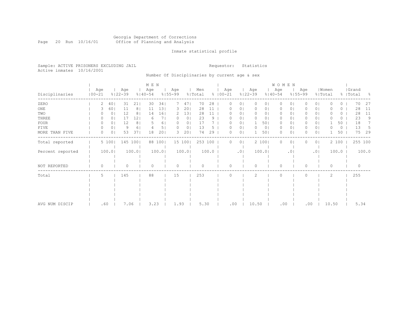### Georgia Department of Corrections Page 20 Run 10/16/01 Office of Planning and Analysis

# Inmate statistical profile

Sample: ACTIVE PRISONERS EXCLUDING JAIL **Requestor:** Statistics Active inmates 10/16/2001

Number Of Disciplinaries by current age & sex

|                  |                   |                |                    |                | M E N              |        |                    |                |                |       |                    |                |                    |                | WOMEN              |         |                    |                |                  |          |                    |       |
|------------------|-------------------|----------------|--------------------|----------------|--------------------|--------|--------------------|----------------|----------------|-------|--------------------|----------------|--------------------|----------------|--------------------|---------|--------------------|----------------|------------------|----------|--------------------|-------|
| Disciplinaries   | Age<br>$100 - 21$ |                | Age<br>$8122 - 39$ |                | Age<br>$8140 - 54$ |        | Age<br>$8155 - 99$ |                | Men<br>% Total |       | Age<br>$8100 - 21$ |                | Age<br>$8122 - 39$ |                | Age<br>$8140 - 54$ |         | Age<br>$8155 - 99$ |                | Women<br>% Total |          | Grand<br>%   Total | - 옹   |
| ZERO             | 2                 | 40             | 31                 | 211            | 30                 | 341    | 7                  | 47             | 70             | 28    | 0                  | $\circ$        | 0                  | 0 <sub>1</sub> | $\circ$            | $\circ$ | $\Omega$           | 0 <sub>1</sub> | O                | $\Omega$ | 70                 | 27    |
| $_{\rm ONE}$     |                   | 60             | 11                 | 8 <sup>1</sup> | 11                 | 131    | 3.                 | 20             | 28             | 11    |                    | 0              | 0                  | 0              | 0                  | 0       |                    | 0 <sub>1</sub> |                  | 0        | 28                 | 11    |
| TWO              |                   | 0 <sub>1</sub> | 12                 | 8 <sup>1</sup> | 14                 | 161    | 2                  | 13             | 28             | 11    |                    | 01             | 0                  | 0              | 0                  | 01      |                    | 0 <sub>1</sub> |                  | 0        | 28                 | 11    |
| THREE            |                   | 01             | 17                 | 12             | 6                  | 71     | $\left( \right)$   | 0 <sub>1</sub> | 23             | 9     |                    | 0              | 0                  | 0              | 0                  | 0       |                    | 0 <sub>1</sub> |                  | 0        | 23                 | 9     |
| <b>FOUR</b>      | O                 | 0              | 12                 | 8 <sup>1</sup> |                    | 61     | O.                 | 0              | 17             |       |                    | $\circ$        |                    | 501            | 0                  | 0       | 0                  | 0 <sub>1</sub> |                  | 50       | 18                 |       |
| <b>FIVE</b>      | 0                 | 0 <sub>1</sub> | 9                  | 6              |                    | 5      | $\Omega$           | 0              | 13             | 5     |                    | 0 <sub>1</sub> | $\Omega$           | 0 <sub>1</sub> | 0                  | 0       | 0                  | 0 <sub>1</sub> | O                | $\circ$  | 13                 | 5     |
| MORE THAN FIVE   | 0                 | 0 <sub>1</sub> | 53                 | 371            | 18                 | 201    | 3                  | 20             | 74             | 29    | 0                  | 0 <sub>1</sub> |                    | 501            | 0                  | $\circ$ | O                  | 0 <sub>1</sub> |                  | 50       | 75                 | 29    |
| Total reported   |                   | 5 100          |                    | 145 100        | 88                 | 100    |                    | 15 100         | 253 100        |       | 0                  | 0 <sub>1</sub> |                    | 2 100          | 0                  | $\circ$ |                    | 0 <sub>1</sub> |                  | 2 100    | 255 100            |       |
| Percent reported |                   | 100.0          |                    | 100.0          |                    | 100.01 |                    | 100.01         |                | 100.0 |                    | .01            |                    | 100.01         |                    | .01     |                    | .01            |                  | 100.0    |                    | 100.0 |
| NOT REPORTED     | 0                 |                | 0                  |                | $\Omega$           |        | $\Omega$           |                | $\bigcap$      |       | $\Omega$           |                | $\Omega$           |                | $\Omega$           |         | $\Omega$           |                | 0                |          | $\mathbf{0}$       |       |
| Total            | 5                 |                | 145                |                | 88                 |        | 15                 |                | 253            |       |                    |                | 2                  |                | $\Omega$           |         |                    |                | 2                |          | 255                |       |
|                  |                   |                |                    |                |                    |        |                    |                |                |       |                    |                |                    |                |                    |         |                    |                |                  |          |                    |       |
|                  |                   |                |                    |                |                    |        |                    |                |                |       |                    |                |                    |                |                    |         |                    |                |                  |          |                    |       |
|                  |                   |                |                    |                |                    |        |                    |                |                |       |                    |                |                    |                |                    |         |                    |                |                  |          |                    |       |
| AVG NUM DISCIP   | .60               |                | 7.06               |                | 3.23               |        | 1.93               |                | 5.30           |       | .00                |                | 10.50              |                | .00                |         | .00                |                | 10.50            |          | 5.34               |       |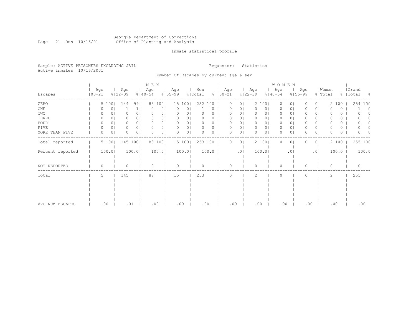### Georgia Department of Corrections Page 21 Run 10/16/01 Office of Planning and Analysis

# Inmate statistical profile

Sample: ACTIVE PRISONERS EXCLUDING JAIL **Requestor:** Statistics Active inmates 10/16/2001

Number Of Escapes by current age & sex

|                  |                   |       |                    |                | M E N              |                |                    |        |                |       |                    |                |                    |       | W O M E N           |                 |                    |                |                  |       |                    |       |
|------------------|-------------------|-------|--------------------|----------------|--------------------|----------------|--------------------|--------|----------------|-------|--------------------|----------------|--------------------|-------|---------------------|-----------------|--------------------|----------------|------------------|-------|--------------------|-------|
| Escapes          | Age<br>$100 - 21$ |       | Age<br>$8122 - 39$ |                | Age<br>$8140 - 54$ |                | Age<br>$8155 - 99$ |        | Men<br>% Total |       | Age<br>$8100 - 21$ |                | Age<br>$8122 - 39$ |       | Age<br>$8140 - 54$  |                 | Age<br>$8155 - 99$ |                | Women<br>% Total |       | Grand<br>%   Total | - 옹   |
| ZERO             |                   | 5 100 | 144                | 991            | 88                 | 1001           |                    | 15 100 | 252 100        |       | 0                  | 0 <sub>1</sub> |                    | 2 100 | $\circ$             | 0 <sub>1</sub>  |                    | 0 <sub>1</sub> | 2                | 100   | 254 100            |       |
| ONE              |                   | 0     |                    | 1 <sub>1</sub> | $\Omega$           | 0 <sub>1</sub> | 0                  | 0      |                | 0     |                    | 0 <sub>1</sub> | 0                  |       | 0 <sub>1</sub><br>0 | 0 <sub>1</sub>  |                    | 0 <sub>1</sub> |                  | 0     |                    | 0     |
| TWO              |                   | 0     |                    | 0 <sup>1</sup> | $\Omega$           | 01             | 0                  | 01     |                |       |                    | 0 <sub>1</sub> |                    |       | 0  <br>0            | 01              |                    | 0 <sub>1</sub> |                  | 0     |                    |       |
| THREE            | $\Omega$          | 0     |                    | 0 <sub>1</sub> | $\Omega$           | 0              | 0                  | 0      |                |       |                    | 0 <sub>1</sub> | 0                  |       | 0  <br>0            | 01              |                    | 0 <sub>1</sub> |                  | 0     |                    |       |
| FOUR             | 0                 | 0     | 0                  | 0 <sup>1</sup> | 0                  | 0              | 0                  | 01     |                |       |                    | 01             | 0                  |       | 0  <br>0            | 01              |                    | 0 <sub>1</sub> |                  | 0     |                    |       |
| FIVE             | 0                 | 0     | 0                  | 0 <sub>1</sub> | 0                  | 0              | $\Omega$           | 0      |                |       |                    | 0 <sub>1</sub> | $\Omega$           |       | 0  <br>0            | 0               |                    | 0 <sub>1</sub> |                  | 0     |                    |       |
| MORE THAN FIVE   | 0                 | 0     | 0                  | 0 <sub>1</sub> | O                  | 0 <sub>1</sub> | 0                  | 0      |                | 0     | U                  | 0 <sub>1</sub> |                    |       | 0 <sub>1</sub><br>0 | $\circ$         |                    | 0 <sub>1</sub> | O                | 0     | 0                  |       |
| Total reported   |                   | 5 100 |                    | 145 100        |                    | 88 100         |                    | 15 100 | 253 100        |       | 0                  | 0 <sup>1</sup> |                    | 2 100 | 0                   | $\circ$         |                    | 0 <sub>1</sub> |                  | 2 100 | 255 100            |       |
| Percent reported |                   | 100.0 |                    | 100.01         |                    | 100.0          |                    | 100.01 |                | 100.0 |                    | .01            |                    | 100.0 |                     | .0 <sub>1</sub> |                    | .01            |                  | 100.0 |                    | 100.0 |
| NOT REPORTED     | $\Omega$          |       | U                  |                | $\Omega$           |                | $\Omega$           |        | $\cap$         |       |                    |                |                    |       | $\Omega$            |                 |                    |                | $\Omega$         |       | $\Omega$           |       |
| Total            | 5                 |       | 145                |                | 88                 |                | 15                 |        | 253            |       |                    |                | 2                  |       | $\Omega$            |                 |                    |                | 2                |       | 255                |       |
|                  |                   |       |                    |                |                    |                |                    |        |                |       |                    |                |                    |       |                     |                 |                    |                |                  |       |                    |       |
|                  |                   |       |                    |                |                    |                |                    |        |                |       |                    |                |                    |       |                     |                 |                    |                |                  |       |                    |       |
|                  |                   |       |                    |                |                    |                |                    |        |                |       |                    |                |                    |       |                     |                 |                    |                |                  |       |                    |       |
|                  |                   |       |                    |                |                    |                |                    |        |                |       |                    |                |                    |       |                     |                 |                    |                |                  |       |                    |       |
|                  |                   |       |                    |                |                    |                |                    |        |                |       |                    |                |                    |       |                     |                 |                    |                |                  |       |                    |       |
| AVG NUM ESCAPES  |                   | .00   |                    | .01            |                    | .00            | .00                |        | .00            |       | .00                |                |                    | .00   | .00                 |                 |                    | .00            |                  | .00   | .00                |       |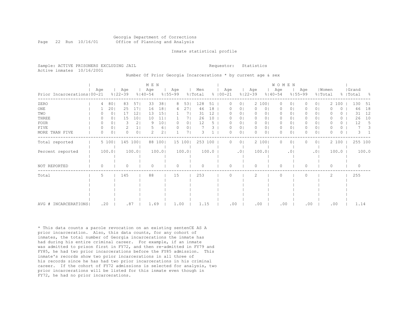# Georgia Department of Corrections Page 22 Run 10/16/01 Office of Planning and Analysis

### Inmate statistical profile

| Sample: ACTIVE PRISONERS EXCLUDING JAIL | Requestor: Statistics |  |
|-----------------------------------------|-----------------------|--|
| Active inmates 10/16/2001               |                       |  |

# Number Of Prior Georgia Incarcerations \* by current age & sex

|                              |          |                |                    |                 | M E N              |                 |                    |                |                |       |                    |                |                    |       | <b>WOMEN</b>       |                 |                    |                |                  |       |           |          |       |
|------------------------------|----------|----------------|--------------------|-----------------|--------------------|-----------------|--------------------|----------------|----------------|-------|--------------------|----------------|--------------------|-------|--------------------|-----------------|--------------------|----------------|------------------|-------|-----------|----------|-------|
| Prior Incarcerations   00-21 | Age      |                | Age<br>$8122 - 39$ |                 | Age<br>$8140 - 54$ |                 | Age<br>$8155 - 99$ |                | Men<br>% Total |       | Age<br>$8100 - 21$ |                | Age<br>$8122 - 39$ |       | Age<br>$8140 - 54$ |                 | Age<br>$8155 - 99$ |                | Women<br>% Total |       | %   Total | Grand    | - 8   |
| ZERO                         | 4        | 801            | 83                 | 57              | 33                 | 38 <sup>1</sup> | 8                  | 53             | 128            | 51    | 0                  | 01             |                    | 2 100 | 0                  | 0               |                    | 0 I            | $\overline{2}$   | 100   |           | 130      | 51    |
| ONE                          |          | 201            | 25                 | 17 <sup>1</sup> | 16                 | 181             | 4                  | 271            | 46             | 18    | O                  | 01             | 0                  | 0     | 0                  | 0               |                    | $\circ$        |                  | 0     |           | 46       | 18    |
| TWO                          |          | 0              | 17                 | 121             | 13                 | 151             |                    | 7              | 31             | 12    | 0                  | 0              | $\mathbf{0}$       | 0     | 0                  | 0               | 0                  | 0 <sub>1</sub> |                  | 0     |           | 31       | 12    |
| THREE                        |          | 0 <sub>1</sub> | 15                 | 10 <sub>1</sub> | 10                 | 11              |                    | 71             | 26             | 10    | 0                  | 0 <sub>1</sub> | $\Omega$           | 01    | $\mathbf{0}$       | 0               | 0                  | 0 <sup>1</sup> | O                | 0     |           | 26       | 10    |
| <b>FOUR</b>                  |          | 0              | 3                  | 2 <sub>1</sub>  | - Q                | 101             | $\Omega$           | 0 <sub>1</sub> | 12             | 5     |                    | 0              | 0                  | 01    | $\mathbf{0}$       | 0               | 0                  | 0 <sup>1</sup> |                  | 0     |           | 12       | 5     |
| FIVE                         | $\Omega$ | 0 <sub>1</sub> | 2                  |                 |                    | 6               | $\Omega$           | 0 <sup>1</sup> |                | 3     |                    | $\circ$        | $\circ$            | 0     | $\circ$            | 0               | 0                  | 0 <sup>1</sup> | O                | 0     |           |          | 3     |
| MORE THAN FIVE               | 0        | 0              | $\Omega$           | 0 <sup>1</sup>  |                    | 2 <sub>1</sub>  |                    |                |                |       | U                  | 0              | 0                  | 0     | 0                  | 0               | 0                  | 0 <sub>1</sub> | 0                | 0     |           | 3        |       |
| Total reported               |          | 5 100          |                    | 145 100         | 88                 | 100             |                    | 15 100         | 253 100        |       | 0                  | 0 <sup>1</sup> |                    | 2 100 | $\Omega$           | 0               |                    | 0 <sup>1</sup> |                  | 2 100 |           | 255 100  |       |
| Percent reported             |          | 100.0          |                    | 100.01          |                    | 100.01          |                    | 100.0          |                | 100.0 |                    | .01            |                    | 100.0 |                    | .0 <sub>1</sub> |                    | .01            |                  | 100.0 |           |          | 100.0 |
| NOT REPORTED                 | O        |                | Λ                  |                 | ∩                  |                 | U                  |                | $\cap$         |       | O                  |                | $\Omega$           |       | $\Omega$           |                 | 0                  |                | $\Omega$         |       |           | $\Omega$ |       |
| Total                        | .5       |                | 145                |                 | 88                 |                 | 15                 |                | 253            |       | $\cap$             |                | $\mathcal{L}$      |       | $\Omega$           |                 | $\Omega$           |                | 2                |       |           | 255      |       |
|                              |          |                |                    |                 |                    |                 |                    |                |                |       |                    |                |                    |       |                    |                 |                    |                |                  |       |           |          |       |
|                              |          |                |                    |                 |                    |                 |                    |                |                |       |                    |                |                    |       |                    |                 |                    |                |                  |       |           |          |       |
|                              |          |                |                    |                 |                    |                 |                    |                |                |       |                    |                |                    |       |                    |                 |                    |                |                  |       |           |          |       |
| AVG # INCARCERATIONS         |          | .20            | .87                |                 | 1.69               |                 | 1.00               |                | 1.15           |       | .00                |                | .00                |       | .00                |                 | .00                |                | .00              |       |           | 1.14     |       |

\* This data counts a parole revocation on an existing sentenCE AS A prior incarceration. Also, this data counts, for any cohort of inmates, the total number of Georgia incarcerations the inmate has had during his entire criminal career. For example, if an inmate was admitted to prison first in FY72, and then re-admitted in FY79 and FY85, he had two prior incarcerations before the FY85 admission. This inmate's records show two prior incarcerations in all three of his records since he has had two prior incarcerations in his criminal career. If the cohort of FY72 admissions is selected for analysis, two prior incarcerations will be listed for this inmate even though in FY72, he had no prior incarcerations.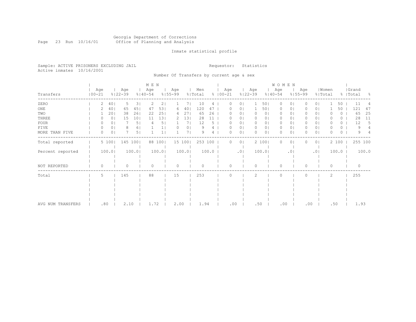### Georgia Department of Corrections Page 23 Run 10/16/01 Office of Planning and Analysis

# Inmate statistical profile

Sample: ACTIVE PRISONERS EXCLUDING JAIL **Requestor:** Statistics Active inmates 10/16/2001

Number Of Transfers by current age & sex

|                   |                   |                |                    |                | M E N              |                |                    |                |                |       |                      |                |                    |                | W O M E N          |                 |                    |                |                  |          |                    |       |
|-------------------|-------------------|----------------|--------------------|----------------|--------------------|----------------|--------------------|----------------|----------------|-------|----------------------|----------------|--------------------|----------------|--------------------|-----------------|--------------------|----------------|------------------|----------|--------------------|-------|
| Transfers         | Age<br>$100 - 21$ |                | Age<br>$8122 - 39$ |                | Age<br>$8140 - 54$ |                | Age<br>$8155 - 99$ |                | Men<br>% Total |       | Age<br>$8   00 - 21$ |                | Age<br>$8122 - 39$ |                | Age<br>$8140 - 54$ |                 | Age<br>$8155 - 99$ |                | Women<br>% Total |          | Grand<br>%   Total | - 옹   |
| ZERO              | 2                 | 401            | 5.                 | 3              | 2                  | 2 <sub>1</sub> |                    | 71             | 10             | 4     | O                    | 01             |                    | 501            | $\circ$            | $\circ$         | 0                  | 01             |                  | 50       | 11                 |       |
| ONE               |                   | 40             | 65                 | 451            | 47                 | 53             | 6                  | 40             | 120            | 47    |                      | ΟI             |                    | 501            | 0                  | 0               |                    | 01             |                  | 50       | 121                | 47    |
| TWO               |                   | 201            | 38                 | 261            | 22                 | 251            | 4                  | 27             | 65             | 26    |                      | 01             |                    | 0 <sub>1</sub> | 0                  | 0               |                    | 0 <sub>1</sub> |                  | 0        | 65                 | 25    |
| THREE             |                   | 0              | 15                 | 101            | 11                 | 13             |                    | 13             | 28             | 11    |                      | 0              |                    | 0              | 0                  | Ü               |                    | 0 <sub>1</sub> |                  | 0        | 28                 | 11    |
| FOUR              | $\left( \right)$  | 01             |                    | 5              |                    | 5              |                    | 7              | 12             | 5     |                      | 0              | $\Omega$           | 0 <sub>1</sub> | $\Omega$           | $\circ$         |                    | 0 <sub>1</sub> |                  | 0        | 12                 | 5     |
| FIVE              | 0                 | 0 <sub>1</sub> | 8                  | 61             |                    |                |                    | 0 <sub>1</sub> |                |       |                      | 0 <sub>1</sub> | 0                  | 0 <sub>1</sub> | $\circ$            | 0 <sub>1</sub>  | 0                  | 0 <sub>1</sub> |                  | 0        |                    |       |
| MORE THAN FIVE    | $\Omega$          | 0              |                    | 5 <sub>1</sub> |                    |                |                    | 7              | 9              | 4     |                      | 0              | $\Omega$           | 0 <sub>1</sub> | $\Omega$           | $\circ$         |                    | 0 <sub>1</sub> | O                | $\Omega$ | 9                  |       |
| Total reported    |                   | 5 100          |                    | 145 100        |                    | 88 100         |                    | 15 100         | 253 100        |       | 0                    | 0 <sub>1</sub> |                    | 2 100          | 0                  | $\circ$         |                    | 0 <sub>1</sub> |                  | 2 100    | 255 100            |       |
| Percent reported  |                   | 100.0          |                    | 100.0          |                    | 100.0          |                    | 100.0          |                | 100.0 |                      | .01            |                    | 100.0          |                    | .0 <sub>1</sub> |                    | .01            |                  | 100.0    |                    | 100.0 |
| NOT REPORTED      | 0                 |                | 0                  |                | $\Omega$           |                | 0                  |                | $\Omega$       |       | $\Omega$             |                | $\Omega$           |                | $\circ$            |                 | $\Omega$           |                | 0                |          | $\mathbf{0}$       |       |
| Total             | 5                 |                | 145                |                | 88                 |                | 15                 |                | 253            |       |                      |                | $\mathcal{L}$      |                | $\Omega$           |                 | 0                  |                | 2                |          | 255                |       |
|                   |                   |                |                    |                |                    |                |                    |                |                |       |                      |                |                    |                |                    |                 |                    |                |                  |          |                    |       |
|                   |                   |                |                    |                |                    |                |                    |                |                |       |                      |                |                    |                |                    |                 |                    |                |                  |          |                    |       |
|                   |                   |                |                    |                |                    |                |                    |                |                |       |                      |                |                    |                |                    |                 |                    |                |                  |          |                    |       |
|                   |                   |                |                    |                |                    |                |                    |                |                |       |                      |                |                    |                |                    |                 |                    |                |                  |          |                    |       |
| AVG NUM TRANSFERS |                   | .80            | 2.10               |                | 1.72               |                | 2.00               |                | 1.94           |       | .00                  |                |                    | .50            | .00                |                 | .00                |                | .50              |          | 1.93               |       |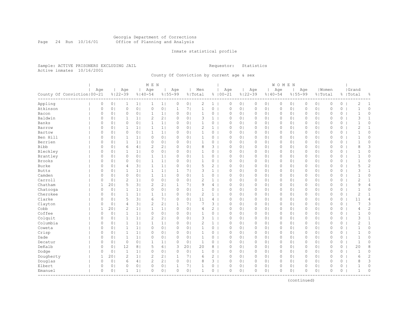#### Georgia Department of Corrections Page 24 Run 10/16/01 Office of Planning and Analysis

# Inmate statistical profile

Sample: ACTIVE PRISONERS EXCLUDING JAIL **Requestor:** Statistics Active inmates 10/16/2001

County Of Conviction by current age & sex

|                              |  |              |                |                | M E N          |                |                |              |                |                |                |              |                |             | WOMEN          |                     |                |          |                |              |          |                |                |
|------------------------------|--|--------------|----------------|----------------|----------------|----------------|----------------|--------------|----------------|----------------|----------------|--------------|----------------|-------------|----------------|---------------------|----------------|----------|----------------|--------------|----------|----------------|----------------|
|                              |  | Age          |                | Age            |                | Age            |                | Age          |                | Men            |                | Age          |                | Age         |                | Age                 |                | Age      |                | Women        |          | Grand          |                |
| County Of Conviction   00-21 |  |              |                | $8122 - 39$    |                | $%140-54$      |                | $8155 - 99$  |                | % Total        |                | $8100 - 21$  |                | $8122 - 39$ | $8140 - 54$    |                     | $8155 - 99$    |          |                | % Total      |          | %   Total      | g.             |
| Appling                      |  | 0            | 0 <sub>1</sub> | 1              | 1              | $\mathbf{1}$   | 1              | 0            | 0 <sub>1</sub> | 2              | 1              | 0            | 0 <sub>1</sub> | 0           | 0 <sub>1</sub> | 0                   | 0 <sub>1</sub> | 0        | 0 <sub>1</sub> | 0            | 0        | 2              | 1              |
| Atkinson                     |  | $\circ$      | 0 <sub>1</sub> | $\circ$        | 0 <sub>1</sub> | $\circ$        | 0 <sup>1</sup> | $\mathbf{1}$ | 71             | $\mathbf{1}$   | $\circ$        | $\mathbf{0}$ | 0 <sub>1</sub> | $\mathbb O$ | 0 <sup>1</sup> | 0                   | 0 <sub>1</sub> | 0        | 0 <sub>1</sub> | $\mathbf{0}$ | $\circ$  | $\mathbf{1}$   | 0              |
| Bacon                        |  | $\circ$      | 0 <sub>1</sub> | $\circ$        | 0 <sup>1</sup> | $\mathbf{1}$   | 1              | $\circ$      | 0 <sub>1</sub> | $\mathbf{1}$   | $\overline{0}$ | $\mathbf{0}$ | 0 <sub>1</sub> | $\circ$     | 0 <sub>1</sub> | 0                   | 0 <sub>1</sub> | 0        | 0 <sub>1</sub> | $\mathbf{0}$ | $\circ$  | $\mathbf{1}$   | $\circ$        |
| Baldwin                      |  | 0            | 0 <sub>1</sub> |                | 1 <sub>1</sub> | $\mathbf{2}$   | 2 <sub>1</sub> | 0            | 0 <sub>1</sub> | 3              | $\mathbf{1}$   | $\circ$      | 0 <sub>1</sub> | $\circ$     | 0 <sub>1</sub> | 0                   | 0 <sub>1</sub> | 0        | 0 <sub>1</sub> | $\circ$      | 0        | 3              | $\mathbf{1}$   |
| Banks                        |  | 0            | 0 <sub>1</sub> | $\circ$        | 0 <sub>1</sub> | $\mathbf{1}$   | 1 <sub>1</sub> | 0            | 0 <sub>1</sub> | $\mathbf{1}$   | 0              | $\Omega$     | 0 <sup>1</sup> | $\circ$     | 0 <sup>1</sup> | 0                   | 0 <sub>1</sub> | $\Omega$ | 0 <sub>1</sub> | $\circ$      | 0        | $\mathbf{1}$   | 0              |
| Barrow                       |  | 0            | 0 <sub>1</sub> | 1              | 1 <sub>1</sub> | 1              | 1 <sub>1</sub> | 0            | 0 <sub>1</sub> | $\overline{c}$ | 1              | $\circ$      | 0 <sub>1</sub> | $\circ$     | 01             | 0                   | 0 <sub>1</sub> | 0        | 0 <sub>1</sub> | $\circ$      | $\circ$  | 2              | $\mathbf{1}$   |
| Bartow                       |  | 0            | 0 <sub>1</sub> | 0              | 0 <sub>1</sub> | 1              | 1              | 0            | 0 <sub>1</sub> | 1              | $\overline{0}$ | $\circ$      | 0 <sub>1</sub> | $\circ$     | 0 <sub>1</sub> | $\circ$             | 0 <sub>1</sub> | 0        | 0 <sub>1</sub> | $\mathbf{0}$ | 0        | $\mathbf{1}$   | 0              |
| Ben Hill                     |  | $\circ$      | 0 <sub>1</sub> | $\mathbf{1}$   | 1 <sub>1</sub> | $\circ$        | 0 <sub>1</sub> | $\circ$      | 0 <sub>1</sub> | $\mathbf{1}$   | 0              | $\mathbf{0}$ | 0 <sub>1</sub> | $\circ$     | 0 <sub>1</sub> | 0                   | 0 <sub>1</sub> | 0        | 0 <sub>1</sub> | $\mathbb O$  | 0        | $\mathbf{1}$   | 0              |
| Berrien                      |  | 0            | 0 <sub>1</sub> | $\mathbf{1}$   | 1 <sub>1</sub> | $\circ$        | 0 <sub>1</sub> | $\circ$      | 0 <sub>1</sub> | $\mathbf{1}$   | $0-1$          | $\mathbf{0}$ | 0 <sub>1</sub> | $\circ$     | 0 <sub>1</sub> | $\circ$             | 0 <sub>1</sub> | 0        | 0 <sub>1</sub> | $\mathbf{0}$ | 0        | $\mathbf{1}$   | 0              |
| Bibb                         |  | 0            | 0 <sub>1</sub> | 6              | 4              | $\overline{2}$ | 2 <sub>1</sub> | 0            | 0 <sub>1</sub> | 8              | $3-1$          | $\circ$      | 0 <sub>1</sub> | $\circ$     | 0 <sub>1</sub> | $\circ$             | 0 <sub>1</sub> | 0        | 0 <sub>1</sub> | $\circ$      | 0        | 8              | 3              |
| Bleckley                     |  | $\Omega$     | 0 <sub>1</sub> | $\mathbf{1}$   | 1 <sub>1</sub> | $\circ$        | 0 <sub>1</sub> | $\Omega$     | 0 <sub>1</sub> | $\mathbf{1}$   | 0              | $\Omega$     | 0 <sub>1</sub> | $\circ$     | 0 <sup>1</sup> | 0                   | 0 <sub>1</sub> | $\Omega$ | 0 <sub>1</sub> | $\Omega$     | $\circ$  | $\mathbf{1}$   | 0              |
| Brantley                     |  | 0            | 0 <sub>1</sub> | $\circ$        | 0 <sub>1</sub> | $\mathbf{1}$   | 1 <sub>1</sub> | $\circ$      | 0 <sub>1</sub> | $\mathbf{1}$   | 0              | $\circ$      | 0 <sub>1</sub> | $\circ$     | 0 <sup>1</sup> | $\circ$             | 0 <sub>1</sub> | $\Omega$ | 0 <sub>1</sub> | $\Omega$     | 0        | $\mathbf{1}$   | $\Omega$       |
| <b>Brooks</b>                |  | 0            | 0 <sub>1</sub> | 0              | 0 <sub>1</sub> | $\mathbf 1$    | 1              | 0            | 0 <sub>1</sub> | 1              | 0              | $\circ$      | 0 <sub>1</sub> | $\circ$     | 0 <sub>1</sub> | 0                   | 0 <sub>1</sub> | 0        | 0 <sub>1</sub> | $\circ$      | 0        | $\mathbf 1$    | 0              |
| Burke                        |  | 0            | 0 <sub>1</sub> | $\overline{4}$ | 3              | $\mathbf{1}$   | 1              | 0            | 0 <sub>1</sub> | 5              | $\overline{2}$ | $\circ$      | 0 <sub>1</sub> | $\circ$     | 0 <sub>1</sub> | 0                   | 0 <sub>1</sub> | 0        | 0 <sub>1</sub> | $\mathbf{0}$ | 0        | 5              | $\overline{c}$ |
| <b>Butts</b>                 |  | $\Omega$     | 0 <sub>1</sub> | $\mathbf{1}$   | 1 <sub>1</sub> | $\mathbf{1}$   | 1              | $\mathbf{1}$ | 71             | 3              | $\mathbf{1}$   | $\mathbf{0}$ | $\Omega$       | $\circ$     | 0 <sub>1</sub> | 0                   | 0 <sub>1</sub> | 0        | 0 <sub>1</sub> | $\Omega$     | $\circ$  | 3              | $\mathbf{1}$   |
| Camden                       |  | $\Omega$     | 0 <sub>1</sub> | $\circ$        | 0 <sub>1</sub> | $\mathbf{1}$   | 1 <sub>1</sub> | $\Omega$     | 0 <sub>1</sub> | $\mathbf{1}$   | 0              | $\circ$      | 0 <sub>1</sub> | $\circ$     | 0 <sub>1</sub> | 0                   | 0 <sub>1</sub> | $\Omega$ | 0 <sub>1</sub> | $\mathbf{0}$ | 0        | $\mathbf{1}$   | 0              |
| Carroll                      |  | $\circ$      | 0 <sub>1</sub> | $\overline{2}$ | 1 <sub>1</sub> | $\circ$        | 0 <sub>1</sub> | 0            | 0 <sub>1</sub> | $\overline{c}$ | $\mathbf{1}$   | $\Omega$     | 0 <sub>1</sub> | $\circ$     | 0 <sup>1</sup> | $\Omega$            | 0 <sub>1</sub> | $\Omega$ | 0 <sub>1</sub> | $\mathbf{0}$ | $\circ$  | $\overline{2}$ | $\mathbf{1}$   |
| Chatham                      |  | $\mathbf{1}$ | 201            | 5              | 3              | $\overline{2}$ | 2 <sub>1</sub> | 1            | 71             | 9              | 4              | $\circ$      | 0 <sup>1</sup> | $\circ$     | 0 <sup>1</sup> | $\circ$             | 0 <sub>1</sub> | $\Omega$ | 0 <sub>1</sub> | $\circ$      | 0        | 9              | 4              |
| Chatooga                     |  | 0            | 0 <sub>1</sub> | $\mathbf{1}$   | 1 <sup>1</sup> | $\circ$        | 0 <sub>1</sub> | $\circ$      | 0 <sub>1</sub> | 1              | 0              | $\circ$      | 0 <sub>1</sub> | $\circ$     | 0 <sub>1</sub> | $\circ$             | 0 <sub>1</sub> | 0        | 0 <sub>1</sub> | $\circ$      | 0        | $\mathbf{1}$   | 0              |
| Cherokee                     |  | 0            | 0 <sub>1</sub> | $\mathbf{1}$   | 1 <sub>1</sub> | $\mathbf{1}$   | 1              | 0            | 0 <sub>1</sub> | $\sqrt{2}$     | $\mathbf{1}$   | $\circ$      | 0 <sub>1</sub> | $\circ$     | 0 <sub>1</sub> | 0                   | 0 <sub>1</sub> | $\Omega$ | 0 <sub>1</sub> | $\mathbf{0}$ | 0        | $\mathbf{2}$   | $\mathbf{1}$   |
| Clarke                       |  | $\Omega$     | 0 <sub>1</sub> | 5              | 3 <sub>1</sub> | 6              | 7 <sub>1</sub> | $\circ$      | 0 <sub>1</sub> | 11             | 4              | $\mathbf{0}$ | 0 <sub>1</sub> | $\circ$     | 0 <sub>1</sub> | $\circ$             | 0 <sub>1</sub> | 0        | 0 <sub>1</sub> | $\mathbf{0}$ | $\circ$  | 11             | $\overline{4}$ |
| Clayton                      |  | 0            | 0 <sub>1</sub> | 4              | 3              | 2              | 2 <sub>1</sub> | $\mathbf{1}$ | 7 <sub>1</sub> | 7              | $3-1$          | $\circ$      | 0 <sub>1</sub> | $\circ$     | 0 <sub>1</sub> | $\circ$             | 0 <sub>1</sub> | 0        | 0 <sub>1</sub> | $\circ$      | 0        | 7              | 3              |
| Cobb                         |  | 1            | 201            | 2              | 1 <sub>1</sub> | $\mathbf{1}$   | 1 <sub>1</sub> | 0            | 0 <sub>1</sub> | 4              | $\overline{2}$ | $\mathbf 0$  | 0 <sub>1</sub> | $\circ$     | 0 <sup>1</sup> | 0                   | 0 <sub>1</sub> | 0        | 0 <sub>1</sub> | $\circ$      | $\circ$  | 4              | $\overline{c}$ |
| Coffee                       |  | $\Omega$     | 0 <sub>1</sub> | $\mathbf{1}$   | 1 <sub>1</sub> | $\circ$        | 0 <sub>1</sub> | $\Omega$     | 0 <sub>1</sub> | $\mathbf{1}$   | 0              | $\Omega$     | 0 <sub>1</sub> | $\circ$     | 0 <sup>1</sup> | $\circ$             | 0 <sub>1</sub> | $\Omega$ | 0 <sub>1</sub> | $\Omega$     | 0        | $\mathbf{1}$   | $\Omega$       |
| Colquit                      |  | 0            | 0 <sub>1</sub> | $\mathbf{1}$   | 1 <sub>1</sub> | $\overline{2}$ | 2 <sub>1</sub> | $\circ$      | 0 <sub>1</sub> | 3              | $\mathbf{1}$   | $\circ$      | 0 <sub>1</sub> | $\circ$     | 0 <sub>1</sub> | 0                   | 0 <sub>1</sub> | $\Omega$ | 0 <sub>1</sub> | $\mathbf{0}$ | $\circ$  | 3              | $\mathbf{1}$   |
| Columbia                     |  | 0            | 0 <sub>1</sub> | $\mathbf{1}$   | 1 <sub>1</sub> | 1              | 1              | 0            | 0 <sub>1</sub> | $\overline{c}$ | $\mathbf{1}$   | $\circ$      | 0 <sub>1</sub> | $\circ$     | 0 <sub>1</sub> | 0                   | 0 <sub>1</sub> | 0        | 0 <sub>1</sub> | $\mathbf{0}$ | 0        | $\overline{2}$ | $\mathbf{1}$   |
| Coweta                       |  | $\Omega$     | 0 <sub>1</sub> | $\mathbf{1}$   | 1 <sup>1</sup> | $\circ$        | 0 <sub>1</sub> | $\Omega$     | 0 <sub>1</sub> | $\mathbf{1}$   | 0              | $\Omega$     | $\Omega$       | $\circ$     | 0 <sup>1</sup> | 0                   | 0 <sub>1</sub> | $\Omega$ | 0 <sub>1</sub> | $\mathbf{0}$ | $\circ$  | $\overline{1}$ | $\Omega$       |
| Crisp                        |  | $\circ$      | 0 <sub>1</sub> | $\mathbf{1}$   | 1 <sub>1</sub> | $\circ$        | 0 <sub>1</sub> | $\Omega$     | 0 <sub>1</sub> | $\mathbf{1}$   | 0              | $\Omega$     | 0 <sub>1</sub> | $\circ$     | 0 <sub>1</sub> | 0                   | 0 <sub>1</sub> | 0        | 0 <sub>1</sub> | $\circ$      | 0        | $\mathbf 1$    | 0              |
| Dade                         |  | $\circ$      | 0 <sub>1</sub> | 1              | 1              | 0              | 0 <sub>1</sub> | 0            | 0 <sub>1</sub> | 1              | 0              | $\Omega$     | 0 <sub>1</sub> | $\circ$     | 0 <sub>1</sub> | 0                   | 0 <sub>1</sub> | 0        | 0 <sub>1</sub> | $\mathbf{0}$ | $\circ$  | $\mathbf 1$    | 0              |
| Decatur                      |  | $\Omega$     | 0 <sub>1</sub> | $\circ$        | 0 <sub>1</sub> | $\mathbf{1}$   | 1 <sub>1</sub> | 0            | 0 <sub>1</sub> | $\mathbf{1}$   | 0              | $\circ$      | 0 <sup>1</sup> | $\circ$     | 0 <sup>1</sup> | 0                   | 0 <sub>1</sub> | $\Omega$ | 0 <sub>1</sub> | $\circ$      | 0        | $\overline{1}$ | 0              |
| DeKalb                       |  | $\Omega$     | 0 <sub>1</sub> | 12             | 8 <sub>1</sub> | 5              | 61             | 3            | 201            | 20             | 8              | $\Omega$     | 0 <sub>1</sub> | $\circ$     | 0 <sup>1</sup> | $\circ$             | 0 <sub>1</sub> | $\Omega$ | 0 <sub>1</sub> | $\Omega$     | 0        | 20             | 8              |
| Dodge                        |  | $\circ$      | 0 <sub>1</sub> | $\mathbf{1}$   | 1 <sub>1</sub> | $\circ$        | 0 <sub>1</sub> | 0            | 0 <sub>1</sub> | $\mathbf{1}$   | 0              | 0            | 0 <sub>1</sub> | $\circ$     | 0 <sub>1</sub> | $\circ$             | 0 <sub>1</sub> | 0        | 0 <sub>1</sub> | $\mathbf{0}$ | 0        | $\mathbf{1}$   | 0              |
| Dougherty                    |  | $\mathbf{1}$ | 201            | $\mathbf{2}$   | 1 <sub>1</sub> | $\mathbf{2}$   | 2 <sub>1</sub> | $\mathbf{1}$ | 7 <sub>1</sub> | 6              | $\overline{c}$ | $\mathbf{0}$ | 0 <sub>1</sub> | $\circ$     | 0 <sub>1</sub> | $\mathsf{O}\xspace$ | 0 <sub>1</sub> | 0        | 0 <sub>1</sub> | $\mathbf{0}$ | $\circ$  | 6              | $\overline{c}$ |
| Douglas                      |  | 0            | 0 <sub>1</sub> | 6              | 4              | 2              | 2 <sub>1</sub> | 0            | 0 <sub>1</sub> | 8              | 3 <sup>1</sup> | $\circ$      | 0 <sub>1</sub> | $\circ$     | 0 <sub>1</sub> | $\circ$             | 0 <sub>1</sub> | 0        | 0 <sub>1</sub> | $\circ$      | 0        | 8              | 3              |
| Elbert                       |  | 0            | 0 <sub>1</sub> | $\circ$        | 0 <sub>1</sub> | 0              | 0 <sub>1</sub> | 1            | 7 <sub>1</sub> | 1              | 0              | $\mathbf 0$  | 0 <sub>1</sub> | $\circ$     | 0 <sub>1</sub> | 0                   | 0 <sub>1</sub> | 0        | 0 <sub>1</sub> | $\circ$      | $\circ$  |                | 0              |
| Emanuel                      |  | $\Omega$     | 0 <sub>1</sub> | $\mathbf{1}$   | 1 <sup>1</sup> | $\Omega$       | 0 <sub>1</sub> | $\Omega$     | 0 <sub>1</sub> | 1              | 0              | $\Omega$     | $\Omega$       | $\Omega$    | 0 <sub>1</sub> | $\Omega$            | 0 <sub>1</sub> | $\Omega$ | 0 <sub>1</sub> | $\Omega$     | $\Omega$ | $\mathbf{1}$   | $\Omega$       |
| ----------                   |  |              |                |                |                |                |                |              |                |                |                |              |                |             |                |                     |                |          |                |              |          |                |                |

(continued)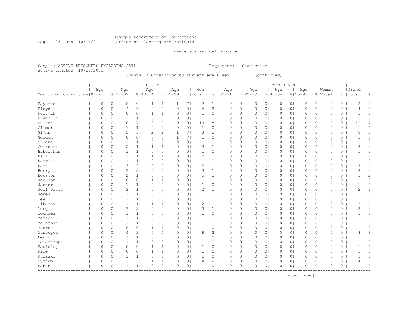#### Georgia Department of Corrections Page 25 Run 10/16/01 Office of Planning and Analysis

# Inmate statistical profile

|                           | Sample: ACTIVE PRISONERS EXCLUDING JAIL | Requestor: Statistics |  |
|---------------------------|-----------------------------------------|-----------------------|--|
| Active inmates 10/16/2001 |                                         |                       |  |

# County Of Conviction by current age & sex (continued)

|                               |         |                |                |                | M E N        |                 |             |                |                |                |             |                |             |                | WOMEN        |                |          |                |             |         |                |                |
|-------------------------------|---------|----------------|----------------|----------------|--------------|-----------------|-------------|----------------|----------------|----------------|-------------|----------------|-------------|----------------|--------------|----------------|----------|----------------|-------------|---------|----------------|----------------|
|                               | Age     |                | Age            |                | Age          |                 | Age         |                | Men            |                | Age         |                | Age         |                | Age          |                | Age      |                | Women       |         | Grand          |                |
| County Of Conviction   00-21  |         |                | $8122 - 39$    |                | $8140 - 54$  |                 | $8155 - 99$ |                | % Total        |                | $8100 - 21$ |                | $8122 - 39$ | $8140 - 54$    |              | $8155 - 99$    |          | % Total        |             |         | %   Total      | ိင             |
| Fayette                       | 0       | 0 <sub>1</sub> | 0              | 0 <sub>1</sub> | $\mathbf{1}$ | 1 <sub>1</sub>  | 1           | 7 <sub>1</sub> | 2              | $\mathbf{1}$   | 0           | 0 <sub>1</sub> | 0           | 0 <sub>1</sub> | $\circ$      | 0 <sub>1</sub> | 0        | 0 <sub>1</sub> | $\circ$     | 0       | 2              | 1              |
| Floyd                         | 0       | 0 <sup>1</sup> | 4              | 3              | $\Omega$     | 0 <sub>1</sub>  | $\circ$     | 0 <sub>1</sub> | 4              | $\overline{2}$ | $\mathbf 0$ | 0 <sub>1</sub> | $\circ$     | 0 <sup>1</sup> | $\mathbf{0}$ | 0 <sub>1</sub> | $\Omega$ | 0 <sub>1</sub> | $\mathbf 0$ | 0       | $\overline{4}$ | $\overline{c}$ |
| Forsyth                       | $\circ$ | 0 <sub>1</sub> | $\circ$        | 0 <sub>1</sub> | $\mathbf{1}$ | 1 <sub>1</sub>  | 0           | 0 <sub>1</sub> | 1              | 0              | 0           | 0 <sub>1</sub> | 0           | 0 <sub>1</sub> | 0            | 0 <sub>1</sub> | 0        | 0 <sub>1</sub> | $\mathbf 0$ | 0       | $\mathbf 1$    | 0              |
| Franklin                      | $\circ$ | 0 <sub>1</sub> | 1              | 1 <sub>1</sub> | $\circ$      | 0 <sub>1</sub>  | $\circ$     | 0 <sub>1</sub> | $\mathbf{1}$   | 0              | $\circ$     | 0 <sub>1</sub> | 0           | 0 <sub>1</sub> | 0            | 0 <sub>1</sub> | 0        | 0 <sub>1</sub> | $\circ$     | $\circ$ | $\mathbf{1}$   | 0              |
| Fulton                        | 0       | 0 <sub>1</sub> | 10             | 7 <sub>1</sub> | 9            | 10 <sub>1</sub> | $\circ$     | 0 <sub>1</sub> | 19             | 8              | $\circ$     | 0 <sub>1</sub> | $\circ$     | 0 <sub>1</sub> | $\circ$      | 0 <sub>1</sub> | 0        | 0 <sub>1</sub> | $\circ$     | 0       | 19             | 7              |
| Gilmer                        | 0       | 0 <sup>1</sup> | $\mathbf{1}$   | 1 <sub>1</sub> | $\circ$      | 0 <sub>1</sub>  | $\circ$     | 0 <sub>1</sub> | $\mathbf{1}$   | 0              | $\circ$     | 0 <sub>1</sub> | $\circ$     | 0 <sub>1</sub> | $\circ$      | 0 <sub>1</sub> | $\Omega$ | 0 <sub>1</sub> | $\circ$     | 0       | $\mathbf{1}$   | 0              |
| Glynn                         | 0       | 0 <sub>1</sub> | 5              | 3              | 2            | 2 <sub>1</sub>  | 1           | 7 <sub>1</sub> | 8              | 3              | $\circ$     | 0 <sub>1</sub> | $\circ$     | 0 <sub>1</sub> | $\circ$      | 0 <sub>1</sub> | 0        | 0 <sub>1</sub> | $\circ$     | 0       | 8              | 3              |
| Gordon                        | 0       | 0 <sup>1</sup> | 0              | 0 <sub>1</sub> | 0            | 0 <sub>1</sub>  | 1           | 7 <sub>1</sub> |                | 0              | $\circ$     | 0 <sub>1</sub> | 0           | 0 <sub>1</sub> | 0            | 0 <sub>1</sub> | 0        | 0 <sub>1</sub> | $\circ$     | 0       |                | 0              |
| Greene                        | $\circ$ | 0              | 1              | 1              | $\circ$      | 0 <sub>1</sub>  | $\circ$     | 0 <sub>1</sub> | 1              | 0              | $\mathbf 0$ | 0 <sub>1</sub> | $\circ$     | 0 <sup>1</sup> | $\Omega$     | $\circ$        | 0        | 0 <sub>1</sub> | $\mathbf 0$ | 0       | $\mathbf{1}$   | 0              |
| Gwinnett                      | $\circ$ | 0              | $\overline{2}$ | 1              | $\mathbf{1}$ | 1 <sub>1</sub>  | $\circ$     | 0 <sub>1</sub> | 3              | $\mathbf{1}$   | $\mathbf 0$ | 0 <sub>1</sub> | $\circ$     | 0 <sup>1</sup> | $\circ$      | $\circ$        | $\Omega$ | 0 <sub>1</sub> | $\Omega$    | 0       | 3              | $\mathbf{1}$   |
| Habersham                     | $\circ$ | 0 <sub>1</sub> | $\mathbf{1}$   | 1              | $\circ$      | 0 <sub>1</sub>  | $\circ$     | 0 <sub>1</sub> | 1              | 0              | $\mathbf 0$ | 0 <sub>1</sub> | $\circ$     | 0 <sub>1</sub> | 0            | 0 <sub>1</sub> | $\Omega$ | 0 <sub>1</sub> | $\mathbf 0$ | 0       | $\mathbf{1}$   | 0              |
| Hall                          | $\circ$ | 0 <sub>1</sub> | 1              | 1 <sub>1</sub> | $\mathbf{1}$ | 1 <sub>1</sub>  | 0           | 0 <sub>1</sub> | 2              | $\mathbf{1}$   | $\circ$     | 0 <sub>1</sub> | $\circ$     | 0 <sub>1</sub> | $\circ$      | 0 <sub>1</sub> | 0        | 0 <sub>1</sub> | $\mathbf 0$ | 0       | $\overline{c}$ | $\mathbf{1}$   |
| Harris                        | $\circ$ | 0 <sub>1</sub> | 1              | 1              | 0            | 0 <sub>1</sub>  | $\circ$     | 0 <sub>1</sub> | 1              | 0              | 0           | 0 <sub>1</sub> | 0           | 0 <sub>1</sub> | 0            | 0 <sub>1</sub> | 0        | 0 <sub>1</sub> | $\mathbf 0$ | 0       | $\mathbf{1}$   | 0              |
| Hart                          | $\circ$ | 0 <sub>1</sub> | 3              | 2 <sub>1</sub> | 0            | 0 <sub>1</sub>  | $\circ$     | 0 <sub>1</sub> | 3              | $\mathbf{1}$   | $\mathbf 0$ | 0 <sub>1</sub> | $\circ$     | 0 <sub>1</sub> | $\mathbf{0}$ | 0 <sub>1</sub> | 0        | 0 <sub>1</sub> | $\mathbf 0$ | $\circ$ | 3              | $\mathbf{1}$   |
| Henry                         | $\circ$ | 0 <sup>1</sup> | 3              | 2 <sub>1</sub> | $\circ$      | 0 <sub>1</sub>  | $\circ$     | 0 <sub>1</sub> | 3              | $\mathbf{1}$   | $\mathbf 0$ | 0 <sub>1</sub> | $\circ$     | 0 <sub>1</sub> | $\circ$      | 0 <sub>1</sub> | $\Omega$ | 0 <sub>1</sub> | $\mathbf 0$ | $\circ$ | 3              | $\mathbf{1}$   |
| Houston                       | $\circ$ | 0 <sub>1</sub> | $\overline{2}$ | 1 <sub>1</sub> | 3            | 3 <sup>1</sup>  | $\circ$     | 0 <sub>1</sub> | 5              | $\overline{2}$ | $\mathbf 0$ | 0 <sub>1</sub> | 0           | 0 <sub>1</sub> | $\circ$      | 0 <sub>1</sub> | 0        | 0 <sub>1</sub> | $\mathbf 0$ | $\circ$ | 5              | $\overline{c}$ |
| Jackson                       | $\circ$ | 0 <sub>1</sub> | $\circ$        | 0 <sub>1</sub> | 1            | 1 <sub>1</sub>  | $\circ$     | 0 <sub>1</sub> | 1              | 0              | $\circ$     | 0 <sub>1</sub> | 0           | 0 <sub>1</sub> | $\circ$      | 0 <sub>1</sub> | 0        | 0 <sub>1</sub> | $\mathbf 0$ | 0       |                | 0              |
| Jasper                        | $\circ$ | 0              | $\mathbf{1}$   | 1 <sub>1</sub> | $\circ$      | 0 <sub>1</sub>  | $\Omega$    | 0 <sub>1</sub> | $\mathbf{1}$   | 0              | $\mathbf 0$ | 0 <sub>1</sub> | $\circ$     | 0 <sub>1</sub> | $\circ$      | 0 <sub>1</sub> | $\Omega$ | 0 <sub>1</sub> | $\Omega$    | 0       | $\mathbf{1}$   | 0              |
| Jeff Davis                    | 0       | 0 <sup>1</sup> | $\overline{2}$ | 1 <sub>1</sub> | $\Omega$     | 0 <sub>1</sub>  | $\circ$     | 0 <sub>1</sub> | $\overline{2}$ | $\mathbf{1}$   | $\mathbf 0$ | 0 <sub>1</sub> | $\circ$     | 0 <sup>1</sup> | $\circ$      | $\circ$        | $\Omega$ | 0 <sub>1</sub> | $\mathbf 0$ | 0       | 2              | $\mathbf{1}$   |
| Jones                         | 0       | 0 <sup>1</sup> | $\mathbf{1}$   | 11             | 0            | 0 <sub>1</sub>  | $\circ$     | 0 <sub>1</sub> | 1              | 0              | $\circ$     | 0 <sub>1</sub> | $\circ$     | 0 <sub>1</sub> | $\circ$      | 0 <sub>1</sub> | 0        | 0 <sub>1</sub> | $\mathbf 0$ | 0       | $\mathbf 1$    | 0              |
| Lee                           | $\circ$ | 0 <sub>1</sub> | 1              | 1 <sub>1</sub> | 0            | 0 <sub>1</sub>  | 0           | 0 <sub>1</sub> | 1              | 0              | 0           | 0 <sub>1</sub> | 0           | 0 <sub>1</sub> | 0            | 0 <sub>1</sub> | 0        | 0 <sub>1</sub> | $\circ$     | 0       | $\mathbf{1}$   | 0              |
| Liberty                       | $\circ$ | 0 <sub>1</sub> | $\mathbf{1}$   | 1              | $\mathbf 1$  | 1 <sub>1</sub>  | 0           | 0 <sub>1</sub> | 2              | $\mathbf{1}$   | 0           | 0 <sub>1</sub> | $\mathbb O$ | 0 <sub>1</sub> | 0            | 0 <sub>1</sub> | 0        | 0 <sub>1</sub> | $\circ$     | 0       | $\overline{c}$ | $\mathbf{1}$   |
| Long                          | $\circ$ | 0 <sup>1</sup> | 3              | 2 <sub>1</sub> | $\circ$      | 0 <sub>1</sub>  | $\circ$     | 0 <sub>1</sub> | 3              | $\mathbf{1}$   | $\mathbf 0$ | 0 <sub>1</sub> | $\circ$     | 0 <sub>1</sub> | $\mathbf{0}$ | 0 <sub>1</sub> | 0        | 0 <sub>1</sub> | $\mathbf 0$ | 0       | 3              | $\mathbf{1}$   |
| Lowndes                       | $\circ$ | 0 <sub>1</sub> | $\mathbf{1}$   | 1              | $\circ$      | 0 <sub>1</sub>  | $\circ$     | 0 <sub>1</sub> | $\mathbf{1}$   | 0              | $\mathbf 0$ | 0 <sub>1</sub> | 0           | 0 <sub>1</sub> | $\circ$      | 0 <sub>1</sub> | 0        | 0 <sub>1</sub> | $\circ$     | 0       | $\mathbf{1}$   | 0              |
| Marion                        | 0       | 0 <sup>1</sup> | $\mathbf{1}$   | 1 <sub>1</sub> | 0            | 0 <sub>1</sub>  | $\circ$     | 0 <sub>1</sub> | $\mathbf{1}$   | 0              | $\circ$     | 0 <sub>1</sub> | $\circ$     | 0 <sub>1</sub> | $\circ$      | 0 <sub>1</sub> | 0        | 0 <sub>1</sub> | $\circ$     | 0       |                | 0              |
| McIntosh                      | $\circ$ | 0 <sup>1</sup> | $\mathbf{1}$   | 1 <sub>1</sub> | 0            | 0 <sub>1</sub>  | $\circ$     | 0 <sub>1</sub> | 1              | 0              | $\circ$     | 0 <sub>1</sub> | $\circ$     | 0 <sub>1</sub> | $\circ$      | 0 <sub>1</sub> | 0        | 0 <sub>1</sub> | $\circ$     | 0       | 1              | 0              |
| Monroe                        | $\circ$ | 0              | $\mathbf 0$    | 0 <sub>1</sub> | $\mathbf{1}$ | 1 <sub>1</sub>  | $\Omega$    | 0 <sup>1</sup> | 1              | 0              | $\mathbf 0$ | 0 <sub>1</sub> | $\circ$     | 0 <sup>1</sup> | $\circ$      | $\circ$        | 0        | 0 <sub>1</sub> | $\Omega$    | 0       | $\mathbf{1}$   | 0              |
| Muscogee                      | 0       | 0 <sup>1</sup> | 4              | 31             | 4            | 51              | $\circ$     | 0 <sub>1</sub> | 8              | 3              | $\mathbf 0$ | 0 <sub>1</sub> | $\circ$     | 0 <sup>1</sup> | $\circ$      | $\circ$        | $\Omega$ | 0 <sub>1</sub> | $\mathbf 0$ | 0       | 8              | 3              |
| Newton                        | $\circ$ | 0 <sub>1</sub> | 1              | 1              | 0            | 0 <sub>1</sub>  | 0           | 0 <sub>1</sub> | 1              | 0              | $\circ$     | 0 <sub>1</sub> | 0           | 0 <sub>1</sub> | 0            | 0 <sub>1</sub> | 0        | 0 <sub>1</sub> | $\mathbf 0$ | 0       | $\mathbf 1$    | 0              |
| Oqlethrope                    | $\circ$ | 0 <sub>1</sub> | 1              | 1 <sub>1</sub> | $\circ$      | 0 <sub>1</sub>  | 0           | 0 <sub>1</sub> | 1              | 0              | 0           | 0 <sub>1</sub> | $\mathbb O$ | 0 <sub>1</sub> | 0            | 0 <sub>1</sub> | 0        | 0 <sub>1</sub> | $\mathbf 0$ | 0       | $\mathbf{1}$   | 0              |
| Paulding                      | 0       | 0 <sub>1</sub> | $\mathbf 0$    | 0 <sub>1</sub> | $\mathbf 1$  | 1 <sub>1</sub>  | $\circ$     | 0 <sub>1</sub> | 1              | 0              | $\circ$     | 0 <sub>1</sub> | $\circ$     | 0 <sub>1</sub> | $\circ$      | 0 <sub>1</sub> | 0        | 0 <sub>1</sub> | $\mathbf 0$ | 0       | $\mathbf{1}$   | 0              |
| Pike                          | $\circ$ | 0 <sup>1</sup> | $\mathbf 0$    | 0 <sub>1</sub> | $\mathbf{1}$ | 1 <sub>1</sub>  | $\circ$     | 0 <sub>1</sub> | $\mathbf{1}$   | 0              | $\mathbf 0$ | 0 <sub>1</sub> | $\circ$     | 0 <sub>1</sub> | $\circ$      | 0 <sub>1</sub> | 0        | 0 <sub>1</sub> | $\mathbf 0$ | 0       | $\mathbf{1}$   | 0              |
| Pulaski                       | 0       | 0 <sup>1</sup> | $\mathbf{1}$   | 1 <sup>1</sup> | $\circ$      | 0 <sub>1</sub>  | $\circ$     | 0 <sub>1</sub> | $\mathbf{1}$   | 0              | $\circ$     | 0 <sub>1</sub> | $\circ$     | 0 <sub>1</sub> | $\circ$      | 0 <sub>1</sub> | 0        | 0 <sub>1</sub> | $\circ$     | 0       | $\mathbf{1}$   | 0              |
| Putnam                        | 0       | 0              | 3              | 2 <sub>1</sub> | 1            | 1 <sub>1</sub>  | $\circ$     | 0 <sub>1</sub> | 4              | 2              | $\circ$     | 0 <sub>1</sub> | 0           | 0 <sub>1</sub> | 0            | 0 <sub>1</sub> | 0        | 0 <sub>1</sub> | $\circ$     | 0       | 4              | $\overline{c}$ |
| Rabun<br>-------------------- | $\circ$ | 0 <sup>1</sup> | $\mathbf{1}$   | 1              | $\circ$      | 0 <sub>1</sub>  | $\circ$     | 0 <sub>1</sub> | 1              | $\circ$        | $\mathbf 0$ | 0 <sub>1</sub> | $\Omega$    | 0 <sub>1</sub> | $\mathbf{0}$ | 0 <sub>1</sub> | $\Omega$ | 0 <sub>1</sub> | $\circ$     | 0       | $\mathbf{1}$   | $\circ$        |

(continued)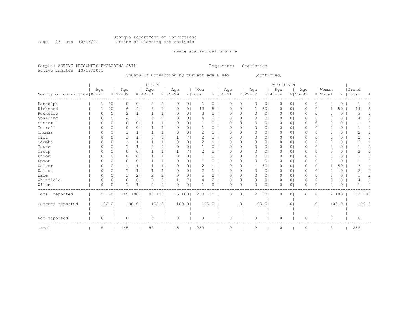#### Georgia Department of Corrections Page 26 Run 10/16/01 Office of Planning and Analysis

# Inmate statistical profile

| Sample: ACTIVE PRISONERS EXCLUDING JAIL<br>10/16/2001                                    |  |          |                |         |                |                |                                           |                    |                | Requestor:     |              |             | Statistics |                 |                    |                |                                    |                |          |                |          |          |                    |                |
|------------------------------------------------------------------------------------------|--|----------|----------------|---------|----------------|----------------|-------------------------------------------|--------------------|----------------|----------------|--------------|-------------|------------|-----------------|--------------------|----------------|------------------------------------|----------------|----------|----------------|----------|----------|--------------------|----------------|
| Active inmates                                                                           |  |          |                |         |                |                | County Of Conviction by current age & sex |                    |                |                |              |             |            |                 | (continued)        |                |                                    |                |          |                |          |          |                    |                |
| M E N<br>Age<br>Age<br>Age<br>$8122 - 39$<br>County Of Conviction   00-21<br>$8140 - 54$ |  |          |                |         |                |                |                                           | Age<br>$8155 - 99$ |                | Men<br>% Total |              | $8100 - 21$ | Age        |                 | Age<br>$8122 - 39$ |                | <b>WOMEN</b><br>Age<br>$8140 - 54$ | $8155 - 99$    | Age      | % Total        | Women    |          | Grand<br>%   Total | 욲              |
| Randolph                                                                                 |  |          | 201            | 0       | 0 <sub>1</sub> | 0              | 0 <sub>1</sub>                            | 0                  | 0              |                | 0            |             | 0          | $\circ$         | 0                  | 0 <sub>1</sub> | 0                                  | 0              | 0        | 0 <sub>1</sub> | 0        | 0        |                    | 0              |
| Richmond                                                                                 |  |          | 201            | 6       | 4              | 6              | 71                                        | 0                  | 0 <sub>1</sub> | 13             | 5            |             | $\Omega$   | $\circ$         | 1                  | 501            | $\circ$                            | 0 <sup>1</sup> | 0        | 0 <sub>1</sub> | 1        | 50       | 14                 | 5              |
| Rockdale                                                                                 |  | $\Omega$ | 0 <sub>1</sub> | 2       | 1 <sub>1</sub> | $\mathbf 1$    | 1                                         | $\circ$            | 0 <sub>1</sub> | 3              | $\mathbf{1}$ |             | $\circ$    | 0 <sub>1</sub>  | $\circ$            | 0 <sub>1</sub> | 0                                  | 0 <sub>1</sub> | 0        | 0 <sub>1</sub> | $\circ$  | 0        | 3                  | $\mathbf{1}$   |
| Spalding                                                                                 |  | 0        | 0 <sub>1</sub> | 4       | 31             | 0              | 0 <sub>1</sub>                            | 0                  | 0 <sub>1</sub> |                | 2            |             | 0          | 0 <sub>1</sub>  | $\circ$            | 0 <sub>1</sub> | 0                                  | 0 <sub>1</sub> | 0        | 0 <sup>1</sup> | $\Omega$ | 0        |                    | 2              |
| Sumter                                                                                   |  | 0        | 0 <sup>1</sup> | 0       | 0 <sub>1</sub> |                | 1 <sub>1</sub>                            | 0                  | 0 <sub>1</sub> |                | 0            |             | $\circ$    | $\circ$         | $\circ$            | 0 <sub>1</sub> | 0                                  | $\circ$        | 0        | 0 <sup>1</sup> | $\circ$  | 0        |                    | $\Omega$       |
| Terrell                                                                                  |  | $\Omega$ | 0 <sup>1</sup> | 0       | 0 <sub>1</sub> |                | 1 <sub>1</sub>                            | 0                  | 0 <sub>1</sub> |                | 0            |             | 0          | $\circ$         | $\circ$            | $\circ$        | 0                                  | $\circ$        | $\circ$  | 0 <sup>1</sup> | $\circ$  | 0        |                    | 0              |
| Thomas                                                                                   |  | $\Omega$ | 0 <sub>1</sub> |         | 1 <sub>1</sub> |                | 1 <sub>1</sub>                            | $\Omega$           | 0 <sup>1</sup> | 2              | 1            |             | $\Omega$   | $\circ$         | $\circ$            | 0 <sub>1</sub> | $\circ$                            | $\circ$        | $\circ$  | 0 <sup>1</sup> | $\Omega$ | 0        | 2                  |                |
| Tift                                                                                     |  | $\Omega$ | 0 <sub>1</sub> |         | 1 <sub>1</sub> | $\Omega$       | 0 <sub>1</sub>                            | $\mathbf{1}$       | 71             | 2              | $\mathbf{1}$ |             | $\Omega$   | $\circ$         | $\circ$            | 0 <sub>1</sub> | $\circ$                            | $\circ$        | $\circ$  | 0 <sup>1</sup> | $\Omega$ | 0        | 2                  | 1              |
| Toombs                                                                                   |  | $\Omega$ | 0 <sup>1</sup> |         | 1 <sup>1</sup> |                | $1\vert$                                  | 0                  | 0 <sub>1</sub> | $\overline{2}$ | $\mathbf{1}$ |             | $\Omega$   | $\circ$         | $\circ$            | 0 <sub>1</sub> | 0                                  | $\circ$        | 0        | 0 <sub>1</sub> | $\circ$  | 0        | $\overline{2}$     |                |
| Towns                                                                                    |  | $\circ$  | 0 <sub>1</sub> |         | 1 <sub>1</sub> | 0              | 0 <sub>1</sub>                            | 0                  | 0 <sub>1</sub> |                | 0            |             | $\circ$    | $\circ$         | $\circ$            | 0 <sub>1</sub> | $\circ$                            | $\circ$        | 0        | 0 <sub>1</sub> | $\circ$  | 0        |                    | 0              |
| Troup                                                                                    |  | 0        | 0 <sub>1</sub> | 0       | 0 <sub>1</sub> | $\mathbf 1$    | 1                                         | 1                  | 7 <sub>1</sub> | $\overline{c}$ | $\mathbf{1}$ |             | 0          | $\circ$         | $\circ$            | 0 <sub>1</sub> | 0                                  | $\circ$        | 0        | 0 <sub>1</sub> | $\circ$  | 0        | $\mathbf{2}$       | 1              |
| Union                                                                                    |  | $\Omega$ | 0 <sub>1</sub> | 0       | 0 <sub>1</sub> | 1              | 1                                         | $\circ$            | 0 <sub>1</sub> |                | 0            |             | $\circ$    | 0 <sub>1</sub>  | $\circ$            | 0 <sub>1</sub> | 0                                  | 0 <sub>1</sub> | 0        | 0 <sub>1</sub> | $\circ$  | 0        |                    | 0              |
| Upson                                                                                    |  | $\Omega$ | 0 <sub>1</sub> | 0       | 0 <sup>1</sup> |                | 1 <sub>1</sub>                            | 0                  | 0 <sub>1</sub> |                | 0            |             | $\circ$    | $\circ$         | $\circ$            | 0 <sub>1</sub> | $\circ$                            | $\circ$        | $\circ$  | 0 <sub>1</sub> | $\Omega$ | $\Omega$ |                    | 0              |
| Walker                                                                                   |  | $\Omega$ | 0 <sub>1</sub> |         | 1 <sup>1</sup> |                | 1 <sub>1</sub>                            | 0                  | 0 <sup>1</sup> | $\overline{c}$ | 1            |             | 0          | $\circ$         | 1                  | 501            | 0                                  | $\circ$        | $\circ$  | 0 <sup>1</sup> | 1        | 50       | 3                  |                |
| Walton                                                                                   |  | $\Omega$ | 0 <sub>1</sub> |         | 1 <sub>1</sub> |                | 1 <sub>1</sub>                            | $\Omega$           | 0 <sup>1</sup> | $\overline{c}$ | $\mathbf{1}$ |             | $\Omega$   | $\circ$         | $\circ$            | 0 <sub>1</sub> | $\circ$                            | $\circ$        | $\circ$  | 0 <sup>1</sup> | $\Omega$ | $\Omega$ | $\overline{2}$     | 1              |
| Ware                                                                                     |  | $\Omega$ | 0 <sub>1</sub> | 3       | 21             | $\overline{2}$ | 2 <sub>1</sub>                            | $\circ$            | 0 <sub>1</sub> | 5              | $\mathbf{2}$ |             | 0          | $\circ$         | $\circ$            | 0 <sub>1</sub> | $\circ$                            | $\circ$        | $\circ$  | 0 <sub>1</sub> | $\Omega$ | 0        | 5                  | $\overline{c}$ |
| Whitfield                                                                                |  | $\Omega$ | 0 <sub>1</sub> | 0       | 0 <sub>1</sub> | 3              | 3 <sub>1</sub>                            | $\mathbf{1}$       | 7 <sub>1</sub> |                | 2            |             | $\Omega$   | 0 <sub>1</sub>  | $\circ$            | 0 <sub>1</sub> | $\circ$                            | 0 <sub>1</sub> | $\Omega$ | 0 <sub>1</sub> | $\circ$  | 0        | 4                  | $\overline{c}$ |
| Wilkes                                                                                   |  | O        | 0              |         | 1 <sup>1</sup> | $\bigcap$      | 0 <sub>1</sub>                            | $\Omega$           | 0 <sup>1</sup> |                | $\Omega$     |             | $\Omega$   | $\circ$         | 0                  | 0 <sub>1</sub> | $\circ$                            | 0              | $\Omega$ | 0 <sup>1</sup> | $\Omega$ | 0        |                    | 0              |
| Total reported                                                                           |  |          | 5 100          | 145 100 |                |                | 88 100                                    | 15 100             |                | 253 100        |              |             | $\Omega$   | $\circ$         |                    | 2 100          | $\Omega$                           | 0              | $\Omega$ | 0 <sub>1</sub> |          | 2 100    |                    | 255 100        |
| Percent reported                                                                         |  |          | 100.01         |         | 100.0          |                | 100.0                                     |                    | 100.0          |                | 100.0        |             |            | .0 <sub>1</sub> |                    | 100.0          |                                    | .0             |          | .01            |          | 100.0    |                    | 100.0          |
|                                                                                          |  |          |                |         |                |                |                                           |                    |                |                |              |             |            |                 |                    |                |                                    |                |          |                |          |          |                    |                |
| Not reported                                                                             |  | 0        |                | 0       |                | $\circ$        |                                           | 0                  |                | $\Omega$       |              |             | 0          |                 | $\circ$            |                | 0                                  |                | 0        |                | 0        |          | $\circ$            |                |
| Total                                                                                    |  | 5        |                | 145     |                | 88             |                                           | 15                 |                | 253            |              |             | 0          |                 | 2                  |                | 0                                  |                | 0        |                | 2        |          | 255                |                |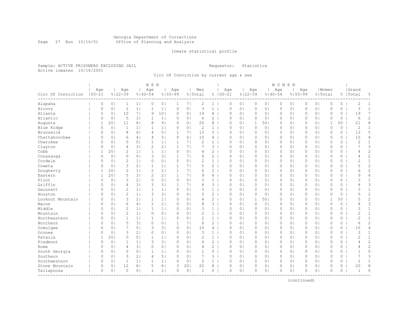#### Georgia Department of Corrections Page 27 Run 10/16/01 Office of Planning and Analysis

# Inmate statistical profile

Sample: ACTIVE PRISONERS EXCLUDING JAIL **Requestor:** Statistics Active inmates 10/16/2001

Circ Of Conviction by current age & sex

| Age<br>Age<br>Women<br>Grand<br>Age<br>Age<br>Age<br>Men<br>Age<br>Age<br>Age<br>$100 - 21$<br>$8122 - 39$<br>$8140 - 54$<br>$8155 - 99$<br>$8100 - 21$<br>$8122 - 39$<br>$8140 - 54$<br>$8155 - 99$<br>Circ Of Conviction<br>% Total<br>% Total<br>%   Total<br>옹<br>2<br>$\overline{2}$<br>Alapaha<br>0<br>0 <sub>1</sub><br>$\mathbf{1}$<br>1 <sub>1</sub><br>0<br>0 <sub>1</sub><br>1<br>7 <sub>1</sub><br>$1 \mid$<br>0<br>0 <sub>1</sub><br>$\circ$<br>0 <sub>1</sub><br>$\circ$<br>0 <sub>1</sub><br>$\circ$<br>0 <sub>1</sub><br>$\circ$<br>$\circ$<br>$\mathbf{1}$<br>$\overline{c}$<br>11<br>3<br>3<br>$\circ$<br>0 <sub>1</sub><br>$\mathbf{1}$<br>1 <br>$\circ$<br>0 <sub>1</sub><br>$\mathbf{1}$<br>$\circ$<br>0 <sub>1</sub><br>0 <sub>1</sub><br>$\mathbb O$<br>$\circ$<br>$\mathbf{1}$<br>Alcovy<br>0<br>0 <sub>1</sub><br>0 <sub>1</sub><br>$\circ$<br>0<br>7<br>7 <sub>1</sub><br>Atlanta<br>10<br>9<br>10 <sub>1</sub><br>0 <sub>1</sub><br>19<br>8<br>0 <sub>1</sub><br>0 <sub>1</sub><br>$\circ$<br>19<br>0<br>0 <sub>1</sub><br>0<br>$\Omega$<br>0 <sub>1</sub><br>$\circ$<br>0 <sub>1</sub><br>$\circ$<br>0<br>0<br>2<br>Atlantic<br>$\Omega$<br>0 <sub>1</sub><br>5<br>3 <sup>1</sup><br>2<br>0 <sub>1</sub><br>0 <sub>1</sub><br>$\mathbf{0}$<br>$\circ$<br>6<br>$\mathbf{1}$<br>1 <sub>1</sub><br>$\Omega$<br>0 <sup>1</sup><br>6<br>$\Omega$<br>0 <sub>1</sub><br>0<br>0 <sub>1</sub><br>$\circ$<br>$\Omega$<br>8<br>201<br>8<br>9 <sub>1</sub><br>0 <sub>1</sub><br>50<br>21<br>Augusta<br>$\mathbf{1}$<br>11<br>8 <sup>1</sup><br>0<br>0 <sup>1</sup><br>20<br>8<br>$\Omega$<br>0 <sub>1</sub><br>1<br>501<br>$\circ$<br>0 <sub>1</sub><br>0<br>1<br>$\mathbf{2}$<br>2<br>$\mathbb O$<br>1<br>Blue Ridge<br>0<br>0 <sub>1</sub><br>$\mathbf{1}$<br>1 <sup>1</sup><br>1<br>1 <br>0<br>0 <sub>1</sub><br>$\mathbf{1}$<br>0<br>0 <sub>1</sub><br>$\circ$<br>0 <sub>1</sub><br>0 <sub>1</sub><br>0<br>0 <sub>1</sub><br>$\circ$<br>0<br>5<br>Brunswick<br>8<br>5 <sub>1</sub><br>$\mathbf{1}$<br>13<br>5 <sub>1</sub><br>$\mathbf{0}$<br>13<br>0<br>0 <sub>1</sub><br>61<br>4<br>71<br>$\Omega$<br>0 <sub>1</sub><br>$\circ$<br>0 <sub>1</sub><br>$\circ$<br>0 <sub>1</sub><br>0<br>0 <sub>1</sub><br>0<br>Chattahoochee<br>$\overline{4}$<br>5 <br>$\Omega$<br>10<br>0 <sub>1</sub><br>10<br>$\overline{4}$<br>$\Omega$<br>0 <sup>1</sup><br>6<br>4 <sup>1</sup><br>0 <sub>1</sub><br>$\overline{4}$<br>0<br>0 <sub>1</sub><br>$\circ$<br>0 <sub>1</sub><br>$\circ$<br>0 <sub>1</sub><br>$\circ$<br>$\circ$<br>0<br>Cherokee<br>$\overline{c}$<br>$\mathbf{2}$<br>$\Omega$<br>0 <sub>1</sub><br>$\circ$<br>0 <sub>1</sub><br>1<br>1 <br>$\mathbf{1}$<br>7 <sub>1</sub><br>$1 \mid$<br>$\Omega$<br>0 <sub>1</sub><br>$\circ$<br>$\circ$<br>0 <sub>1</sub><br>0<br>0 <sub>1</sub><br>$\circ$<br>0<br>$\mathbf{1}$<br>0 <sub>1</sub><br>$\overline{c}$<br>2 <sub>1</sub><br>3<br>Clayton<br>$\Omega$<br>0 <sup>1</sup><br>4<br>3 <sup>1</sup><br>$\mathbf{1}$<br>71<br>3<br>$\Omega$<br>0 <sub>1</sub><br>$\circ$<br>$\circ$<br>0<br>0 <sub>1</sub><br>$\circ$<br>7<br>01<br>0<br>0<br>$\overline{c}$<br>$\overline{2}$<br>Cobb<br>201<br>$\mathbf{1}$<br>1 <sup>1</sup><br>$\Omega$<br>0 <sub>1</sub><br>$\overline{2}$<br>$\circ$<br>$\Omega$<br>0 <sub>1</sub><br>$\Omega$<br>$\mathbf{1}$<br>1 <sup>1</sup><br>$\Omega$<br>0 <sub>1</sub><br>0 <sub>1</sub><br>$\circ$<br>$\Omega$<br>$\Omega$<br>4<br>4<br>$\overline{c}$<br>3<br>3 <sub>1</sub><br>$\overline{2}$<br>0 <sub>1</sub><br>$\circ$<br>0 <sup>1</sup><br>71<br>$\mathbf{0}$<br>$\Omega$<br>$\mathbf{1}$<br>4<br>$\Omega$<br>0 <sub>1</sub><br>$\circ$<br>01<br>$\circ$<br>0 <sub>1</sub><br>$\Omega$<br>0 <sub>1</sub><br>0<br>4<br>Conasauga<br>Cordele<br>2<br>$\circ$<br>0 <sub>1</sub><br>2<br>$\mathbf{1}$<br>0 <sub>1</sub><br>0 <sub>1</sub><br>0<br>2<br>$\mathbf{1}$<br>0 <sub>1</sub><br>0 <sub>1</sub><br>0<br>0<br>0<br>$1\vert$<br>0<br>0 <sub>1</sub><br>0<br>0  <br>0<br>0<br>$\overline{c}$<br>3<br>$\mathbf{1}$<br>$\mathbf{2}^{\prime}$<br>5<br>0 <sup>1</sup><br>2 <sub>1</sub><br>1 <br>$\mathbf{1}$<br>71<br>5<br>$\Omega$<br>0 <sub>1</sub><br>$\circ$<br>$\circ$<br>0 <sub>1</sub><br>0 <sub>1</sub><br>$\circ$<br>0<br>Coweta<br>0<br>0 <sub>1</sub><br>$\circ$<br>$\overline{2}$<br>$\overline{2}$<br>2<br>Dougherty<br>201<br>11<br>2 <sub>1</sub><br>$\mathbf{1}$<br>71<br>6<br>$\overline{2}$<br>0 <sub>1</sub><br>$\mathbf{0}$<br>1<br>$\Omega$<br>0 <sub>1</sub><br>$\circ$<br>0 <sub>1</sub><br>$\Omega$<br>0 <sub>1</sub><br>$\circ$<br>0<br>6<br>$\overline{c}$<br>201<br>5<br>3 <sup>1</sup><br>2 <sub>1</sub><br>7 <sub>1</sub><br>4<br>Eastern<br>$\mathbf{1}$<br>$\mathbf{1}$<br>9<br>4<br>$\Omega$<br>0 <sub>1</sub><br>$\circ$<br>0 <sub>1</sub><br>$\circ$<br>0 <sub>1</sub><br>$\Omega$<br>0 <sub>1</sub><br>$\circ$<br>0<br>9<br>3<br>$\circ$<br>0 <sub>1</sub><br>3<br>$\mathbf{1}$<br>Flint<br>$\Omega$<br>0 <sub>1</sub><br>2 <sub>1</sub><br>0<br>0 <sup>1</sup><br>$\mathbf{1}$<br>$\Omega$<br>0 <sub>1</sub><br>$\circ$<br>01<br>$\circ$<br>0 <sub>1</sub><br>$\Omega$<br>0 <sub>1</sub><br>$\Omega$<br>0<br>3<br>3<br>3<br>Griffin<br>3<br>3 <sub>1</sub><br>71<br>8<br>0 <sub>1</sub><br>4<br>31<br>$\circ$<br>0 <sub>1</sub><br>0<br>0 <sub>1</sub><br>$\circ$<br>0<br>8<br>0<br>1<br>$\Omega$<br>0 <sub>1</sub><br>01<br>$\circ$<br>$\overline{2}$<br>$\mathbf{1}$<br>3<br>1<br>11<br>0 <sub>1</sub><br>3<br>$\mathbf{1}$<br>$\circ$<br>0 <sub>1</sub><br>0 <sub>1</sub><br>$\mathbf{0}$<br>$\circ$<br>Gwinnett<br>$\Omega$<br>0 <sub>1</sub><br>1 <br>0<br>$\Omega$<br>0 <sub>1</sub><br>0 <sub>1</sub><br>$\circ$<br>$\Omega$<br>$\overline{2}$<br>3<br>$\overline{c}$<br>1 <sub>1</sub><br>3 <sub>1</sub><br>$\circ$<br>$\mathbf{2}^{\prime}$<br>$\mathbf{0}$<br>5<br>Houston<br>$\Omega$<br>0 <sub>1</sub><br>0 <sub>1</sub><br>5<br>$\Omega$<br>0 <sub>1</sub><br>$\circ$<br>0 <sub>1</sub><br>$\circ$<br>0 <sub>1</sub><br>$\Omega$<br>0 <sub>1</sub><br>0<br>$\overline{2}$<br>3<br>21<br>$\overline{2}$<br>50<br>5<br>Lookout Mountain<br>0<br>0 <sup>1</sup><br>$\mathbf{1}$<br>1 <sub>1</sub><br>0<br>0 <sub>1</sub><br>4<br>0<br>0 <sub>1</sub><br>1<br>501<br>$\circ$<br>0 <sub>1</sub><br>$\circ$<br>0 <sub>1</sub><br>1<br>3<br>6<br>$\overline{c}$<br>2 <sub>1</sub><br>3<br>0 <sub>1</sub><br>8<br>$\mathbf{0}$<br>$\Omega$<br>8<br>Macon<br>$\Omega$<br>0 <sub>1</sub><br>4 <sup>1</sup><br>$\Omega$<br>$\Omega$<br>0 <sub>1</sub><br>$\circ$<br>0 <sub>1</sub><br>$\Omega$<br>0 <sub>1</sub><br>$\Omega$<br>0 <sub>1</sub><br>$\mathbf{1}$<br>Middle<br>$\overline{2}$<br>$\mathbf{1}$<br>1 <sub>1</sub><br>3<br>0 <sup>1</sup><br>$\Omega$<br>3<br>$\Omega$<br>0 <sup>1</sup><br>1 <sub>1</sub><br>$\Omega$<br>0 <sup>1</sup><br>$\mathbf{1}$<br>$\Omega$<br>0 <sub>1</sub><br>$\circ$<br>01<br>$\circ$<br>0 <sub>1</sub><br>$\Omega$<br>0<br>Mountain<br>$\overline{2}$<br>$\overline{2}$<br>$\overline{2}$<br>$\Omega$<br>0 <sub>1</sub><br>1 <sub>1</sub><br>$\circ$<br>0 <sub>1</sub><br>0<br>0 <sub>1</sub><br>$\mathbf{1}$<br>0 <sub>1</sub><br>$\circ$<br>01<br>0 <sub>1</sub><br>$\Omega$<br>0 <sub>1</sub><br>$\circ$<br>0<br>$\mathbf{1}$<br>$\Omega$<br>0<br>$\overline{2}$<br>Northeastern<br>1<br>0 <sub>1</sub><br>2<br>1 <sup>1</sup><br>0 <sub>1</sub><br>0 <sub>1</sub><br>$\circ$<br>$\mathbf{1}$<br>$\Omega$<br>0 <sub>1</sub><br>1 <sup>1</sup><br>$\mathbf{1}$<br>1 <br>0<br>$\Omega$<br>0 <sub>1</sub><br>0<br>0 <sub>1</sub><br>$\circ$<br>$\Omega$<br>0<br>$\overline{2}$<br>5<br>$\circ$<br>$\overline{2}$<br>Northern<br>$\Omega$<br>0 <sub>1</sub><br>3 <sup>1</sup><br>0 <sub>1</sub><br>$\mathbf{1}$<br>7 <sub>1</sub><br>0 <sub>1</sub><br>$\circ$<br>0 <sub>1</sub><br>0 <sub>1</sub><br>$\mathbf{0}$<br>$\circ$<br>6<br>6<br>$\Omega$<br>0 <sub>1</sub><br>$\circ$<br>$\Omega$<br>7<br>Ocmulgee<br>3<br>3 <sub>1</sub><br>$\circ$<br>10<br>$\circ$<br>0 <sub>1</sub><br>$\mathbf{0}$<br>10<br>$\overline{4}$<br>$\Omega$<br>0 <sup>1</sup><br>5 <sub>1</sub><br>0 <sub>1</sub><br>$\overline{4}$<br>$\Omega$<br>0 <sub>1</sub><br>0 <sub>1</sub><br>$\circ$<br>0 <sub>1</sub><br>$\circ$<br>0<br>3<br>3<br>3<br>Oconee<br>$\Omega$<br>0 <sub>1</sub><br>2 <sub>1</sub><br>0<br>0 <sub>1</sub><br>0<br>0 <sub>1</sub><br>$\Omega$<br>0 <sub>1</sub><br>$\circ$<br>$\circ$<br>0 <sub>1</sub><br>0 <sub>1</sub><br>$\circ$<br>0<br>$\mathbf{1}$<br>$\mathbf{1}$<br>0 <sub>1</sub><br>0<br>$\mathbf{1}$<br>Pataula<br>201<br>$\Omega$<br>0 <sup>1</sup><br>$\mathbf{1}$<br>0<br>0<br>2<br>$\mathbf{1}$<br>$\circ$<br>$\circ$<br>0 <sub>1</sub><br>$\circ$<br>2<br>$\mathbf{1}$<br>1 <br>$\Omega$<br>0 <sub>1</sub><br>01<br>$\circ$<br>0<br>0<br>Piedmont<br>2<br>0 <sub>1</sub><br>3<br>3 <sub>1</sub><br>$\mathbf{2}^{\prime}$<br>0 <sub>1</sub><br>$\Omega$<br>$\circ$<br>1<br>1 <sup>1</sup><br>0<br>0 <sup>1</sup><br>$\Omega$<br>0 <sub>1</sub><br>$\circ$<br>01<br>$\circ$<br>0 <sub>1</sub><br>$\Omega$<br>0<br>4<br>4<br>$\overline{c}$<br>3 <sup>1</sup><br>$\circ$<br>$\mathbf{2}^{\prime}$<br>0 <sub>1</sub><br>0 <sub>1</sub><br>0<br>0 <sub>1</sub><br>0 <sub>1</sub><br>$\circ$<br>0  <br>0 <sub>1</sub><br>$\Omega$<br>0 <sub>1</sub><br>$\circ$<br>0<br>Rome<br>0<br>4<br>4<br>$\Omega$<br>0<br>4<br>0 <sub>1</sub><br>$\circ$<br>0<br>South Georgia<br>0<br>0 <sub>1</sub><br>$\circ$<br>0 <sup>1</sup><br>$\mathbf{1}$<br>0 <sub>1</sub><br>$\circ$<br>0 <sub>1</sub><br>0 <sub>1</sub><br>0<br>0 <sub>1</sub><br>$\circ$<br>0<br>$\mathbf{1}$<br>1 <br>0<br>$\mathbf{1}$<br>$\Omega$<br>$\circ$<br>3<br>2 <sub>1</sub><br>5 <sub>1</sub><br>7<br>3<br>7<br>3<br>Southern<br>$\Omega$<br>0 <sub>1</sub><br>$\overline{4}$<br>$\Omega$<br>0 <sup>1</sup><br>$\Omega$<br>$\circ$<br>$\mathbf 0$<br>0 <sub>1</sub><br>0 <sub>1</sub><br>$\Omega$<br>$\Omega$<br>0 <sub>1</sub><br>0 <sub>1</sub><br>$\circ$<br>Southwestern<br>$\overline{c}$<br>$\overline{2}$<br>$\Omega$<br>0 <sub>1</sub><br>$\mathbf{1}$<br>1 <sub>1</sub><br>$\mathbf{1}$<br>1 <br>0<br>0 <sub>1</sub><br>$1 \mid$<br>$\Omega$<br>0 <sub>1</sub><br>0<br>0 <sub>1</sub><br>$\circ$<br>0 <sub>1</sub><br>$\circ$<br>0 <sub>1</sub><br>$\circ$<br>0<br>$\mathbf{1}$<br>12<br>5<br>20<br>8<br>Stone Mountain<br>0<br>8<br>61<br>3<br>201<br>20<br>8<br>0 <sub>1</sub><br>$\circ$<br>0 <sub>1</sub><br>$\circ$<br>0 <sub>1</sub><br>$\Omega$<br>0<br>0  <br>0<br>0<br>0<br>$\circ$<br>0 <sub>1</sub><br>$\Omega$<br>0 <sup>1</sup><br>$\mathbf{1}$<br>1 <sup>1</sup><br>0<br>0 <sup>1</sup><br>$\circ$<br>$\Omega$<br>0 <sub>1</sub><br>$\Omega$<br>0 <sub>1</sub><br>$\circ$<br>0 <sub>1</sub><br>$\Omega$<br>0 <sup>1</sup><br>$\circ$<br>$\overline{1}$<br>$\Omega$<br>Tallapoosa<br>$\mathbf{1}$<br>0<br>---------- |  |  | M E N |  |  |  |  | <b>WOMEN</b> |  |  |  |  |
|------------------------------------------------------------------------------------------------------------------------------------------------------------------------------------------------------------------------------------------------------------------------------------------------------------------------------------------------------------------------------------------------------------------------------------------------------------------------------------------------------------------------------------------------------------------------------------------------------------------------------------------------------------------------------------------------------------------------------------------------------------------------------------------------------------------------------------------------------------------------------------------------------------------------------------------------------------------------------------------------------------------------------------------------------------------------------------------------------------------------------------------------------------------------------------------------------------------------------------------------------------------------------------------------------------------------------------------------------------------------------------------------------------------------------------------------------------------------------------------------------------------------------------------------------------------------------------------------------------------------------------------------------------------------------------------------------------------------------------------------------------------------------------------------------------------------------------------------------------------------------------------------------------------------------------------------------------------------------------------------------------------------------------------------------------------------------------------------------------------------------------------------------------------------------------------------------------------------------------------------------------------------------------------------------------------------------------------------------------------------------------------------------------------------------------------------------------------------------------------------------------------------------------------------------------------------------------------------------------------------------------------------------------------------------------------------------------------------------------------------------------------------------------------------------------------------------------------------------------------------------------------------------------------------------------------------------------------------------------------------------------------------------------------------------------------------------------------------------------------------------------------------------------------------------------------------------------------------------------------------------------------------------------------------------------------------------------------------------------------------------------------------------------------------------------------------------------------------------------------------------------------------------------------------------------------------------------------------------------------------------------------------------------------------------------------------------------------------------------------------------------------------------------------------------------------------------------------------------------------------------------------------------------------------------------------------------------------------------------------------------------------------------------------------------------------------------------------------------------------------------------------------------------------------------------------------------------------------------------------------------------------------------------------------------------------------------------------------------------------------------------------------------------------------------------------------------------------------------------------------------------------------------------------------------------------------------------------------------------------------------------------------------------------------------------------------------------------------------------------------------------------------------------------------------------------------------------------------------------------------------------------------------------------------------------------------------------------------------------------------------------------------------------------------------------------------------------------------------------------------------------------------------------------------------------------------------------------------------------------------------------------------------------------------------------------------------------------------------------------------------------------------------------------------------------------------------------------------------------------------------------------------------------------------------------------------------------------------------------------------------------------------------------------------------------------------------------------------------------------------------------------------------------------------------------------------------------------------------------------------------------------------------------------------------------------------------------------------------------------------------------------------------------------------------------------------------------------------------------------------------------------------------------------------------------------------------------------------------------------------------------------------------------------------------------------------------------------------------------------------------------------------------------------------------------------------------------------------------------------------------------------------------------------------------------------------------------------------------------------------------------------------------------------------------------------------------------------------------------------------------------------------------------------------------------------------------------------------------------------------------------------------------------------------------------------------------------------------------------------------------------------------------------------------------------------------------------------------------------------------------------------------------------------------------------------------------------------------------------------------------------------------------------------------------------------------------------------------------------------------------------------------------------------------------------------------------------------------------------------------------------------------------------------------------------------------------------------------------------------------------------------------------------------------------------------------------------------------------------------------------------------------------------------------------------------------------------------------------------------------------------------------------------------------------------------------------------------------------------------------------------------------------------------------------------------------------------------------------------------------------------------------------------------------------------------------------------------------------------------------------------------------------------------------------------------------------------------------------------------------------------------------------------------------------------------------------------------------------------------------------------------------------------------------------------------------------------------------------------------------------------------------------------------------------------------------------------------------------------------------------------------------------------------------------------------------------------------------------------------------------------------------------------------------------------------------------------------------------------------------------------------------------------------------------------------------------------------------------------------------------------------------------------------------------------------------------------------------------------------------------------------------------------------------------------------------------------------------------------------------------------------------------------------------------------------------------------------------------------------------------------------------------------------------------------------------------------------------------------------------------------------------------------------------------------------------------------------------------------------------------------------------------------------------------------------------------------------------------------------------------------------------------------------------------------------------------------------------------------------------------------------------------------------------------------------------------------------------------------------------------------------------------------------------------------------------------------------------------------------------------------------------------------------------------------------------------------------------------------------------------------------------------------------------------------------------------------------------------------------------------------------------------------------------------------------------------------------------------------------------------------------------------------------------------------------------------------------------------------------------------------------------------------------------------|--|--|-------|--|--|--|--|--------------|--|--|--|--|
|                                                                                                                                                                                                                                                                                                                                                                                                                                                                                                                                                                                                                                                                                                                                                                                                                                                                                                                                                                                                                                                                                                                                                                                                                                                                                                                                                                                                                                                                                                                                                                                                                                                                                                                                                                                                                                                                                                                                                                                                                                                                                                                                                                                                                                                                                                                                                                                                                                                                                                                                                                                                                                                                                                                                                                                                                                                                                                                                                                                                                                                                                                                                                                                                                                                                                                                                                                                                                                                                                                                                                                                                                                                                                                                                                                                                                                                                                                                                                                                                                                                                                                                                                                                                                                                                                                                                                                                                                                                                                                                                                                                                                                                                                                                                                                                                                                                                                                                                                                                                                                                                                                                                                                                                                                                                                                                                                                                                                                                                                                                                                                                                                                                                                                                                                                                                                                                                                                                                                                                                                                                                                                                                                                                                                                                                                                                                                                                                                                                                                                                                                                                                                                                                                                                                                                                                                                                                                                                                                                                                                                                                                                                                                                                                                                                                                                                                                                                                                                                                                                                                                                                                                                                                                                                                                                                                                                                                                                                                                                                                                                                                                                                                                                                                                                                                                                                                                                                                                                                                                                                                                                                                                                                                                                                                                                                                                                                                                                                                                                                                                                                                                                                                                                                                                                                                                                                                                                                                                                                                                                                                                                                                                                                                                                                                                                                                                                                                                                                                                                                                                                                                                                                                                                                                                                                                                                                                                                                                                                                                                                                                                                                                                                                                                                                                                                                                      |  |  |       |  |  |  |  |              |  |  |  |  |
|                                                                                                                                                                                                                                                                                                                                                                                                                                                                                                                                                                                                                                                                                                                                                                                                                                                                                                                                                                                                                                                                                                                                                                                                                                                                                                                                                                                                                                                                                                                                                                                                                                                                                                                                                                                                                                                                                                                                                                                                                                                                                                                                                                                                                                                                                                                                                                                                                                                                                                                                                                                                                                                                                                                                                                                                                                                                                                                                                                                                                                                                                                                                                                                                                                                                                                                                                                                                                                                                                                                                                                                                                                                                                                                                                                                                                                                                                                                                                                                                                                                                                                                                                                                                                                                                                                                                                                                                                                                                                                                                                                                                                                                                                                                                                                                                                                                                                                                                                                                                                                                                                                                                                                                                                                                                                                                                                                                                                                                                                                                                                                                                                                                                                                                                                                                                                                                                                                                                                                                                                                                                                                                                                                                                                                                                                                                                                                                                                                                                                                                                                                                                                                                                                                                                                                                                                                                                                                                                                                                                                                                                                                                                                                                                                                                                                                                                                                                                                                                                                                                                                                                                                                                                                                                                                                                                                                                                                                                                                                                                                                                                                                                                                                                                                                                                                                                                                                                                                                                                                                                                                                                                                                                                                                                                                                                                                                                                                                                                                                                                                                                                                                                                                                                                                                                                                                                                                                                                                                                                                                                                                                                                                                                                                                                                                                                                                                                                                                                                                                                                                                                                                                                                                                                                                                                                                                                                                                                                                                                                                                                                                                                                                                                                                                                                                                                                      |  |  |       |  |  |  |  |              |  |  |  |  |
|                                                                                                                                                                                                                                                                                                                                                                                                                                                                                                                                                                                                                                                                                                                                                                                                                                                                                                                                                                                                                                                                                                                                                                                                                                                                                                                                                                                                                                                                                                                                                                                                                                                                                                                                                                                                                                                                                                                                                                                                                                                                                                                                                                                                                                                                                                                                                                                                                                                                                                                                                                                                                                                                                                                                                                                                                                                                                                                                                                                                                                                                                                                                                                                                                                                                                                                                                                                                                                                                                                                                                                                                                                                                                                                                                                                                                                                                                                                                                                                                                                                                                                                                                                                                                                                                                                                                                                                                                                                                                                                                                                                                                                                                                                                                                                                                                                                                                                                                                                                                                                                                                                                                                                                                                                                                                                                                                                                                                                                                                                                                                                                                                                                                                                                                                                                                                                                                                                                                                                                                                                                                                                                                                                                                                                                                                                                                                                                                                                                                                                                                                                                                                                                                                                                                                                                                                                                                                                                                                                                                                                                                                                                                                                                                                                                                                                                                                                                                                                                                                                                                                                                                                                                                                                                                                                                                                                                                                                                                                                                                                                                                                                                                                                                                                                                                                                                                                                                                                                                                                                                                                                                                                                                                                                                                                                                                                                                                                                                                                                                                                                                                                                                                                                                                                                                                                                                                                                                                                                                                                                                                                                                                                                                                                                                                                                                                                                                                                                                                                                                                                                                                                                                                                                                                                                                                                                                                                                                                                                                                                                                                                                                                                                                                                                                                                                                                      |  |  |       |  |  |  |  |              |  |  |  |  |
|                                                                                                                                                                                                                                                                                                                                                                                                                                                                                                                                                                                                                                                                                                                                                                                                                                                                                                                                                                                                                                                                                                                                                                                                                                                                                                                                                                                                                                                                                                                                                                                                                                                                                                                                                                                                                                                                                                                                                                                                                                                                                                                                                                                                                                                                                                                                                                                                                                                                                                                                                                                                                                                                                                                                                                                                                                                                                                                                                                                                                                                                                                                                                                                                                                                                                                                                                                                                                                                                                                                                                                                                                                                                                                                                                                                                                                                                                                                                                                                                                                                                                                                                                                                                                                                                                                                                                                                                                                                                                                                                                                                                                                                                                                                                                                                                                                                                                                                                                                                                                                                                                                                                                                                                                                                                                                                                                                                                                                                                                                                                                                                                                                                                                                                                                                                                                                                                                                                                                                                                                                                                                                                                                                                                                                                                                                                                                                                                                                                                                                                                                                                                                                                                                                                                                                                                                                                                                                                                                                                                                                                                                                                                                                                                                                                                                                                                                                                                                                                                                                                                                                                                                                                                                                                                                                                                                                                                                                                                                                                                                                                                                                                                                                                                                                                                                                                                                                                                                                                                                                                                                                                                                                                                                                                                                                                                                                                                                                                                                                                                                                                                                                                                                                                                                                                                                                                                                                                                                                                                                                                                                                                                                                                                                                                                                                                                                                                                                                                                                                                                                                                                                                                                                                                                                                                                                                                                                                                                                                                                                                                                                                                                                                                                                                                                                                                                      |  |  |       |  |  |  |  |              |  |  |  |  |
|                                                                                                                                                                                                                                                                                                                                                                                                                                                                                                                                                                                                                                                                                                                                                                                                                                                                                                                                                                                                                                                                                                                                                                                                                                                                                                                                                                                                                                                                                                                                                                                                                                                                                                                                                                                                                                                                                                                                                                                                                                                                                                                                                                                                                                                                                                                                                                                                                                                                                                                                                                                                                                                                                                                                                                                                                                                                                                                                                                                                                                                                                                                                                                                                                                                                                                                                                                                                                                                                                                                                                                                                                                                                                                                                                                                                                                                                                                                                                                                                                                                                                                                                                                                                                                                                                                                                                                                                                                                                                                                                                                                                                                                                                                                                                                                                                                                                                                                                                                                                                                                                                                                                                                                                                                                                                                                                                                                                                                                                                                                                                                                                                                                                                                                                                                                                                                                                                                                                                                                                                                                                                                                                                                                                                                                                                                                                                                                                                                                                                                                                                                                                                                                                                                                                                                                                                                                                                                                                                                                                                                                                                                                                                                                                                                                                                                                                                                                                                                                                                                                                                                                                                                                                                                                                                                                                                                                                                                                                                                                                                                                                                                                                                                                                                                                                                                                                                                                                                                                                                                                                                                                                                                                                                                                                                                                                                                                                                                                                                                                                                                                                                                                                                                                                                                                                                                                                                                                                                                                                                                                                                                                                                                                                                                                                                                                                                                                                                                                                                                                                                                                                                                                                                                                                                                                                                                                                                                                                                                                                                                                                                                                                                                                                                                                                                                                                      |  |  |       |  |  |  |  |              |  |  |  |  |
|                                                                                                                                                                                                                                                                                                                                                                                                                                                                                                                                                                                                                                                                                                                                                                                                                                                                                                                                                                                                                                                                                                                                                                                                                                                                                                                                                                                                                                                                                                                                                                                                                                                                                                                                                                                                                                                                                                                                                                                                                                                                                                                                                                                                                                                                                                                                                                                                                                                                                                                                                                                                                                                                                                                                                                                                                                                                                                                                                                                                                                                                                                                                                                                                                                                                                                                                                                                                                                                                                                                                                                                                                                                                                                                                                                                                                                                                                                                                                                                                                                                                                                                                                                                                                                                                                                                                                                                                                                                                                                                                                                                                                                                                                                                                                                                                                                                                                                                                                                                                                                                                                                                                                                                                                                                                                                                                                                                                                                                                                                                                                                                                                                                                                                                                                                                                                                                                                                                                                                                                                                                                                                                                                                                                                                                                                                                                                                                                                                                                                                                                                                                                                                                                                                                                                                                                                                                                                                                                                                                                                                                                                                                                                                                                                                                                                                                                                                                                                                                                                                                                                                                                                                                                                                                                                                                                                                                                                                                                                                                                                                                                                                                                                                                                                                                                                                                                                                                                                                                                                                                                                                                                                                                                                                                                                                                                                                                                                                                                                                                                                                                                                                                                                                                                                                                                                                                                                                                                                                                                                                                                                                                                                                                                                                                                                                                                                                                                                                                                                                                                                                                                                                                                                                                                                                                                                                                                                                                                                                                                                                                                                                                                                                                                                                                                                                                                      |  |  |       |  |  |  |  |              |  |  |  |  |
|                                                                                                                                                                                                                                                                                                                                                                                                                                                                                                                                                                                                                                                                                                                                                                                                                                                                                                                                                                                                                                                                                                                                                                                                                                                                                                                                                                                                                                                                                                                                                                                                                                                                                                                                                                                                                                                                                                                                                                                                                                                                                                                                                                                                                                                                                                                                                                                                                                                                                                                                                                                                                                                                                                                                                                                                                                                                                                                                                                                                                                                                                                                                                                                                                                                                                                                                                                                                                                                                                                                                                                                                                                                                                                                                                                                                                                                                                                                                                                                                                                                                                                                                                                                                                                                                                                                                                                                                                                                                                                                                                                                                                                                                                                                                                                                                                                                                                                                                                                                                                                                                                                                                                                                                                                                                                                                                                                                                                                                                                                                                                                                                                                                                                                                                                                                                                                                                                                                                                                                                                                                                                                                                                                                                                                                                                                                                                                                                                                                                                                                                                                                                                                                                                                                                                                                                                                                                                                                                                                                                                                                                                                                                                                                                                                                                                                                                                                                                                                                                                                                                                                                                                                                                                                                                                                                                                                                                                                                                                                                                                                                                                                                                                                                                                                                                                                                                                                                                                                                                                                                                                                                                                                                                                                                                                                                                                                                                                                                                                                                                                                                                                                                                                                                                                                                                                                                                                                                                                                                                                                                                                                                                                                                                                                                                                                                                                                                                                                                                                                                                                                                                                                                                                                                                                                                                                                                                                                                                                                                                                                                                                                                                                                                                                                                                                                                                      |  |  |       |  |  |  |  |              |  |  |  |  |
|                                                                                                                                                                                                                                                                                                                                                                                                                                                                                                                                                                                                                                                                                                                                                                                                                                                                                                                                                                                                                                                                                                                                                                                                                                                                                                                                                                                                                                                                                                                                                                                                                                                                                                                                                                                                                                                                                                                                                                                                                                                                                                                                                                                                                                                                                                                                                                                                                                                                                                                                                                                                                                                                                                                                                                                                                                                                                                                                                                                                                                                                                                                                                                                                                                                                                                                                                                                                                                                                                                                                                                                                                                                                                                                                                                                                                                                                                                                                                                                                                                                                                                                                                                                                                                                                                                                                                                                                                                                                                                                                                                                                                                                                                                                                                                                                                                                                                                                                                                                                                                                                                                                                                                                                                                                                                                                                                                                                                                                                                                                                                                                                                                                                                                                                                                                                                                                                                                                                                                                                                                                                                                                                                                                                                                                                                                                                                                                                                                                                                                                                                                                                                                                                                                                                                                                                                                                                                                                                                                                                                                                                                                                                                                                                                                                                                                                                                                                                                                                                                                                                                                                                                                                                                                                                                                                                                                                                                                                                                                                                                                                                                                                                                                                                                                                                                                                                                                                                                                                                                                                                                                                                                                                                                                                                                                                                                                                                                                                                                                                                                                                                                                                                                                                                                                                                                                                                                                                                                                                                                                                                                                                                                                                                                                                                                                                                                                                                                                                                                                                                                                                                                                                                                                                                                                                                                                                                                                                                                                                                                                                                                                                                                                                                                                                                                                                                      |  |  |       |  |  |  |  |              |  |  |  |  |
|                                                                                                                                                                                                                                                                                                                                                                                                                                                                                                                                                                                                                                                                                                                                                                                                                                                                                                                                                                                                                                                                                                                                                                                                                                                                                                                                                                                                                                                                                                                                                                                                                                                                                                                                                                                                                                                                                                                                                                                                                                                                                                                                                                                                                                                                                                                                                                                                                                                                                                                                                                                                                                                                                                                                                                                                                                                                                                                                                                                                                                                                                                                                                                                                                                                                                                                                                                                                                                                                                                                                                                                                                                                                                                                                                                                                                                                                                                                                                                                                                                                                                                                                                                                                                                                                                                                                                                                                                                                                                                                                                                                                                                                                                                                                                                                                                                                                                                                                                                                                                                                                                                                                                                                                                                                                                                                                                                                                                                                                                                                                                                                                                                                                                                                                                                                                                                                                                                                                                                                                                                                                                                                                                                                                                                                                                                                                                                                                                                                                                                                                                                                                                                                                                                                                                                                                                                                                                                                                                                                                                                                                                                                                                                                                                                                                                                                                                                                                                                                                                                                                                                                                                                                                                                                                                                                                                                                                                                                                                                                                                                                                                                                                                                                                                                                                                                                                                                                                                                                                                                                                                                                                                                                                                                                                                                                                                                                                                                                                                                                                                                                                                                                                                                                                                                                                                                                                                                                                                                                                                                                                                                                                                                                                                                                                                                                                                                                                                                                                                                                                                                                                                                                                                                                                                                                                                                                                                                                                                                                                                                                                                                                                                                                                                                                                                                                                      |  |  |       |  |  |  |  |              |  |  |  |  |
|                                                                                                                                                                                                                                                                                                                                                                                                                                                                                                                                                                                                                                                                                                                                                                                                                                                                                                                                                                                                                                                                                                                                                                                                                                                                                                                                                                                                                                                                                                                                                                                                                                                                                                                                                                                                                                                                                                                                                                                                                                                                                                                                                                                                                                                                                                                                                                                                                                                                                                                                                                                                                                                                                                                                                                                                                                                                                                                                                                                                                                                                                                                                                                                                                                                                                                                                                                                                                                                                                                                                                                                                                                                                                                                                                                                                                                                                                                                                                                                                                                                                                                                                                                                                                                                                                                                                                                                                                                                                                                                                                                                                                                                                                                                                                                                                                                                                                                                                                                                                                                                                                                                                                                                                                                                                                                                                                                                                                                                                                                                                                                                                                                                                                                                                                                                                                                                                                                                                                                                                                                                                                                                                                                                                                                                                                                                                                                                                                                                                                                                                                                                                                                                                                                                                                                                                                                                                                                                                                                                                                                                                                                                                                                                                                                                                                                                                                                                                                                                                                                                                                                                                                                                                                                                                                                                                                                                                                                                                                                                                                                                                                                                                                                                                                                                                                                                                                                                                                                                                                                                                                                                                                                                                                                                                                                                                                                                                                                                                                                                                                                                                                                                                                                                                                                                                                                                                                                                                                                                                                                                                                                                                                                                                                                                                                                                                                                                                                                                                                                                                                                                                                                                                                                                                                                                                                                                                                                                                                                                                                                                                                                                                                                                                                                                                                                                                      |  |  |       |  |  |  |  |              |  |  |  |  |
|                                                                                                                                                                                                                                                                                                                                                                                                                                                                                                                                                                                                                                                                                                                                                                                                                                                                                                                                                                                                                                                                                                                                                                                                                                                                                                                                                                                                                                                                                                                                                                                                                                                                                                                                                                                                                                                                                                                                                                                                                                                                                                                                                                                                                                                                                                                                                                                                                                                                                                                                                                                                                                                                                                                                                                                                                                                                                                                                                                                                                                                                                                                                                                                                                                                                                                                                                                                                                                                                                                                                                                                                                                                                                                                                                                                                                                                                                                                                                                                                                                                                                                                                                                                                                                                                                                                                                                                                                                                                                                                                                                                                                                                                                                                                                                                                                                                                                                                                                                                                                                                                                                                                                                                                                                                                                                                                                                                                                                                                                                                                                                                                                                                                                                                                                                                                                                                                                                                                                                                                                                                                                                                                                                                                                                                                                                                                                                                                                                                                                                                                                                                                                                                                                                                                                                                                                                                                                                                                                                                                                                                                                                                                                                                                                                                                                                                                                                                                                                                                                                                                                                                                                                                                                                                                                                                                                                                                                                                                                                                                                                                                                                                                                                                                                                                                                                                                                                                                                                                                                                                                                                                                                                                                                                                                                                                                                                                                                                                                                                                                                                                                                                                                                                                                                                                                                                                                                                                                                                                                                                                                                                                                                                                                                                                                                                                                                                                                                                                                                                                                                                                                                                                                                                                                                                                                                                                                                                                                                                                                                                                                                                                                                                                                                                                                                                                                      |  |  |       |  |  |  |  |              |  |  |  |  |
|                                                                                                                                                                                                                                                                                                                                                                                                                                                                                                                                                                                                                                                                                                                                                                                                                                                                                                                                                                                                                                                                                                                                                                                                                                                                                                                                                                                                                                                                                                                                                                                                                                                                                                                                                                                                                                                                                                                                                                                                                                                                                                                                                                                                                                                                                                                                                                                                                                                                                                                                                                                                                                                                                                                                                                                                                                                                                                                                                                                                                                                                                                                                                                                                                                                                                                                                                                                                                                                                                                                                                                                                                                                                                                                                                                                                                                                                                                                                                                                                                                                                                                                                                                                                                                                                                                                                                                                                                                                                                                                                                                                                                                                                                                                                                                                                                                                                                                                                                                                                                                                                                                                                                                                                                                                                                                                                                                                                                                                                                                                                                                                                                                                                                                                                                                                                                                                                                                                                                                                                                                                                                                                                                                                                                                                                                                                                                                                                                                                                                                                                                                                                                                                                                                                                                                                                                                                                                                                                                                                                                                                                                                                                                                                                                                                                                                                                                                                                                                                                                                                                                                                                                                                                                                                                                                                                                                                                                                                                                                                                                                                                                                                                                                                                                                                                                                                                                                                                                                                                                                                                                                                                                                                                                                                                                                                                                                                                                                                                                                                                                                                                                                                                                                                                                                                                                                                                                                                                                                                                                                                                                                                                                                                                                                                                                                                                                                                                                                                                                                                                                                                                                                                                                                                                                                                                                                                                                                                                                                                                                                                                                                                                                                                                                                                                                                                                      |  |  |       |  |  |  |  |              |  |  |  |  |
|                                                                                                                                                                                                                                                                                                                                                                                                                                                                                                                                                                                                                                                                                                                                                                                                                                                                                                                                                                                                                                                                                                                                                                                                                                                                                                                                                                                                                                                                                                                                                                                                                                                                                                                                                                                                                                                                                                                                                                                                                                                                                                                                                                                                                                                                                                                                                                                                                                                                                                                                                                                                                                                                                                                                                                                                                                                                                                                                                                                                                                                                                                                                                                                                                                                                                                                                                                                                                                                                                                                                                                                                                                                                                                                                                                                                                                                                                                                                                                                                                                                                                                                                                                                                                                                                                                                                                                                                                                                                                                                                                                                                                                                                                                                                                                                                                                                                                                                                                                                                                                                                                                                                                                                                                                                                                                                                                                                                                                                                                                                                                                                                                                                                                                                                                                                                                                                                                                                                                                                                                                                                                                                                                                                                                                                                                                                                                                                                                                                                                                                                                                                                                                                                                                                                                                                                                                                                                                                                                                                                                                                                                                                                                                                                                                                                                                                                                                                                                                                                                                                                                                                                                                                                                                                                                                                                                                                                                                                                                                                                                                                                                                                                                                                                                                                                                                                                                                                                                                                                                                                                                                                                                                                                                                                                                                                                                                                                                                                                                                                                                                                                                                                                                                                                                                                                                                                                                                                                                                                                                                                                                                                                                                                                                                                                                                                                                                                                                                                                                                                                                                                                                                                                                                                                                                                                                                                                                                                                                                                                                                                                                                                                                                                                                                                                                                                                      |  |  |       |  |  |  |  |              |  |  |  |  |
|                                                                                                                                                                                                                                                                                                                                                                                                                                                                                                                                                                                                                                                                                                                                                                                                                                                                                                                                                                                                                                                                                                                                                                                                                                                                                                                                                                                                                                                                                                                                                                                                                                                                                                                                                                                                                                                                                                                                                                                                                                                                                                                                                                                                                                                                                                                                                                                                                                                                                                                                                                                                                                                                                                                                                                                                                                                                                                                                                                                                                                                                                                                                                                                                                                                                                                                                                                                                                                                                                                                                                                                                                                                                                                                                                                                                                                                                                                                                                                                                                                                                                                                                                                                                                                                                                                                                                                                                                                                                                                                                                                                                                                                                                                                                                                                                                                                                                                                                                                                                                                                                                                                                                                                                                                                                                                                                                                                                                                                                                                                                                                                                                                                                                                                                                                                                                                                                                                                                                                                                                                                                                                                                                                                                                                                                                                                                                                                                                                                                                                                                                                                                                                                                                                                                                                                                                                                                                                                                                                                                                                                                                                                                                                                                                                                                                                                                                                                                                                                                                                                                                                                                                                                                                                                                                                                                                                                                                                                                                                                                                                                                                                                                                                                                                                                                                                                                                                                                                                                                                                                                                                                                                                                                                                                                                                                                                                                                                                                                                                                                                                                                                                                                                                                                                                                                                                                                                                                                                                                                                                                                                                                                                                                                                                                                                                                                                                                                                                                                                                                                                                                                                                                                                                                                                                                                                                                                                                                                                                                                                                                                                                                                                                                                                                                                                                                                      |  |  |       |  |  |  |  |              |  |  |  |  |
|                                                                                                                                                                                                                                                                                                                                                                                                                                                                                                                                                                                                                                                                                                                                                                                                                                                                                                                                                                                                                                                                                                                                                                                                                                                                                                                                                                                                                                                                                                                                                                                                                                                                                                                                                                                                                                                                                                                                                                                                                                                                                                                                                                                                                                                                                                                                                                                                                                                                                                                                                                                                                                                                                                                                                                                                                                                                                                                                                                                                                                                                                                                                                                                                                                                                                                                                                                                                                                                                                                                                                                                                                                                                                                                                                                                                                                                                                                                                                                                                                                                                                                                                                                                                                                                                                                                                                                                                                                                                                                                                                                                                                                                                                                                                                                                                                                                                                                                                                                                                                                                                                                                                                                                                                                                                                                                                                                                                                                                                                                                                                                                                                                                                                                                                                                                                                                                                                                                                                                                                                                                                                                                                                                                                                                                                                                                                                                                                                                                                                                                                                                                                                                                                                                                                                                                                                                                                                                                                                                                                                                                                                                                                                                                                                                                                                                                                                                                                                                                                                                                                                                                                                                                                                                                                                                                                                                                                                                                                                                                                                                                                                                                                                                                                                                                                                                                                                                                                                                                                                                                                                                                                                                                                                                                                                                                                                                                                                                                                                                                                                                                                                                                                                                                                                                                                                                                                                                                                                                                                                                                                                                                                                                                                                                                                                                                                                                                                                                                                                                                                                                                                                                                                                                                                                                                                                                                                                                                                                                                                                                                                                                                                                                                                                                                                                                                                      |  |  |       |  |  |  |  |              |  |  |  |  |
|                                                                                                                                                                                                                                                                                                                                                                                                                                                                                                                                                                                                                                                                                                                                                                                                                                                                                                                                                                                                                                                                                                                                                                                                                                                                                                                                                                                                                                                                                                                                                                                                                                                                                                                                                                                                                                                                                                                                                                                                                                                                                                                                                                                                                                                                                                                                                                                                                                                                                                                                                                                                                                                                                                                                                                                                                                                                                                                                                                                                                                                                                                                                                                                                                                                                                                                                                                                                                                                                                                                                                                                                                                                                                                                                                                                                                                                                                                                                                                                                                                                                                                                                                                                                                                                                                                                                                                                                                                                                                                                                                                                                                                                                                                                                                                                                                                                                                                                                                                                                                                                                                                                                                                                                                                                                                                                                                                                                                                                                                                                                                                                                                                                                                                                                                                                                                                                                                                                                                                                                                                                                                                                                                                                                                                                                                                                                                                                                                                                                                                                                                                                                                                                                                                                                                                                                                                                                                                                                                                                                                                                                                                                                                                                                                                                                                                                                                                                                                                                                                                                                                                                                                                                                                                                                                                                                                                                                                                                                                                                                                                                                                                                                                                                                                                                                                                                                                                                                                                                                                                                                                                                                                                                                                                                                                                                                                                                                                                                                                                                                                                                                                                                                                                                                                                                                                                                                                                                                                                                                                                                                                                                                                                                                                                                                                                                                                                                                                                                                                                                                                                                                                                                                                                                                                                                                                                                                                                                                                                                                                                                                                                                                                                                                                                                                                                                                      |  |  |       |  |  |  |  |              |  |  |  |  |
|                                                                                                                                                                                                                                                                                                                                                                                                                                                                                                                                                                                                                                                                                                                                                                                                                                                                                                                                                                                                                                                                                                                                                                                                                                                                                                                                                                                                                                                                                                                                                                                                                                                                                                                                                                                                                                                                                                                                                                                                                                                                                                                                                                                                                                                                                                                                                                                                                                                                                                                                                                                                                                                                                                                                                                                                                                                                                                                                                                                                                                                                                                                                                                                                                                                                                                                                                                                                                                                                                                                                                                                                                                                                                                                                                                                                                                                                                                                                                                                                                                                                                                                                                                                                                                                                                                                                                                                                                                                                                                                                                                                                                                                                                                                                                                                                                                                                                                                                                                                                                                                                                                                                                                                                                                                                                                                                                                                                                                                                                                                                                                                                                                                                                                                                                                                                                                                                                                                                                                                                                                                                                                                                                                                                                                                                                                                                                                                                                                                                                                                                                                                                                                                                                                                                                                                                                                                                                                                                                                                                                                                                                                                                                                                                                                                                                                                                                                                                                                                                                                                                                                                                                                                                                                                                                                                                                                                                                                                                                                                                                                                                                                                                                                                                                                                                                                                                                                                                                                                                                                                                                                                                                                                                                                                                                                                                                                                                                                                                                                                                                                                                                                                                                                                                                                                                                                                                                                                                                                                                                                                                                                                                                                                                                                                                                                                                                                                                                                                                                                                                                                                                                                                                                                                                                                                                                                                                                                                                                                                                                                                                                                                                                                                                                                                                                                                                      |  |  |       |  |  |  |  |              |  |  |  |  |
|                                                                                                                                                                                                                                                                                                                                                                                                                                                                                                                                                                                                                                                                                                                                                                                                                                                                                                                                                                                                                                                                                                                                                                                                                                                                                                                                                                                                                                                                                                                                                                                                                                                                                                                                                                                                                                                                                                                                                                                                                                                                                                                                                                                                                                                                                                                                                                                                                                                                                                                                                                                                                                                                                                                                                                                                                                                                                                                                                                                                                                                                                                                                                                                                                                                                                                                                                                                                                                                                                                                                                                                                                                                                                                                                                                                                                                                                                                                                                                                                                                                                                                                                                                                                                                                                                                                                                                                                                                                                                                                                                                                                                                                                                                                                                                                                                                                                                                                                                                                                                                                                                                                                                                                                                                                                                                                                                                                                                                                                                                                                                                                                                                                                                                                                                                                                                                                                                                                                                                                                                                                                                                                                                                                                                                                                                                                                                                                                                                                                                                                                                                                                                                                                                                                                                                                                                                                                                                                                                                                                                                                                                                                                                                                                                                                                                                                                                                                                                                                                                                                                                                                                                                                                                                                                                                                                                                                                                                                                                                                                                                                                                                                                                                                                                                                                                                                                                                                                                                                                                                                                                                                                                                                                                                                                                                                                                                                                                                                                                                                                                                                                                                                                                                                                                                                                                                                                                                                                                                                                                                                                                                                                                                                                                                                                                                                                                                                                                                                                                                                                                                                                                                                                                                                                                                                                                                                                                                                                                                                                                                                                                                                                                                                                                                                                                                                                      |  |  |       |  |  |  |  |              |  |  |  |  |
|                                                                                                                                                                                                                                                                                                                                                                                                                                                                                                                                                                                                                                                                                                                                                                                                                                                                                                                                                                                                                                                                                                                                                                                                                                                                                                                                                                                                                                                                                                                                                                                                                                                                                                                                                                                                                                                                                                                                                                                                                                                                                                                                                                                                                                                                                                                                                                                                                                                                                                                                                                                                                                                                                                                                                                                                                                                                                                                                                                                                                                                                                                                                                                                                                                                                                                                                                                                                                                                                                                                                                                                                                                                                                                                                                                                                                                                                                                                                                                                                                                                                                                                                                                                                                                                                                                                                                                                                                                                                                                                                                                                                                                                                                                                                                                                                                                                                                                                                                                                                                                                                                                                                                                                                                                                                                                                                                                                                                                                                                                                                                                                                                                                                                                                                                                                                                                                                                                                                                                                                                                                                                                                                                                                                                                                                                                                                                                                                                                                                                                                                                                                                                                                                                                                                                                                                                                                                                                                                                                                                                                                                                                                                                                                                                                                                                                                                                                                                                                                                                                                                                                                                                                                                                                                                                                                                                                                                                                                                                                                                                                                                                                                                                                                                                                                                                                                                                                                                                                                                                                                                                                                                                                                                                                                                                                                                                                                                                                                                                                                                                                                                                                                                                                                                                                                                                                                                                                                                                                                                                                                                                                                                                                                                                                                                                                                                                                                                                                                                                                                                                                                                                                                                                                                                                                                                                                                                                                                                                                                                                                                                                                                                                                                                                                                                                                                                      |  |  |       |  |  |  |  |              |  |  |  |  |
|                                                                                                                                                                                                                                                                                                                                                                                                                                                                                                                                                                                                                                                                                                                                                                                                                                                                                                                                                                                                                                                                                                                                                                                                                                                                                                                                                                                                                                                                                                                                                                                                                                                                                                                                                                                                                                                                                                                                                                                                                                                                                                                                                                                                                                                                                                                                                                                                                                                                                                                                                                                                                                                                                                                                                                                                                                                                                                                                                                                                                                                                                                                                                                                                                                                                                                                                                                                                                                                                                                                                                                                                                                                                                                                                                                                                                                                                                                                                                                                                                                                                                                                                                                                                                                                                                                                                                                                                                                                                                                                                                                                                                                                                                                                                                                                                                                                                                                                                                                                                                                                                                                                                                                                                                                                                                                                                                                                                                                                                                                                                                                                                                                                                                                                                                                                                                                                                                                                                                                                                                                                                                                                                                                                                                                                                                                                                                                                                                                                                                                                                                                                                                                                                                                                                                                                                                                                                                                                                                                                                                                                                                                                                                                                                                                                                                                                                                                                                                                                                                                                                                                                                                                                                                                                                                                                                                                                                                                                                                                                                                                                                                                                                                                                                                                                                                                                                                                                                                                                                                                                                                                                                                                                                                                                                                                                                                                                                                                                                                                                                                                                                                                                                                                                                                                                                                                                                                                                                                                                                                                                                                                                                                                                                                                                                                                                                                                                                                                                                                                                                                                                                                                                                                                                                                                                                                                                                                                                                                                                                                                                                                                                                                                                                                                                                                                                                      |  |  |       |  |  |  |  |              |  |  |  |  |
|                                                                                                                                                                                                                                                                                                                                                                                                                                                                                                                                                                                                                                                                                                                                                                                                                                                                                                                                                                                                                                                                                                                                                                                                                                                                                                                                                                                                                                                                                                                                                                                                                                                                                                                                                                                                                                                                                                                                                                                                                                                                                                                                                                                                                                                                                                                                                                                                                                                                                                                                                                                                                                                                                                                                                                                                                                                                                                                                                                                                                                                                                                                                                                                                                                                                                                                                                                                                                                                                                                                                                                                                                                                                                                                                                                                                                                                                                                                                                                                                                                                                                                                                                                                                                                                                                                                                                                                                                                                                                                                                                                                                                                                                                                                                                                                                                                                                                                                                                                                                                                                                                                                                                                                                                                                                                                                                                                                                                                                                                                                                                                                                                                                                                                                                                                                                                                                                                                                                                                                                                                                                                                                                                                                                                                                                                                                                                                                                                                                                                                                                                                                                                                                                                                                                                                                                                                                                                                                                                                                                                                                                                                                                                                                                                                                                                                                                                                                                                                                                                                                                                                                                                                                                                                                                                                                                                                                                                                                                                                                                                                                                                                                                                                                                                                                                                                                                                                                                                                                                                                                                                                                                                                                                                                                                                                                                                                                                                                                                                                                                                                                                                                                                                                                                                                                                                                                                                                                                                                                                                                                                                                                                                                                                                                                                                                                                                                                                                                                                                                                                                                                                                                                                                                                                                                                                                                                                                                                                                                                                                                                                                                                                                                                                                                                                                                                                      |  |  |       |  |  |  |  |              |  |  |  |  |
|                                                                                                                                                                                                                                                                                                                                                                                                                                                                                                                                                                                                                                                                                                                                                                                                                                                                                                                                                                                                                                                                                                                                                                                                                                                                                                                                                                                                                                                                                                                                                                                                                                                                                                                                                                                                                                                                                                                                                                                                                                                                                                                                                                                                                                                                                                                                                                                                                                                                                                                                                                                                                                                                                                                                                                                                                                                                                                                                                                                                                                                                                                                                                                                                                                                                                                                                                                                                                                                                                                                                                                                                                                                                                                                                                                                                                                                                                                                                                                                                                                                                                                                                                                                                                                                                                                                                                                                                                                                                                                                                                                                                                                                                                                                                                                                                                                                                                                                                                                                                                                                                                                                                                                                                                                                                                                                                                                                                                                                                                                                                                                                                                                                                                                                                                                                                                                                                                                                                                                                                                                                                                                                                                                                                                                                                                                                                                                                                                                                                                                                                                                                                                                                                                                                                                                                                                                                                                                                                                                                                                                                                                                                                                                                                                                                                                                                                                                                                                                                                                                                                                                                                                                                                                                                                                                                                                                                                                                                                                                                                                                                                                                                                                                                                                                                                                                                                                                                                                                                                                                                                                                                                                                                                                                                                                                                                                                                                                                                                                                                                                                                                                                                                                                                                                                                                                                                                                                                                                                                                                                                                                                                                                                                                                                                                                                                                                                                                                                                                                                                                                                                                                                                                                                                                                                                                                                                                                                                                                                                                                                                                                                                                                                                                                                                                                                                                      |  |  |       |  |  |  |  |              |  |  |  |  |
|                                                                                                                                                                                                                                                                                                                                                                                                                                                                                                                                                                                                                                                                                                                                                                                                                                                                                                                                                                                                                                                                                                                                                                                                                                                                                                                                                                                                                                                                                                                                                                                                                                                                                                                                                                                                                                                                                                                                                                                                                                                                                                                                                                                                                                                                                                                                                                                                                                                                                                                                                                                                                                                                                                                                                                                                                                                                                                                                                                                                                                                                                                                                                                                                                                                                                                                                                                                                                                                                                                                                                                                                                                                                                                                                                                                                                                                                                                                                                                                                                                                                                                                                                                                                                                                                                                                                                                                                                                                                                                                                                                                                                                                                                                                                                                                                                                                                                                                                                                                                                                                                                                                                                                                                                                                                                                                                                                                                                                                                                                                                                                                                                                                                                                                                                                                                                                                                                                                                                                                                                                                                                                                                                                                                                                                                                                                                                                                                                                                                                                                                                                                                                                                                                                                                                                                                                                                                                                                                                                                                                                                                                                                                                                                                                                                                                                                                                                                                                                                                                                                                                                                                                                                                                                                                                                                                                                                                                                                                                                                                                                                                                                                                                                                                                                                                                                                                                                                                                                                                                                                                                                                                                                                                                                                                                                                                                                                                                                                                                                                                                                                                                                                                                                                                                                                                                                                                                                                                                                                                                                                                                                                                                                                                                                                                                                                                                                                                                                                                                                                                                                                                                                                                                                                                                                                                                                                                                                                                                                                                                                                                                                                                                                                                                                                                                                                                      |  |  |       |  |  |  |  |              |  |  |  |  |
|                                                                                                                                                                                                                                                                                                                                                                                                                                                                                                                                                                                                                                                                                                                                                                                                                                                                                                                                                                                                                                                                                                                                                                                                                                                                                                                                                                                                                                                                                                                                                                                                                                                                                                                                                                                                                                                                                                                                                                                                                                                                                                                                                                                                                                                                                                                                                                                                                                                                                                                                                                                                                                                                                                                                                                                                                                                                                                                                                                                                                                                                                                                                                                                                                                                                                                                                                                                                                                                                                                                                                                                                                                                                                                                                                                                                                                                                                                                                                                                                                                                                                                                                                                                                                                                                                                                                                                                                                                                                                                                                                                                                                                                                                                                                                                                                                                                                                                                                                                                                                                                                                                                                                                                                                                                                                                                                                                                                                                                                                                                                                                                                                                                                                                                                                                                                                                                                                                                                                                                                                                                                                                                                                                                                                                                                                                                                                                                                                                                                                                                                                                                                                                                                                                                                                                                                                                                                                                                                                                                                                                                                                                                                                                                                                                                                                                                                                                                                                                                                                                                                                                                                                                                                                                                                                                                                                                                                                                                                                                                                                                                                                                                                                                                                                                                                                                                                                                                                                                                                                                                                                                                                                                                                                                                                                                                                                                                                                                                                                                                                                                                                                                                                                                                                                                                                                                                                                                                                                                                                                                                                                                                                                                                                                                                                                                                                                                                                                                                                                                                                                                                                                                                                                                                                                                                                                                                                                                                                                                                                                                                                                                                                                                                                                                                                                                                                      |  |  |       |  |  |  |  |              |  |  |  |  |
|                                                                                                                                                                                                                                                                                                                                                                                                                                                                                                                                                                                                                                                                                                                                                                                                                                                                                                                                                                                                                                                                                                                                                                                                                                                                                                                                                                                                                                                                                                                                                                                                                                                                                                                                                                                                                                                                                                                                                                                                                                                                                                                                                                                                                                                                                                                                                                                                                                                                                                                                                                                                                                                                                                                                                                                                                                                                                                                                                                                                                                                                                                                                                                                                                                                                                                                                                                                                                                                                                                                                                                                                                                                                                                                                                                                                                                                                                                                                                                                                                                                                                                                                                                                                                                                                                                                                                                                                                                                                                                                                                                                                                                                                                                                                                                                                                                                                                                                                                                                                                                                                                                                                                                                                                                                                                                                                                                                                                                                                                                                                                                                                                                                                                                                                                                                                                                                                                                                                                                                                                                                                                                                                                                                                                                                                                                                                                                                                                                                                                                                                                                                                                                                                                                                                                                                                                                                                                                                                                                                                                                                                                                                                                                                                                                                                                                                                                                                                                                                                                                                                                                                                                                                                                                                                                                                                                                                                                                                                                                                                                                                                                                                                                                                                                                                                                                                                                                                                                                                                                                                                                                                                                                                                                                                                                                                                                                                                                                                                                                                                                                                                                                                                                                                                                                                                                                                                                                                                                                                                                                                                                                                                                                                                                                                                                                                                                                                                                                                                                                                                                                                                                                                                                                                                                                                                                                                                                                                                                                                                                                                                                                                                                                                                                                                                                                                                      |  |  |       |  |  |  |  |              |  |  |  |  |
|                                                                                                                                                                                                                                                                                                                                                                                                                                                                                                                                                                                                                                                                                                                                                                                                                                                                                                                                                                                                                                                                                                                                                                                                                                                                                                                                                                                                                                                                                                                                                                                                                                                                                                                                                                                                                                                                                                                                                                                                                                                                                                                                                                                                                                                                                                                                                                                                                                                                                                                                                                                                                                                                                                                                                                                                                                                                                                                                                                                                                                                                                                                                                                                                                                                                                                                                                                                                                                                                                                                                                                                                                                                                                                                                                                                                                                                                                                                                                                                                                                                                                                                                                                                                                                                                                                                                                                                                                                                                                                                                                                                                                                                                                                                                                                                                                                                                                                                                                                                                                                                                                                                                                                                                                                                                                                                                                                                                                                                                                                                                                                                                                                                                                                                                                                                                                                                                                                                                                                                                                                                                                                                                                                                                                                                                                                                                                                                                                                                                                                                                                                                                                                                                                                                                                                                                                                                                                                                                                                                                                                                                                                                                                                                                                                                                                                                                                                                                                                                                                                                                                                                                                                                                                                                                                                                                                                                                                                                                                                                                                                                                                                                                                                                                                                                                                                                                                                                                                                                                                                                                                                                                                                                                                                                                                                                                                                                                                                                                                                                                                                                                                                                                                                                                                                                                                                                                                                                                                                                                                                                                                                                                                                                                                                                                                                                                                                                                                                                                                                                                                                                                                                                                                                                                                                                                                                                                                                                                                                                                                                                                                                                                                                                                                                                                                                                                      |  |  |       |  |  |  |  |              |  |  |  |  |
|                                                                                                                                                                                                                                                                                                                                                                                                                                                                                                                                                                                                                                                                                                                                                                                                                                                                                                                                                                                                                                                                                                                                                                                                                                                                                                                                                                                                                                                                                                                                                                                                                                                                                                                                                                                                                                                                                                                                                                                                                                                                                                                                                                                                                                                                                                                                                                                                                                                                                                                                                                                                                                                                                                                                                                                                                                                                                                                                                                                                                                                                                                                                                                                                                                                                                                                                                                                                                                                                                                                                                                                                                                                                                                                                                                                                                                                                                                                                                                                                                                                                                                                                                                                                                                                                                                                                                                                                                                                                                                                                                                                                                                                                                                                                                                                                                                                                                                                                                                                                                                                                                                                                                                                                                                                                                                                                                                                                                                                                                                                                                                                                                                                                                                                                                                                                                                                                                                                                                                                                                                                                                                                                                                                                                                                                                                                                                                                                                                                                                                                                                                                                                                                                                                                                                                                                                                                                                                                                                                                                                                                                                                                                                                                                                                                                                                                                                                                                                                                                                                                                                                                                                                                                                                                                                                                                                                                                                                                                                                                                                                                                                                                                                                                                                                                                                                                                                                                                                                                                                                                                                                                                                                                                                                                                                                                                                                                                                                                                                                                                                                                                                                                                                                                                                                                                                                                                                                                                                                                                                                                                                                                                                                                                                                                                                                                                                                                                                                                                                                                                                                                                                                                                                                                                                                                                                                                                                                                                                                                                                                                                                                                                                                                                                                                                                                                                      |  |  |       |  |  |  |  |              |  |  |  |  |
|                                                                                                                                                                                                                                                                                                                                                                                                                                                                                                                                                                                                                                                                                                                                                                                                                                                                                                                                                                                                                                                                                                                                                                                                                                                                                                                                                                                                                                                                                                                                                                                                                                                                                                                                                                                                                                                                                                                                                                                                                                                                                                                                                                                                                                                                                                                                                                                                                                                                                                                                                                                                                                                                                                                                                                                                                                                                                                                                                                                                                                                                                                                                                                                                                                                                                                                                                                                                                                                                                                                                                                                                                                                                                                                                                                                                                                                                                                                                                                                                                                                                                                                                                                                                                                                                                                                                                                                                                                                                                                                                                                                                                                                                                                                                                                                                                                                                                                                                                                                                                                                                                                                                                                                                                                                                                                                                                                                                                                                                                                                                                                                                                                                                                                                                                                                                                                                                                                                                                                                                                                                                                                                                                                                                                                                                                                                                                                                                                                                                                                                                                                                                                                                                                                                                                                                                                                                                                                                                                                                                                                                                                                                                                                                                                                                                                                                                                                                                                                                                                                                                                                                                                                                                                                                                                                                                                                                                                                                                                                                                                                                                                                                                                                                                                                                                                                                                                                                                                                                                                                                                                                                                                                                                                                                                                                                                                                                                                                                                                                                                                                                                                                                                                                                                                                                                                                                                                                                                                                                                                                                                                                                                                                                                                                                                                                                                                                                                                                                                                                                                                                                                                                                                                                                                                                                                                                                                                                                                                                                                                                                                                                                                                                                                                                                                                                                                      |  |  |       |  |  |  |  |              |  |  |  |  |
|                                                                                                                                                                                                                                                                                                                                                                                                                                                                                                                                                                                                                                                                                                                                                                                                                                                                                                                                                                                                                                                                                                                                                                                                                                                                                                                                                                                                                                                                                                                                                                                                                                                                                                                                                                                                                                                                                                                                                                                                                                                                                                                                                                                                                                                                                                                                                                                                                                                                                                                                                                                                                                                                                                                                                                                                                                                                                                                                                                                                                                                                                                                                                                                                                                                                                                                                                                                                                                                                                                                                                                                                                                                                                                                                                                                                                                                                                                                                                                                                                                                                                                                                                                                                                                                                                                                                                                                                                                                                                                                                                                                                                                                                                                                                                                                                                                                                                                                                                                                                                                                                                                                                                                                                                                                                                                                                                                                                                                                                                                                                                                                                                                                                                                                                                                                                                                                                                                                                                                                                                                                                                                                                                                                                                                                                                                                                                                                                                                                                                                                                                                                                                                                                                                                                                                                                                                                                                                                                                                                                                                                                                                                                                                                                                                                                                                                                                                                                                                                                                                                                                                                                                                                                                                                                                                                                                                                                                                                                                                                                                                                                                                                                                                                                                                                                                                                                                                                                                                                                                                                                                                                                                                                                                                                                                                                                                                                                                                                                                                                                                                                                                                                                                                                                                                                                                                                                                                                                                                                                                                                                                                                                                                                                                                                                                                                                                                                                                                                                                                                                                                                                                                                                                                                                                                                                                                                                                                                                                                                                                                                                                                                                                                                                                                                                                                                                      |  |  |       |  |  |  |  |              |  |  |  |  |
|                                                                                                                                                                                                                                                                                                                                                                                                                                                                                                                                                                                                                                                                                                                                                                                                                                                                                                                                                                                                                                                                                                                                                                                                                                                                                                                                                                                                                                                                                                                                                                                                                                                                                                                                                                                                                                                                                                                                                                                                                                                                                                                                                                                                                                                                                                                                                                                                                                                                                                                                                                                                                                                                                                                                                                                                                                                                                                                                                                                                                                                                                                                                                                                                                                                                                                                                                                                                                                                                                                                                                                                                                                                                                                                                                                                                                                                                                                                                                                                                                                                                                                                                                                                                                                                                                                                                                                                                                                                                                                                                                                                                                                                                                                                                                                                                                                                                                                                                                                                                                                                                                                                                                                                                                                                                                                                                                                                                                                                                                                                                                                                                                                                                                                                                                                                                                                                                                                                                                                                                                                                                                                                                                                                                                                                                                                                                                                                                                                                                                                                                                                                                                                                                                                                                                                                                                                                                                                                                                                                                                                                                                                                                                                                                                                                                                                                                                                                                                                                                                                                                                                                                                                                                                                                                                                                                                                                                                                                                                                                                                                                                                                                                                                                                                                                                                                                                                                                                                                                                                                                                                                                                                                                                                                                                                                                                                                                                                                                                                                                                                                                                                                                                                                                                                                                                                                                                                                                                                                                                                                                                                                                                                                                                                                                                                                                                                                                                                                                                                                                                                                                                                                                                                                                                                                                                                                                                                                                                                                                                                                                                                                                                                                                                                                                                                                                                      |  |  |       |  |  |  |  |              |  |  |  |  |
|                                                                                                                                                                                                                                                                                                                                                                                                                                                                                                                                                                                                                                                                                                                                                                                                                                                                                                                                                                                                                                                                                                                                                                                                                                                                                                                                                                                                                                                                                                                                                                                                                                                                                                                                                                                                                                                                                                                                                                                                                                                                                                                                                                                                                                                                                                                                                                                                                                                                                                                                                                                                                                                                                                                                                                                                                                                                                                                                                                                                                                                                                                                                                                                                                                                                                                                                                                                                                                                                                                                                                                                                                                                                                                                                                                                                                                                                                                                                                                                                                                                                                                                                                                                                                                                                                                                                                                                                                                                                                                                                                                                                                                                                                                                                                                                                                                                                                                                                                                                                                                                                                                                                                                                                                                                                                                                                                                                                                                                                                                                                                                                                                                                                                                                                                                                                                                                                                                                                                                                                                                                                                                                                                                                                                                                                                                                                                                                                                                                                                                                                                                                                                                                                                                                                                                                                                                                                                                                                                                                                                                                                                                                                                                                                                                                                                                                                                                                                                                                                                                                                                                                                                                                                                                                                                                                                                                                                                                                                                                                                                                                                                                                                                                                                                                                                                                                                                                                                                                                                                                                                                                                                                                                                                                                                                                                                                                                                                                                                                                                                                                                                                                                                                                                                                                                                                                                                                                                                                                                                                                                                                                                                                                                                                                                                                                                                                                                                                                                                                                                                                                                                                                                                                                                                                                                                                                                                                                                                                                                                                                                                                                                                                                                                                                                                                                                                      |  |  |       |  |  |  |  |              |  |  |  |  |
|                                                                                                                                                                                                                                                                                                                                                                                                                                                                                                                                                                                                                                                                                                                                                                                                                                                                                                                                                                                                                                                                                                                                                                                                                                                                                                                                                                                                                                                                                                                                                                                                                                                                                                                                                                                                                                                                                                                                                                                                                                                                                                                                                                                                                                                                                                                                                                                                                                                                                                                                                                                                                                                                                                                                                                                                                                                                                                                                                                                                                                                                                                                                                                                                                                                                                                                                                                                                                                                                                                                                                                                                                                                                                                                                                                                                                                                                                                                                                                                                                                                                                                                                                                                                                                                                                                                                                                                                                                                                                                                                                                                                                                                                                                                                                                                                                                                                                                                                                                                                                                                                                                                                                                                                                                                                                                                                                                                                                                                                                                                                                                                                                                                                                                                                                                                                                                                                                                                                                                                                                                                                                                                                                                                                                                                                                                                                                                                                                                                                                                                                                                                                                                                                                                                                                                                                                                                                                                                                                                                                                                                                                                                                                                                                                                                                                                                                                                                                                                                                                                                                                                                                                                                                                                                                                                                                                                                                                                                                                                                                                                                                                                                                                                                                                                                                                                                                                                                                                                                                                                                                                                                                                                                                                                                                                                                                                                                                                                                                                                                                                                                                                                                                                                                                                                                                                                                                                                                                                                                                                                                                                                                                                                                                                                                                                                                                                                                                                                                                                                                                                                                                                                                                                                                                                                                                                                                                                                                                                                                                                                                                                                                                                                                                                                                                                                                                      |  |  |       |  |  |  |  |              |  |  |  |  |
|                                                                                                                                                                                                                                                                                                                                                                                                                                                                                                                                                                                                                                                                                                                                                                                                                                                                                                                                                                                                                                                                                                                                                                                                                                                                                                                                                                                                                                                                                                                                                                                                                                                                                                                                                                                                                                                                                                                                                                                                                                                                                                                                                                                                                                                                                                                                                                                                                                                                                                                                                                                                                                                                                                                                                                                                                                                                                                                                                                                                                                                                                                                                                                                                                                                                                                                                                                                                                                                                                                                                                                                                                                                                                                                                                                                                                                                                                                                                                                                                                                                                                                                                                                                                                                                                                                                                                                                                                                                                                                                                                                                                                                                                                                                                                                                                                                                                                                                                                                                                                                                                                                                                                                                                                                                                                                                                                                                                                                                                                                                                                                                                                                                                                                                                                                                                                                                                                                                                                                                                                                                                                                                                                                                                                                                                                                                                                                                                                                                                                                                                                                                                                                                                                                                                                                                                                                                                                                                                                                                                                                                                                                                                                                                                                                                                                                                                                                                                                                                                                                                                                                                                                                                                                                                                                                                                                                                                                                                                                                                                                                                                                                                                                                                                                                                                                                                                                                                                                                                                                                                                                                                                                                                                                                                                                                                                                                                                                                                                                                                                                                                                                                                                                                                                                                                                                                                                                                                                                                                                                                                                                                                                                                                                                                                                                                                                                                                                                                                                                                                                                                                                                                                                                                                                                                                                                                                                                                                                                                                                                                                                                                                                                                                                                                                                                                                                      |  |  |       |  |  |  |  |              |  |  |  |  |
|                                                                                                                                                                                                                                                                                                                                                                                                                                                                                                                                                                                                                                                                                                                                                                                                                                                                                                                                                                                                                                                                                                                                                                                                                                                                                                                                                                                                                                                                                                                                                                                                                                                                                                                                                                                                                                                                                                                                                                                                                                                                                                                                                                                                                                                                                                                                                                                                                                                                                                                                                                                                                                                                                                                                                                                                                                                                                                                                                                                                                                                                                                                                                                                                                                                                                                                                                                                                                                                                                                                                                                                                                                                                                                                                                                                                                                                                                                                                                                                                                                                                                                                                                                                                                                                                                                                                                                                                                                                                                                                                                                                                                                                                                                                                                                                                                                                                                                                                                                                                                                                                                                                                                                                                                                                                                                                                                                                                                                                                                                                                                                                                                                                                                                                                                                                                                                                                                                                                                                                                                                                                                                                                                                                                                                                                                                                                                                                                                                                                                                                                                                                                                                                                                                                                                                                                                                                                                                                                                                                                                                                                                                                                                                                                                                                                                                                                                                                                                                                                                                                                                                                                                                                                                                                                                                                                                                                                                                                                                                                                                                                                                                                                                                                                                                                                                                                                                                                                                                                                                                                                                                                                                                                                                                                                                                                                                                                                                                                                                                                                                                                                                                                                                                                                                                                                                                                                                                                                                                                                                                                                                                                                                                                                                                                                                                                                                                                                                                                                                                                                                                                                                                                                                                                                                                                                                                                                                                                                                                                                                                                                                                                                                                                                                                                                                                                                      |  |  |       |  |  |  |  |              |  |  |  |  |
|                                                                                                                                                                                                                                                                                                                                                                                                                                                                                                                                                                                                                                                                                                                                                                                                                                                                                                                                                                                                                                                                                                                                                                                                                                                                                                                                                                                                                                                                                                                                                                                                                                                                                                                                                                                                                                                                                                                                                                                                                                                                                                                                                                                                                                                                                                                                                                                                                                                                                                                                                                                                                                                                                                                                                                                                                                                                                                                                                                                                                                                                                                                                                                                                                                                                                                                                                                                                                                                                                                                                                                                                                                                                                                                                                                                                                                                                                                                                                                                                                                                                                                                                                                                                                                                                                                                                                                                                                                                                                                                                                                                                                                                                                                                                                                                                                                                                                                                                                                                                                                                                                                                                                                                                                                                                                                                                                                                                                                                                                                                                                                                                                                                                                                                                                                                                                                                                                                                                                                                                                                                                                                                                                                                                                                                                                                                                                                                                                                                                                                                                                                                                                                                                                                                                                                                                                                                                                                                                                                                                                                                                                                                                                                                                                                                                                                                                                                                                                                                                                                                                                                                                                                                                                                                                                                                                                                                                                                                                                                                                                                                                                                                                                                                                                                                                                                                                                                                                                                                                                                                                                                                                                                                                                                                                                                                                                                                                                                                                                                                                                                                                                                                                                                                                                                                                                                                                                                                                                                                                                                                                                                                                                                                                                                                                                                                                                                                                                                                                                                                                                                                                                                                                                                                                                                                                                                                                                                                                                                                                                                                                                                                                                                                                                                                                                                                                      |  |  |       |  |  |  |  |              |  |  |  |  |
|                                                                                                                                                                                                                                                                                                                                                                                                                                                                                                                                                                                                                                                                                                                                                                                                                                                                                                                                                                                                                                                                                                                                                                                                                                                                                                                                                                                                                                                                                                                                                                                                                                                                                                                                                                                                                                                                                                                                                                                                                                                                                                                                                                                                                                                                                                                                                                                                                                                                                                                                                                                                                                                                                                                                                                                                                                                                                                                                                                                                                                                                                                                                                                                                                                                                                                                                                                                                                                                                                                                                                                                                                                                                                                                                                                                                                                                                                                                                                                                                                                                                                                                                                                                                                                                                                                                                                                                                                                                                                                                                                                                                                                                                                                                                                                                                                                                                                                                                                                                                                                                                                                                                                                                                                                                                                                                                                                                                                                                                                                                                                                                                                                                                                                                                                                                                                                                                                                                                                                                                                                                                                                                                                                                                                                                                                                                                                                                                                                                                                                                                                                                                                                                                                                                                                                                                                                                                                                                                                                                                                                                                                                                                                                                                                                                                                                                                                                                                                                                                                                                                                                                                                                                                                                                                                                                                                                                                                                                                                                                                                                                                                                                                                                                                                                                                                                                                                                                                                                                                                                                                                                                                                                                                                                                                                                                                                                                                                                                                                                                                                                                                                                                                                                                                                                                                                                                                                                                                                                                                                                                                                                                                                                                                                                                                                                                                                                                                                                                                                                                                                                                                                                                                                                                                                                                                                                                                                                                                                                                                                                                                                                                                                                                                                                                                                                                                      |  |  |       |  |  |  |  |              |  |  |  |  |
|                                                                                                                                                                                                                                                                                                                                                                                                                                                                                                                                                                                                                                                                                                                                                                                                                                                                                                                                                                                                                                                                                                                                                                                                                                                                                                                                                                                                                                                                                                                                                                                                                                                                                                                                                                                                                                                                                                                                                                                                                                                                                                                                                                                                                                                                                                                                                                                                                                                                                                                                                                                                                                                                                                                                                                                                                                                                                                                                                                                                                                                                                                                                                                                                                                                                                                                                                                                                                                                                                                                                                                                                                                                                                                                                                                                                                                                                                                                                                                                                                                                                                                                                                                                                                                                                                                                                                                                                                                                                                                                                                                                                                                                                                                                                                                                                                                                                                                                                                                                                                                                                                                                                                                                                                                                                                                                                                                                                                                                                                                                                                                                                                                                                                                                                                                                                                                                                                                                                                                                                                                                                                                                                                                                                                                                                                                                                                                                                                                                                                                                                                                                                                                                                                                                                                                                                                                                                                                                                                                                                                                                                                                                                                                                                                                                                                                                                                                                                                                                                                                                                                                                                                                                                                                                                                                                                                                                                                                                                                                                                                                                                                                                                                                                                                                                                                                                                                                                                                                                                                                                                                                                                                                                                                                                                                                                                                                                                                                                                                                                                                                                                                                                                                                                                                                                                                                                                                                                                                                                                                                                                                                                                                                                                                                                                                                                                                                                                                                                                                                                                                                                                                                                                                                                                                                                                                                                                                                                                                                                                                                                                                                                                                                                                                                                                                                                                      |  |  |       |  |  |  |  |              |  |  |  |  |

(continued)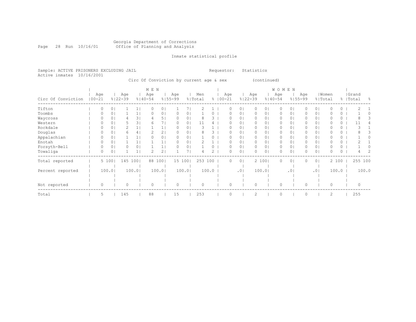# Georgia Department of Corrections Page 28 Run 10/16/01 Office of Planning and Analysis

Inmate statistical profile

Sample: ACTIVE PRISONERS EXCLUDING JAIL Requestor: Statistics Active inmates 10/16/2001

Circ Of Conviction by current age & sex (continued)

|                    |                   |        |                    |        | M E N              |                |                    |        |                |       |                    |                |                    |                | WOMEN              |                 |                    |                |                  |       |                    |    |
|--------------------|-------------------|--------|--------------------|--------|--------------------|----------------|--------------------|--------|----------------|-------|--------------------|----------------|--------------------|----------------|--------------------|-----------------|--------------------|----------------|------------------|-------|--------------------|----|
| Circ Of Conviction | Age<br>$100 - 21$ |        | Age<br>$8122 - 39$ |        | Age<br>$8140 - 54$ |                | Age<br>$8155 - 99$ |        | Men<br>% Total |       | Age<br>$8100 - 21$ |                | Age<br>$8122 - 39$ |                | Age<br>$8140 - 54$ |                 | Age<br>$8155 - 99$ |                | Women<br>% Total |       | Grand<br>%   Total | ႜၟ |
| Tifton             | $\Omega$          | 0      |                    |        | $\Omega$           | 01             |                    |        |                |       |                    | 01             | 0                  | 01             | 0                  | 0               |                    | 0 <sub>1</sub> |                  | 0     |                    |    |
| Toombs             | $\Omega$          | 0      |                    |        |                    | 0 <sub>1</sub> | 0                  | 0      |                |       |                    | 01             | 0                  | 01             | 0                  | 0               |                    | 0 <sub>1</sub> |                  | 0     |                    |    |
| Waycross           |                   | 0      |                    | 3      |                    | 5.             |                    | 0      |                |       |                    | $\circ$        | 0                  | 01             | 0                  | 0               |                    | 0 <sub>1</sub> |                  | 0     |                    |    |
| Western            |                   |        |                    | 3      | h                  |                | 0                  | 0      | 11             |       |                    | 01             | 0                  | 0              | 0                  | 0               |                    | 0 <sup>1</sup> |                  | 0     | 11                 |    |
| Rockdale           |                   |        |                    |        |                    |                |                    | 0      |                |       |                    | 0              | 0                  | 0              | 0                  | 0               |                    | 0              |                  | 0     |                    |    |
| Douglas            |                   | 0      | 6                  | 4      |                    | 21             |                    | 0      |                |       |                    | 0              | 0                  | 01             | 0                  | 0               |                    | 0 <sup>1</sup> |                  | 0     |                    |    |
| Appalachian        | 0                 | 0      |                    |        |                    | 01             | 0                  | 0      |                |       |                    | $\circ$        | $\Omega$           | 01             | 0                  | 0               |                    | 0 <sub>1</sub> |                  | 0     |                    |    |
| Enotah             |                   |        |                    |        |                    |                | 0                  | 0      |                |       |                    | 0              | 0                  | 0 <sub>1</sub> | 0                  | 0               |                    | 0 <sub>1</sub> |                  | 0     |                    |    |
| Forsyth-Bell       |                   | 0      |                    | 0      |                    |                |                    | 0      |                |       |                    | 0              | $\circ$            | 01             | 0                  | 0               |                    | $\circ$        |                  | 0     |                    |    |
| Towaliga           | 0                 | 0      |                    |        |                    | 2              |                    |        |                |       |                    | 0              | $\Omega$           | 0 <sub>1</sub> | 0                  | 0               |                    | 0 <sub>1</sub> |                  | 0     |                    | 2  |
| Total reported     |                   | 5 100  | 145 100            |        | 88                 | 1001           | 15 100             |        | 253 100        |       | $\Omega$           | 0 <sup>1</sup> |                    | 2 100          | 0                  | $\circ$         | $\Omega$           | 0 <sup>1</sup> |                  | 2 100 | 255 100            |    |
|                    |                   |        |                    |        |                    |                |                    |        |                |       |                    |                |                    |                |                    |                 |                    |                |                  |       |                    |    |
| Percent reported   |                   | 100.01 |                    | 100.01 |                    | 100.0          |                    | 100.01 |                | 100.0 |                    | .01            |                    | 100.01         |                    | .0 <sup>1</sup> |                    | .0             |                  | 100.0 | 100.0              |    |
|                    |                   |        |                    |        |                    |                |                    |        |                |       |                    |                |                    |                |                    |                 |                    |                |                  |       |                    |    |
| Not reported       | $\Omega$          |        | O                  |        | $\Omega$           |                | $\Omega$           |        | $\Omega$       |       | $\Omega$           |                | $\Omega$           |                | $\Omega$           |                 | O                  |                | $\Omega$         |       | $\Omega$           |    |
| Total              | 5                 |        | 145                |        | 88                 |                | 15                 |        | 253            |       |                    |                | 2                  |                | 0                  |                 |                    |                | 2                |       | 255                |    |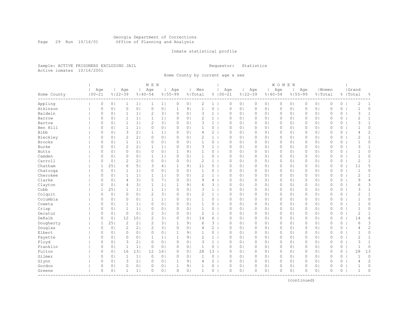#### Georgia Department of Corrections Page 29 Run 10/16/01 Office of Planning and Analysis

# Inmate statistical profile

Sample: ACTIVE PRISONERS EXCLUDING JAIL **Requestor:** Statistics Active inmates 10/16/2001

Home County by current age & sex

|                                   |                   |                |                    |                | M E N              |                |                    |                |                |                |                    |                |                    |                | <b>WOMEN</b> |                |          |                |             |          |                    |                |
|-----------------------------------|-------------------|----------------|--------------------|----------------|--------------------|----------------|--------------------|----------------|----------------|----------------|--------------------|----------------|--------------------|----------------|--------------|----------------|----------|----------------|-------------|----------|--------------------|----------------|
| Home County<br>----------         | Age<br>$100 - 21$ |                | Age<br>$8122 - 39$ |                | Age<br>$8140 - 54$ |                | Age<br>$8155 - 99$ |                | Men<br>% Total |                | Age<br>$8100 - 21$ |                | Age<br>$8122 - 39$ | $8140 - 54$    | Age          | $8155 - 99$    | Age      | % Total        | Women       |          | Grand<br>%   Total | g.             |
| Appling                           | $\circ$           | 0 <sub>1</sub> | $\mathbf{1}$       | 1 <sub>1</sub> | 1                  | 1 <sub>1</sub> | $\circ$            | 0 <sub>1</sub> | 2              | $1 \mid$       | $\circ$            | 0 <sub>1</sub> | $\circ$            | 0 <sub>1</sub> | $\circ$      | 0 <sub>1</sub> | 0        | 0 <sup>1</sup> | $\circ$     | $\circ$  | $\mathbf{2}$       | $\mathbf{1}$   |
| Atkinson                          | $\circ$           | 0 <sup>1</sup> | $\circ$            | 0 <sub>1</sub> | $\circ$            | 0 <sub>1</sub> | $\mathbf{1}$       | 9 <sub>1</sub> | $\mathbf{1}$   | $\circ$        | $\mathbf 0$        | 0 <sub>1</sub> | $\circ$            | 0 <sub>1</sub> | $\mathbf{0}$ | 0 <sub>1</sub> | 0        | 0 <sub>1</sub> | $\mathbf 0$ | $\circ$  | $\mathbf{1}$       | 0              |
| Baldwin                           | $\circ$           | 0 <sub>1</sub> | $\mathbf{1}$       | 1              | $\overline{c}$     | 3              | $\circ$            | 0 <sub>1</sub> | 3              | $\mathbf{1}$   | $\circ$            | 0 <sub>1</sub> | 0                  | 0 <sub>1</sub> | $\mathbf 0$  | 0 <sub>1</sub> | 0        | 0 <sub>1</sub> | $\circ$     | 0        | 3                  | $\mathbf{1}$   |
| Barrow                            | 0                 | 0 <sup>1</sup> | 1                  | 1 <sub>1</sub> | $\mathbf{1}$       | 1 <sub>1</sub> | $\circ$            | 0 <sub>1</sub> | 2              | $\mathbf{1}$   | $\circ$            | 0 <sub>1</sub> | $\circ$            | 0 <sub>1</sub> | $\circ$      | 0 <sub>1</sub> | 0        | 0 <sub>1</sub> | $\circ$     | 0        | 2                  | $\mathbf{1}$   |
| Bartow                            | 0                 | 0 <sub>1</sub> | $\mathbf{1}$       | 1 <sub>1</sub> | $\overline{c}$     | 3 <sub>1</sub> | $\circ$            | 0 <sub>1</sub> | 3              | 1 <sup>1</sup> | $\circ$            | 0 <sub>1</sub> | $\circ$            | 0 <sub>1</sub> | $\circ$      | 0 <sub>1</sub> | 0        | 0 <sub>1</sub> | $\circ$     | 0        | 3                  | $\mathbf{1}$   |
| Ben Hill                          | $\circ$           | 0 <sub>1</sub> | $\mathbf{1}$       | 1 <sub>1</sub> | 0                  | 0 <sub>1</sub> | $\circ$            | 0 <sub>1</sub> | 1              | $\circ$        | $\mathbf 0$        | 0 <sub>1</sub> | $\mathbf{0}$       | 0 <sub>1</sub> | $\mathbf{0}$ | 0 <sub>1</sub> | $\Omega$ | 0 <sub>1</sub> | $\mathbf 0$ | 0        | $\mathbf{1}$       | 0              |
| Bibb                              | $\circ$           | 0 <sup>1</sup> | 3                  | 2              | $1\,$              | 1 <sub>1</sub> | $\circ$            | 0 <sub>1</sub> | 4              | $\overline{2}$ | $\mathbf 0$        | 0 <sub>1</sub> | $\circ$            | 0 <sub>1</sub> | $\circ$      | 0 <sub>1</sub> | 0        | 0 <sub>1</sub> | $\mathbf 0$ | 0        | $\overline{4}$     | $\overline{c}$ |
| Bleckley                          | 0                 | 0 <sub>1</sub> | $\overline{c}$     | 2 <sub>1</sub> | $\circ$            | 0 <sub>1</sub> | $\circ$            | 0 <sub>1</sub> | 2              | 1 <sup>1</sup> | $\circ$            | 0 <sub>1</sub> | 0                  | 0 <sub>1</sub> | $\circ$      | 0 <sub>1</sub> | 0        | 0 <sub>1</sub> | $\mathbf 0$ | 0        | 2                  | $\mathbf{1}$   |
| <b>Brooks</b>                     | 0                 | 0 <sup>1</sup> | $\mathbf{1}$       | 1 <sub>1</sub> | 0                  | 0 <sub>1</sub> | $\circ$            | 0 <sub>1</sub> | 1              | 0              | $\circ$            | 0 <sub>1</sub> | $\circ$            | 0 <sub>1</sub> | $\circ$      | 0 <sub>1</sub> | 0        | 0 <sub>1</sub> | $\circ$     | $\circ$  | $\mathbf 1$        | 0              |
| Burke                             | $\Omega$          | 0              | $\overline{2}$     | 2 <sub>1</sub> | $\mathbf{1}$       | 1 <sub>1</sub> | $\Omega$           | 0 <sub>1</sub> | 3              | $\mathbf{1}$   | $\mathbf 0$        | 0 <sub>1</sub> | $\circ$            | 0 <sub>1</sub> | $\mathbf{0}$ | 0 <sup>1</sup> | $\Omega$ | 0 <sub>1</sub> | $\Omega$    | $\Omega$ | 3                  | $\mathbf{1}$   |
| <b>Butts</b>                      | 0                 | 0 <sub>1</sub> | $\circ$            | 0 <sub>1</sub> | $\circ$            | 0 <sub>1</sub> | $\mathbf{1}$       | 9 <sub>1</sub> | 1              | 0              | $\circ$            | 0 <sub>1</sub> | $\circ$            | 0 <sub>1</sub> | $\circ$      | 0 <sub>1</sub> | $\Omega$ | 0 <sub>1</sub> | $\mathbf 0$ | 0        | $\mathbf 1$        | 0              |
| Camden                            | $\circ$           | 0 <sub>1</sub> | 0                  | 0 <sub>1</sub> | 1                  | 1 <sub>1</sub> | 0                  | 0 <sub>1</sub> | 1              | 0              | 0                  | 0 <sub>1</sub> | 0                  | 0 <sub>1</sub> | 0            | 0 <sub>1</sub> | 0        | 0 <sub>1</sub> | $\circ$     | 0        | $\mathbf{1}$       | 0              |
| Carroll                           | 0                 | 0 <sup>1</sup> | $\overline{2}$     | 2 <sub>1</sub> | $\circ$            | 0 <sub>1</sub> | $\circ$            | 0 <sub>1</sub> | $\overline{2}$ | $\mathbf{1}$   | $\circ$            | 0 <sub>1</sub> | $\circ$            | 0 <sub>1</sub> | $\circ$      | 0 <sub>1</sub> | $\Omega$ | 0 <sub>1</sub> | $\mathbf 0$ | 0        | 2                  | $\mathbf{1}$   |
| Chatham                           | $\mathbf{1}$      | 251            | 6                  | 5 <sub>1</sub> | 3                  | 4              | $\mathbf{1}$       | 91             | 11             | 5              | $\mathbf 0$        | 0 <sub>1</sub> | $\circ$            | 0 <sub>1</sub> | $\mathbf{0}$ | 0 <sub>1</sub> | $\Omega$ | 0 <sub>1</sub> | $\mathbf 0$ | $\circ$  | 11                 | 5              |
| Chatooga                          | $\circ$           | 0 <sub>1</sub> | 1                  | 1 <sub>1</sub> | 0                  | 0 <sub>1</sub> | $\circ$            | 0 <sub>1</sub> | $\mathbf{1}$   | 0              | $\circ$            | 0 <sub>1</sub> | 0                  | 0 <sub>1</sub> | 0            | 0 <sub>1</sub> | 0        | 0 <sub>1</sub> | $\mathbf 0$ | 0        | $\mathbf{1}$       | 0              |
| Cherokee                          | 0                 | 0              | 1                  | 1 <sub>1</sub> | $\mathbf{1}$       | 1 <sub>1</sub> | $\circ$            | 0              | 2              | $\mathbf{1}$   | $\circ$            | 0 <sub>1</sub> | 0                  | 0 <sub>1</sub> | $\circ$      | 0 <sub>1</sub> | 0        | 0 <sub>1</sub> | $\circ$     | 0        | 2                  | $\mathbf{1}$   |
| Clarke                            | 0                 | 0 <sup>1</sup> | 4                  | 3              | 5                  | 7 <sub>1</sub> | $\circ$            | 0 <sub>1</sub> | 9              | 4              | $\circ$            | 0 <sub>1</sub> | $\circ$            | 0 <sub>1</sub> | $\circ$      | 0 <sub>1</sub> | 0        | 0 <sub>1</sub> | $\circ$     | 0        | 9                  | $\overline{4}$ |
| Clayton                           | $\circ$           | 0 <sub>1</sub> | 4                  | 3              | $\mathbf{1}$       | 1 <sub>1</sub> | $\mathbf 1$        | 9 <sub>1</sub> | 6              | $3-1$          | $\mathbf 0$        | 0 <sub>1</sub> | $\circ$            | 0 <sub>1</sub> | $\circ$      | 0 <sub>1</sub> | $\Omega$ | 0 <sub>1</sub> | $\mathbf 0$ | $\circ$  | 6                  | 3              |
| Cobb                              | $\mathbf{1}$      | 251            | $\mathbf{1}$       | 1 <sub>1</sub> | $\mathbf{1}$       | 1 <sub>1</sub> | $\circ$            | 0 <sub>1</sub> | 3              | $\mathbf{1}$   | $\mathbf 0$        | 0 <sub>1</sub> | $\circ$            | 0 <sub>1</sub> | $\circ$      | 0 <sub>1</sub> | $\Omega$ | 0 <sub>1</sub> | $\mathbf 0$ | $\circ$  | 3                  | $\mathbf{1}$   |
| Colquit                           | $\circ$           | 0 <sub>1</sub> | $\circ$            | 0 <sub>1</sub> | $\overline{c}$     | 3              | $\circ$            | 0 <sub>1</sub> | $\overline{c}$ | 1 <sup>1</sup> | $\circ$            | 0 <sub>1</sub> | 0                  | 0 <sub>1</sub> | $\circ$      | 0 <sub>1</sub> | 0        | 0 <sub>1</sub> | $\mathbf 0$ | 0        | 2                  | $\mathbf{1}$   |
| Columbia                          | 0                 | 0 <sup>1</sup> | $\circ$            | 0 <sub>1</sub> | $\mathbf 1$        | 1 <sub>1</sub> | $\circ$            | 0 <sub>1</sub> | 1              | 0              | $\circ$            | 0 <sub>1</sub> | $\circ$            | 0 <sub>1</sub> | $\circ$      | 0 <sub>1</sub> | 0        | 0 <sub>1</sub> | $\circ$     | 0        | 1                  | 0              |
| Coweta                            | $\circ$           | 0 <sup>1</sup> | $\mathbf{1}$       | 1              | $\circ$            | 0 <sub>1</sub> | $\Omega$           | 0 <sub>1</sub> | 1              | 0              | $\mathbf 0$        | 0 <sub>1</sub> | $\circ$            | 0 <sup>1</sup> | $\circ$      | 0 <sup>1</sup> | $\Omega$ | 0 <sub>1</sub> | $\Omega$    | 0        | $\mathbf{1}$       | 0              |
| Crisp                             | $\circ$           | 0 <sup>1</sup> | $\mathbf{1}$       | 1 <sub>1</sub> | 0                  | 0 <sub>1</sub> | $\circ$            | 0 <sub>1</sub> | $\mathbf{1}$   | 0              | $\mathbf 0$        | 0 <sub>1</sub> | $\circ$            | 0 <sub>1</sub> | $\circ$      | $\circ$        | $\Omega$ | 0 <sub>1</sub> | $\mathbf 0$ | 0        | $\mathbf{1}$       | 0              |
| Decatur                           | $\circ$           | 0 <sub>1</sub> | $\circ$            | 0 <sub>1</sub> | $\overline{c}$     | 3 <sub>1</sub> | 0                  | 0 <sub>1</sub> | $\overline{c}$ | $\mathbf{1}$   | 0                  | 0 <sub>1</sub> | 0                  | 0 <sub>1</sub> | 0            | 0 <sub>1</sub> | 0        | 0 <sub>1</sub> | $\circ$     | 0        | $\overline{c}$     | $1\,$          |
| DeKalb                            | 0                 | 0 <sub>1</sub> | 12                 | 101            | $\mathbf{2}$       | 3              | $\circ$            | 0 <sub>1</sub> | 14             | 6              | $\circ$            | 0 <sub>1</sub> | 0                  | 0 <sub>1</sub> | $\circ$      | 0 <sub>1</sub> | 0        | 0 <sub>1</sub> | $\mathbf 0$ | 0        | 14                 | 6              |
| Dougherty                         | $\mathbf{1}$      | 251            | $\overline{2}$     | 21             | $\overline{c}$     | 3 <sub>1</sub> | $\mathbf{1}$       | 9 <sub>1</sub> | 6              | $3-1$          | $\mathbf 0$        | 0 <sub>1</sub> | $\circ$            | 0 <sub>1</sub> | $\mathbf{0}$ | 0 <sub>1</sub> | $\Omega$ | 0 <sub>1</sub> | $\Omega$    | $\circ$  | 6                  | 3              |
| Douglas                           | $\circ$           | 0 <sub>1</sub> | $\overline{c}$     | 2 <sub>1</sub> | $\overline{c}$     | 3 <sub>1</sub> | $\circ$            | 0 <sub>1</sub> | 4              | $\overline{2}$ | $\circ$            | 0 <sub>1</sub> | $\circ$            | 0 <sub>1</sub> | $\circ$      | 0 <sub>1</sub> | 0        | 0 <sub>1</sub> | $\circ$     | 0        | 4                  | $\overline{c}$ |
| Elbert                            | 0                 | 0              | $\mathbf 0$        | 0 <sub>1</sub> | 0                  | 0 <sub>1</sub> | $\mathbf{1}$       | 9 <sub>1</sub> | 1              | 0              | $\mathbf 0$        | 0 <sub>1</sub> | 0                  | 0 <sub>1</sub> | $\circ$      | 0 <sub>1</sub> | 0        | 0 <sub>1</sub> | $\mathbf 0$ | 0        | $\mathbf{1}$       | 0              |
| Fayette                           | 0                 | 0 <sup>1</sup> | $\circ$            | 0 <sub>1</sub> | $\mathbf{1}$       | 1 <sub>1</sub> | $\mathbf{1}$       | 9 <sub>1</sub> | $\overline{2}$ | $\mathbf{1}$   | $\circ$            | 0 <sub>1</sub> | $\circ$            | 0 <sub>1</sub> | $\circ$      | $\circ$        | 0        | 0 <sub>1</sub> | $\circ$     | 0        | 2                  | $\mathbf{1}$   |
| Floyd                             | 0                 | 0 <sub>1</sub> | 3                  | 2 <sub>1</sub> | $\circ$            | 0 <sub>1</sub> | $\circ$            | 0 <sub>1</sub> | 3              | $\mathbf{1}$   | $\circ$            | 0 <sub>1</sub> | $\circ$            | 0 <sub>1</sub> | $\circ$      | 0 <sub>1</sub> | $\Omega$ | 0 <sub>1</sub> | $\circ$     | 0        | 3                  | $\mathbf{1}$   |
| Franklin                          | $\circ$           | 0 <sub>1</sub> | $\mathbf{1}$       | 1              | $\circ$            | 0 <sub>1</sub> | $\circ$            | 0 <sub>1</sub> | $\mathbf{1}$   | 0              | $\circ$            | 0 <sub>1</sub> | 0                  | 0 <sub>1</sub> | $\circ$      | 0 <sub>1</sub> | $\Omega$ | 0 <sub>1</sub> | $\mathbf 0$ | 0        | $\mathbf{1}$       | 0              |
| Fulton                            | $\circ$           | 0 <sub>1</sub> | 16                 | 131            | 12                 | 161            | $\circ$            | 0 <sub>1</sub> | 28             | 13             | $\mathbf 0$        | 0 <sub>1</sub> | 0                  | 0 <sub>1</sub> | $\circ$      | 0 <sub>1</sub> | 0        | 0 <sub>1</sub> | $\mathbf 0$ | 0        | 28                 | 13             |
| Gilmer                            | 0                 | 0 <sup>1</sup> | $\mathbf{1}$       | 1              | $\circ$            | 0 <sub>1</sub> | $\circ$            | 0 <sub>1</sub> | $\mathbf{1}$   | 0              | $\circ$            | 0 <sub>1</sub> | $\circ$            | 0 <sub>1</sub> | $\circ$      | 0 <sub>1</sub> | 0        | 0 <sub>1</sub> | $\circ$     | 0        | $\mathbf 1$        | $\circ$        |
| Glynn                             | $\circ$           | 0 <sup>1</sup> | 3                  | 2              | $\Omega$           | 0 <sub>1</sub> | $\mathbf 1$        | 9 <sub>1</sub> | 4              | 2              | $\mathbf 0$        | 0 <sub>1</sub> | $\circ$            | 0 <sub>1</sub> | $\circ$      | 0 <sub>1</sub> | $\Omega$ | 0 <sub>1</sub> | $\mathbf 0$ | 0        | $\overline{4}$     | $\overline{c}$ |
| Gordon                            | 0                 | 0 <sup>1</sup> | $\circ$            | 0 <sub>1</sub> | 0                  | 0 <sub>1</sub> | $\mathbf{1}$       | 9 <sub>1</sub> | 1              | 0              | $\circ$            | 0 <sub>1</sub> | $\circ$            | 0 <sub>1</sub> | $\circ$      | $\circ$        | $\Omega$ | 0 <sub>1</sub> | $\Omega$    | $\Omega$ | $\mathbf 1$        | $\circ$        |
| Greene<br>----------------------- | $\circ$           | 0 <sub>1</sub> | $\mathbf{1}$       | 1 <sub>1</sub> | 0                  | 0 <sub>1</sub> | $\circ$            | 0 <sub>1</sub> | $\mathbf{1}$   | 0              | $\mathbf 0$        | 0 <sub>1</sub> | $\Omega$           | 0 <sub>1</sub> | $\circ$      | 0 <sub>1</sub> | $\Omega$ | 0 <sub>1</sub> | $\circ$     | 0        | $\mathbf{1}$       | 0              |

(continued)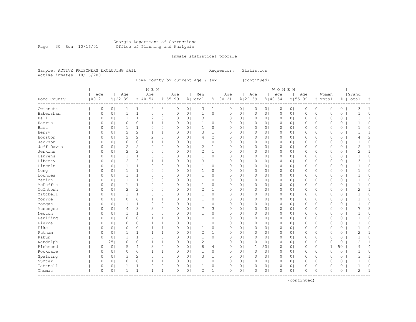Inmate statistical profile

Sample: ACTIVE PRISONERS EXCLUDING JAIL Requestor: Statistics Active inmates 10/16/2001 Home County by current age & sex (continued)

|                         | M E N       |                |                |                |                |                |             |                |                |                |             |                |                     | WOMEN          |              |                |          |                |              |          |                |                |
|-------------------------|-------------|----------------|----------------|----------------|----------------|----------------|-------------|----------------|----------------|----------------|-------------|----------------|---------------------|----------------|--------------|----------------|----------|----------------|--------------|----------|----------------|----------------|
|                         | Age         |                | Age            |                | Age            |                | Age         |                | Men            |                | Age         |                | Age                 |                | Age          |                | Age      |                | Women        |          | Grand          |                |
| Home County<br>-------- | $100 - 21$  |                | $8122 - 39$    |                | $8140 - 54$    |                | $8155 - 99$ |                | % Total        |                | $8100 - 21$ |                | $8122 - 39$         | $8140 - 54$    |              | $8155 - 99$    |          |                | % Total      |          | %   Total      | ⊱              |
| Gwinnett                | $\circ$     | 0 <sub>1</sub> | $\mathbf{1}$   | 1              | 2              | 3              | 0           | 0 <sub>1</sub> | 3              | $\mathbf{1}$   | $\circ$     | $\circ$        | 0                   | 0 <sub>1</sub> | 0            | 0 <sub>1</sub> | 0        | 0 <sub>1</sub> | $\circ$      | 0        | 3              | $\mathbf 1$    |
| Habersham               | $\circ$     | 0 <sub>1</sub> | 1              | 1 <sub>1</sub> | $\circ$        | 0 <sub>1</sub> | $\circ$     | 0 <sub>1</sub> | $\mathbf{1}$   | 0              | $\circ$     | 0 <sub>1</sub> | 0                   | 0 <sub>1</sub> | $\circ$      | 0 <sub>1</sub> | 0        | 0 <sub>1</sub> | $\mathbf 0$  | 0        | 1              | $\Omega$       |
| Hall                    | $\circ$     | 0 <sub>1</sub> | 1              | 1              | 2              | 3              | 0           | 0 <sub>1</sub> | 3              | $\mathbf 1$    | $\circ$     | 0 <sub>1</sub> | 0                   | 0 <sub>1</sub> | $\circ$      | 0 <sub>1</sub> | 0        | 0 <sub>1</sub> | $\circ$      | 0        | 3              | $\mathbf{1}$   |
| Harris                  | $\Omega$    | 0 <sub>1</sub> | $\Omega$       | 0 <sub>1</sub> | 1              | 1 <sub>1</sub> | $\circ$     | 0 <sub>1</sub> | 1              | $\circ$        | $\circ$     | 0 <sub>1</sub> | 0                   | 0 <sub>1</sub> | $\circ$      | 0 <sub>1</sub> | 0        | 0 <sub>1</sub> | $\Omega$     | 0        | $\mathbf{1}$   | 0              |
| Hart                    | $\circ$     | 0 <sub>1</sub> | $\mathbf{1}$   | 1              | $\circ$        | 0 <sub>1</sub> | $\circ$     | 0 <sub>1</sub> | $\mathbf{1}$   | 0              | $\circ$     | 0 <sub>1</sub> | 0                   | 0 <sub>1</sub> | $\circ$      | 0 <sub>1</sub> | 0        | 0 <sub>1</sub> | $\mathbf 0$  | 0        | $\mathbf{1}$   | 0              |
| Henry                   | $\circ$     | 0 <sub>1</sub> | $\overline{c}$ | 2 <sub>1</sub> | $\mathbf{1}$   | 1              | $\circ$     | 0 <sub>1</sub> | 3              | $\mathbf{1}$   | $\circ$     | 0 <sub>1</sub> | $\circ$             | 0 <sub>1</sub> | $\circ$      | 0 <sub>1</sub> | 0        | 0 <sub>1</sub> | $\circ$      | $\circ$  | 3              | $\mathbf{1}$   |
| Houston                 | $\circ$     | 0 <sub>1</sub> | $\overline{c}$ | 2 <sub>1</sub> | $\overline{2}$ | 3 <sub>1</sub> | $\circ$     | 0 <sub>1</sub> | 4              | $\overline{2}$ | $\circ$     | 0 <sub>1</sub> | 0                   | 0 <sub>1</sub> | $\circ$      | 0 <sub>1</sub> | 0        | 0 <sub>1</sub> | $\circ$      | 0        | 4              | $\overline{c}$ |
| Jackson                 | $\circ$     | 0 <sup>1</sup> | $\circ$        | 0 <sub>1</sub> | 1              | 1 <sub>1</sub> | $\circ$     | 0 <sub>1</sub> | 1              | 0              | $\circ$     | 0 <sub>1</sub> | 0                   | 0 <sub>1</sub> | $\circ$      | 0 <sub>1</sub> | 0        | 0 <sub>1</sub> | $\Omega$     | 0        | $\mathbf 1$    | 0              |
| Jeff Davis              | $\circ$     | 0              | $\overline{c}$ | 2 <sub>1</sub> | $\circ$        | 0 <sub>1</sub> | $\circ$     | 0 <sub>1</sub> | $\overline{c}$ | $\mathbf{1}$   | $\circ$     | 0 <sub>1</sub> | 0                   | 0 <sub>1</sub> | $\circ$      | 0 <sup>1</sup> | 0        | 0 <sub>1</sub> | $\mathbf 0$  | 0        | $\overline{c}$ | $\mathbf{1}$   |
| Jenkins                 | $\circ$     | 0 <sup>1</sup> | $\overline{c}$ | 2 <sub>1</sub> | $\circ$        | 0 <sub>1</sub> | $\circ$     | 0 <sub>1</sub> | $\overline{c}$ | $\mathbf{1}$   | $\circ$     | 0 <sub>1</sub> | 0                   | 0 <sub>1</sub> | 0            | 0 <sub>1</sub> | 0        | 0 <sub>1</sub> | $\mathbf 0$  | 0        | $\overline{c}$ | $\mathbf{1}$   |
| Laurens                 | $\circ$     | 0 <sub>1</sub> | $\mathbf{1}$   | 1              | $\circ$        | 0 <sub>1</sub> | $\circ$     | 0 <sub>1</sub> | 1              | 0              | $\circ$     | 0 <sub>1</sub> | 0                   | 0 <sub>1</sub> | 0            | 0 <sub>1</sub> | 0        | 0 <sub>1</sub> | 0            | 0        | $\mathbf{1}$   | 0              |
| Liberty                 | $\circ$     | 0 <sub>1</sub> | $\overline{c}$ | 2 <sub>1</sub> | 1              | 1              | $\circ$     | 0 <sub>1</sub> | 3              | $\mathbf{1}$   | $\circ$     | 0 <sub>1</sub> | 0                   | 0 <sub>1</sub> | $\circ$      | 0 <sub>1</sub> | 0        | 0 <sub>1</sub> | $\circ$      | 0        | 3              | $\mathbf{1}$   |
| Lincoln                 | $\circ$     | 0 <sub>1</sub> | $\mathbf{1}$   | 1              | $\circ$        | 0 <sub>1</sub> | $\circ$     | 0 <sub>1</sub> | 1              | 0              | $\circ$     | 0 <sub>1</sub> | $\mathsf{O}\xspace$ | 0 <sub>1</sub> | 0            | 0 <sub>1</sub> | 0        | 0 <sub>1</sub> | $\mathbf 0$  | 0        | $\mathbf{1}$   | 0              |
| Long                    | $\circ$     | 0 <sub>1</sub> | $\mathbf{1}$   | 1              | $\circ$        | 0 <sub>1</sub> | $\circ$     | 0 <sub>1</sub> | $\mathbf{1}$   | 0              | $\circ$     | 0 <sub>1</sub> | $\mathsf{O}\xspace$ | 0 <sub>1</sub> | $\mathbb O$  | 0 <sub>1</sub> | 0        | 0 <sub>1</sub> | $\circ$      | 0        | $\mathbf{1}$   | 0              |
| Lowndes                 | $\circ$     | 0 <sub>1</sub> | $\mathbf{1}$   | 1              | $\circ$        | 0 <sub>1</sub> | $\circ$     | 0 <sub>1</sub> | $\mathbf{1}$   | $\circ$        | $\circ$     | 0 <sub>1</sub> | $\circ$             | 0 <sub>1</sub> | $\mathbf{0}$ | 0 <sub>1</sub> | 0        | 0 <sub>1</sub> | $\mathbf{0}$ | $\circ$  | $\mathbf{1}$   | 0              |
| Marion                  | $\Omega$    | 0 <sub>1</sub> | $\mathbf{1}$   | 1 <sub>1</sub> | $\circ$        | 0 <sub>1</sub> | $\circ$     | 0 <sub>1</sub> | 1              | 0              | $\circ$     | 0 <sub>1</sub> | 0                   | 0 <sub>1</sub> | $\circ$      | 0 <sub>1</sub> | 0        | 0 <sub>1</sub> | 0            | 0        | 1              | 0              |
| McDuffie                | $\circ$     | 0 <sup>1</sup> | $\mathbf{1}$   | 1              | $\Omega$       | 0 <sub>1</sub> | $\circ$     | 0 <sub>1</sub> | 1              | 0              | $\circ$     | 0 <sub>1</sub> | 0                   | 0 <sub>1</sub> | $\circ$      | $\circ$        | $\Omega$ | 0 <sub>1</sub> | $\Omega$     | 0        | $\mathbf{1}$   | 0              |
| McIntosh                | $\circ$     | 0 <sup>1</sup> | $\mathbf{2}$   | 2 <sub>1</sub> | $\Omega$       | 0 <sup>1</sup> | $\circ$     | 0 <sub>1</sub> | $\overline{c}$ | 1              | $\circ$     | 0 <sub>1</sub> | 0                   | 0 <sub>1</sub> | $\circ$      | 0 <sup>1</sup> | 0        | 0 <sub>1</sub> | $\Omega$     | 0        | 2              | $\mathbf{1}$   |
| Mitchell                | $\circ$     | 0 <sub>1</sub> | $\mathbf{1}$   | 1 <sub>1</sub> | $\circ$        | 0 <sub>1</sub> | $\circ$     | 0 <sub>1</sub> | $\mathbf{1}$   | 0              | $\circ$     | 0 <sub>1</sub> | 0                   | 0 <sub>1</sub> | $\circ$      | 0 <sub>1</sub> | 0        | 0 <sub>1</sub> | $\Omega$     | 0        | $\mathbf{1}$   | $\Omega$       |
| Monroe                  | $\circ$     | 0 <sub>1</sub> | 0              | 0 <sub>1</sub> | 1              | 1              | 0           | 0 <sub>1</sub> | $\mathbf{1}$   | 0              | $\circ$     | 0 <sub>1</sub> | 0                   | 0 <sub>1</sub> | $\circ$      | 0 <sub>1</sub> | 0        | 0 <sub>1</sub> | 0            | 0        | $\mathbf{1}$   | 0              |
| Morgan                  | 0           | 0 <sub>1</sub> | 1              | 1              | $\Omega$       | 0 <sub>1</sub> | $\circ$     | 0 <sub>1</sub> | 1              | 0              | $\circ$     | 0 <sub>1</sub> | 0                   | 0 <sub>1</sub> | 0            | 0 <sub>1</sub> | 0        | 0 <sub>1</sub> | $\Omega$     | 0        | $\mathbf{1}$   | 0              |
| Muscogee                | $\Omega$    | 0 <sub>1</sub> | $\overline{4}$ | 3              | 3              | 4              | $\circ$     | 0 <sub>1</sub> | 7              | 3              | $\circ$     | 0 <sub>1</sub> | 0                   | 0 <sub>1</sub> | $\circ$      | 0 <sub>1</sub> | 0        | 0 <sub>1</sub> | $\circ$      | 0        | 7              | 3              |
| Newton                  | $\circ$     | 0 <sub>1</sub> | $\mathbf{1}$   | 1 <sub>1</sub> | $\circ$        | 0 <sub>1</sub> | $\circ$     | 0 <sub>1</sub> | 1              | 0              | $\circ$     | 0 <sub>1</sub> | 0                   | 0 <sub>1</sub> | $\circ$      | 0 <sub>1</sub> | 0        | 0 <sub>1</sub> | $\circ$      | $\circ$  | -1             | 0              |
| Paulding                | $\circ$     | 0 <sub>1</sub> | 0              | 0 <sub>1</sub> | $\mathbf{1}$   | 1 <sub>1</sub> | $\circ$     | 0 <sub>1</sub> | $\mathbf{1}$   | 0              | $\circ$     | 0 <sub>1</sub> | 0                   | 0 <sub>1</sub> | $\circ$      | 0 <sub>1</sub> | 0        | 0 <sub>1</sub> | 0            | 0        | -1             | 0              |
| Pierce                  | $\Omega$    | 0 <sup>1</sup> | 0              | 0 <sub>1</sub> | 1              | 1 <sub>1</sub> | $\circ$     | 0 <sub>1</sub> | 1              | 0              | $\circ$     | 0 <sub>1</sub> | 0                   | 0 <sub>1</sub> | 0            | 0 <sub>1</sub> | 0        | 0 <sub>1</sub> | 0            | 0        | 1              | 0              |
| Pike                    | $\circ$     | 0 <sup>1</sup> | 0              | 0 <sub>1</sub> | 1              | 1              | $\circ$     | 0 <sub>1</sub> | $\mathbf{1}$   | 0              | $\circ$     | 0 <sub>1</sub> | 0                   | 0 <sub>1</sub> | $\circ$      | 0 <sup>1</sup> | 0        | 0 <sub>1</sub> | $\Omega$     | 0        | $\mathbf 1$    | 0              |
| Putnam                  | $\circ$     | 0 <sup>1</sup> | $\mathbf{1}$   | 1 <sup>1</sup> | $\mathbf{1}$   | 1 <sub>1</sub> | $\circ$     | 0 <sub>1</sub> | $\overline{c}$ | $\mathbf{1}$   | $\circ$     | 0 <sub>1</sub> | 0                   | 0 <sub>1</sub> | $\circ$      | 0 <sub>1</sub> | 0        | 0 <sub>1</sub> | $\circ$      | 0        | $\overline{c}$ | $\mathbf{1}$   |
| Rabun                   | $\circ$     | 0 <sub>1</sub> | $\mathbf{1}$   | 11             | $\circ$        | 0 <sub>1</sub> | $\circ$     | 0 <sub>1</sub> | 1              | 0              | $\circ$     | 0 <sub>1</sub> | 0                   | 0 <sub>1</sub> | $\circ$      | 0 <sub>1</sub> | 0        | 0 <sub>1</sub> | $\mathbf{0}$ | 0        | $\mathbf{1}$   | 0              |
| Randolph                | $\mathbf 1$ | 251            | 0              | 0 <sub>1</sub> | 1              | 1 <sub>1</sub> | $\circ$     | 0 <sub>1</sub> | $\overline{c}$ | $\mathbf{1}$   | $\circ$     | 0 <sub>1</sub> | $\mathsf{O}\xspace$ | 0 <sub>1</sub> | 0            | 0 <sub>1</sub> | 0        | 0 <sub>1</sub> | $\Omega$     | $\circ$  | 2              | 1              |
| Richmond                | $\circ$     | 0 <sub>1</sub> | 5              | 4              | 3              | 4              | $\circ$     | 0 <sub>1</sub> | 8              | 4              | $\circ$     | 0 <sub>1</sub> | $\mathbf{1}$        | 501            | $\circ$      | 0 <sub>1</sub> | 0        | 0 <sub>1</sub> | $\mathbf{1}$ | 50       | 9              | $\overline{4}$ |
| Rockdale                | $\circ$     | 0 <sub>1</sub> | $\circ$        | 0 <sub>1</sub> | $\mathbf{1}$   | 1 <sub>1</sub> | $\circ$     | 0 <sub>1</sub> | $\mathbf{1}$   | 0              | $\circ$     | 0 <sub>1</sub> | $\circ$             | 0 <sub>1</sub> | $\mathbb O$  | 0 <sub>1</sub> | 0        | 0 <sub>1</sub> | $\Omega$     | $\circ$  | $\mathbf{1}$   | 0              |
| Spalding                | $\circ$     | 0 <sub>1</sub> | 3              | 2 <sub>1</sub> | $\circ$        | 0 <sub>1</sub> | $\circ$     | 0 <sub>1</sub> | 3              | $\mathbf{1}$   | $\circ$     | 0 <sub>1</sub> | $\circ$             | 0 <sub>1</sub> | $\circ$      | 0 <sub>1</sub> | 0        | 0 <sub>1</sub> | 0            | 0        | 3              | $\mathbf{1}$   |
| Sumter                  | 0           | 0 <sub>1</sub> | 0              | 0 <sub>1</sub> |                | 1              | 0           | 0 <sub>1</sub> | 1              | 0              | $\circ$     | 0 <sub>1</sub> | 0                   | 0 <sub>1</sub> | 0            | 0 <sub>1</sub> | 0        | 0 <sub>1</sub> | $\circ$      | 0        |                | 0              |
| Tattnall                | $\circ$     | 0              | $\mathbf{1}$   | 1              | $\Omega$       | 0 <sub>1</sub> | 0           | 0 <sub>1</sub> | 1              | 0              | $\mathbf 0$ | 0 <sub>1</sub> | 0                   | 0 <sub>1</sub> | $\circ$      | $\circ$        | $\Omega$ | 0 <sub>1</sub> | $\Omega$     | 0        | $\mathbf{1}$   | 0              |
| Thomas                  | $\Omega$    | 0 <sub>1</sub> | 1              | 1 <sub>1</sub> | 1              | 1 <sub>1</sub> | $\Omega$    | 0 <sub>1</sub> | $\overline{c}$ | 1              | $\circ$     | 0 <sub>1</sub> | $\Omega$            | 0 <sub>1</sub> | $\Omega$     | 0 <sub>1</sub> | $\Omega$ | 0 <sub>1</sub> | $\Omega$     | $\Omega$ | $\overline{c}$ | $\mathbf{1}$   |
|                         |             |                |                |                |                |                |             |                |                |                |             |                |                     |                |              |                |          |                |              |          |                |                |

(continued)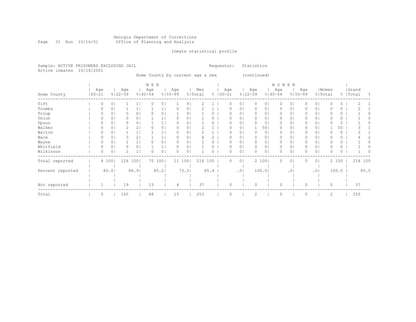### Georgia Department of Corrections Page 31 Run 10/16/01 Office of Planning and Analysis

# Inmate statistical profile

|  | Sample: ACTIVE PRISONERS EXCLUDING JAIL | Requestor: Statistics |  |
|--|-----------------------------------------|-----------------------|--|
|  | Active inmates 10/16/2001               |                       |  |

Home County by current age & sex (continued)

|                  |                   |                |                    |       | M E N              |                |                    |                |                |      |                     |                  |                |                    |                 | <b>WOMEN</b>       |           |                    |                |          |       |           |         |      |
|------------------|-------------------|----------------|--------------------|-------|--------------------|----------------|--------------------|----------------|----------------|------|---------------------|------------------|----------------|--------------------|-----------------|--------------------|-----------|--------------------|----------------|----------|-------|-----------|---------|------|
| Home County      | Age<br>$100 - 21$ |                | Age<br>$8122 - 39$ |       | Age<br>$8140 - 54$ |                | Age<br>$8155 - 99$ |                | Men<br>% Total |      | Age<br>$% 100 - 21$ |                  |                | Age<br>$8122 - 39$ |                 | Age<br>$8140 - 54$ |           | Age<br>$8155 - 99$ | % Total        | Women    |       | %   Total | Grand   | - 옹  |
| Tift             |                   | 0 <sub>1</sub> |                    |       |                    | 0 <sub>1</sub> |                    | 9 <sub>1</sub> |                |      |                     | 0                | 0 <sub>1</sub> | $\circ$            | 01              | 0                  | 0         |                    | 0 <sub>1</sub> |          | 0     |           |         |      |
| Toombs           |                   | 01             |                    |       |                    |                |                    | 01             |                |      |                     | $\left( \right)$ | $\circ$        | 0                  | 0               | 0                  | 0         |                    | 0              |          | 0     |           |         |      |
| Troup            |                   | 0              |                    | 0     |                    | 0              |                    | 91             |                |      |                     | $\Omega$         | 0              | 0                  | 0               | 0                  | 0         |                    | $\circ$        |          | 0     |           |         |      |
| Union            |                   | 0              |                    | 0     |                    |                |                    | 01             |                |      |                     | O                | 0              | 0                  | 0               | 0                  | 0         |                    | 0              |          | 0     |           |         |      |
| Upson            |                   | 0 <sub>1</sub> |                    | 0     |                    |                |                    | 01             |                |      |                     |                  | 0              | 0                  | 0               | 0                  | 0         | 0                  | 01             |          | 0     |           |         |      |
| Walker           |                   | 0 <sub>1</sub> | 2                  | 2     |                    | 01             |                    | 01             |                |      |                     |                  | 0              |                    | 50 <sub>1</sub> | 0                  | 0         |                    | $\circ$        |          | 50    |           |         |      |
| Walton           |                   | 0 <sub>1</sub> |                    |       |                    |                |                    | 01             |                |      |                     |                  | 01             | $\Omega$           | 01              | 0                  | 0         |                    | 0 <sup>1</sup> |          | 0     |           |         |      |
| Ware             |                   | 0 <sub>1</sub> |                    | 2     |                    |                | 0                  | 01             |                |      |                     | O                | 0              | 0                  | 0               | 0                  | 0         | 0                  | $\circ$        |          | 0     |           |         |      |
| Wayne            |                   | 0 <sub>1</sub> |                    |       |                    | 01             | 0                  | 0              |                |      |                     | O                | 0 <sub>1</sub> | $\mathbf{0}$       | 01              | 0                  | 0         | 0                  | 0 <sup>1</sup> |          | 0     |           |         |      |
| Whitfield        |                   | 0 <sub>1</sub> |                    | 0     |                    |                |                    | 01             |                |      |                     | O                | 0 <sub>1</sub> | $\mathbf{0}$       | 0               | 0                  | 0         |                    | 0 <sub>1</sub> | O        | 0     |           |         |      |
| Wilkinson        |                   | 0 <sub>1</sub> |                    |       |                    | 0              |                    | 01             |                |      |                     | $\Omega$         | $\circ$        | 0                  | 0               | 0                  | 0         |                    | $\circ$        |          | 0     |           |         |      |
| Total reported   |                   | 4 100          | 126                | 100   |                    | 75 100         |                    | 11 100         | 216            | 100  |                     | 0                | 0 <sub>1</sub> |                    | 2 100           | 0                  | 0         | 0                  | 0 <sub>1</sub> |          | 2 100 |           | 218 100 |      |
| Percent reported |                   | 80.01          |                    | 86.91 |                    | 85.2           |                    | 73.3           |                | 85.4 |                     |                  | .01            |                    | 100.01          |                    | $\cdot$ 0 |                    | .01            |          | 100.0 |           |         | 85.5 |
|                  |                   |                |                    |       |                    |                |                    |                |                |      |                     |                  |                |                    |                 |                    |           |                    |                |          |       |           |         |      |
| Not reported     |                   |                | 19                 |       | 13                 |                | 4                  |                | 37             |      |                     | $\Omega$         |                | $\circ$            |                 | $\Omega$           |           | $\Omega$           |                | $\Omega$ |       |           | 37      |      |
| Total            | 5                 |                | 145                |       | 88                 |                | 15                 |                | 253            |      |                     | $\Omega$         |                | 2                  |                 | $\circ$            |           |                    |                | 2        |       |           | 255     |      |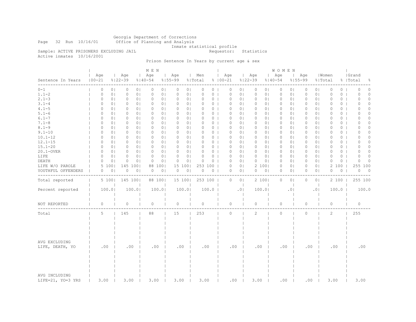Georgia Department of Corrections

Page 32 Run 10/16/01 Office of Planning and Analysis

Inmate statistical profile

Sample: ACTIVE PRISONERS EXCLUDING JAIL **Requestor:** Statistics

Active inmates 10/16/2001

# Prison Sentence In Years by current age & sex

|                                    |                   |                |                    |                | M E N              |                |                            |                                |                |                    |                |                    |                | WOMEN              |                |                    |                |                  |          |                    |                |
|------------------------------------|-------------------|----------------|--------------------|----------------|--------------------|----------------|----------------------------|--------------------------------|----------------|--------------------|----------------|--------------------|----------------|--------------------|----------------|--------------------|----------------|------------------|----------|--------------------|----------------|
| Sentence In Years                  | Age<br>$100 - 21$ |                | Age<br>$8122 - 39$ |                | Age<br>$8140 - 54$ |                | Age<br>$8155 - 99$         | Men<br>$\mathbb{R}$<br>% Total |                | Age<br>$8100 - 21$ |                | Age<br>$8122 - 39$ |                | Age<br>$8140 - 54$ | $\mathbf{L}$   | Age<br>$8155 - 99$ |                | Women<br>% Total |          | Grand<br>%   Total | ႜ              |
| $0 - 1$                            | $\circ$           | 0 <sub>1</sub> | $\circ$            | 0 <sub>1</sub> | 0                  | 0 <sub>1</sub> | 0<br>0 <sub>1</sub>        | 0                              | 0              | 0                  | 0 <sup>1</sup> | 0                  | 01             | $\circ$            | 0 <sub>1</sub> | 0                  | 0 <sub>1</sub> | $\circ$          | 0        | 0                  | $\circ$        |
| $1.1 - 2$                          | 0                 | 0 <sub>1</sub> | $\circ$            | 0 <sub>1</sub> | $\circ$            | 0 <sub>1</sub> | 0 <sub>1</sub><br>0        | 0                              | 0 <sub>1</sub> | $\mathbb O$        | 0 <sub>1</sub> | $\circ$            | 0 <sub>1</sub> | $\circ$            | 0 <sub>1</sub> | $\mathbf 0$        | 0 <sub>1</sub> | $\mathbb O$      | $\circ$  | 0                  | $\circ$        |
| $2.1 - 3$                          | 0                 | 0 <sup>1</sup> | $\circ$            | 0 <sub>1</sub> | 0                  | 0 <sub>1</sub> | 0<br>0 <sub>1</sub>        | 0                              | 0 <sub>1</sub> | $\circ$            | 0 <sub>1</sub> | $\circ$            | 0 <sub>1</sub> | 0                  | 0 <sub>1</sub> | 0                  | 0 <sup>1</sup> | $\Omega$         | 0        | $\Omega$           | $\Omega$       |
| $3.1 - 4$                          | 0                 | 0 <sub>1</sub> | $\circ$            | 0 <sub>1</sub> | $\circ$            | 0 <sub>1</sub> | 0<br>0 <sub>1</sub>        | 0                              | 0 <sub>1</sub> | $\circ$            | 0 <sub>1</sub> | $\circ$            | 0 <sub>1</sub> | $\circ$            | 0 <sub>1</sub> | 0                  | 0 <sub>1</sub> | $\circ$          | $\circ$  | $\Omega$           | $\Omega$       |
| $4.1 - 5$                          | 0                 | 0 <sub>1</sub> | 0                  | 0 <sub>1</sub> | 0                  | 0 <sub>1</sub> | 0 <sup>1</sup><br>0        | 0                              | 0 <sub>1</sub> | 0                  | 0 <sub>1</sub> | 0                  | 01             | 0                  | 0 <sup>1</sup> | 0                  | 0 <sub>1</sub> | $\circ$          | $\circ$  | 0                  | $\Omega$       |
| $5.1 - 6$                          | 0                 | 0 <sub>1</sub> | $\circ$            | 0 <sub>1</sub> | $\circ$            | 0 <sub>1</sub> | $\Omega$<br>0 <sub>1</sub> | 0                              | 0 <sub>1</sub> | $\circ$            | 0 <sub>1</sub> | $\circ$            | 0 <sub>1</sub> | $\circ$            | 0 <sub>1</sub> | 0                  | 0 <sup>1</sup> | $\Omega$         | 0        | $\Omega$           | $\circ$        |
| $6.1 - 7$                          | $\Omega$          | 0 <sub>1</sub> | $\circ$            | 0 <sub>1</sub> | $\Omega$           | 0 <sub>1</sub> | 0 <sub>1</sub><br>$\Omega$ | Ω                              | 0 <sub>1</sub> | $\Omega$           | 0 <sub>1</sub> | $\Omega$           | 0 <sub>1</sub> | $\Omega$           | 0 <sub>1</sub> | $\Omega$           | 0 <sub>1</sub> | $\Omega$         | $\Omega$ | O                  | $\Omega$       |
| $7.1 - 8$                          | 0                 | 0 <sub>1</sub> | 0                  | 0 <sub>1</sub> | 0                  | 0 <sub>1</sub> | 0<br>0 <sub>1</sub>        | 0                              | 0 <sub>1</sub> | $\circ$            | 0 <sub>1</sub> | 0                  | 0 <sub>1</sub> | 0                  | 0 <sub>1</sub> | 0                  | 0 <sub>1</sub> | 0                | $\circ$  | 0                  | $\Omega$       |
| $8.1 - 9$                          | 0                 | 0 <sub>1</sub> | 0                  | 0 <sub>1</sub> | 0                  | 0 <sub>1</sub> | $\Omega$<br>0 <sub>1</sub> | 0                              | $0-1$          | 0                  | 0 <sub>1</sub> | 0                  | 0 <sub>1</sub> | 0                  | 0 <sub>1</sub> | 0                  | 0 <sub>1</sub> | $\Omega$         | 0        | 0                  | $\Omega$       |
| $9.1 - 10$                         | 0                 | 0 <sub>1</sub> | $\circ$            | 0 <sub>1</sub> | $\circ$            | 0 <sub>1</sub> | 0<br>0 <sub>1</sub>        | 0                              | 0 <sub>1</sub> | $\circ$            | 0 <sub>1</sub> | 0                  | 0 <sub>1</sub> | $\circ$            | 0 <sub>1</sub> | 0                  | 0 <sub>1</sub> | $\circ$          | $\circ$  | $\Omega$           | $\Omega$       |
| $10.1 - 12$                        | 0                 | 0 <sub>1</sub> | $\circ$            | 0 <sub>1</sub> | $\circ$            | 0 <sub>1</sub> | 0<br>0 <sub>1</sub>        | 0                              | 0 <sub>1</sub> | $\circ$            | 0 <sub>1</sub> | $\circ$            | 0 <sub>1</sub> | 0                  | 0 <sub>1</sub> | 0                  | 0 <sub>1</sub> | $\circ$          | 0        | 0                  | $\Omega$       |
| $12.1 - 15$                        | 0                 | 0 <sub>1</sub> | $\circ$            | 0 <sub>1</sub> | $\circ$            | 0 <sub>1</sub> | $\circ$<br>0 <sub>1</sub>  | 0                              | 0 <sub>1</sub> | $\circ$            | 0 <sub>1</sub> | 0                  | 0 <sub>1</sub> | $\circ$            | 0 <sub>1</sub> | 0                  | 0 <sub>1</sub> | $\circ$          | 0        | 0                  | $\circ$        |
| $15.1 - 20$                        | $\Omega$          | 0 <sub>1</sub> | $\circ$            | 0 <sub>1</sub> | $\circ$            | 0 <sub>1</sub> | 0<br>0 <sub>1</sub>        | 0                              | 0 <sub>1</sub> | $\circ$            | 0 <sub>1</sub> | $\circ$            | 0 <sup>1</sup> | $\circ$            | 0 <sub>1</sub> | $\Omega$           | 0 <sub>1</sub> | $\Omega$         | 0        | $\cap$             | $\Omega$       |
| 20.1-OVER                          | 0                 | 0 <sub>1</sub> | $\circ$            | 0 <sub>1</sub> | 0                  | 0 <sub>1</sub> | 0 <sub>1</sub><br>0        | 0                              | 0 <sub>1</sub> | $\circ$            | 0 <sub>1</sub> | $\mathbf{0}$       | 0 <sub>1</sub> | 0                  | 0 <sup>1</sup> | 0                  | 0 <sub>1</sub> | $\circ$          | 0        | 0                  | $\Omega$       |
| LIFE                               | $\Omega$          | 0 <sub>1</sub> | $\circ$            | 0 <sub>1</sub> | $\circ$            | 0 <sub>1</sub> | $\Omega$<br>0 <sub>1</sub> | 0                              | 0 <sub>1</sub> | $\circ$            | 0 <sub>1</sub> | $\circ$            | 0 <sub>1</sub> | $\circ$            | 0 <sub>1</sub> | 0                  | 0 <sub>1</sub> | $\Omega$         | 0        | $\cap$             | $\Omega$       |
| DEATH                              | $\Omega$          | 0 <sup>1</sup> | $\circ$            | $\circ$        | 0                  | 0 <sub>1</sub> | 0 <sup>1</sup><br>0        | 0                              | 0              | $\Omega$           | 0 <sub>1</sub> | 0                  | $\circ$        | $\circ$            | 0 <sup>1</sup> | $\Omega$           | 0 <sup>1</sup> | $\Omega$         | $\Omega$ | $\Omega$           | $\Omega$       |
| LIFE W/O PAROLE                    | 5                 | 1001           | 145                | 100            | 88                 | 100            | 15<br>1001                 |                                | 253 100        | 0                  | 0 <sub>1</sub> |                    | 2 1001         | 0                  | 0 <sub>1</sub> | 0                  | 0 <sub>1</sub> | 2                | 100      | 255                | 100            |
| YOUTHFUL OFFENDERS                 | 0                 | 0 <sub>1</sub> | 0                  | 0 <sub>1</sub> | 0                  | 0 <sub>1</sub> | 0<br>0 <sub>1</sub>        | 0                              | $0-1$          | 0                  | 0 <sub>1</sub> | 0                  | 0 <sub>1</sub> | 0                  | 0 <sub>1</sub> | 0                  | 0 <sub>1</sub> | $\circ$          | $\circ$  | $\circ$            | $\overline{0}$ |
|                                    |                   |                |                    |                |                    |                |                            |                                |                |                    |                |                    |                |                    |                |                    |                |                  |          |                    |                |
| Total reported                     |                   | 5 100          | 145 100            |                | 88 100             |                | 15 100                     |                                | 253 100        | $\circ$            | 0 <sup>1</sup> |                    | 2 100          | $\circ$            | 0 <sub>1</sub> | 0                  | 0 <sub>1</sub> |                  | 2 100    | 255 100            |                |
| Percent reported                   |                   | 100.0          |                    | 100.0          | 100.0              |                | 100.01                     |                                | 100.0          |                    | .01            |                    | 100.0          |                    | .01            |                    | .0             |                  | 100.0    |                    | 100.0          |
| NOT REPORTED                       | 0                 |                | $\circ$            |                | $\circ$            |                | $\circ$                    | 0                              |                | $\mathbb O$        |                | $\circ$            |                | 0                  |                | 0                  |                | $\circ$          |          | $\circ$            |                |
| Total                              | 5                 |                | 145                |                | 88                 |                | 15                         | 253                            |                | $\circ$            |                | $\overline{c}$     |                | $\circ$            |                | $\circ$            |                | $\overline{c}$   |          | 255                |                |
| AVG EXCLUDING<br>LIFE, DEATH, YO   | .00               |                | .00                |                | .00                |                | .00                        |                                | .00            | .00                |                | .00                |                | .00                |                | .00                |                | .00              |          | .00                |                |
| AVG INCLUDING<br>LIFE=21, YO=3 YRS | 3.00              |                | 3.00               |                | 3.00               |                | 3.00                       | 3.00                           |                | .00                |                | 3.00               |                | .00                |                | .00                |                | 3.00             |          | 3.00               |                |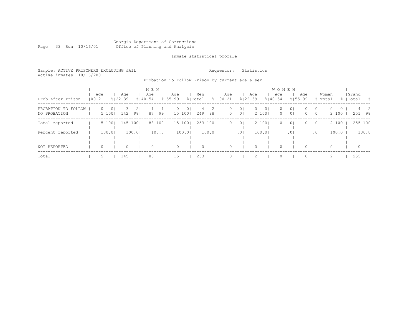# Georgia Department of Corrections Office of Planning and Analysis

Inmate statistical profile

Sample: ACTIVE PRISONERS EXCLUDING JAIL Requestor: Statistics Active inmates 10/16/2001

# Probation To Follow Prison by current age & sex

|                                     |                   |            |         |                    |           | M E N              |         |                    |                          |                |                       |                    |                                  |                    |                          | W O M E N          |                                  |                     |                                  |                              |                    |           |
|-------------------------------------|-------------------|------------|---------|--------------------|-----------|--------------------|---------|--------------------|--------------------------|----------------|-----------------------|--------------------|----------------------------------|--------------------|--------------------------|--------------------|----------------------------------|---------------------|----------------------------------|------------------------------|--------------------|-----------|
| Prob After Prison                   | Age<br>$100 - 21$ |            |         | Aqe<br>$8122 - 39$ |           | Age<br>$8140 - 54$ |         | Aqe<br>$8155 - 99$ |                          | Men<br>% Total |                       | Age<br>$8100 - 21$ |                                  | Age<br>$8122 - 39$ |                          | Age<br>$8140 - 54$ |                                  | Aqe<br>$8155 - 99$  | % Total                          | Women                        | Grand<br>%   Total | - 옹       |
| PROBATION TO FOLLOW<br>NO PROBATION |                   | 0<br>5 100 | $\circ$ | 142                | 21<br>981 | 87                 | 991     | 0                  | 0 <sub>1</sub><br>15 100 | 4<br>249       | 2.<br>98 <sub>1</sub> | 0<br>$\circ$       | 0 <sub>1</sub><br>0 <sup>1</sup> | $\circ$            | 0 <sup>1</sup><br>2 1001 | $\circ$<br>$\circ$ | 0 <sup>1</sup><br>0 <sup>1</sup> | $\Omega$<br>$\circ$ | 0 <sub>1</sub><br>0 <sup>1</sup> | $\Omega$<br>$\circ$<br>2 100 | 251                | 4 2<br>98 |
| Total reported                      |                   | 5 100      |         | 145 1001           |           |                    | 88 1001 |                    | 15 100                   |                | 253 100               | $\circ$            | 0 <sup>1</sup>                   |                    | 2 100                    | $\circ$            | 0 <sup>1</sup>                   | ()                  | 0 <sup>1</sup>                   | 2 100                        |                    | 255 100   |
| Percent reported                    |                   | 100.0      |         |                    | 100.01    |                    | 100.0   |                    | 100.01                   |                | 100.0                 |                    | .0 <sub>1</sub>                  |                    | 100.01                   |                    | .01                              |                     | .01                              | 100.0                        |                    | 100.0     |
| NOT REPORTED                        |                   | $\circ$    |         | $\Omega$           |           | 0                  |         | $\Omega$           |                          | $\Omega$       |                       |                    |                                  |                    |                          | $\Omega$           |                                  |                     |                                  | $\Omega$                     | $\Omega$           |           |
| Total                               |                   | 5          |         | 145                |           | 88                 |         | 15                 |                          | 253            |                       |                    |                                  |                    |                          | $\cap$             |                                  |                     |                                  | $\mathfrak{D}$               | 255                |           |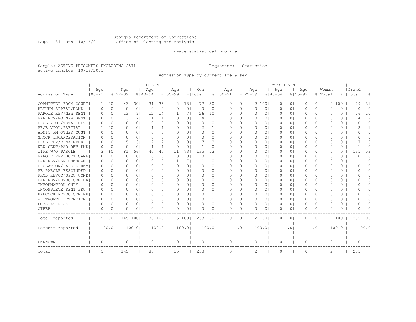#### Georgia Department of Corrections Page 34 Run 10/16/01 Office of Planning and Analysis

# Inmate statistical profile

Sample: ACTIVE PRISONERS EXCLUDING JAIL **Requestor:** Statistics Active inmates 10/16/2001

Admission Type by current age & sex

| Age<br>Men<br>Age<br>Age<br>  Women<br>  Grand<br>Age<br>Age<br>Age<br>Age<br>Age<br>$8122 - 39$<br>Admission Type<br>$100 - 21$<br>$8122 - 39$<br>$8140 - 54$<br>$8155 - 99$<br>$8100 - 21$<br>$8155 - 99$<br>% Total<br>$8140 - 54$<br>% Total<br>%   Total<br>욲<br>COMMITTED FROM COURT <br>351<br>2<br>79<br>20<br>43<br>301<br>31<br>131<br>77<br>30<br>0 <sub>1</sub><br>2 1001<br>$\circ$<br>100<br>31<br>2<br>0<br>0<br>0<br>01<br>1<br>$\circ$<br>$\Omega$<br>0 <sup>1</sup><br>0 <sub>1</sub><br>$\Omega$<br>$\Omega$<br>$\Omega$<br>$\Omega$<br>$\Omega$<br>0 <sub>1</sub><br>0 <sub>1</sub><br>$\bigcirc$  <br>$\Omega$<br>$\Omega$<br>$\Omega$<br>$\Omega$<br>$\Omega$<br>0 <sup>1</sup><br>$\Omega$<br>$\Omega$<br>$\Omega$<br>0<br>0 <sub>1</sub><br>13<br>91<br>12<br>71<br>26<br>10<br>0 <sub>1</sub><br>0 <sub>1</sub><br>26<br>10<br>14<br>1<br>$\Omega$<br>0 <sup>1</sup><br>$\Omega$<br>$\Omega$<br>0 <sub>1</sub><br>$\Omega$<br>O<br>0<br>0<br>$\overline{2}$<br>3<br>21<br>2<br>0 <sup>1</sup><br>1<br>1 <sub>1</sub><br>0 <sub>1</sub><br>0 <sup>1</sup><br>$\Omega$<br>0 <sub>1</sub><br>$\Omega$<br>0 <sup>1</sup><br>0 <sub>1</sub><br>$\Omega$<br>$\Omega$<br>0<br>$\Omega$<br>n<br>0<br>4<br>4<br>$\Omega$<br>0 <sup>1</sup><br>0 <sup>1</sup><br>$\Omega$<br>0 <sup>1</sup><br>0 <sub>1</sub><br>0<br>0 <sup>1</sup><br>0 <sup>1</sup><br>0<br>0<br>$\Omega$<br>$\Omega$<br>n<br>$\Omega$<br>0 <sup>1</sup><br>$\Omega$<br>0 <sub>1</sub><br>0<br>0<br>O<br>201<br>0 <sub>1</sub><br>0 <sub>1</sub><br>0 <sup>1</sup><br>0 <sup>1</sup><br>0 <sup>1</sup><br>1<br>$\Omega$<br>1.<br>11<br>$\Box$<br>1<br>0<br>$\Omega$<br>0 <sup>1</sup><br>$\Box$<br>O<br>0<br>0<br>0 <sub>1</sub><br>0 <sub>1</sub><br>$\Omega$<br>0 <sup>1</sup><br>0 <sup>1</sup><br>0<br>0 <sup>1</sup><br>0 <sup>1</sup><br>0 <sup>1</sup><br>$\bigcap$<br>$\circ$<br>0<br>0<br>$\Omega$<br>$\Box$<br>$\Omega$<br>0<br>$\Omega$<br>01<br>$\Omega$<br>O<br>O<br>0 <sup>1</sup><br>0 <sup>1</sup><br>0 <sup>1</sup><br>0 <sup>1</sup><br>0 <sup>1</sup><br>0 <sub>1</sub><br>$\circ$<br>0<br>$\Omega$<br>$\Omega$<br>$\Omega$<br>$\Omega$<br>$\Omega$<br>0<br>$\Omega$<br>$\Omega$<br>0 <sub>1</sub><br>$\Omega$<br>$\Omega$<br>0 <sub>1</sub><br>$\bigcap$<br>2<br>21<br>3<br>0 <sub>1</sub><br>31<br>$\Omega$<br>0 <sup>1</sup><br>3<br>$\Omega$<br>0 <sub>1</sub><br>0<br>0 <sub>1</sub><br>0<br>0 <sub>1</sub><br>0 <sup>1</sup><br>$\Omega$<br>0<br>$\Omega$<br>0<br>NEW SENT/PAR REV PND <br>0 <sub>1</sub><br>0<br>0 <sup>1</sup><br>1<br>1 <sub>1</sub><br>0<br>0 <sub>1</sub><br>0<br>0 <sub>1</sub><br>0<br>0 <sub>1</sub><br>0<br>0 <sub>1</sub><br>0 <sup>1</sup><br>0<br>0<br>0<br>$\Omega$<br>U<br>$\Omega$<br>451<br>731<br>135<br>53<br>135<br>53<br>601<br>81<br>561<br>40<br>0 <sub>1</sub><br>$\circ$<br>0 <sub>1</sub><br>$\Omega$<br>0<br>3<br>11<br>Ω<br>0 <sub>1</sub><br>0<br>0 <sub>1</sub><br>0 <sup>1</sup><br>0<br>$\Omega$<br>0 <sup>1</sup><br>$\Omega$<br>0 <sub>1</sub><br>$\circ$<br>$\Omega$<br>0<br>0 <sub>1</sub><br>0<br>$\Omega$<br>U<br>0<br>0 <sub>1</sub><br>0<br>0 <sub>1</sub><br>0 <sub>1</sub><br>$\Omega$<br>O<br>0<br>O<br>$\Omega$<br>$\Omega$<br>$\Omega$<br>$\Omega$<br>71<br>0 <sup>1</sup><br>0 <sub>1</sub><br>$\Omega$<br>$\Omega$<br>0<br>0<br>0<br>n<br>$\Omega$<br>0 <sub>1</sub><br>$\Omega$<br>O<br>0 <sub>1</sub><br>0<br>-1<br>PROBATION/PAROLE REV <br>0 <sub>1</sub><br>$\Omega$<br>0 <sub>1</sub><br>$\Omega$<br>0 <sub>1</sub><br>0 <sup>1</sup><br>$\Omega$<br>0 <sub>1</sub><br>0 <sub>1</sub><br>0<br>$\Omega$<br>n<br>$\Omega$<br>0<br>n<br>$\Omega$<br>O<br>0 <sub>1</sub><br>U<br>0<br>∩<br>0<br>$\Omega$<br>$\bigcap$<br>$\Omega$<br>0 <sub>1</sub><br>$\bigcap$<br>0 <sub>1</sub><br>$\Omega$<br>0<br>U<br>0 <sup>1</sup><br>$\bigcap$<br>0 <sub>1</sub><br>$\bigcap$<br>0 <sub>1</sub><br>$\Omega$<br>0 <sub>1</sub><br>U<br>$\Omega$<br>0<br>0<br>$\Omega$<br>∩<br>PROB REVOC/SPEC COND <br>0 <sup>1</sup><br>O<br>$\Omega$<br>$\Omega$<br>0 <sub>1</sub><br>$\Omega$<br>0 <sub>1</sub><br>$\Omega$<br>0<br>U<br>0 <sub>1</sub><br>$\Omega$<br>0 <sub>1</sub><br>$\Omega$<br>0 <sub>1</sub><br>$\Omega$<br>0 <sup>1</sup><br>O<br>0<br>0<br>0<br>PAR REV/REVOC CENTER <br>0<br>0 <sub>1</sub><br>$\Omega$<br>0 <sub>1</sub><br>01<br>0<br>0 <sub>1</sub><br>$\Omega$<br>0 <sub>1</sub><br>$\Omega$<br>0 <sub>1</sub><br>0 <sup>1</sup><br>O<br>0<br>U<br>0<br>0<br><sup>o</sup><br>Ω<br>n<br>0 <sub>1</sub><br>$\Omega$<br>0 <sup>1</sup><br>0 <sub>1</sub><br>0<br>U<br>0<br>$\Omega$<br>0<br>0 <sub>1</sub><br><sup>o</sup><br>0 <sub>1</sub><br><sup>o</sup><br>Ω<br>Ω<br>$\Omega$<br>0 <sub>1</sub><br>$\Omega$<br>0 <sub>1</sub><br>O<br>$\Omega$<br>0 <sub>1</sub><br>0 <sub>1</sub><br>0 <sup>1</sup><br>0 <sub>1</sub><br>O<br>0<br>$\Omega$<br>$\Omega$<br>0 <sub>1</sub><br>$\Box$<br><sup>o</sup><br>0<br>n<br>$\Omega$<br>0 <sub>1</sub><br>$\Omega$<br>O<br>01<br>0<br>0<br>HANCOCK REVOC CENTERI<br>0 <sup>1</sup><br>0 <sup>1</sup><br>$\circ$<br>0 <sub>1</sub><br>0 <sup>1</sup><br>$\Omega$<br>0 <sub>1</sub><br>$\bigcap$<br>0<br>$\bigcap$<br>$\Omega$<br>0 <sub>1</sub><br>$\Omega$<br>0 <sub>1</sub><br>0 <sub>1</sub><br>$\bigcap$<br><sup>n</sup><br>0<br>$\Omega$<br>$\Omega$<br>$\Omega$<br>$\Omega$<br>0 <sup>1</sup><br>0 <sub>1</sub><br>0 <sub>1</sub><br>$\circ$<br>$\Omega$<br>$\Omega$<br>0 <sub>1</sub><br>$\Omega$<br>0 <sub>1</sub><br>$\Omega$<br>0 <sub>1</sub><br>$\Omega$<br>0<br>$\Omega$<br>0<br>0 <sub>1</sub><br>$\Omega$<br>$\Omega$<br>0 <sup>1</sup><br>U<br>n<br>0 <sup>1</sup><br>$\Omega$<br>0 <sup>1</sup><br>$\circ$<br>0 <sup>1</sup><br>$\Omega$<br>$\Omega$<br>0 <sub>1</sub><br>$\circ$<br>0 <sub>1</sub><br>$\circ$<br>0 <sub>1</sub><br>0 <sup>1</sup><br>$\Omega$<br>$\circ$<br>$\cap$<br>0<br>0 <sub>1</sub><br>$\Omega$<br>$\Omega$<br>$\Omega$<br>∩<br>0<br>$\Omega$<br>$\Omega$<br>0 <sub>1</sub><br>$\Omega$<br>0 <sub>1</sub><br>0 <sub>1</sub><br>0<br>0 <sub>1</sub><br>0 <sup>1</sup><br>$\Omega$<br>$\Omega$<br>0<br>O<br>0 <sup>1</sup><br>0 <sub>1</sub><br>O<br>0<br>0<br>$\Omega$<br>U<br>∩<br>145 100<br>255 100<br>5 100  <br>88 1001<br>15 100<br>253 100<br>$\Omega$<br>0 <sub>1</sub><br>2 100<br>$\Omega$<br>$\circ$<br>2 100<br>$\Omega$<br>01<br>100.0<br>100.0<br>100.0<br>100.01<br>100.0<br>100.01<br>100.0<br>100.0<br>.01<br>.01<br>.01<br>$\circ$<br>0<br>$\circ$<br>0<br>0<br>0<br>0<br>0<br>0<br>0<br>0<br>2<br>255<br>5<br>145<br>88<br>15<br>253<br>2<br>$\circ$<br>Total<br>0<br>0 |                      |  |  | M E N |  |  |  |  |  | WOMEN |  |  |  |  |
|--------------------------------------------------------------------------------------------------------------------------------------------------------------------------------------------------------------------------------------------------------------------------------------------------------------------------------------------------------------------------------------------------------------------------------------------------------------------------------------------------------------------------------------------------------------------------------------------------------------------------------------------------------------------------------------------------------------------------------------------------------------------------------------------------------------------------------------------------------------------------------------------------------------------------------------------------------------------------------------------------------------------------------------------------------------------------------------------------------------------------------------------------------------------------------------------------------------------------------------------------------------------------------------------------------------------------------------------------------------------------------------------------------------------------------------------------------------------------------------------------------------------------------------------------------------------------------------------------------------------------------------------------------------------------------------------------------------------------------------------------------------------------------------------------------------------------------------------------------------------------------------------------------------------------------------------------------------------------------------------------------------------------------------------------------------------------------------------------------------------------------------------------------------------------------------------------------------------------------------------------------------------------------------------------------------------------------------------------------------------------------------------------------------------------------------------------------------------------------------------------------------------------------------------------------------------------------------------------------------------------------------------------------------------------------------------------------------------------------------------------------------------------------------------------------------------------------------------------------------------------------------------------------------------------------------------------------------------------------------------------------------------------------------------------------------------------------------------------------------------------------------------------------------------------------------------------------------------------------------------------------------------------------------------------------------------------------------------------------------------------------------------------------------------------------------------------------------------------------------------------------------------------------------------------------------------------------------------------------------------------------------------------------------------------------------------------------------------------------------------------------------------------------------------------------------------------------------------------------------------------------------------------------------------------------------------------------------------------------------------------------------------------------------------------------------------------------------------------------------------------------------------------------------------------------------------------------------------------------------------------------------------------------------------------------------------------------------------------------------------------------------------------------------------------------------------------------------------------------------------------------------------------------------------------------------------------------------------------------------------------------------------------------------------------------------------------------------------------------------------------------------------------------------------------------------------------------------------------------------------------------------------------------------------------------------------------------------------------------------------------------------------------------------------------------------------------------------------------------------------------------------------------------------------------------------------------------------------------------------------------------------------------------------------------------------------------------------------------------------------------------------------------------------------------------------------------------------------------------------------------------------------------------------------------------------------------------------------------------------------------------------------------------------------------------------------------------------------------------------------------------------------------------------------------------------------------------------------------------------------------------------------------------------------------------------------------------------------------------------------------------------------------------------------------------------------------------------------------------------------------------------------------------------------------------------------------------------------------------------------------------------------------------------------------------------------------------------------------------------------------------------------------------------------------------------------------------------------------------------------------------------------------------------------------------------|----------------------|--|--|-------|--|--|--|--|--|-------|--|--|--|--|
|                                                                                                                                                                                                                                                                                                                                                                                                                                                                                                                                                                                                                                                                                                                                                                                                                                                                                                                                                                                                                                                                                                                                                                                                                                                                                                                                                                                                                                                                                                                                                                                                                                                                                                                                                                                                                                                                                                                                                                                                                                                                                                                                                                                                                                                                                                                                                                                                                                                                                                                                                                                                                                                                                                                                                                                                                                                                                                                                                                                                                                                                                                                                                                                                                                                                                                                                                                                                                                                                                                                                                                                                                                                                                                                                                                                                                                                                                                                                                                                                                                                                                                                                                                                                                                                                                                                                                                                                                                                                                                                                                                                                                                                                                                                                                                                                                                                                                                                                                                                                                                                                                                                                                                                                                                                                                                                                                                                                                                                                                                                                                                                                                                                                                                                                                                                                                                                                                                                                                                                                                                                                                                                                                                                                                                                                                                                                                                                                                                                                                                                                                              |                      |  |  |       |  |  |  |  |  |       |  |  |  |  |
|                                                                                                                                                                                                                                                                                                                                                                                                                                                                                                                                                                                                                                                                                                                                                                                                                                                                                                                                                                                                                                                                                                                                                                                                                                                                                                                                                                                                                                                                                                                                                                                                                                                                                                                                                                                                                                                                                                                                                                                                                                                                                                                                                                                                                                                                                                                                                                                                                                                                                                                                                                                                                                                                                                                                                                                                                                                                                                                                                                                                                                                                                                                                                                                                                                                                                                                                                                                                                                                                                                                                                                                                                                                                                                                                                                                                                                                                                                                                                                                                                                                                                                                                                                                                                                                                                                                                                                                                                                                                                                                                                                                                                                                                                                                                                                                                                                                                                                                                                                                                                                                                                                                                                                                                                                                                                                                                                                                                                                                                                                                                                                                                                                                                                                                                                                                                                                                                                                                                                                                                                                                                                                                                                                                                                                                                                                                                                                                                                                                                                                                                                              |                      |  |  |       |  |  |  |  |  |       |  |  |  |  |
|                                                                                                                                                                                                                                                                                                                                                                                                                                                                                                                                                                                                                                                                                                                                                                                                                                                                                                                                                                                                                                                                                                                                                                                                                                                                                                                                                                                                                                                                                                                                                                                                                                                                                                                                                                                                                                                                                                                                                                                                                                                                                                                                                                                                                                                                                                                                                                                                                                                                                                                                                                                                                                                                                                                                                                                                                                                                                                                                                                                                                                                                                                                                                                                                                                                                                                                                                                                                                                                                                                                                                                                                                                                                                                                                                                                                                                                                                                                                                                                                                                                                                                                                                                                                                                                                                                                                                                                                                                                                                                                                                                                                                                                                                                                                                                                                                                                                                                                                                                                                                                                                                                                                                                                                                                                                                                                                                                                                                                                                                                                                                                                                                                                                                                                                                                                                                                                                                                                                                                                                                                                                                                                                                                                                                                                                                                                                                                                                                                                                                                                                                              |                      |  |  |       |  |  |  |  |  |       |  |  |  |  |
|                                                                                                                                                                                                                                                                                                                                                                                                                                                                                                                                                                                                                                                                                                                                                                                                                                                                                                                                                                                                                                                                                                                                                                                                                                                                                                                                                                                                                                                                                                                                                                                                                                                                                                                                                                                                                                                                                                                                                                                                                                                                                                                                                                                                                                                                                                                                                                                                                                                                                                                                                                                                                                                                                                                                                                                                                                                                                                                                                                                                                                                                                                                                                                                                                                                                                                                                                                                                                                                                                                                                                                                                                                                                                                                                                                                                                                                                                                                                                                                                                                                                                                                                                                                                                                                                                                                                                                                                                                                                                                                                                                                                                                                                                                                                                                                                                                                                                                                                                                                                                                                                                                                                                                                                                                                                                                                                                                                                                                                                                                                                                                                                                                                                                                                                                                                                                                                                                                                                                                                                                                                                                                                                                                                                                                                                                                                                                                                                                                                                                                                                                              | RETURN APPEAL/BOND   |  |  |       |  |  |  |  |  |       |  |  |  |  |
|                                                                                                                                                                                                                                                                                                                                                                                                                                                                                                                                                                                                                                                                                                                                                                                                                                                                                                                                                                                                                                                                                                                                                                                                                                                                                                                                                                                                                                                                                                                                                                                                                                                                                                                                                                                                                                                                                                                                                                                                                                                                                                                                                                                                                                                                                                                                                                                                                                                                                                                                                                                                                                                                                                                                                                                                                                                                                                                                                                                                                                                                                                                                                                                                                                                                                                                                                                                                                                                                                                                                                                                                                                                                                                                                                                                                                                                                                                                                                                                                                                                                                                                                                                                                                                                                                                                                                                                                                                                                                                                                                                                                                                                                                                                                                                                                                                                                                                                                                                                                                                                                                                                                                                                                                                                                                                                                                                                                                                                                                                                                                                                                                                                                                                                                                                                                                                                                                                                                                                                                                                                                                                                                                                                                                                                                                                                                                                                                                                                                                                                                                              | PAROLE REV/NEW SENT  |  |  |       |  |  |  |  |  |       |  |  |  |  |
|                                                                                                                                                                                                                                                                                                                                                                                                                                                                                                                                                                                                                                                                                                                                                                                                                                                                                                                                                                                                                                                                                                                                                                                                                                                                                                                                                                                                                                                                                                                                                                                                                                                                                                                                                                                                                                                                                                                                                                                                                                                                                                                                                                                                                                                                                                                                                                                                                                                                                                                                                                                                                                                                                                                                                                                                                                                                                                                                                                                                                                                                                                                                                                                                                                                                                                                                                                                                                                                                                                                                                                                                                                                                                                                                                                                                                                                                                                                                                                                                                                                                                                                                                                                                                                                                                                                                                                                                                                                                                                                                                                                                                                                                                                                                                                                                                                                                                                                                                                                                                                                                                                                                                                                                                                                                                                                                                                                                                                                                                                                                                                                                                                                                                                                                                                                                                                                                                                                                                                                                                                                                                                                                                                                                                                                                                                                                                                                                                                                                                                                                                              | PAR REV/NO NEW SENT  |  |  |       |  |  |  |  |  |       |  |  |  |  |
|                                                                                                                                                                                                                                                                                                                                                                                                                                                                                                                                                                                                                                                                                                                                                                                                                                                                                                                                                                                                                                                                                                                                                                                                                                                                                                                                                                                                                                                                                                                                                                                                                                                                                                                                                                                                                                                                                                                                                                                                                                                                                                                                                                                                                                                                                                                                                                                                                                                                                                                                                                                                                                                                                                                                                                                                                                                                                                                                                                                                                                                                                                                                                                                                                                                                                                                                                                                                                                                                                                                                                                                                                                                                                                                                                                                                                                                                                                                                                                                                                                                                                                                                                                                                                                                                                                                                                                                                                                                                                                                                                                                                                                                                                                                                                                                                                                                                                                                                                                                                                                                                                                                                                                                                                                                                                                                                                                                                                                                                                                                                                                                                                                                                                                                                                                                                                                                                                                                                                                                                                                                                                                                                                                                                                                                                                                                                                                                                                                                                                                                                                              | PROB VIOL/TOTAL REV  |  |  |       |  |  |  |  |  |       |  |  |  |  |
|                                                                                                                                                                                                                                                                                                                                                                                                                                                                                                                                                                                                                                                                                                                                                                                                                                                                                                                                                                                                                                                                                                                                                                                                                                                                                                                                                                                                                                                                                                                                                                                                                                                                                                                                                                                                                                                                                                                                                                                                                                                                                                                                                                                                                                                                                                                                                                                                                                                                                                                                                                                                                                                                                                                                                                                                                                                                                                                                                                                                                                                                                                                                                                                                                                                                                                                                                                                                                                                                                                                                                                                                                                                                                                                                                                                                                                                                                                                                                                                                                                                                                                                                                                                                                                                                                                                                                                                                                                                                                                                                                                                                                                                                                                                                                                                                                                                                                                                                                                                                                                                                                                                                                                                                                                                                                                                                                                                                                                                                                                                                                                                                                                                                                                                                                                                                                                                                                                                                                                                                                                                                                                                                                                                                                                                                                                                                                                                                                                                                                                                                                              | PROB VIOL/PARTIAL    |  |  |       |  |  |  |  |  |       |  |  |  |  |
|                                                                                                                                                                                                                                                                                                                                                                                                                                                                                                                                                                                                                                                                                                                                                                                                                                                                                                                                                                                                                                                                                                                                                                                                                                                                                                                                                                                                                                                                                                                                                                                                                                                                                                                                                                                                                                                                                                                                                                                                                                                                                                                                                                                                                                                                                                                                                                                                                                                                                                                                                                                                                                                                                                                                                                                                                                                                                                                                                                                                                                                                                                                                                                                                                                                                                                                                                                                                                                                                                                                                                                                                                                                                                                                                                                                                                                                                                                                                                                                                                                                                                                                                                                                                                                                                                                                                                                                                                                                                                                                                                                                                                                                                                                                                                                                                                                                                                                                                                                                                                                                                                                                                                                                                                                                                                                                                                                                                                                                                                                                                                                                                                                                                                                                                                                                                                                                                                                                                                                                                                                                                                                                                                                                                                                                                                                                                                                                                                                                                                                                                                              | ADMIT FM OTHER CUST  |  |  |       |  |  |  |  |  |       |  |  |  |  |
|                                                                                                                                                                                                                                                                                                                                                                                                                                                                                                                                                                                                                                                                                                                                                                                                                                                                                                                                                                                                                                                                                                                                                                                                                                                                                                                                                                                                                                                                                                                                                                                                                                                                                                                                                                                                                                                                                                                                                                                                                                                                                                                                                                                                                                                                                                                                                                                                                                                                                                                                                                                                                                                                                                                                                                                                                                                                                                                                                                                                                                                                                                                                                                                                                                                                                                                                                                                                                                                                                                                                                                                                                                                                                                                                                                                                                                                                                                                                                                                                                                                                                                                                                                                                                                                                                                                                                                                                                                                                                                                                                                                                                                                                                                                                                                                                                                                                                                                                                                                                                                                                                                                                                                                                                                                                                                                                                                                                                                                                                                                                                                                                                                                                                                                                                                                                                                                                                                                                                                                                                                                                                                                                                                                                                                                                                                                                                                                                                                                                                                                                                              | SHOCK INCARCERATION  |  |  |       |  |  |  |  |  |       |  |  |  |  |
|                                                                                                                                                                                                                                                                                                                                                                                                                                                                                                                                                                                                                                                                                                                                                                                                                                                                                                                                                                                                                                                                                                                                                                                                                                                                                                                                                                                                                                                                                                                                                                                                                                                                                                                                                                                                                                                                                                                                                                                                                                                                                                                                                                                                                                                                                                                                                                                                                                                                                                                                                                                                                                                                                                                                                                                                                                                                                                                                                                                                                                                                                                                                                                                                                                                                                                                                                                                                                                                                                                                                                                                                                                                                                                                                                                                                                                                                                                                                                                                                                                                                                                                                                                                                                                                                                                                                                                                                                                                                                                                                                                                                                                                                                                                                                                                                                                                                                                                                                                                                                                                                                                                                                                                                                                                                                                                                                                                                                                                                                                                                                                                                                                                                                                                                                                                                                                                                                                                                                                                                                                                                                                                                                                                                                                                                                                                                                                                                                                                                                                                                                              | PROB REV/REMAINDER   |  |  |       |  |  |  |  |  |       |  |  |  |  |
|                                                                                                                                                                                                                                                                                                                                                                                                                                                                                                                                                                                                                                                                                                                                                                                                                                                                                                                                                                                                                                                                                                                                                                                                                                                                                                                                                                                                                                                                                                                                                                                                                                                                                                                                                                                                                                                                                                                                                                                                                                                                                                                                                                                                                                                                                                                                                                                                                                                                                                                                                                                                                                                                                                                                                                                                                                                                                                                                                                                                                                                                                                                                                                                                                                                                                                                                                                                                                                                                                                                                                                                                                                                                                                                                                                                                                                                                                                                                                                                                                                                                                                                                                                                                                                                                                                                                                                                                                                                                                                                                                                                                                                                                                                                                                                                                                                                                                                                                                                                                                                                                                                                                                                                                                                                                                                                                                                                                                                                                                                                                                                                                                                                                                                                                                                                                                                                                                                                                                                                                                                                                                                                                                                                                                                                                                                                                                                                                                                                                                                                                                              |                      |  |  |       |  |  |  |  |  |       |  |  |  |  |
|                                                                                                                                                                                                                                                                                                                                                                                                                                                                                                                                                                                                                                                                                                                                                                                                                                                                                                                                                                                                                                                                                                                                                                                                                                                                                                                                                                                                                                                                                                                                                                                                                                                                                                                                                                                                                                                                                                                                                                                                                                                                                                                                                                                                                                                                                                                                                                                                                                                                                                                                                                                                                                                                                                                                                                                                                                                                                                                                                                                                                                                                                                                                                                                                                                                                                                                                                                                                                                                                                                                                                                                                                                                                                                                                                                                                                                                                                                                                                                                                                                                                                                                                                                                                                                                                                                                                                                                                                                                                                                                                                                                                                                                                                                                                                                                                                                                                                                                                                                                                                                                                                                                                                                                                                                                                                                                                                                                                                                                                                                                                                                                                                                                                                                                                                                                                                                                                                                                                                                                                                                                                                                                                                                                                                                                                                                                                                                                                                                                                                                                                                              | LIFE W/O PAROLE      |  |  |       |  |  |  |  |  |       |  |  |  |  |
|                                                                                                                                                                                                                                                                                                                                                                                                                                                                                                                                                                                                                                                                                                                                                                                                                                                                                                                                                                                                                                                                                                                                                                                                                                                                                                                                                                                                                                                                                                                                                                                                                                                                                                                                                                                                                                                                                                                                                                                                                                                                                                                                                                                                                                                                                                                                                                                                                                                                                                                                                                                                                                                                                                                                                                                                                                                                                                                                                                                                                                                                                                                                                                                                                                                                                                                                                                                                                                                                                                                                                                                                                                                                                                                                                                                                                                                                                                                                                                                                                                                                                                                                                                                                                                                                                                                                                                                                                                                                                                                                                                                                                                                                                                                                                                                                                                                                                                                                                                                                                                                                                                                                                                                                                                                                                                                                                                                                                                                                                                                                                                                                                                                                                                                                                                                                                                                                                                                                                                                                                                                                                                                                                                                                                                                                                                                                                                                                                                                                                                                                                              | PAROLE REV BOOT CAMP |  |  |       |  |  |  |  |  |       |  |  |  |  |
|                                                                                                                                                                                                                                                                                                                                                                                                                                                                                                                                                                                                                                                                                                                                                                                                                                                                                                                                                                                                                                                                                                                                                                                                                                                                                                                                                                                                                                                                                                                                                                                                                                                                                                                                                                                                                                                                                                                                                                                                                                                                                                                                                                                                                                                                                                                                                                                                                                                                                                                                                                                                                                                                                                                                                                                                                                                                                                                                                                                                                                                                                                                                                                                                                                                                                                                                                                                                                                                                                                                                                                                                                                                                                                                                                                                                                                                                                                                                                                                                                                                                                                                                                                                                                                                                                                                                                                                                                                                                                                                                                                                                                                                                                                                                                                                                                                                                                                                                                                                                                                                                                                                                                                                                                                                                                                                                                                                                                                                                                                                                                                                                                                                                                                                                                                                                                                                                                                                                                                                                                                                                                                                                                                                                                                                                                                                                                                                                                                                                                                                                                              | PAR REV/RSN UNKNOWN  |  |  |       |  |  |  |  |  |       |  |  |  |  |
|                                                                                                                                                                                                                                                                                                                                                                                                                                                                                                                                                                                                                                                                                                                                                                                                                                                                                                                                                                                                                                                                                                                                                                                                                                                                                                                                                                                                                                                                                                                                                                                                                                                                                                                                                                                                                                                                                                                                                                                                                                                                                                                                                                                                                                                                                                                                                                                                                                                                                                                                                                                                                                                                                                                                                                                                                                                                                                                                                                                                                                                                                                                                                                                                                                                                                                                                                                                                                                                                                                                                                                                                                                                                                                                                                                                                                                                                                                                                                                                                                                                                                                                                                                                                                                                                                                                                                                                                                                                                                                                                                                                                                                                                                                                                                                                                                                                                                                                                                                                                                                                                                                                                                                                                                                                                                                                                                                                                                                                                                                                                                                                                                                                                                                                                                                                                                                                                                                                                                                                                                                                                                                                                                                                                                                                                                                                                                                                                                                                                                                                                                              |                      |  |  |       |  |  |  |  |  |       |  |  |  |  |
|                                                                                                                                                                                                                                                                                                                                                                                                                                                                                                                                                                                                                                                                                                                                                                                                                                                                                                                                                                                                                                                                                                                                                                                                                                                                                                                                                                                                                                                                                                                                                                                                                                                                                                                                                                                                                                                                                                                                                                                                                                                                                                                                                                                                                                                                                                                                                                                                                                                                                                                                                                                                                                                                                                                                                                                                                                                                                                                                                                                                                                                                                                                                                                                                                                                                                                                                                                                                                                                                                                                                                                                                                                                                                                                                                                                                                                                                                                                                                                                                                                                                                                                                                                                                                                                                                                                                                                                                                                                                                                                                                                                                                                                                                                                                                                                                                                                                                                                                                                                                                                                                                                                                                                                                                                                                                                                                                                                                                                                                                                                                                                                                                                                                                                                                                                                                                                                                                                                                                                                                                                                                                                                                                                                                                                                                                                                                                                                                                                                                                                                                                              | PB PAROLE RESCINDED  |  |  |       |  |  |  |  |  |       |  |  |  |  |
|                                                                                                                                                                                                                                                                                                                                                                                                                                                                                                                                                                                                                                                                                                                                                                                                                                                                                                                                                                                                                                                                                                                                                                                                                                                                                                                                                                                                                                                                                                                                                                                                                                                                                                                                                                                                                                                                                                                                                                                                                                                                                                                                                                                                                                                                                                                                                                                                                                                                                                                                                                                                                                                                                                                                                                                                                                                                                                                                                                                                                                                                                                                                                                                                                                                                                                                                                                                                                                                                                                                                                                                                                                                                                                                                                                                                                                                                                                                                                                                                                                                                                                                                                                                                                                                                                                                                                                                                                                                                                                                                                                                                                                                                                                                                                                                                                                                                                                                                                                                                                                                                                                                                                                                                                                                                                                                                                                                                                                                                                                                                                                                                                                                                                                                                                                                                                                                                                                                                                                                                                                                                                                                                                                                                                                                                                                                                                                                                                                                                                                                                                              |                      |  |  |       |  |  |  |  |  |       |  |  |  |  |
|                                                                                                                                                                                                                                                                                                                                                                                                                                                                                                                                                                                                                                                                                                                                                                                                                                                                                                                                                                                                                                                                                                                                                                                                                                                                                                                                                                                                                                                                                                                                                                                                                                                                                                                                                                                                                                                                                                                                                                                                                                                                                                                                                                                                                                                                                                                                                                                                                                                                                                                                                                                                                                                                                                                                                                                                                                                                                                                                                                                                                                                                                                                                                                                                                                                                                                                                                                                                                                                                                                                                                                                                                                                                                                                                                                                                                                                                                                                                                                                                                                                                                                                                                                                                                                                                                                                                                                                                                                                                                                                                                                                                                                                                                                                                                                                                                                                                                                                                                                                                                                                                                                                                                                                                                                                                                                                                                                                                                                                                                                                                                                                                                                                                                                                                                                                                                                                                                                                                                                                                                                                                                                                                                                                                                                                                                                                                                                                                                                                                                                                                                              |                      |  |  |       |  |  |  |  |  |       |  |  |  |  |
|                                                                                                                                                                                                                                                                                                                                                                                                                                                                                                                                                                                                                                                                                                                                                                                                                                                                                                                                                                                                                                                                                                                                                                                                                                                                                                                                                                                                                                                                                                                                                                                                                                                                                                                                                                                                                                                                                                                                                                                                                                                                                                                                                                                                                                                                                                                                                                                                                                                                                                                                                                                                                                                                                                                                                                                                                                                                                                                                                                                                                                                                                                                                                                                                                                                                                                                                                                                                                                                                                                                                                                                                                                                                                                                                                                                                                                                                                                                                                                                                                                                                                                                                                                                                                                                                                                                                                                                                                                                                                                                                                                                                                                                                                                                                                                                                                                                                                                                                                                                                                                                                                                                                                                                                                                                                                                                                                                                                                                                                                                                                                                                                                                                                                                                                                                                                                                                                                                                                                                                                                                                                                                                                                                                                                                                                                                                                                                                                                                                                                                                                                              | INFORMATION ONLY     |  |  |       |  |  |  |  |  |       |  |  |  |  |
|                                                                                                                                                                                                                                                                                                                                                                                                                                                                                                                                                                                                                                                                                                                                                                                                                                                                                                                                                                                                                                                                                                                                                                                                                                                                                                                                                                                                                                                                                                                                                                                                                                                                                                                                                                                                                                                                                                                                                                                                                                                                                                                                                                                                                                                                                                                                                                                                                                                                                                                                                                                                                                                                                                                                                                                                                                                                                                                                                                                                                                                                                                                                                                                                                                                                                                                                                                                                                                                                                                                                                                                                                                                                                                                                                                                                                                                                                                                                                                                                                                                                                                                                                                                                                                                                                                                                                                                                                                                                                                                                                                                                                                                                                                                                                                                                                                                                                                                                                                                                                                                                                                                                                                                                                                                                                                                                                                                                                                                                                                                                                                                                                                                                                                                                                                                                                                                                                                                                                                                                                                                                                                                                                                                                                                                                                                                                                                                                                                                                                                                                                              | INCOMPLETE SENT PKG  |  |  |       |  |  |  |  |  |       |  |  |  |  |
|                                                                                                                                                                                                                                                                                                                                                                                                                                                                                                                                                                                                                                                                                                                                                                                                                                                                                                                                                                                                                                                                                                                                                                                                                                                                                                                                                                                                                                                                                                                                                                                                                                                                                                                                                                                                                                                                                                                                                                                                                                                                                                                                                                                                                                                                                                                                                                                                                                                                                                                                                                                                                                                                                                                                                                                                                                                                                                                                                                                                                                                                                                                                                                                                                                                                                                                                                                                                                                                                                                                                                                                                                                                                                                                                                                                                                                                                                                                                                                                                                                                                                                                                                                                                                                                                                                                                                                                                                                                                                                                                                                                                                                                                                                                                                                                                                                                                                                                                                                                                                                                                                                                                                                                                                                                                                                                                                                                                                                                                                                                                                                                                                                                                                                                                                                                                                                                                                                                                                                                                                                                                                                                                                                                                                                                                                                                                                                                                                                                                                                                                                              |                      |  |  |       |  |  |  |  |  |       |  |  |  |  |
|                                                                                                                                                                                                                                                                                                                                                                                                                                                                                                                                                                                                                                                                                                                                                                                                                                                                                                                                                                                                                                                                                                                                                                                                                                                                                                                                                                                                                                                                                                                                                                                                                                                                                                                                                                                                                                                                                                                                                                                                                                                                                                                                                                                                                                                                                                                                                                                                                                                                                                                                                                                                                                                                                                                                                                                                                                                                                                                                                                                                                                                                                                                                                                                                                                                                                                                                                                                                                                                                                                                                                                                                                                                                                                                                                                                                                                                                                                                                                                                                                                                                                                                                                                                                                                                                                                                                                                                                                                                                                                                                                                                                                                                                                                                                                                                                                                                                                                                                                                                                                                                                                                                                                                                                                                                                                                                                                                                                                                                                                                                                                                                                                                                                                                                                                                                                                                                                                                                                                                                                                                                                                                                                                                                                                                                                                                                                                                                                                                                                                                                                                              | WHITWORTH DETENTION  |  |  |       |  |  |  |  |  |       |  |  |  |  |
|                                                                                                                                                                                                                                                                                                                                                                                                                                                                                                                                                                                                                                                                                                                                                                                                                                                                                                                                                                                                                                                                                                                                                                                                                                                                                                                                                                                                                                                                                                                                                                                                                                                                                                                                                                                                                                                                                                                                                                                                                                                                                                                                                                                                                                                                                                                                                                                                                                                                                                                                                                                                                                                                                                                                                                                                                                                                                                                                                                                                                                                                                                                                                                                                                                                                                                                                                                                                                                                                                                                                                                                                                                                                                                                                                                                                                                                                                                                                                                                                                                                                                                                                                                                                                                                                                                                                                                                                                                                                                                                                                                                                                                                                                                                                                                                                                                                                                                                                                                                                                                                                                                                                                                                                                                                                                                                                                                                                                                                                                                                                                                                                                                                                                                                                                                                                                                                                                                                                                                                                                                                                                                                                                                                                                                                                                                                                                                                                                                                                                                                                                              | DCYS AT RISK         |  |  |       |  |  |  |  |  |       |  |  |  |  |
|                                                                                                                                                                                                                                                                                                                                                                                                                                                                                                                                                                                                                                                                                                                                                                                                                                                                                                                                                                                                                                                                                                                                                                                                                                                                                                                                                                                                                                                                                                                                                                                                                                                                                                                                                                                                                                                                                                                                                                                                                                                                                                                                                                                                                                                                                                                                                                                                                                                                                                                                                                                                                                                                                                                                                                                                                                                                                                                                                                                                                                                                                                                                                                                                                                                                                                                                                                                                                                                                                                                                                                                                                                                                                                                                                                                                                                                                                                                                                                                                                                                                                                                                                                                                                                                                                                                                                                                                                                                                                                                                                                                                                                                                                                                                                                                                                                                                                                                                                                                                                                                                                                                                                                                                                                                                                                                                                                                                                                                                                                                                                                                                                                                                                                                                                                                                                                                                                                                                                                                                                                                                                                                                                                                                                                                                                                                                                                                                                                                                                                                                                              | OTHER                |  |  |       |  |  |  |  |  |       |  |  |  |  |
|                                                                                                                                                                                                                                                                                                                                                                                                                                                                                                                                                                                                                                                                                                                                                                                                                                                                                                                                                                                                                                                                                                                                                                                                                                                                                                                                                                                                                                                                                                                                                                                                                                                                                                                                                                                                                                                                                                                                                                                                                                                                                                                                                                                                                                                                                                                                                                                                                                                                                                                                                                                                                                                                                                                                                                                                                                                                                                                                                                                                                                                                                                                                                                                                                                                                                                                                                                                                                                                                                                                                                                                                                                                                                                                                                                                                                                                                                                                                                                                                                                                                                                                                                                                                                                                                                                                                                                                                                                                                                                                                                                                                                                                                                                                                                                                                                                                                                                                                                                                                                                                                                                                                                                                                                                                                                                                                                                                                                                                                                                                                                                                                                                                                                                                                                                                                                                                                                                                                                                                                                                                                                                                                                                                                                                                                                                                                                                                                                                                                                                                                                              | Total reported       |  |  |       |  |  |  |  |  |       |  |  |  |  |
|                                                                                                                                                                                                                                                                                                                                                                                                                                                                                                                                                                                                                                                                                                                                                                                                                                                                                                                                                                                                                                                                                                                                                                                                                                                                                                                                                                                                                                                                                                                                                                                                                                                                                                                                                                                                                                                                                                                                                                                                                                                                                                                                                                                                                                                                                                                                                                                                                                                                                                                                                                                                                                                                                                                                                                                                                                                                                                                                                                                                                                                                                                                                                                                                                                                                                                                                                                                                                                                                                                                                                                                                                                                                                                                                                                                                                                                                                                                                                                                                                                                                                                                                                                                                                                                                                                                                                                                                                                                                                                                                                                                                                                                                                                                                                                                                                                                                                                                                                                                                                                                                                                                                                                                                                                                                                                                                                                                                                                                                                                                                                                                                                                                                                                                                                                                                                                                                                                                                                                                                                                                                                                                                                                                                                                                                                                                                                                                                                                                                                                                                                              |                      |  |  |       |  |  |  |  |  |       |  |  |  |  |
|                                                                                                                                                                                                                                                                                                                                                                                                                                                                                                                                                                                                                                                                                                                                                                                                                                                                                                                                                                                                                                                                                                                                                                                                                                                                                                                                                                                                                                                                                                                                                                                                                                                                                                                                                                                                                                                                                                                                                                                                                                                                                                                                                                                                                                                                                                                                                                                                                                                                                                                                                                                                                                                                                                                                                                                                                                                                                                                                                                                                                                                                                                                                                                                                                                                                                                                                                                                                                                                                                                                                                                                                                                                                                                                                                                                                                                                                                                                                                                                                                                                                                                                                                                                                                                                                                                                                                                                                                                                                                                                                                                                                                                                                                                                                                                                                                                                                                                                                                                                                                                                                                                                                                                                                                                                                                                                                                                                                                                                                                                                                                                                                                                                                                                                                                                                                                                                                                                                                                                                                                                                                                                                                                                                                                                                                                                                                                                                                                                                                                                                                                              | Percent reported     |  |  |       |  |  |  |  |  |       |  |  |  |  |
|                                                                                                                                                                                                                                                                                                                                                                                                                                                                                                                                                                                                                                                                                                                                                                                                                                                                                                                                                                                                                                                                                                                                                                                                                                                                                                                                                                                                                                                                                                                                                                                                                                                                                                                                                                                                                                                                                                                                                                                                                                                                                                                                                                                                                                                                                                                                                                                                                                                                                                                                                                                                                                                                                                                                                                                                                                                                                                                                                                                                                                                                                                                                                                                                                                                                                                                                                                                                                                                                                                                                                                                                                                                                                                                                                                                                                                                                                                                                                                                                                                                                                                                                                                                                                                                                                                                                                                                                                                                                                                                                                                                                                                                                                                                                                                                                                                                                                                                                                                                                                                                                                                                                                                                                                                                                                                                                                                                                                                                                                                                                                                                                                                                                                                                                                                                                                                                                                                                                                                                                                                                                                                                                                                                                                                                                                                                                                                                                                                                                                                                                                              |                      |  |  |       |  |  |  |  |  |       |  |  |  |  |
|                                                                                                                                                                                                                                                                                                                                                                                                                                                                                                                                                                                                                                                                                                                                                                                                                                                                                                                                                                                                                                                                                                                                                                                                                                                                                                                                                                                                                                                                                                                                                                                                                                                                                                                                                                                                                                                                                                                                                                                                                                                                                                                                                                                                                                                                                                                                                                                                                                                                                                                                                                                                                                                                                                                                                                                                                                                                                                                                                                                                                                                                                                                                                                                                                                                                                                                                                                                                                                                                                                                                                                                                                                                                                                                                                                                                                                                                                                                                                                                                                                                                                                                                                                                                                                                                                                                                                                                                                                                                                                                                                                                                                                                                                                                                                                                                                                                                                                                                                                                                                                                                                                                                                                                                                                                                                                                                                                                                                                                                                                                                                                                                                                                                                                                                                                                                                                                                                                                                                                                                                                                                                                                                                                                                                                                                                                                                                                                                                                                                                                                                                              | UNKNOWN              |  |  |       |  |  |  |  |  |       |  |  |  |  |
|                                                                                                                                                                                                                                                                                                                                                                                                                                                                                                                                                                                                                                                                                                                                                                                                                                                                                                                                                                                                                                                                                                                                                                                                                                                                                                                                                                                                                                                                                                                                                                                                                                                                                                                                                                                                                                                                                                                                                                                                                                                                                                                                                                                                                                                                                                                                                                                                                                                                                                                                                                                                                                                                                                                                                                                                                                                                                                                                                                                                                                                                                                                                                                                                                                                                                                                                                                                                                                                                                                                                                                                                                                                                                                                                                                                                                                                                                                                                                                                                                                                                                                                                                                                                                                                                                                                                                                                                                                                                                                                                                                                                                                                                                                                                                                                                                                                                                                                                                                                                                                                                                                                                                                                                                                                                                                                                                                                                                                                                                                                                                                                                                                                                                                                                                                                                                                                                                                                                                                                                                                                                                                                                                                                                                                                                                                                                                                                                                                                                                                                                                              |                      |  |  |       |  |  |  |  |  |       |  |  |  |  |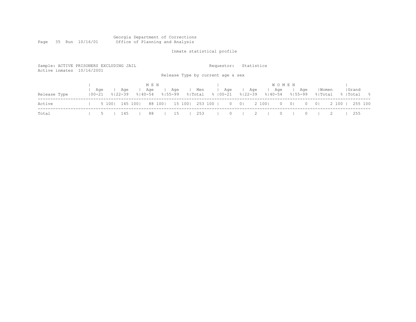|      |  |                 |  |  | Georgia Department of Corrections |
|------|--|-----------------|--|--|-----------------------------------|
| Page |  | 35 Run 10/16/01 |  |  | Office of Planning and Analysis   |

Inmate statistical profile

| Sample: ACTIVE PRISONERS EXCLUDING JAIL<br>Active inmates 10/16/2001 |                   |                    |             |                             |     |                | Requestor:<br>Release Type by current age & sex |                |                                      | Statistics |                                    |                |          |                  |         |                     |
|----------------------------------------------------------------------|-------------------|--------------------|-------------|-----------------------------|-----|----------------|-------------------------------------------------|----------------|--------------------------------------|------------|------------------------------------|----------------|----------|------------------|---------|---------------------|
| Release Type                                                         | Aqe<br>$100 - 21$ | Aqe<br>$8122 - 39$ | $8140 - 54$ | M E N<br>Aqe<br>$8155 - 99$ | Aqe | Men<br>% Total | %   00−21                                       | Age            | Aqe<br>$8122 - 39$                   |            | <b>WOMEN</b><br>Age<br>$8140 - 54$ | $8155 - 99$    | Aqe      | Women<br>% Total |         | Grand<br>%  Total % |
| Active                                                               |                   | 5 100   145 100    |             | 88 1001                     |     |                | 15 100   253 100                                | $\overline{0}$ | $\begin{array}{c c} 0 & \end{array}$ | 2 100      | $\circ$                            | $\overline{0}$ | $\Omega$ | $\overline{0}$   | 2 100 1 | 255 100             |
| Total                                                                |                   | 145                |             | 88                          | 15  | 253            |                                                 | $\Omega$       |                                      |            | $\Omega$                           |                |          |                  |         | 255                 |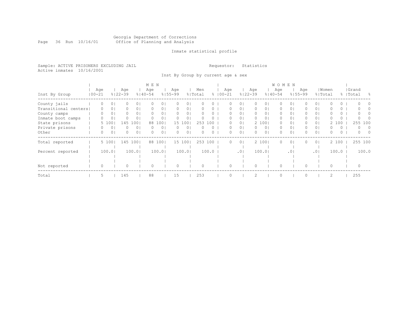#### Georgia Department of Corrections Page 36 Run 10/16/01 Office of Planning and Analysis

# Inmate statistical profile

Sample: ACTIVE PRISONERS EXCLUDING JAIL **Requestor:** Statistics Active inmates 10/16/2001

Inst By Group by current age & sex

|                      |            |          |          |                    |                | M E N              |                |                    |                |                |          |                    |                |                    |                |                    | <b>WOMEN</b>    |                    |                |                  |          |                    |          |
|----------------------|------------|----------|----------|--------------------|----------------|--------------------|----------------|--------------------|----------------|----------------|----------|--------------------|----------------|--------------------|----------------|--------------------|-----------------|--------------------|----------------|------------------|----------|--------------------|----------|
| Inst By Group        | $100 - 21$ | Age      |          | Age<br>$8122 - 39$ |                | Age<br>$8140 - 54$ |                | Age<br>$8155 - 99$ |                | Men<br>% Total |          | Age<br>$8100 - 21$ |                | Age<br>$8122 - 39$ |                | Age<br>$8140 - 54$ |                 | Age<br>$8155 - 99$ |                | Women<br>% Total |          | Grand<br>%   Total | - 옹      |
| County jails         |            |          | 0        |                    | 0 <sub>1</sub> |                    | 01             |                    | 0              |                |          |                    | 0              |                    | 0              |                    |                 |                    | 0              |                  |          |                    |          |
| Transitional centers |            | 0        | 0        |                    | 0 <sub>1</sub> |                    | 0 <sub>1</sub> | 0                  | 0 <sup>1</sup> |                | 0        | 0                  | $\circ$        | 0                  | 0 <sup>1</sup> | 0                  | 0               |                    | $\circ$        |                  | 0        |                    |          |
| County camps         |            | $\Omega$ | 0        | $\Omega$           | 0 <sub>1</sub> | $\Omega$           | 0 <sub>1</sub> | $\bigcap$          | 0 <sup>1</sup> |                | 0        | $\cap$             | 0 <sub>1</sub> | $\Omega$           | $\circ$        | 0                  | 0 <sub>1</sub>  | 0                  | $\circ$        |                  | $\Omega$ |                    |          |
| Inmate boot camps    |            |          | $\Omega$ |                    | 0              |                    | 01             |                    | 0              |                |          |                    | $\Omega$       | $\Omega$           | $\Omega$       | $\Omega$           | $\Omega$        |                    | $\Omega$       |                  | 0        |                    |          |
| State prisons        |            |          | 5 100    | 145                | 100            | 88                 | 1001           | 15                 | 100            | 253            | 100      |                    | $\Omega$       |                    | 2 100          | 0                  | 0 <sub>1</sub>  | 0                  | 0 <sup>1</sup> | $\mathbf{2}^-$   | 100      | 255                | 100      |
| Private prisons      |            | 0        | $\circ$  | 0                  | 0 <sub>1</sub> | $\Omega$           | 0 <sub>1</sub> | $\Omega$           | 0              |                | $\Omega$ | $\Omega$           | 0 <sup>1</sup> | $\Omega$           | 0 <sub>1</sub> | $\Omega$           | 0 <sup>1</sup>  | 0                  | 0 <sup>1</sup> | O                | $\Omega$ | $\Omega$           | $\Omega$ |
| Other                |            | 0        | $\circ$  | 0                  | 0 <sup>1</sup> | $\Omega$           | 0 <sub>1</sub> | 0                  | 0              | 0              | 0        | 0                  | 0 <sub>1</sub> | $\Omega$           | 0 <sub>1</sub> | 0                  | $\circ$         | 0                  | $\circ$        | $\Omega$         | 0        | $\Omega$           | - 0      |
| Total reported       |            |          | 5 100    | 145                | 1001           | 88                 | 1001           |                    | 15 100         |                | 253 100  | $\Omega$           | 0 <sub>1</sub> |                    | 2 100          | 0                  | 0 <sub>1</sub>  |                    | 0 <sup>1</sup> |                  | 2 100    | 255 100            |          |
| Percent reported     |            |          | 100.01   |                    | 100.01         |                    | 100.01         |                    | 100.0          |                | 100.0    |                    | .01            |                    | 100.01         |                    | .0 <sup>1</sup> |                    | .01            |                  | 100.0    |                    | 100.0    |
|                      |            |          |          |                    |                |                    |                |                    |                |                |          |                    |                |                    |                |                    |                 |                    |                |                  |          |                    |          |
|                      |            |          |          |                    |                |                    |                |                    |                |                |          |                    |                |                    |                |                    |                 |                    |                |                  |          |                    |          |
| Not reported         |            | 0        |          | $\Omega$           |                | 0                  |                | $\Omega$           |                |                |          |                    |                | $\Omega$           |                | $\Omega$           |                 |                    |                | $\Omega$         |          | $\Omega$           |          |
| Total                |            | 5        |          | 145                |                | 88                 |                | 15                 |                | 253            |          |                    |                |                    |                | $\Omega$           |                 |                    |                | $\overline{c}$   |          | 255                |          |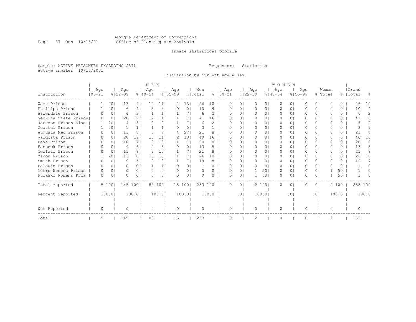#### Georgia Department of Corrections Page 37 Run 10/16/01 Office of Planning and Analysis

# Inmate statistical profile

Sample: ACTIVE PRISONERS EXCLUDING JAIL **Requestor:** Statistics Active inmates 10/16/2001

Institution by current age & sex

|                      |            |          |                |         |                | M E N       |                 |             |                |         |               |             |     |          |               |            | <b>WOMEN</b> |                 |             |                |                |                 |           |               |
|----------------------|------------|----------|----------------|---------|----------------|-------------|-----------------|-------------|----------------|---------|---------------|-------------|-----|----------|---------------|------------|--------------|-----------------|-------------|----------------|----------------|-----------------|-----------|---------------|
|                      | Age        |          |                | Age     |                | Age         |                 | Age         |                | Men     |               |             | Age |          | Age           |            | Age          |                 | Age         |                | Women          |                 | Grand     |               |
| Institution          | $100 - 21$ |          | $8122 - 39$    |         |                | $8140 - 54$ |                 | $8155 - 99$ |                | % Total |               | $8100 - 21$ |     |          | $8122 - 39$   |            | $8140 - 54$  |                 | $8155 - 99$ |                | % Total        |                 | %   Total | 욲             |
| Ware Prison          |            | 20       |                | 13      | 91             | 10          | 11              | 2.          | 131            | 26      | 10            |             |     | 0.       |               | $\Omega$   | O            | 0               |             | 01             | n              | 0               | 26        | 10            |
| Phillips Prison      |            |          | 20             | Б       | 4 <sup>1</sup> | 3           | 3 <sup>1</sup>  |             | 0 <sup>1</sup> | 10      | 4             |             | n   | $\Omega$ | $\Omega$      | $\Omega$   | $\Omega$     | $\Omega$        | 0           | 0 <sup>1</sup> | U              | $\Omega$        | 10        | 4             |
| Arrendale Prison     |            |          | 0 <sup>1</sup> | 4       | 31             |             |                 |             | 71             | 6       | $\mathcal{D}$ |             |     | $\Omega$ | 0             | 01         | 0            | $\Omega$        | 0           | 0 <sup>1</sup> | O              | $\Omega$        | 6         | 2             |
| Georgia State Prison |            |          | 0 <sub>1</sub> | 28      | 19             | 12          | 14 <sub>1</sub> |             | 71             | 41      | 16            |             | O   | $\Omega$ | $\Omega$      | $\Omega$   | $\Omega$     | $\Omega$        | $\Omega$    | $\Omega$       | U              | $\Omega$        | 41        | 16            |
| Jackson Prison-Diag  |            |          | 201            | 4       | 3 <sup>1</sup> | $\Omega$    | 0 <sup>1</sup>  |             | 71             | 6       | $\mathcal{L}$ |             |     | $\Omega$ | $\Omega$      | 01         | $\Omega$     | 0               |             | $\Omega$       | O              | $\Omega$        | 6         | $\mathcal{D}$ |
| Coastal Prison       |            |          | 201            |         | 1 <sup>1</sup> |             |                 | 0           | 0 <sup>1</sup> |         |               |             | O   | $\Omega$ | $\Omega$      | $\Omega$ I | $\Omega$     | $\Omega$        | 0           | $\Omega$       | O              | $\Omega$        | 3         |               |
| Augusta Med Prison   |            |          | $\Omega$       | 11      | 8              | 6           |                 | 4           | 27             | 21      |               |             |     | 0        | $\Omega$      | 01         | $\Omega$     | $\Omega$        |             | $\Omega$       | O              | 0               | 21        |               |
| Valdosta Prison      |            |          | $\Omega$       | 28      | 191            | 10          | 11              |             | 131            | 40      | 16            |             | U   | 0        | $\Omega$      | 01         | $\Omega$     | 0               | 0           | 0 I            | O              | 0               | 40        | 16            |
| Hays Prison          |            |          | $\Omega$       | 10      | 71             | Q           | 101             |             | 7 <sup>1</sup> | 20      | 8             |             |     | $\Omega$ | $\Omega$      | $\Omega$   | $\Omega$     | 0               | 0           | $\Omega$       | U              | 0               | 20        | 8             |
| Hancock Prison       |            |          | $\Omega$       | 9       | 61             |             | 51              | $\Omega$    | $\Omega$       | 13      | 5             |             | n   | 0.       | $\Omega$      | 01         | $\Omega$     | 0               |             | 0 I            | O              | $\Omega$        | 13        | 5             |
| Telfair Prison       |            |          | 0              | 11      | 8              | - Q         | 101             |             | 71             | 21      | 8             |             | n   | 01       | $\Box$        | 01         | $\Box$       | 0               | 0           | 0 I            | n              | 0               | 21        |               |
| Macon Prison         |            |          | 20             | 11      | 8 <sub>1</sub> | 13          | 151             |             | 71             | 26      | 10            |             | U   | $\Omega$ | $\Omega$      | $\Omega$   | $\Omega$     | 0               | 0           | $\Omega$       | O              | $\Omega$        | 26        | 10            |
| Smith Prison         |            |          | $\Omega$       | 9       | 6 <sup>1</sup> | Q           | 101             |             | 71             | 19      | 8             |             | U   | $\Omega$ | $\Omega$      | $\Omega$   | $\Omega$     | 0               | 0           | $\Omega$       | U              | $\Omega$        | 19        |               |
| Baldwin Prison       |            |          | $\Omega$       | 0       | $\Omega$       |             |                 | $\Omega$    | $\Omega$       |         | 0             |             |     | $\Omega$ | $\Omega$      | $\circ$    | $\Omega$     | $\Omega$        |             | $\Omega$       | O              | $\Omega$        |           | ∩             |
| Metro Womens Prison  |            |          | $\Omega$       | 0       | $\Omega$       | $\Omega$    | 0 <sub>1</sub>  | $\Omega$    | 0 <sub>1</sub> |         | 0             |             | O   | $\circ$  |               | 501        | $\Omega$     | $\circ$         | 0           | 0 <sup>1</sup> |                | 50              |           |               |
| Pulaski Womens Pris  |            | $\Omega$ | $\Omega$       | Λ       | $\Omega$       |             | 0 <sub>1</sub>  |             | $\Omega$       |         | ∩             |             | O   | $\Omega$ |               | 501        | $\Omega$     | $\Omega$        | 0           | $\Omega$       |                | 50 <sup>°</sup> |           |               |
| Total reported       |            | 5 100    |                | 145 100 |                | 88          | 1001            |             | 15 1001        | 253 100 |               |             | 0   | $\Omega$ |               | 2 1001     | $\Omega$     | $\circ$         | 0           | 0 <sup>1</sup> |                | 2 100           | 255 100   |               |
|                      |            |          |                |         |                |             |                 |             |                |         |               |             |     |          |               |            |              |                 |             |                |                |                 |           |               |
| Percent reported     |            | 100.01   |                | 100.0   |                |             | 100.0           |             | 100.01         |         | 100.0         |             |     | .01      |               | 100.01     |              | .0 <sub>1</sub> |             | .01            |                | 100.0           |           | 100.0         |
|                      |            |          |                |         |                |             |                 |             |                |         |               |             |     |          |               |            |              |                 |             |                |                |                 |           |               |
|                      |            |          |                |         |                |             |                 |             |                |         |               |             |     |          |               |            |              |                 |             |                |                |                 |           |               |
| Not Reported         |            | O        |                | 0       |                | ∩           |                 | $\Omega$    |                | ∩       |               |             | O   |          | 0             |            | 0            |                 | $\Omega$    |                | $\Omega$       |                 | $\bigcap$ |               |
| Total                |            | 5        |                | 145     |                | 88          |                 | 15          |                | 253     |               |             |     |          | $\mathcal{D}$ |            | $\cap$       |                 |             |                | $\overline{c}$ |                 | 255       |               |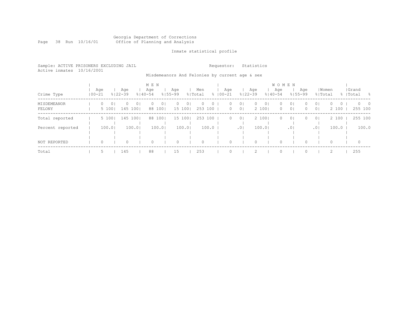### Georgia Department of Corrections Page 38 Run 10/16/01 Office of Planning and Analysis

# Inmate statistical profile

| Sample: ACTIVE PRISONERS EXCLUDING JAIL<br>Active inmates 10/16/2001 |            |                     |         |                 |     |                          |     |     | Requestor:                                     |     |                | Statistics |         |              |         |     |         |                                                                 |             |             |
|----------------------------------------------------------------------|------------|---------------------|---------|-----------------|-----|--------------------------|-----|-----|------------------------------------------------|-----|----------------|------------|---------|--------------|---------|-----|---------|-----------------------------------------------------------------|-------------|-------------|
|                                                                      |            |                     |         |                 |     |                          |     |     | Misdemeanors And Felonies by current age & sex |     |                |            |         |              |         |     |         |                                                                 |             |             |
|                                                                      |            |                     |         |                 | MEN |                          |     |     |                                                |     |                |            |         | <b>WOMEN</b> |         |     |         |                                                                 |             |             |
|                                                                      | Aqe        |                     | Age     |                 | Age |                          | Age | Men |                                                | Age |                | Aqe        |         | Aqe          |         | Age | Women   |                                                                 | Grand       |             |
| Crime Type                                                           | $100 - 21$ |                     | 응│22-39 | 8140-54 8155-99 |     |                          |     |     | % Total % 00-21                                |     | % 22-39        |            | ୫∣40-54 |              | 8155-99 |     | % Total |                                                                 | %   Total % |             |
| MISDEMEANOR                                                          |            | 0 <sup>1</sup><br>0 |         | - 0 1           |     | $\overline{\phantom{0}}$ |     |     |                                                |     | $\overline{0}$ |            |         |              |         |     |         | $\begin{array}{cccc} \circ & \circ & \circ & \circ \end{array}$ |             | $0\qquad 0$ |

| MISDEMEANOR<br>FELONY | $\circ$<br>5 100 | 0 I | $\Omega$<br>145 1001 | 0 <sub>1</sub> | $\Omega$<br>88 100 | 0 <sub>1</sub> | $\circ$<br>15 100 | 0 <sup>1</sup> | $\circ$<br>$\circ$<br>253 100 | $\circ$<br>$\circ$ | 0 <sub>1</sub><br>$\overline{0}$ | $\circ$<br>2 100 | 0 <sub>1</sub> | $\circ$<br>$\circ$ | 0 <sub>1</sub><br>0 <sub>1</sub> | $\circ$<br>$\circ$ | 0 <sup>1</sup><br>0 <sup>1</sup> | $\Omega$<br>2 100 | $\circ$ | $0\qquad 0$<br>255 100 |
|-----------------------|------------------|-----|----------------------|----------------|--------------------|----------------|-------------------|----------------|-------------------------------|--------------------|----------------------------------|------------------|----------------|--------------------|----------------------------------|--------------------|----------------------------------|-------------------|---------|------------------------|
| Total reported        | 5 100            |     | 145 100              |                | 88 100             |                | 15 100            |                | 253 100                       | $\circ$            | $\overline{0}$                   | 2 100            |                | $\circ$            | 0 <sup>1</sup>                   | $\Omega$           | 0 <sup>1</sup>                   | 2 100             |         | 255 100                |
| Percent reported      | 100.0            |     | 100.01               |                |                    | 100.0          | 100.0             |                | 100.0                         |                    | .01                              | 100.01           |                |                    | .01                              |                    | .01                              | 100.0             |         | 100.0                  |
| NOT REPORTED          | $\Omega$         |     |                      |                | $\Omega$           |                | 0                 |                | $\circ$                       |                    |                                  | $\Omega$         |                | $\Omega$           |                                  | $\Omega$           |                                  |                   |         | - 0                    |
| Total                 |                  |     | 145                  |                | 88                 |                | 15                |                | 253                           |                    |                                  |                  |                |                    |                                  |                    |                                  |                   |         | 255                    |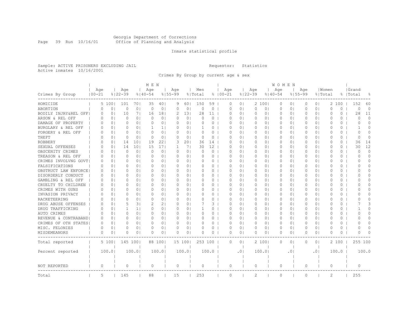#### Georgia Department of Corrections Page 39 Run 10/16/01 Office of Planning and Analysis

# Inmate statistical profile

Sample: ACTIVE PRISONERS EXCLUDING JAIL **Requestor:** Statistics Active inmates 10/16/2001

Crimes By Group by current age & sex

|                      |                   |                |                    |                | M E N              |                |                    |                |                |          |                    |                |                    |                | W O M E N          |                |                    |                |                  |          |                    |          |
|----------------------|-------------------|----------------|--------------------|----------------|--------------------|----------------|--------------------|----------------|----------------|----------|--------------------|----------------|--------------------|----------------|--------------------|----------------|--------------------|----------------|------------------|----------|--------------------|----------|
| Crimes By Group      | Age<br>$100 - 21$ |                | Age<br>$8122 - 39$ |                | Age<br>$8140 - 54$ |                | Age<br>$8155 - 99$ |                | Men<br>% Total |          | Age<br>$8100 - 21$ |                | Age<br>$8122 - 39$ |                | Age<br>$8140 - 54$ |                | Age<br>$8155 - 99$ |                | Women<br>% Total |          | Grand<br>%   Total | 욲        |
|                      |                   |                |                    |                |                    |                |                    |                |                |          |                    |                |                    |                |                    |                |                    |                |                  |          |                    |          |
| HOMICIDE             | 5                 | 1001           | 101                | 701            | 35                 | 401            | 9                  | 601            | 150            | 59       | 0                  | 0 <sup>1</sup> |                    | 2 100          | 0                  | 0 <sub>1</sub> | 0                  | 0 <sub>1</sub> |                  | 2 100    | 152                | 60       |
| ABORTION             | $\Omega$          | 0 <sup>1</sup> | 0                  | 0 <sup>1</sup> | $\Omega$           | 0 <sub>1</sub> | $\Omega$           | 0 <sup>1</sup> | $\Omega$       | 0        | $\Omega$           | 0 <sub>1</sub> | $\circ$            | 0 <sub>1</sub> | $\circ$            | 0 <sub>1</sub> | $\circ$            | 0 <sub>1</sub> | $\Omega$         | $\Omega$ | $\Omega$           | $\Omega$ |
| BODILY INJRY&REL OFF | $\Omega$          | 0 <sub>1</sub> | 10                 | 71             | 16                 | 181            | 2                  | 131            | 28             | 11       | O                  | 0 <sub>1</sub> | 0                  | 0 <sub>1</sub> | 0                  | 0 <sub>1</sub> | 0                  | 0 <sup>1</sup> | O                | $\Omega$ | 28                 | 11       |
| ARSON & REL OFF      | $\Omega$          | 0 <sup>1</sup> | 0                  | $\Omega$       | $\Omega$           | 0 <sub>1</sub> | O                  | 0 <sup>1</sup> | ∩              | 0        | O                  | $\Omega$       | 0                  | 0 <sub>1</sub> | 0                  | $\circ$        | $\Omega$           | 0 <sup>1</sup> | O                | $\Omega$ | $\bigcap$          | $\Omega$ |
| DAMAGE OF PROPERTY   | 0                 | 0 <sub>1</sub> | 0                  | 0 <sub>1</sub> | $\Omega$           | 0 <sub>1</sub> | 0                  | 0 <sub>1</sub> | 0              | 0        | 0                  | 0 <sub>1</sub> | 0                  | 0 <sub>1</sub> | 0                  | 0 <sub>1</sub> | 0                  | 0 <sup>1</sup> | 0                | 0        | $\Omega$           | $\Omega$ |
| BURGLARY & REL OFF   | 0                 | 0 <sub>1</sub> | 0                  | 0 <sup>1</sup> | 1                  | 1 <sub>1</sub> | 0                  | 0 <sub>1</sub> |                | 0        | 0                  | 0 <sub>1</sub> | 0                  | 0 <sub>1</sub> | 0                  | 0 <sub>1</sub> | 0                  | 0 <sup>1</sup> | $\circ$          | $\circ$  | -1                 | $\Omega$ |
| FORGERY & REL OFF    | $\Omega$          | 0 <sup>1</sup> | $\Omega$           | 0 <sub>1</sub> | $\Omega$           | 0 <sub>1</sub> | $\Omega$           | 0 <sub>1</sub> | $\Omega$       | $\Omega$ | $\Omega$           | $\Omega$       | $\circ$            | $\Omega$       | $\Omega$           | $\Omega$       | $\Omega$           | 0 <sup>1</sup> | $\Omega$         | $\Omega$ | $\Omega$           | $\Omega$ |
| THEFT                | <sup>o</sup>      | 0 <sub>1</sub> | 0                  | 0 <sup>1</sup> | $\bigcap$          | 0 <sub>1</sub> | $\Omega$           | 0 <sub>1</sub> | $\Omega$       | $\Omega$ | $\Omega$           | 0 <sup>1</sup> | 0                  | 0 <sub>1</sub> | $\Omega$           | 0 <sub>1</sub> | 0                  | 0 <sup>1</sup> | $\Omega$         | 0        | <sup>0</sup>       | $\Omega$ |
| ROBBERY              | $\Omega$          | 0 <sub>1</sub> | 14                 | 101            | 19                 | 221            | 3                  | 201            | 36             | 14       | O                  | 0 <sub>1</sub> | 0                  | 0 <sub>1</sub> | 0                  | 0 <sub>1</sub> | $\Omega$           | 0 <sup>1</sup> | $\Omega$         | 0        | 36                 | 14       |
| SEXUAL OFFENSES      | $\Omega$          | 0 <sup>1</sup> | 14                 | 101            | 15                 | 171            | 1                  | 71             | 30             | 12       | O                  | $\Omega$       | 0                  | 0 <sub>1</sub> | 0                  | $\circ$        | $\Omega$           | 0 <sup>1</sup> | $\Omega$         | 0        | 30                 | 12       |
| OBSCENITY CRIMES     | $\Omega$          | 0 <sub>1</sub> | 0                  | 0 <sup>1</sup> | $\Omega$           | 0 <sub>1</sub> | 0                  | 0 <sup>1</sup> | $\Omega$       | 0        | 0                  | 0 <sub>1</sub> | 0                  | 0 <sub>1</sub> | 0                  | 0 <sub>1</sub> | 0                  | 0 <sup>1</sup> | $\circ$          | 0        | $\Omega$           | $\Omega$ |
| TREASON & REL OFF    | 0                 | 0 <sub>1</sub> | 0                  | 0 <sub>1</sub> | 0                  | 0 <sub>1</sub> | 0                  | 0 <sub>1</sub> | 0              | 0        | 0                  | 0 <sub>1</sub> | 0                  | 0 <sub>1</sub> | 0                  | 0 <sub>1</sub> | 0                  | 0 <sup>1</sup> | 0                | 0        | 0                  | $\Omega$ |
| CRIMES INVOLVNG GOVT | O                 | 0 <sub>1</sub> | O                  | 0 <sub>1</sub> | $\Omega$           | 0 <sub>1</sub> | $\Omega$           | 0 <sup>1</sup> | O              | 0        | $\Omega$           | $\Omega$       | $\circ$            | 0 <sub>1</sub> | 0                  | 0 <sub>1</sub> | $\Omega$           | 0 <sup>1</sup> | $\Omega$         | 0        | O                  | $\Omega$ |
| FALSIFICATIONS       | $\Omega$          | 0 <sub>1</sub> | 0                  | 0 <sub>1</sub> | $\Omega$           | 0 <sub>1</sub> | $\Omega$           | 0 <sub>1</sub> | $\Omega$       | 0        | $\Omega$           | 0 <sub>1</sub> | 0                  | 0 <sub>1</sub> | 0                  | 0 <sub>1</sub> | 0                  | 0 <sup>1</sup> | 0                | 0        | O                  | $\Omega$ |
| OBSTRUCT LAW ENFORCE | 0                 | 0 <sub>1</sub> | 0                  | 0 <sub>1</sub> | $\Omega$           | 0 <sub>1</sub> | 0                  | 0 <sup>1</sup> | 0              | 0        | $\Omega$           | 0 <sub>1</sub> | 0                  | 0 <sub>1</sub> | 0                  | 0 <sub>1</sub> | $\Omega$           | 0 <sup>1</sup> | $\circ$          | 0        | O                  | $\Omega$ |
| DISORDERLY CONDUCT   | $\Omega$          | $\Omega$       | $\Omega$           | $\Omega$       | $\Omega$           | $\Omega$       | $\Omega$           | $\Omega$       | O              | $\Omega$ | $\Omega$           | $\Omega$       | $\Omega$           | $\Omega$       | $\Omega$           | $\Omega$       | $\Omega$           | $\Omega$       | $\Omega$         | $\Omega$ | U                  | $\cap$   |
| GAMBLING & REL OFF   | $\Omega$          | 0 <sub>1</sub> | 0                  | 0 <sub>1</sub> | $\Omega$           | 0 <sub>1</sub> | $\Omega$           | 0 <sub>1</sub> | $\Omega$       | $\Omega$ | O                  | 01             | 0                  | 0 <sub>1</sub> | 0                  | 0 <sub>1</sub> | 0                  | 0 <sup>1</sup> | $\Omega$         | 0        | O                  | $\Omega$ |
| CRUELTY TO CHILDREN  | 0                 | 0 <sub>1</sub> | 0                  | 0 <sub>1</sub> | 0                  | 0 <sub>1</sub> | 0                  | 0 <sub>1</sub> | 0              | 0        | 0                  | 0 <sub>1</sub> | 0                  | 0 <sub>1</sub> | 0                  | 0 <sub>1</sub> | 0                  | 0 <sup>1</sup> | 0                | 0        | O                  | $\cap$   |
| CRIMES WITH GUNS     | $\Omega$          | 0 <sub>1</sub> | 0                  | 0 <sub>1</sub> | $\Omega$           | 0 <sub>1</sub> | $\Omega$           | 0 <sub>1</sub> | O              | 0        | O                  | $\Omega$       | 0                  | 0 <sub>1</sub> | 0                  | 0 <sub>1</sub> | 0                  | 0 <sup>1</sup> | O                | 0        | ∩                  | $\Omega$ |
| INVASION PRIVACY     | $\Omega$          | 0 <sup>1</sup> | 0                  | 0 <sup>1</sup> | $\Omega$           | 0 <sup>1</sup> | $\Omega$           | 0 <sub>1</sub> | $\Omega$       | $\Omega$ | $\Omega$           | 0 <sub>1</sub> | $\Omega$           | $\Omega$       | $\Omega$           | 0 <sub>1</sub> | $\Omega$           | 0 <sup>1</sup> | $\Omega$         | $\Omega$ | ∩                  | $\Omega$ |
| RACKETEERING         | $\Omega$          | 0 <sub>1</sub> | 0                  | 0 <sub>1</sub> | $\Omega$           | 0 <sub>1</sub> | $\Omega$           | 0 <sub>1</sub> | 0              | 0        | 0                  | $\Omega$       | 0                  | 0 <sub>1</sub> | $\Omega$           | 0 <sub>1</sub> | $\Omega$           | 0 <sup>1</sup> | $\Omega$         | 0        | O                  | $\Omega$ |
| DRUG ABUSE OFFENSES  | $\Omega$          | $\Omega$       | 5                  | 3 <sup>1</sup> |                    | 2 <sub>1</sub> | $\Omega$           | 0 <sub>1</sub> |                | 3        | O                  | $\Omega$       | 0                  | 0 <sub>1</sub> | 0                  | $\circ$        | $\Omega$           | 0 <sup>1</sup> | $\bigcap$        | 0        |                    | 3        |
| DRUG TRAFFICKING     | $\Omega$          | 01             | 1                  | -1 I           | $\Omega$           | 0 <sub>1</sub> | $\Omega$           | 0 <sub>1</sub> |                | 0        | 0                  | 01             | 0                  | 01             | 0                  | 01             | 0                  | 0 I            | $\Omega$         | 0        |                    | $\Omega$ |
| AUTO CRIMES          | 0                 | 0 <sub>1</sub> | 0                  | 0 <sub>1</sub> | 0                  | 0 <sub>1</sub> | 0                  | 0 <sub>1</sub> | 0              | 0        | 0                  | 0 <sub>1</sub> | 0                  | 0 <sub>1</sub> | 0                  | 0 <sub>1</sub> | 0                  | 0 <sub>1</sub> | 0                | 0        | 0                  | O        |
| REVENUE & CONTRABAND | 0                 | 0 <sub>1</sub> | 0                  | 0 <sub>1</sub> | $\Omega$           | 0 <sub>1</sub> | $\Omega$           | 0 <sub>1</sub> | 0              | $\Omega$ | $\Omega$           | $\Omega$       | $\circ$            | 0 <sub>1</sub> | $\circ$            | 0 <sub>1</sub> | $\Omega$           | 0 <sub>1</sub> | $\Omega$         | 0        | $\Omega$           | $\Omega$ |
| CRIMES OF OTH STATES | $\Omega$          | 0 <sub>1</sub> | 0                  | 0 <sub>1</sub> | $\Omega$           | 0 <sub>1</sub> | $\Omega$           | 0 <sub>1</sub> | $\Omega$       | 0        | $\Omega$           | $\Omega$       | $\Omega$           | 0 <sup>1</sup> | $\Omega$           | 0 <sub>1</sub> | $\Omega$           | 0 <sup>1</sup> | $\Omega$         | $\Omega$ | O                  | $\Omega$ |
| MISC. FELONIES       | 0                 | 0 <sub>1</sub> | 0                  | 0 <sub>1</sub> | $\Omega$           | 0 <sub>1</sub> | O                  | 0 <sub>1</sub> | O              | 0        | O                  | $\Omega$       | 0                  | 0 <sub>1</sub> | 0                  | $\circ$        | 0                  | 0 <sup>1</sup> | $\Omega$         | 0        | U                  | $\Omega$ |
| MISDEMEANORS         | 0                 | 0              | 0                  | 0              | $\Omega$           | 0 <sub>1</sub> | 0                  | 0              |                | 0        | 0                  | 0              | 0                  | 0 <sub>1</sub> | 0                  | 0              | 0                  | 0 <sub>1</sub> | 0                | 0        | O                  | U        |
| Total reported       |                   | 5 100          | 145 100            |                |                    | 88 100         |                    | 15 100         | 253 100        |          | $\Omega$           | $\Omega$       |                    | 2 1001         | $\Omega$           | $\circ$        | $\Omega$           | 0 <sub>1</sub> |                  | 2 100    | 255 100            |          |
| Percent reported     |                   | 100.0          |                    | 100.0          |                    | 100.0          |                    | 100.0          |                | 100.0    |                    | .01            |                    | 100.01         |                    | $\cdot$ 0      |                    | . 0            |                  | 100.0    |                    | 100.0    |
|                      |                   |                |                    |                |                    |                |                    |                |                |          |                    |                |                    |                |                    |                |                    |                |                  |          |                    |          |
| NOT REPORTED         | $\circ$           |                | $\Omega$           |                | $\Omega$           |                | 0                  |                | $\Omega$       |          | $\circ$            |                | $\circ$            |                | 0                  |                | $\circ$            |                | $\Omega$         |          | $\Omega$           |          |
| Total                | 5                 |                | 145                |                | 88                 |                | 15                 |                | 253            |          | $\circ$            |                | 2                  |                | $\circ$            |                | $\Omega$           |                | $\overline{c}$   |          | 255                |          |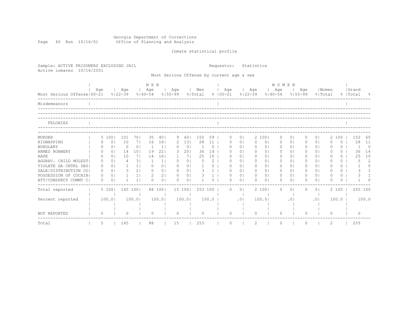Georgia Department of Corrections Page 40 Run 10/16/01 Office of Planning and Analysis

# Inmate statistical profile

| Sample: ACTIVE PRISONERS EXCLUDING JAIL<br>Active inmates 10/16/2001 |          |                |                    |                |                    |                 | Requestor:         |                | Statistics                                |                 |             |                |                          |                |                    |                    |           |                |                  |                |                    |                     |
|----------------------------------------------------------------------|----------|----------------|--------------------|----------------|--------------------|-----------------|--------------------|----------------|-------------------------------------------|-----------------|-------------|----------------|--------------------------|----------------|--------------------|--------------------|-----------|----------------|------------------|----------------|--------------------|---------------------|
|                                                                      |          |                |                    |                |                    |                 |                    |                | Most Serious Offense by current age & sex |                 |             |                |                          |                |                    |                    |           |                |                  |                |                    |                     |
|                                                                      |          |                |                    |                | M E N              |                 |                    |                |                                           |                 |             |                |                          |                | <b>WOMEN</b>       |                    |           |                |                  |                |                    |                     |
| Most Serious Offense   00-21                                         | Age      |                | Age<br>$8122 - 39$ |                | Age<br>$8140 - 54$ |                 | Age<br>$8155 - 99$ |                | Men<br>% Total                            |                 | $8100 - 21$ |                | Age   Age<br>$8122 - 39$ |                | Age<br>$8140 - 54$ | Age<br>$8155 - 99$ |           |                | Women<br>% Total |                | Grand<br>%   Total | - 옹                 |
| Misdemeanors                                                         |          |                |                    |                |                    |                 |                    |                |                                           |                 |             |                |                          |                |                    |                    |           |                |                  |                |                    |                     |
|                                                                      |          |                |                    |                |                    |                 |                    |                |                                           |                 |             |                |                          |                |                    |                    |           |                |                  |                |                    |                     |
| FELONIES                                                             |          |                |                    |                |                    |                 |                    |                |                                           |                 |             |                |                          |                |                    |                    |           |                |                  |                |                    |                     |
| <b>MURDER</b>                                                        |          | 5 100          | 101                | 70             | 35                 | 401             | 9                  | 60             | 150                                       | $59$            | 0           | 0 <sup>1</sup> |                          | 2 1001         | $\mathbf{0}$       | 0 <sub>1</sub>     | $\circ$   | 0 <sub>1</sub> |                  | 2 100          | 152                | 60                  |
| KIDNAPPING                                                           | $\Omega$ | $\circ$        | 10                 | 71             | 16                 | 18 <sub>1</sub> | 2                  | 131            | 28                                        | $11$            | $\circ$     | 0 <sub>1</sub> | $\circ$                  | 0 <sub>1</sub> | $\circ$            | 0 <sub>1</sub>     | $\circ$   | 0 <sup>1</sup> | $\Omega$         | $\circ$        | 28                 | 11                  |
| <b>BURGLARY</b>                                                      | $\Omega$ | 0 <sub>1</sub> | $\circ$            | 0 <sub>1</sub> | -1                 | 1               | 0                  | 0 <sub>1</sub> | 1                                         | 0 <sub>1</sub>  | $\Omega$    | 0 <sup>1</sup> | 0                        | 0 <sub>1</sub> | $\circ$            | 0 <sup>1</sup>     | 0         | 0 <sup>1</sup> | $\Omega$         | $\circ$        | $\overline{1}$     | $\overline{0}$      |
| ARMED ROBBERY                                                        | $\Omega$ | 0 <sub>1</sub> | 14                 | 101            | 19                 | 221             | 3                  | 201            | 36                                        | 14              | $\Omega$    | 0 <sub>1</sub> | 0                        | 0 <sub>1</sub> | $\Omega$           | 0 <sup>1</sup>     | 0         | 0 <sub>1</sub> | $\Omega$         | $0-1$          | 36                 | 14                  |
| RAPE                                                                 | 0        | 0 <sup>1</sup> | 10                 | 7 <sub>1</sub> | 14                 | 161             | 1.                 | 7 <sup>1</sup> | 25                                        | 10 <sub>1</sub> | $\Omega$    | 0 <sup>1</sup> | 0                        | 0 <sup>1</sup> | $\Omega$           | 0 <sup>1</sup>     | $\circ$   | 0 <sub>1</sub> | 0                | $0-1$          | 25                 | 10                  |
| AGGRAV. CHILD MOLEST                                                 | 0        | 0 <sub>1</sub> | $\overline{4}$     | 3              | 1                  | 1 <sub>1</sub>  | 0                  | 0 <sub>1</sub> | 5                                         | $2-1$           | 0           | 0 <sub>1</sub> | 0                        | 0 <sub>1</sub> | $\circ$            | 0 <sub>1</sub>     | 0         | 0 <sub>1</sub> | $\Omega$         | $0-1$          |                    | $\mathfrak{D}$<br>5 |
| VIOLATE GA CNTRL SBS                                                 | $\Omega$ | 0 <sup>1</sup> | $\mathbf{1}$       | 11             | $\Omega$           | 0 <sub>1</sub>  | $\Omega$           | 0 <sub>1</sub> | 1                                         | 0 <sub>1</sub>  | $\Omega$    | 0 <sub>1</sub> | $\Omega$                 | 0 <sup>1</sup> | $\Omega$           | 0 <sup>1</sup>     | $\Omega$  | 0 <sup>1</sup> | $\bigcap$        | 0 <sub>1</sub> |                    | $\Omega$            |
| SALE/DISTRIBUTION CO                                                 | $\Omega$ | 0 <sub>1</sub> | 3                  | 2 <sub>1</sub> | $\Omega$           | 0 <sup>1</sup>  | $\Omega$           | 0 <sup>1</sup> | 3                                         | 1 <sup>1</sup>  | $\Omega$    | 0 <sup>1</sup> | $\Omega$                 | 0 <sub>1</sub> | $\circ$            | 0 <sup>1</sup>     | $\Omega$  | 0 <sup>1</sup> | $\bigcap$        | $0-1$          |                    | 3                   |
| POSSESSION OF COCAIN                                                 | $\circ$  | 0 <sup>1</sup> | $\mathbf{1}$       | 11             | $\mathcal{L}$      | 21              | $\Omega$           | 0 <sub>1</sub> | 3                                         | 1 <sup>1</sup>  | $\Omega$    | 0 <sub>1</sub> | $\Omega$                 | 0 <sub>1</sub> | $\Omega$           | 0 <sub>1</sub>     | $\bigcap$ | 0 <sup>1</sup> | $\bigcap$        | $0-1$          |                    | 3                   |
| ATT/CONSPRCY COMMT CI                                                | $\Omega$ | 0 <sup>1</sup> | $\mathbf{1}$       | 1 <sup>1</sup> | $\Omega$           | 0 <sub>1</sub>  | $\Omega$           | 0 <sup>1</sup> |                                           | 0 <sub>1</sub>  | $\Omega$    | 0 <sup>1</sup> | $\bigcap$                | 0 <sup>1</sup> | $\cap$             | 0 <sub>1</sub>     | $\bigcap$ | 0 <sup>1</sup> | $\bigcap$        | $\Omega$       |                    | $\Omega$            |
| Total reported                                                       |          | 5 100          |                    | 145 1001       |                    | 88 100          |                    | 15 100         | 253 100                                   |                 | $\Omega$    | 0 <sup>1</sup> |                          | 2 1001         | 0                  | 0 <sub>1</sub>     | $\Omega$  | 0 <sup>1</sup> |                  | 2 100          |                    | 255 100             |
| Percent reported                                                     |          | 100.0          |                    | 100.01         |                    | 100.01          |                    | 100.01         |                                           | 100.0           |             | .01            |                          | 100.0          |                    | .01                |           | .01            |                  | 100.0          |                    | 100.0               |
| NOT REPORTED                                                         | $\Omega$ |                | $\Omega$           |                | $\Omega$           |                 | $\Omega$           |                | $\Omega$                                  |                 | $\cap$      |                | $\bigcap$                |                | $\Omega$           |                    | $\bigcap$ |                | $\Omega$         |                |                    | $\Omega$            |
| Total                                                                | 5        |                | 145                |                | 88                 |                 | 15                 |                | 253                                       |                 | 0           |                | 2                        |                | 0                  |                    | 0         |                | 2                |                | 255                |                     |